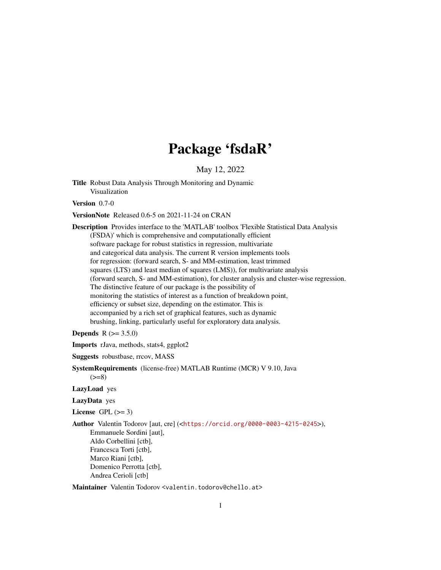# Package 'fsdaR'

May 12, 2022

<span id="page-0-0"></span>Title Robust Data Analysis Through Monitoring and Dynamic Visualization

Version 0.7-0

VersionNote Released 0.6-5 on 2021-11-24 on CRAN

Description Provides interface to the 'MATLAB' toolbox 'Flexible Statistical Data Analysis (FSDA)' which is comprehensive and computationally efficient software package for robust statistics in regression, multivariate and categorical data analysis. The current R version implements tools for regression: (forward search, S- and MM-estimation, least trimmed squares (LTS) and least median of squares (LMS)), for multivariate analysis (forward search, S- and MM-estimation), for cluster analysis and cluster-wise regression. The distinctive feature of our package is the possibility of monitoring the statistics of interest as a function of breakdown point, efficiency or subset size, depending on the estimator. This is accompanied by a rich set of graphical features, such as dynamic brushing, linking, particularly useful for exploratory data analysis.

**Depends**  $R (= 3.5.0)$ 

Imports rJava, methods, stats4, ggplot2

Suggests robustbase, rrcov, MASS

SystemRequirements (license-free) MATLAB Runtime (MCR) V 9.10, Java

 $(>=8)$ LazyLoad yes

LazyData yes

License GPL  $(>= 3)$ 

Author Valentin Todorov [aut, cre] (<<https://orcid.org/0000-0003-4215-0245>>),

Emmanuele Sordini [aut], Aldo Corbellini [ctb], Francesca Torti [ctb], Marco Riani [ctb], Domenico Perrotta [ctb], Andrea Cerioli [ctb]

Maintainer Valentin Todorov <valentin.todorov@chello.at>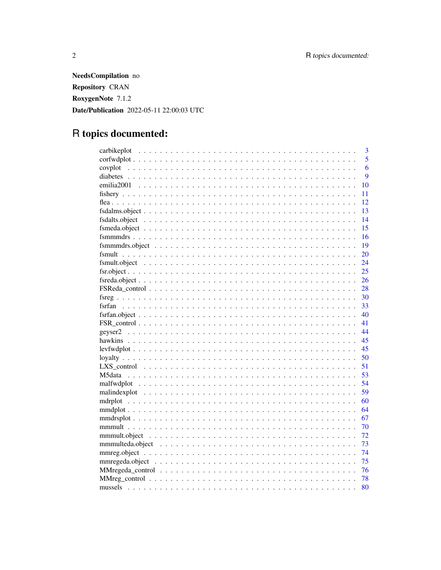NeedsCompilation no Repository CRAN RoxygenNote 7.1.2 Date/Publication 2022-05-11 22:00:03 UTC

# R topics documented:

|                                                                                                                              | $\overline{3}$ |
|------------------------------------------------------------------------------------------------------------------------------|----------------|
|                                                                                                                              | 5              |
|                                                                                                                              | 6              |
|                                                                                                                              | 9              |
|                                                                                                                              | 10             |
|                                                                                                                              | 11             |
|                                                                                                                              | 12             |
|                                                                                                                              | 13             |
|                                                                                                                              | 14             |
|                                                                                                                              | 15             |
|                                                                                                                              | 16             |
|                                                                                                                              | 19             |
|                                                                                                                              | 20             |
| $fsmult. object \dots \dots \dots \dots \dots \dots \dots \dots \dots \dots \dots \dots \dots \dots \dots \dots \dots \dots$ | 24             |
|                                                                                                                              | 25             |
|                                                                                                                              | 26             |
|                                                                                                                              | 28             |
|                                                                                                                              | 30             |
|                                                                                                                              | 33             |
|                                                                                                                              | 40             |
|                                                                                                                              | 41             |
|                                                                                                                              | 44             |
|                                                                                                                              | 45             |
|                                                                                                                              | 45             |
|                                                                                                                              | 50             |
|                                                                                                                              | 51             |
|                                                                                                                              | 53             |
|                                                                                                                              | 54             |
|                                                                                                                              | 59             |
|                                                                                                                              | 60             |
|                                                                                                                              | 64             |
|                                                                                                                              | 67             |
|                                                                                                                              | 70             |
|                                                                                                                              | 72             |
|                                                                                                                              | 73             |
|                                                                                                                              | 74             |
|                                                                                                                              | 75             |
|                                                                                                                              | 76             |
|                                                                                                                              | 78             |
|                                                                                                                              | 80             |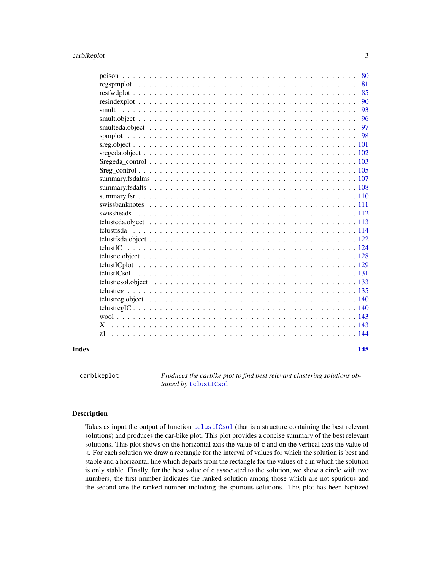<span id="page-2-0"></span>

|       |       | 81  |
|-------|-------|-----|
|       |       | 85  |
|       |       | 90  |
|       | smult | 93  |
|       |       | 96  |
|       |       | 97  |
|       |       |     |
|       |       |     |
|       |       |     |
|       |       |     |
|       |       |     |
|       |       |     |
|       |       |     |
|       |       |     |
|       |       |     |
|       |       |     |
|       |       |     |
|       |       |     |
|       |       |     |
|       |       |     |
|       |       |     |
|       |       |     |
|       |       |     |
|       |       |     |
|       |       |     |
|       |       |     |
|       |       |     |
|       |       |     |
|       | X     |     |
|       |       |     |
|       |       |     |
| Index |       | 145 |
|       |       |     |

carbikeplot *Produces the carbike plot to find best relevant clustering solutions obtained by* [tclustICsol](#page-130-1)

#### Description

Takes as input the output of function [tclustICsol](#page-130-1) (that is a structure containing the best relevant solutions) and produces the car-bike plot. This plot provides a concise summary of the best relevant solutions. This plot shows on the horizontal axis the value of c and on the vertical axis the value of k. For each solution we draw a rectangle for the interval of values for which the solution is best and stable and a horizontal line which departs from the rectangle for the values of c in which the solution is only stable. Finally, for the best value of c associated to the solution, we show a circle with two numbers, the first number indicates the ranked solution among those which are not spurious and the second one the ranked number including the spurious solutions. This plot has been baptized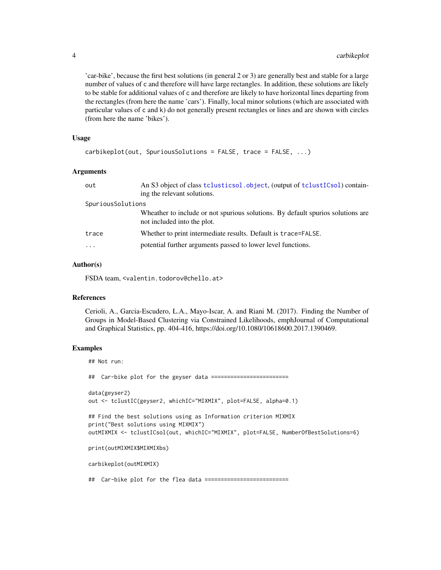'car-bike', because the first best solutions (in general 2 or 3) are generally best and stable for a large number of values of c and therefore will have large rectangles. In addition, these solutions are likely to be stable for additional values of c and therefore are likely to have horizontal lines departing from the rectangles (from here the name 'cars'). Finally, local minor solutions (which are associated with particular values of c and k) do not generally present rectangles or lines and are shown with circles (from here the name 'bikes').

#### Usage

```
carbikeplot(out, SpuriousSolutions = FALSE, trace = FALSE, ...)
```
#### Arguments

| out               | An S3 object of class tclusticsol.object, (output of tclustICsol) contain-<br>ing the relevant solutions.      |
|-------------------|----------------------------------------------------------------------------------------------------------------|
| SpuriousSolutions |                                                                                                                |
|                   | Wheather to include or not spurious solutions. By default spurios solutions are<br>not included into the plot. |
| trace             | Whether to print intermediate results. Default is trace=FALSE.                                                 |
| $\ddotsc$         | potential further arguments passed to lower level functions.                                                   |

#### Author(s)

FSDA team, <valentin.todorov@chello.at>

#### References

Cerioli, A., Garcia-Escudero, L.A., Mayo-Iscar, A. and Riani M. (2017). Finding the Number of Groups in Model-Based Clustering via Constrained Likelihoods, emphJournal of Computational and Graphical Statistics, pp. 404-416, https://doi.org/10.1080/10618600.2017.1390469.

# Examples

## Not run: ## Car-bike plot for the geyser data ======================== data(geyser2) out <- tclustIC(geyser2, whichIC="MIXMIX", plot=FALSE, alpha=0.1) ## Find the best solutions using as Information criterion MIXMIX print("Best solutions using MIXMIX") outMIXMIX <- tclustICsol(out, whichIC="MIXMIX", plot=FALSE, NumberOfBestSolutions=6) print(outMIXMIX\$MIXMIXbs) carbikeplot(outMIXMIX) ## Car-bike plot for the flea data ==========================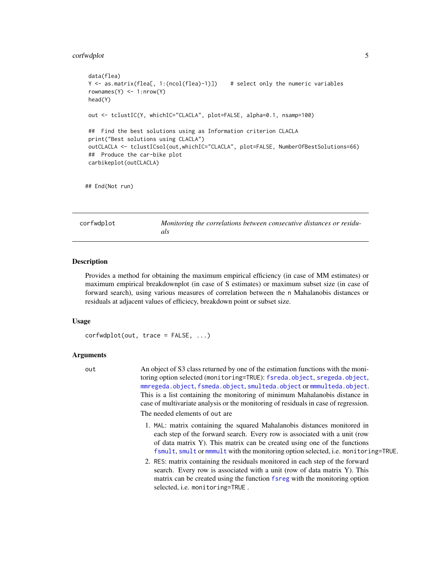#### <span id="page-4-0"></span>corfwdplot 5

```
data(flea)
Y <- as.matrix(flea[, 1:(ncol(flea)-1)]) # select only the numeric variables
rownames(Y) <- 1:nrow(Y)
head(Y)
out <- tclustIC(Y, whichIC="CLACLA", plot=FALSE, alpha=0.1, nsamp=100)
## Find the best solutions using as Information criterion CLACLA
print("Best solutions using CLACLA")
outCLACLA <- tclustICsol(out,whichIC="CLACLA", plot=FALSE, NumberOfBestSolutions=66)
## Produce the car-bike plot
carbikeplot(outCLACLA)
```
## End(Not run)

corfwdplot *Monitoring the correlations between consecutive distances or residuals*

#### **Description**

Provides a method for obtaining the maximum empirical efficiency (in case of MM estimates) or maximum empirical breakdownplot (in case of S estimates) or maximum subset size (in case of forward search), using various measures of correlation between the n Mahalanobis distances or residuals at adjacent values of efficiecy, breakdown point or subset size.

#### Usage

```
corfwdplot(out, trace = FALSE, ...)
```
#### Arguments

out An object of S3 class returned by one of the estimation functions with the monitoring option selected (monitoring=TRUE): [fsreda.object](#page-25-1), [sregeda.object](#page-101-1), [mmregeda.object](#page-74-1), [fsmeda.object](#page-14-1), [smulteda.object](#page-96-1) or [mmmulteda.object](#page-72-1). This is a list containing the monitoring of minimum Mahalanobis distance in case of multivariate analysis or the monitoring of residuals in case of regression. The needed elements of out are

- 1. MAL: matrix containing the squared Mahalanobis distances monitored in each step of the forward search. Every row is associated with a unit (row of data matrix Y). This matrix can be created using one of the functions [fsmult](#page-19-1), [smult](#page-92-1) or [mmmult](#page-69-1) with the monitoring option selected, i.e. monitoring=TRUE.
- 2. RES: matrix containing the residuals monitored in each step of the forward search. Every row is associated with a unit (row of data matrix Y). This matrix can be created using the function [fsreg](#page-29-1) with the monitoring option selected, i.e. monitoring=TRUE .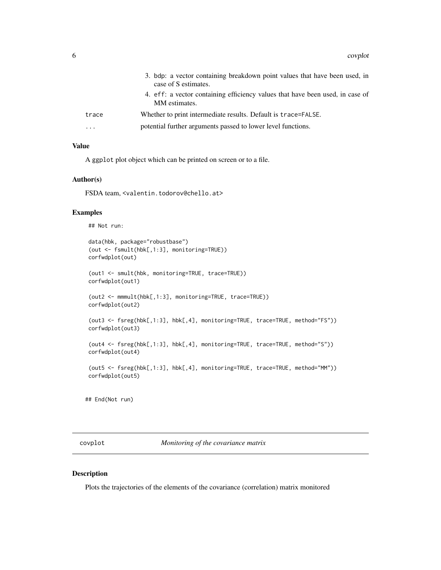<span id="page-5-0"></span>

|                         | 3. bdp: a vector containing breakdown point values that have been used, in<br>case of S estimates. |
|-------------------------|----------------------------------------------------------------------------------------------------|
|                         | 4. eff: a vector containing efficiency values that have been used, in case of<br>MM estimates.     |
| trace                   | Whether to print intermediate results. Default is trace=FALSE.                                     |
| $\cdot$ $\cdot$ $\cdot$ | potential further arguments passed to lower level functions.                                       |

# Value

A ggplot plot object which can be printed on screen or to a file.

#### Author(s)

FSDA team, <valentin.todorov@chello.at>

#### Examples

```
## Not run:
```

```
data(hbk, package="robustbase")
 (out <- fsmult(hbk[,1:3], monitoring=TRUE))
corfwdplot(out)
 (out1 <- smult(hbk, monitoring=TRUE, trace=TRUE))
corfwdplot(out1)
 (out2 <- mmmult(hbk[,1:3], monitoring=TRUE, trace=TRUE))
corfwdplot(out2)
 (out3 <- fsreg(hbk[,1:3], hbk[,4], monitoring=TRUE, trace=TRUE, method="FS"))
 corfwdplot(out3)
 (out4 <- fsreg(hbk[,1:3], hbk[,4], monitoring=TRUE, trace=TRUE, method="S"))
corfwdplot(out4)
 (out5 <- fsreg(hbk[,1:3], hbk[,4], monitoring=TRUE, trace=TRUE, method="MM"))
corfwdplot(out5)
## End(Not run)
```
covplot *Monitoring of the covariance matrix*

#### Description

Plots the trajectories of the elements of the covariance (correlation) matrix monitored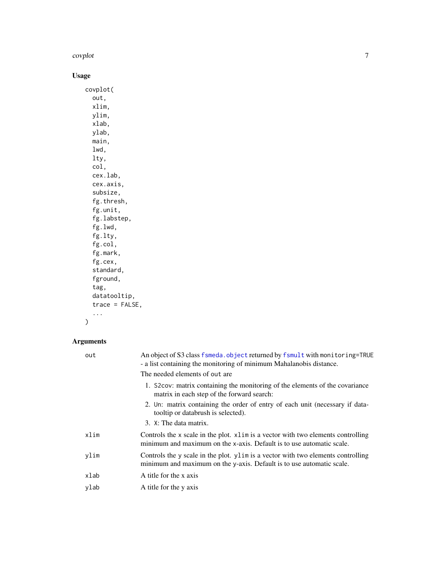#### covplot that the contract of the contract of the contract of the contract of the contract of the contract of the contract of the contract of the contract of the contract of the contract of the contract of the contract of t

# Usage

covplot( out, xlim, ylim, xlab, ylab, main, lwd, lty, col, cex.lab, cex.axis, subsize, fg.thresh, fg.unit, fg.labstep, fg.lwd, fg.lty, fg.col, fg.mark, fg.cex, standard, fground, tag, datatooltip, trace = FALSE, ...

 $\mathcal{L}$ 

# Arguments

| out  | An object of S3 class fsmeda. object returned by fsmult with monitoring=TRUE<br>- a list containing the monitoring of minimum Mahalanobis distance.       |
|------|-----------------------------------------------------------------------------------------------------------------------------------------------------------|
|      | The needed elements of out are.                                                                                                                           |
|      | 1. S2cov: matrix containing the monitoring of the elements of the covariance<br>matrix in each step of the forward search:                                |
|      | 2. Un: matrix containing the order of entry of each unit (necessary if data-<br>tooltip or databrush is selected).                                        |
|      | 3. X: The data matrix.                                                                                                                                    |
| xlim | Controls the x scale in the plot. x1im is a vector with two elements controlling<br>minimum and maximum on the x-axis. Default is to use automatic scale. |
| ylim | Controls the y scale in the plot. ylim is a vector with two elements controlling<br>minimum and maximum on the y-axis. Default is to use automatic scale. |
| xlab | A title for the x axis                                                                                                                                    |
| ylab | A title for the y axis                                                                                                                                    |
|      |                                                                                                                                                           |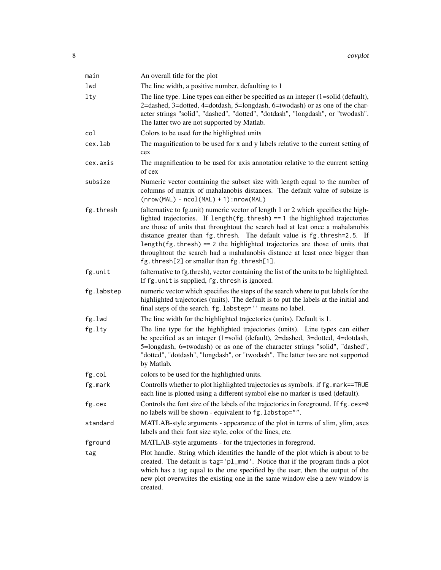| main       | An overall title for the plot                                                                                                                                                                                                                                                                                                                                                                                                                                                                                                                           |
|------------|---------------------------------------------------------------------------------------------------------------------------------------------------------------------------------------------------------------------------------------------------------------------------------------------------------------------------------------------------------------------------------------------------------------------------------------------------------------------------------------------------------------------------------------------------------|
| lwd        | The line width, a positive number, defaulting to 1                                                                                                                                                                                                                                                                                                                                                                                                                                                                                                      |
| 1ty        | The line type. Line types can either be specified as an integer $(1=solid (default)),$<br>2=dashed, 3=dotted, 4=dotdash, 5=longdash, 6=twodash) or as one of the char-<br>acter strings "solid", "dashed", "dotted", "dotdash", "longdash", or "twodash".<br>The latter two are not supported by Matlab.                                                                                                                                                                                                                                                |
| col        | Colors to be used for the highlighted units                                                                                                                                                                                                                                                                                                                                                                                                                                                                                                             |
| cex.lab    | The magnification to be used for x and y labels relative to the current setting of<br>cex                                                                                                                                                                                                                                                                                                                                                                                                                                                               |
| cex.axis   | The magnification to be used for axis annotation relative to the current setting<br>of cex                                                                                                                                                                                                                                                                                                                                                                                                                                                              |
| subsize    | Numeric vector containing the subset size with length equal to the number of<br>columns of matrix of mahalanobis distances. The default value of subsize is<br>$(nrow(MAL) - ncol(MAL) + 1): nrow(MAL)$                                                                                                                                                                                                                                                                                                                                                 |
| fg.thresh  | (alternative to fg.unit) numeric vector of length 1 or 2 which specifies the high-<br>lighted trajectories. If length $(fg.$ thresh $) == 1$ the highlighted trajectories<br>are those of units that throughtout the search had at leat once a mahalanobis<br>distance greater than fg. thresh. The default value is fg. thresh=2.5. If<br>length( $fg.$ thresh) == 2 the highlighted trajectories are those of units that<br>throughtout the search had a mahalanobis distance at least once bigger than<br>fg.thresh[2] or smaller than fg.thresh[1]. |
| fg.unit    | (alternative to fg.thresh), vector containing the list of the units to be highlighted.<br>If fg. unit is supplied, fg. thresh is ignored.                                                                                                                                                                                                                                                                                                                                                                                                               |
| fg.labstep | numeric vector which specifies the steps of the search where to put labels for the<br>highlighted trajectories (units). The default is to put the labels at the initial and<br>final steps of the search. fg.labstep='' means no label.                                                                                                                                                                                                                                                                                                                 |
| fg.lwd     | The line width for the highlighted trajectories (units). Default is 1.                                                                                                                                                                                                                                                                                                                                                                                                                                                                                  |
| fg.lty     | The line type for the highlighted trajectories (units). Line types can either<br>be specified as an integer (1=solid (default), 2=dashed, 3=dotted, 4=dotdash,<br>5=longdash, 6=twodash) or as one of the character strings "solid", "dashed",<br>"dotted", "dotdash", "longdash", or "twodash". The latter two are not supported<br>by Matlab.                                                                                                                                                                                                         |
| fg.col     | colors to be used for the highlighted units.                                                                                                                                                                                                                                                                                                                                                                                                                                                                                                            |
| fg.mark    | Controlls whether to plot highlighted trajectories as symbols. if fg.mark==TRUE<br>each line is plotted using a different symbol else no marker is used (default).                                                                                                                                                                                                                                                                                                                                                                                      |
| fg.cex     | Controls the font size of the labels of the trajectories in foreground. If fg.cex=0<br>no labels will be shown - equivalent to fg. labstop="".                                                                                                                                                                                                                                                                                                                                                                                                          |
| standard   | MATLAB-style arguments - appearance of the plot in terms of xlim, ylim, axes<br>labels and their font size style, color of the lines, etc.                                                                                                                                                                                                                                                                                                                                                                                                              |
| fground    | MATLAB-style arguments - for the trajectories in foregroud.                                                                                                                                                                                                                                                                                                                                                                                                                                                                                             |
| tag        | Plot handle. String which identifies the handle of the plot which is about to be<br>created. The default is tag='pl_mmd'. Notice that if the program finds a plot<br>which has a tag equal to the one specified by the user, then the output of the<br>new plot overwrites the existing one in the same window else a new window is<br>created.                                                                                                                                                                                                         |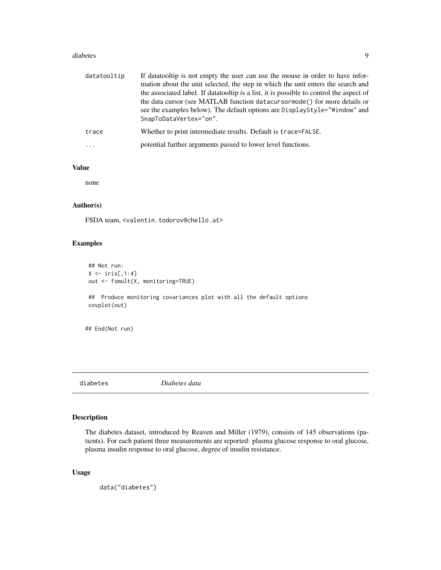#### <span id="page-8-0"></span>diabetes **9**

| datatooltip | If data tooltip is not empty the user can use the mouse in order to have infor-<br>mation about the unit selected, the step in which the unit enters the search and<br>the associated label. If datatooltip is a list, it is possible to control the aspect of |
|-------------|----------------------------------------------------------------------------------------------------------------------------------------------------------------------------------------------------------------------------------------------------------------|
|             | the data cursor (see MATLAB function datacursormode () for more details or<br>see the examples below). The default options are DisplayStyle="Window" and<br>SnapToDataVertex="on".                                                                             |
| trace       | Whether to print intermediate results. Default is trace=FALSE.                                                                                                                                                                                                 |
| $\cdots$    | potential further arguments passed to lower level functions.                                                                                                                                                                                                   |

#### Value

none

# Author(s)

FSDA team, <valentin.todorov@chello.at>

#### Examples

```
## Not run:
X \leftarrow \text{iris}[, 1:4]out <- fsmult(X, monitoring=TRUE)
## Produce monitoring covariances plot with all the default options
covplot(out)
## End(Not run)
```
diabetes *Diabetes data*

# Description

The diabetes dataset, introduced by Reaven and Miller (1979), consists of 145 observations (patients). For each patient three measurements are reported: plasma glucose response to oral glucose, plasma insulin response to oral glucose, degree of insulin resistance.

#### Usage

```
data("diabetes")
```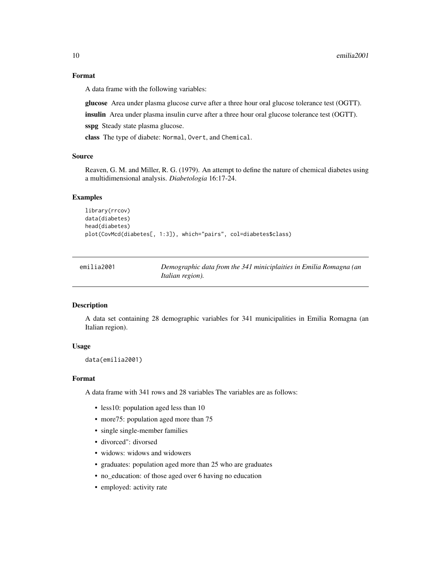# <span id="page-9-0"></span>Format

A data frame with the following variables:

glucose Area under plasma glucose curve after a three hour oral glucose tolerance test (OGTT).

insulin Area under plasma insulin curve after a three hour oral glucose tolerance test (OGTT).

sspg Steady state plasma glucose.

class The type of diabete: Normal, Overt, and Chemical.

## Source

Reaven, G. M. and Miller, R. G. (1979). An attempt to define the nature of chemical diabetes using a multidimensional analysis. *Diabetologia* 16:17-24.

#### Examples

```
library(rrcov)
data(diabetes)
head(diabetes)
plot(CovMcd(diabetes[, 1:3]), which="pairs", col=diabetes$class)
```

| emilia2001 | Demographic data from the 341 miniciplaities in Emilia Romagna (an |
|------------|--------------------------------------------------------------------|
|            | <i>Italian region</i> ).                                           |

#### Description

A data set containing 28 demographic variables for 341 municipalities in Emilia Romagna (an Italian region).

#### Usage

```
data(emilia2001)
```
#### Format

A data frame with 341 rows and 28 variables The variables are as follows:

- less10: population aged less than 10
- more 75: population aged more than 75
- single single-member families
- divorced": divorsed
- widows: widows and widowers
- graduates: population aged more than 25 who are graduates
- no\_education: of those aged over 6 having no education
- employed: activity rate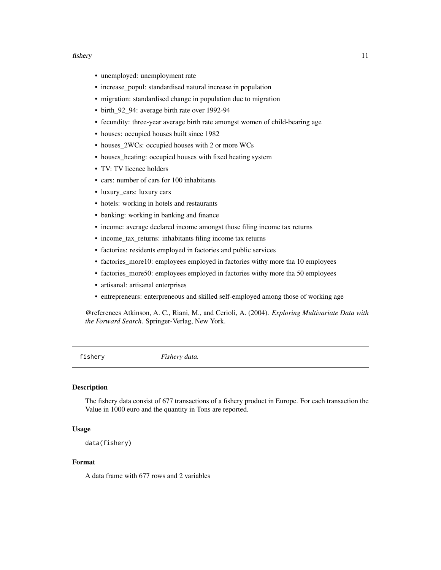#### <span id="page-10-0"></span>fishery 11

- unemployed: unemployment rate
- increase\_popul: standardised natural increase in population
- migration: standardised change in population due to migration
- birth\_92\_94: average birth rate over 1992-94
- fecundity: three-year average birth rate amongst women of child-bearing age
- houses: occupied houses built since 1982
- houses\_2WCs: occupied houses with 2 or more WCs
- houses\_heating: occupied houses with fixed heating system
- TV: TV licence holders
- cars: number of cars for 100 inhabitants
- luxury\_cars: luxury cars
- hotels: working in hotels and restaurants
- banking: working in banking and finance
- income: average declared income amongst those filing income tax returns
- income tax returns: inhabitants filing income tax returns
- factories: residents employed in factories and public services
- factories\_more10: employees employed in factories withy more tha 10 employees
- factories\_more50: employees employed in factories withy more tha 50 employees
- artisanal: artisanal enterprises
- entrepreneurs: enterpreneous and skilled self-employed among those of working age

@references Atkinson, A. C., Riani, M., and Cerioli, A. (2004). *Exploring Multivariate Data with the Forward Search*. Springer-Verlag, New York.

fishery *Fishery data.*

# **Description**

The fishery data consist of 677 transactions of a fishery product in Europe. For each transaction the Value in 1000 euro and the quantity in Tons are reported.

#### Usage

```
data(fishery)
```
# Format

A data frame with 677 rows and 2 variables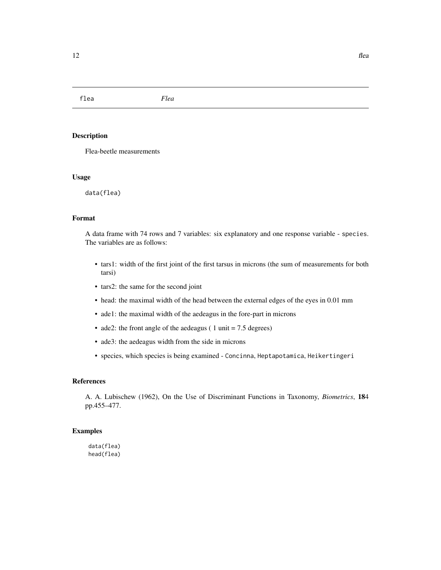<span id="page-11-0"></span>flea *Flea*

# Description

Flea-beetle measurements

#### Usage

data(flea)

# Format

A data frame with 74 rows and 7 variables: six explanatory and one response variable - species. The variables are as follows:

- tars1: width of the first joint of the first tarsus in microns (the sum of measurements for both tarsi)
- tars2: the same for the second joint
- head: the maximal width of the head between the external edges of the eyes in 0.01 mm
- ade1: the maximal width of the aedeagus in the fore-part in microns
- ade2: the front angle of the aedeagus ( 1 unit = 7.5 degrees)
- ade3: the aedeagus width from the side in microns
- species, which species is being examined Concinna, Heptapotamica, Heikertingeri

#### References

A. A. Lubischew (1962), On the Use of Discriminant Functions in Taxonomy, *Biometrics*, 184 pp.455–477.

#### Examples

data(flea) head(flea)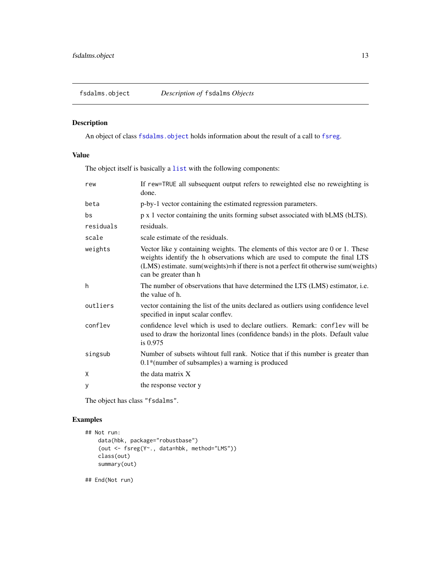<span id="page-12-1"></span><span id="page-12-0"></span>

An object of class [fsdalms.object](#page-12-1) holds information about the result of a call to [fsreg](#page-29-1).

# Value

The object itself is basically a [list](#page-0-0) with the following components:

| rew       | If rew=TRUE all subsequent output refers to reweighted else no reweighting is<br>done.                                                                                                                                                                                         |
|-----------|--------------------------------------------------------------------------------------------------------------------------------------------------------------------------------------------------------------------------------------------------------------------------------|
| beta      | p-by-1 vector containing the estimated regression parameters.                                                                                                                                                                                                                  |
| bs        | p x 1 vector containing the units forming subset associated with bLMS (bLTS).                                                                                                                                                                                                  |
| residuals | residuals.                                                                                                                                                                                                                                                                     |
| scale     | scale estimate of the residuals.                                                                                                                                                                                                                                               |
| weights   | Vector like y containing weights. The elements of this vector are 0 or 1. These<br>weights identify the h observations which are used to compute the final LTS<br>(LMS) estimate. sum(weights)=h if there is not a perfect fit otherwise sum(weights)<br>can be greater than h |
| h         | The number of observations that have determined the LTS (LMS) estimator, i.e.<br>the value of h.                                                                                                                                                                               |
| outliers  | vector containing the list of the units declared as outliers using confidence level<br>specified in input scalar conflev.                                                                                                                                                      |
| conflev   | confidence level which is used to declare outliers. Remark: conflev will be<br>used to draw the horizontal lines (confidence bands) in the plots. Default value<br>is $0.975$                                                                                                  |
| singsub   | Number of subsets wintout full rank. Notice that if this number is greater than<br>$0.1*$ (number of subsamples) a warning is produced                                                                                                                                         |
| X         | the data matrix X                                                                                                                                                                                                                                                              |
| У         | the response vector y                                                                                                                                                                                                                                                          |

The object has class "fsdalms".

# Examples

```
## Not run:
   data(hbk, package="robustbase")
    (out <- fsreg(Y~., data=hbk, method="LMS"))
   class(out)
   summary(out)
```
## End(Not run)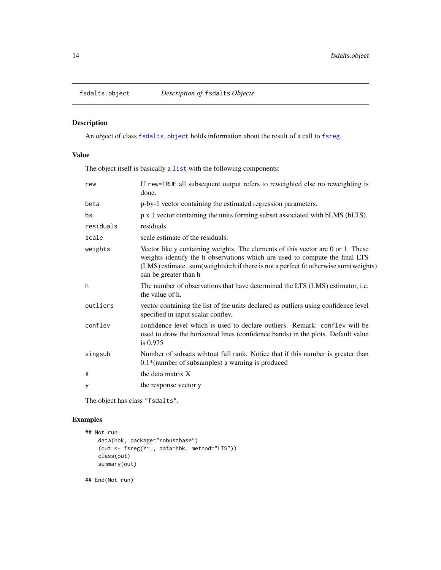<span id="page-13-1"></span><span id="page-13-0"></span>

An object of class [fsdalts.object](#page-13-1) holds information about the result of a call to [fsreg](#page-29-1).

# Value

The object itself is basically a [list](#page-0-0) with the following components:

| rew       | If rew=TRUE all subsequent output refers to reweighted else no reweighting is<br>done.                                                                                                                                                                                             |
|-----------|------------------------------------------------------------------------------------------------------------------------------------------------------------------------------------------------------------------------------------------------------------------------------------|
| beta      | p-by-1 vector containing the estimated regression parameters.                                                                                                                                                                                                                      |
| bs        | p x 1 vector containing the units forming subset associated with bLMS (bLTS).                                                                                                                                                                                                      |
| residuals | residuals.                                                                                                                                                                                                                                                                         |
| scale     | scale estimate of the residuals.                                                                                                                                                                                                                                                   |
| weights   | Vector like y containing weights. The elements of this vector are 0 or 1. These<br>weights identify the h observations which are used to compute the final LTS<br>(LMS) estimate. sum (weights) = h if there is not a perfect fit otherwise sum (weights)<br>can be greater than h |
| h         | The number of observations that have determined the LTS (LMS) estimator, i.e.<br>the value of h.                                                                                                                                                                                   |
| outliers  | vector containing the list of the units declared as outliers using confidence level<br>specified in input scalar conflev.                                                                                                                                                          |
| conflev   | confidence level which is used to declare outliers. Remark: conflev will be<br>used to draw the horizontal lines (confidence bands) in the plots. Default value<br>is $0.975$                                                                                                      |
| singsub   | Number of subsets wihtout full rank. Notice that if this number is greater than<br>$0.1*$ (number of subsamples) a warning is produced                                                                                                                                             |
| X         | the data matrix X                                                                                                                                                                                                                                                                  |
| y         | the response vector y                                                                                                                                                                                                                                                              |

The object has class "fsdalts".

# Examples

```
## Not run:
   data(hbk, package="robustbase")
    (out <- fsreg(Y~., data=hbk, method="LTS"))
   class(out)
   summary(out)
```
## End(Not run)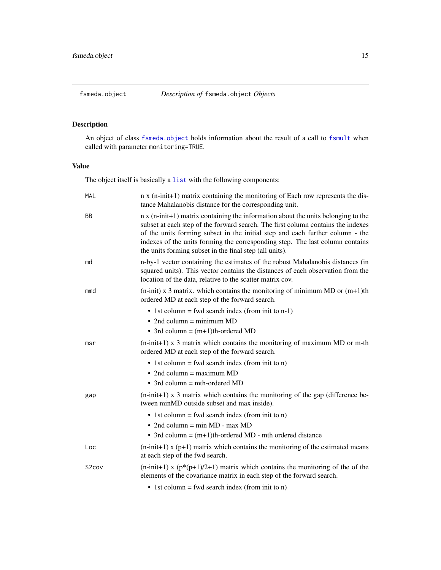<span id="page-14-1"></span><span id="page-14-0"></span>An object of class [fsmeda.object](#page-14-1) holds information about the result of a call to [fsmult](#page-19-1) when called with parameter monitoring=TRUE.

# Value

The object itself is basically a [list](#page-0-0) with the following components:

| <b>MAL</b>         | n x (n-init+1) matrix containing the monitoring of Each row represents the dis-<br>tance Mahalanobis distance for the corresponding unit.                                                                                                                                                                                                                                                                        |
|--------------------|------------------------------------------------------------------------------------------------------------------------------------------------------------------------------------------------------------------------------------------------------------------------------------------------------------------------------------------------------------------------------------------------------------------|
| <b>BB</b>          | $n \times (n\text{-init+1})$ matrix containing the information about the units belonging to the<br>subset at each step of the forward search. The first column contains the indexes<br>of the units forming subset in the initial step and each further column - the<br>indexes of the units forming the corresponding step. The last column contains<br>the units forming subset in the final step (all units). |
| md                 | n-by-1 vector containing the estimates of the robust Mahalanobis distances (in<br>squared units). This vector contains the distances of each observation from the<br>location of the data, relative to the scatter matrix cov.                                                                                                                                                                                   |
| mmd                | $(n\text{-init})$ x 3 matrix. which contains the monitoring of minimum MD or $(m+1)$ th<br>ordered MD at each step of the forward search.                                                                                                                                                                                                                                                                        |
|                    | • 1st column = fwd search index (from init to n-1)                                                                                                                                                                                                                                                                                                                                                               |
|                    | $\bullet$ 2nd column = minimum MD                                                                                                                                                                                                                                                                                                                                                                                |
|                    | • 3rd column = $(m+1)$ th-ordered MD                                                                                                                                                                                                                                                                                                                                                                             |
| msr                | $(n\text{-init+1})$ x 3 matrix which contains the monitoring of maximum MD or m-th<br>ordered MD at each step of the forward search.                                                                                                                                                                                                                                                                             |
|                    | • 1st column = fwd search index (from init to n)                                                                                                                                                                                                                                                                                                                                                                 |
|                    | • 2nd column = maximum $MD$                                                                                                                                                                                                                                                                                                                                                                                      |
|                    | $\bullet$ 3rd column = mth-ordered MD                                                                                                                                                                                                                                                                                                                                                                            |
| gap                | $(n\text{-init+1})$ x 3 matrix which contains the monitoring of the gap (difference be-<br>tween minMD outside subset and max inside).                                                                                                                                                                                                                                                                           |
|                    | • 1st column = fwd search index (from init to n)                                                                                                                                                                                                                                                                                                                                                                 |
|                    | • 2nd column = $min MD - max MD$                                                                                                                                                                                                                                                                                                                                                                                 |
|                    | • 3rd column = $(m+1)$ th-ordered MD - mth ordered distance                                                                                                                                                                                                                                                                                                                                                      |
| Loc                | $(n\text{-init+1})$ x (p+1) matrix which contains the monitoring of the estimated means<br>at each step of the fwd search.                                                                                                                                                                                                                                                                                       |
| S <sub>2</sub> cov | $(n\text{-init+1})$ x $(p*(p+1)/2+1)$ matrix which contains the monitoring of the of the<br>elements of the covariance matrix in each step of the forward search.                                                                                                                                                                                                                                                |
|                    | • 1st column = fwd search index (from init to n)                                                                                                                                                                                                                                                                                                                                                                 |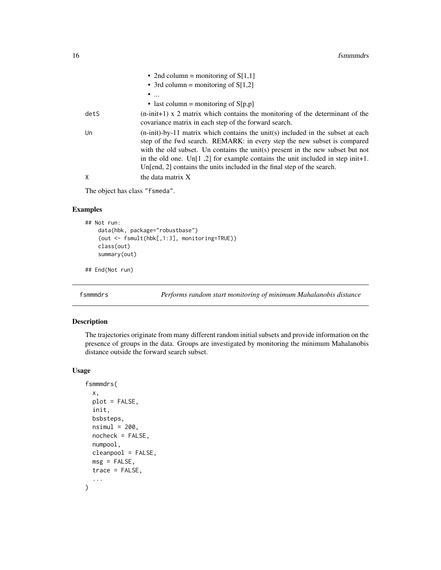<span id="page-15-0"></span>

|      | • 2nd column = monitoring of $S[1,1]$                                                                                                                                                                                                                                                                                                                                                                                |
|------|----------------------------------------------------------------------------------------------------------------------------------------------------------------------------------------------------------------------------------------------------------------------------------------------------------------------------------------------------------------------------------------------------------------------|
|      | • 3rd column = monitoring of $S[1,2]$                                                                                                                                                                                                                                                                                                                                                                                |
|      | $\bullet$                                                                                                                                                                                                                                                                                                                                                                                                            |
|      | • last column = monitoring of $S[p,p]$                                                                                                                                                                                                                                                                                                                                                                               |
| detS | $(n\text{-init+1})$ x 2 matrix which contains the monitoring of the determinant of the<br>covariance matrix in each step of the forward search.                                                                                                                                                                                                                                                                      |
| Un   | $(n\text{-init)}$ -by-11 matrix which contains the unit(s) included in the subset at each<br>step of the fwd search. REMARK: in every step the new subset is compared<br>with the old subset. Un contains the unit(s) present in the new subset but not<br>in the old one. Un[1,2] for example contains the unit included in step init+1.<br>Un[end, 2] contains the units included in the final step of the search. |
| χ    | the data matrix X                                                                                                                                                                                                                                                                                                                                                                                                    |

The object has class "fsmeda".

# Examples

```
## Not run:
   data(hbk, package="robustbase")
    (out <- fsmult(hbk[,1:3], monitoring=TRUE))
   class(out)
    summary(out)
```
## End(Not run)

<span id="page-15-1"></span>fsmmmdrs *Performs random start monitoring of minimum Mahalanobis distance*

#### Description

The trajectories originate from many different random initial subsets and provide information on the presence of groups in the data. Groups are investigated by monitoring the minimum Mahalanobis distance outside the forward search subset.

#### Usage

```
fsmmmdrs(
  x,
 plot = FALSE,
  init,
 bsbsteps,
  nsiml = 200,
  nocheck = FALSE,
  numpool,
  cleanpool = FALSE,
  msg = FALSE,
  trace = FALSE,
  ...
\mathcal{E}
```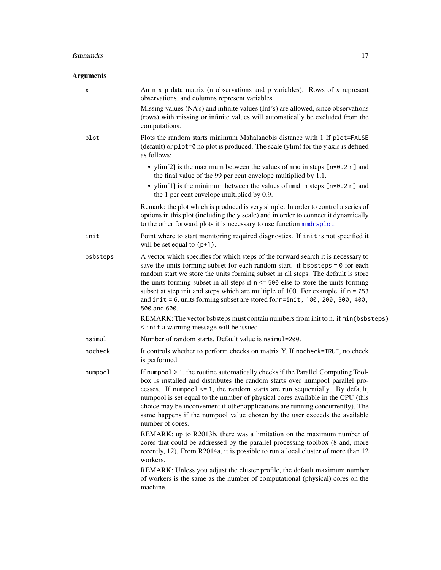# fsmmmdrs 17

# Arguments

| х        | An n x p data matrix (n observations and p variables). Rows of x represent<br>observations, and columns represent variables.                                                                                                                                                                                                                                                                                                                                                                                                                   |
|----------|------------------------------------------------------------------------------------------------------------------------------------------------------------------------------------------------------------------------------------------------------------------------------------------------------------------------------------------------------------------------------------------------------------------------------------------------------------------------------------------------------------------------------------------------|
|          | Missing values (NA's) and infinite values (Inf's) are allowed, since observations<br>(rows) with missing or infinite values will automatically be excluded from the<br>computations.                                                                                                                                                                                                                                                                                                                                                           |
| plot     | Plots the random starts minimum Mahalanobis distance with 1 If plot=FALSE<br>$(default)$ or plot=0 no plot is produced. The scale $(ylim)$ for the y axis is defined<br>as follows:                                                                                                                                                                                                                                                                                                                                                            |
|          | • ylim[2] is the maximum between the values of mmd in steps $[n*0.2 n]$ and<br>the final value of the 99 per cent envelope multiplied by 1.1.                                                                                                                                                                                                                                                                                                                                                                                                  |
|          | • ylim[1] is the minimum between the values of mmd in steps $[n*0.2 n]$ and<br>the 1 per cent envelope multiplied by 0.9.                                                                                                                                                                                                                                                                                                                                                                                                                      |
|          | Remark: the plot which is produced is very simple. In order to control a series of<br>options in this plot (including the y scale) and in order to connect it dynamically<br>to the other forward plots it is necessary to use function mmdrsplot.                                                                                                                                                                                                                                                                                             |
| init     | Point where to start monitoring required diagnostics. If init is not specified it<br>will be set equal to $(p+1)$ .                                                                                                                                                                                                                                                                                                                                                                                                                            |
| bsbsteps | A vector which specifies for which steps of the forward search it is necessary to<br>save the units forming subset for each random start. if bsbsteps $= 0$ for each<br>random start we store the units forming subset in all steps. The default is store<br>the units forming subset in all steps if $n \le 500$ else to store the units forming<br>subset at step init and steps which are multiple of 100. For example, if $n = 753$<br>and $init = 6$ , units forming subset are stored for $m=init$ , 100, 200, 300, 400,<br>500 and 600. |
|          | REMARK: The vector bsbsteps must contain numbers from init to n. if min(bsbsteps)<br>< init a warning message will be issued.                                                                                                                                                                                                                                                                                                                                                                                                                  |
| nsimul   | Number of random starts. Default value is nsimul=200.                                                                                                                                                                                                                                                                                                                                                                                                                                                                                          |
| nocheck  | It controls whether to perform checks on matrix Y. If nocheck=TRUE, no check<br>is performed.                                                                                                                                                                                                                                                                                                                                                                                                                                                  |
| numpool  | If numpool > 1, the routine automatically checks if the Parallel Computing Tool-<br>box is installed and distributes the random starts over numpool parallel pro-<br>cesses. If numpool $\leq$ 1, the random starts are run sequentially. By default,<br>numpool is set equal to the number of physical cores available in the CPU (this<br>choice may be inconvenient if other applications are running concurrently). The<br>same happens if the numpool value chosen by the user exceeds the available<br>number of cores.                  |
|          | REMARK: up to R2013b, there was a limitation on the maximum number of<br>cores that could be addressed by the parallel processing toolbox (8 and, more<br>recently, 12). From R2014a, it is possible to run a local cluster of more than 12<br>workers.                                                                                                                                                                                                                                                                                        |
|          | REMARK: Unless you adjust the cluster profile, the default maximum number<br>of workers is the same as the number of computational (physical) cores on the<br>machine.                                                                                                                                                                                                                                                                                                                                                                         |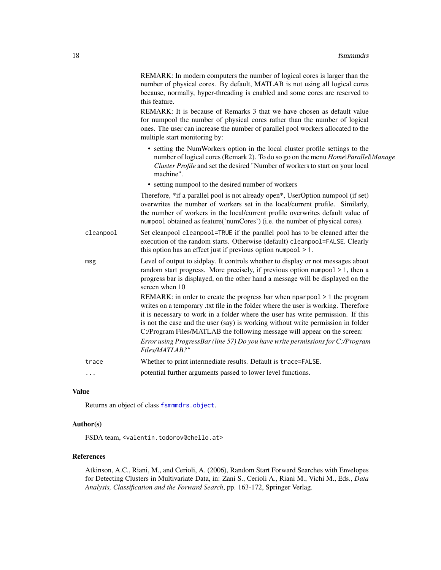|           | REMARK: In modern computers the number of logical cores is larger than the<br>number of physical cores. By default, MATLAB is not using all logical cores<br>because, normally, hyper-threading is enabled and some cores are reserved to<br>this feature.                                                                                                                                                                                                                                              |
|-----------|---------------------------------------------------------------------------------------------------------------------------------------------------------------------------------------------------------------------------------------------------------------------------------------------------------------------------------------------------------------------------------------------------------------------------------------------------------------------------------------------------------|
|           | REMARK: It is because of Remarks 3 that we have chosen as default value<br>for numpool the number of physical cores rather than the number of logical<br>ones. The user can increase the number of parallel pool workers allocated to the<br>multiple start monitoring by:                                                                                                                                                                                                                              |
|           | • setting the NumWorkers option in the local cluster profile settings to the<br>number of logical cores (Remark 2). To do so go on the menu Home Parallel Manage<br>Cluster Profile and set the desired "Number of workers to start on your local<br>machine".                                                                                                                                                                                                                                          |
|           | • setting numpool to the desired number of workers                                                                                                                                                                                                                                                                                                                                                                                                                                                      |
|           | Therefore, *if a parallel pool is not already open*, UserOption numpool (if set)<br>overwrites the number of workers set in the local/current profile. Similarly,<br>the number of workers in the local/current profile overwrites default value of<br>numpool obtained as feature('numCores') (i.e. the number of physical cores).                                                                                                                                                                     |
| cleanpool | Set cleanpool cleanpool=TRUE if the parallel pool has to be cleaned after the<br>execution of the random starts. Otherwise (default) cleanpool=FALSE. Clearly<br>this option has an effect just if previous option numpool $> 1$ .                                                                                                                                                                                                                                                                      |
| msg       | Level of output to sidplay. It controls whether to display or not messages about<br>random start progress. More precisely, if previous option numpool $> 1$ , then a<br>progress bar is displayed, on the other hand a message will be displayed on the<br>screen when 10                                                                                                                                                                                                                               |
|           | REMARK: in order to create the progress bar when $nparpool > 1$ the program<br>writes on a temporary .txt file in the folder where the user is working. Therefore<br>it is necessary to work in a folder where the user has write permission. If this<br>is not the case and the user (say) is working without write permission in folder<br>C:/Program Files/MATLAB the following message will appear on the screen:<br>Error using ProgressBar (line 57) Do you have write permissions for C:/Program |
|           | Files/MATLAB?"                                                                                                                                                                                                                                                                                                                                                                                                                                                                                          |
| trace     | Whether to print intermediate results. Default is trace=FALSE.                                                                                                                                                                                                                                                                                                                                                                                                                                          |
| .         | potential further arguments passed to lower level functions.                                                                                                                                                                                                                                                                                                                                                                                                                                            |

# Value

Returns an object of class [fsmmmdrs.object](#page-18-1).

# Author(s)

FSDA team, <valentin.todorov@chello.at>

#### References

Atkinson, A.C., Riani, M., and Cerioli, A. (2006), Random Start Forward Searches with Envelopes for Detecting Clusters in Multivariate Data, in: Zani S., Cerioli A., Riani M., Vichi M., Eds., *Data Analysis, Classification and the Forward Search*, pp. 163-172, Springer Verlag.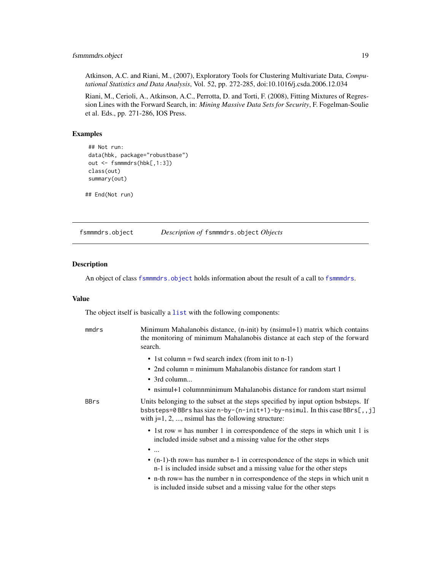# <span id="page-18-0"></span>fsmmmdrs.object 19

Atkinson, A.C. and Riani, M., (2007), Exploratory Tools for Clustering Multivariate Data, *Computational Statistics and Data Analysis*, Vol. 52, pp. 272-285, doi:10.1016/j.csda.2006.12.034

Riani, M., Cerioli, A., Atkinson, A.C., Perrotta, D. and Torti, F. (2008), Fitting Mixtures of Regression Lines with the Forward Search, in: *Mining Massive Data Sets for Security*, F. Fogelman-Soulie et al. Eds., pp. 271-286, IOS Press.

#### Examples

```
## Not run:
data(hbk, package="robustbase")
out <- fsmmmdrs(hbk[,1:3])
class(out)
summary(out)
```
## End(Not run)

<span id="page-18-1"></span>fsmmmdrs.object *Description of* fsmmmdrs.object *Objects*

#### Description

An object of class [fsmmmdrs.object](#page-18-1) holds information about the result of a call to [fsmmmdrs](#page-15-1).

## Value

The object itself is basically a [list](#page-0-0) with the following components:

| mmdrs       | Minimum Mahalanobis distance, (n-init) by (nsimul+1) matrix which contains<br>the monitoring of minimum Mahalanobis distance at each step of the forward<br>search.                                                            |
|-------------|--------------------------------------------------------------------------------------------------------------------------------------------------------------------------------------------------------------------------------|
|             | • 1st column = fwd search index (from init to n-1)<br>• 2nd column = minimum Mahalanobis distance for random start 1<br>$\bullet$ 3rd column                                                                                   |
|             | • nsimul+1 columnminimum Mahalanobis distance for random start nsimul                                                                                                                                                          |
| <b>BBrs</b> | Units belonging to the subset at the steps specified by input option bsbsteps. If<br>bsbsteps=0 BBrs has size n-by-(n-init+1)-by-nsimul. In this case BBrs[,,j]<br>with $j=1, 2, \ldots$ , nsimul has the following structure: |
|             | • 1st row = has number 1 in correspondence of the steps in which unit 1 is<br>included inside subset and a missing value for the other steps<br>$\bullet$                                                                      |
|             | $\bullet$ (n-1)-th row= has number n-1 in correspondence of the steps in which unit<br>n-1 is included inside subset and a missing value for the other steps                                                                   |
|             | • n-th row = has the number n in correspondence of the steps in which unit n<br>is included inside subset and a missing value for the other steps                                                                              |
|             |                                                                                                                                                                                                                                |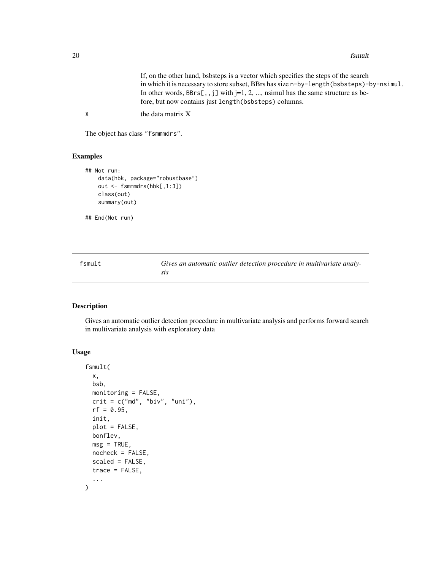<span id="page-19-0"></span>20 fsmult

If, on the other hand, bsbsteps is a vector which specifies the steps of the search in which it is necessary to store subset, BBrs has size n-by-length(bsbsteps)-by-nsimul. In other words,  $BBrs[,$ , j] with j=1, 2, ..., nsimul has the same structure as before, but now contains just length(bsbsteps) columns.

X the data matrix X

The object has class "fsmmmdrs".

# Examples

```
## Not run:
    data(hbk, package="robustbase")
   out <- fsmmmdrs(hbk[,1:3])
    class(out)
    summary(out)
```
## End(Not run)

<span id="page-19-1"></span>

| fsmult | Gives an automatic outlier detection procedure in multivariate analy- |
|--------|-----------------------------------------------------------------------|
|        |                                                                       |

#### Description

Gives an automatic outlier detection procedure in multivariate analysis and performs forward search in multivariate analysis with exploratory data

# Usage

```
fsmult(
  x,
 bsb,
 monitoring = FALSE,
 crit = c("md", "biv", "uni"),rf = 0.95,init,
  plot = FALSE,
 bonflev,
 msg = TRUE,nocheck = FALSE,
  scaled = FALSE,
  trace = FALSE,
  ...
)
```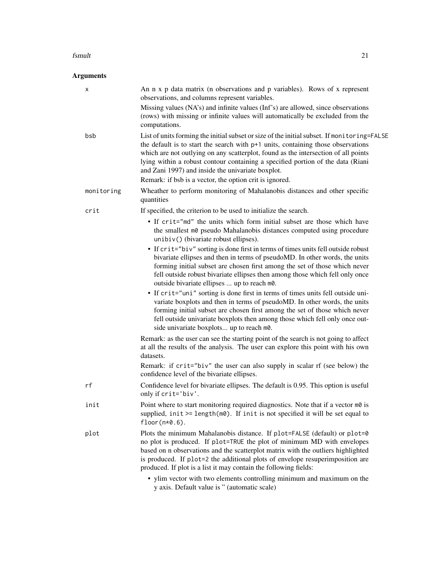#### fsmult that the contract of the contract of the contract of the contract of the contract of the contract of the contract of the contract of the contract of the contract of the contract of the contract of the contract of th

# Arguments

| х          | An n x p data matrix (n observations and p variables). Rows of x represent<br>observations, and columns represent variables.                                                                                                                                                                                                                                                                                                                                     |
|------------|------------------------------------------------------------------------------------------------------------------------------------------------------------------------------------------------------------------------------------------------------------------------------------------------------------------------------------------------------------------------------------------------------------------------------------------------------------------|
|            | Missing values (NA's) and infinite values (Inf's) are allowed, since observations<br>(rows) with missing or infinite values will automatically be excluded from the<br>computations.                                                                                                                                                                                                                                                                             |
| bsb        | List of units forming the initial subset or size of the initial subset. If monitoring=FALSE<br>the default is to start the search with p+1 units, containing those observations<br>which are not outlying on any scatterplot, found as the intersection of all points<br>lying within a robust contour containing a specified portion of the data (Riani<br>and Zani 1997) and inside the univariate boxplot.                                                    |
|            | Remark: if bsb is a vector, the option crit is ignored.                                                                                                                                                                                                                                                                                                                                                                                                          |
| monitoring | Wheather to perform monitoring of Mahalanobis distances and other specific<br>quantities                                                                                                                                                                                                                                                                                                                                                                         |
| crit       | If specified, the criterion to be used to initialize the search.                                                                                                                                                                                                                                                                                                                                                                                                 |
|            | • If crit="md" the units which form initial subset are those which have<br>the smallest m0 pseudo Mahalanobis distances computed using procedure<br>unibiv() (bivariate robust ellipses).                                                                                                                                                                                                                                                                        |
|            | • If crit="biv" sorting is done first in terms of times units fell outside robust<br>bivariate ellipses and then in terms of pseudoMD. In other words, the units<br>forming initial subset are chosen first among the set of those which never<br>fell outside robust bivariate ellipses then among those which fell only once<br>outside bivariate ellipses  up to reach m0.<br>• If crit="uni" sorting is done first in terms of times units fell outside uni- |
|            | variate boxplots and then in terms of pseudoMD. In other words, the units<br>forming initial subset are chosen first among the set of those which never<br>fell outside univariate boxplots then among those which fell only once out-<br>side univariate boxplots up to reach m0.                                                                                                                                                                               |
|            | Remark: as the user can see the starting point of the search is not going to affect<br>at all the results of the analysis. The user can explore this point with his own<br>datasets.                                                                                                                                                                                                                                                                             |
|            | Remark: if crit="biv" the user can also supply in scalar rf (see below) the<br>confidence level of the bivariate ellipses.                                                                                                                                                                                                                                                                                                                                       |
| rf         | Confidence level for bivariate ellipses. The default is 0.95. This option is useful<br>only if crit='biv'.                                                                                                                                                                                                                                                                                                                                                       |
| init       | Point where to start monitoring required diagnostics. Note that if a vector m0 is<br>supplied, $init \geq length(m\emptyset)$ . If init is not specified it will be set equal to<br>$floor(n*0.6)$ .                                                                                                                                                                                                                                                             |
| plot       | Plots the minimum Mahalanobis distance. If plot=FALSE (default) or plot=0<br>no plot is produced. If plot=TRUE the plot of minimum MD with envelopes<br>based on n observations and the scatterplot matrix with the outliers highlighted<br>is produced. If plot=2 the additional plots of envelope resuperimposition are<br>produced. If plot is a list it may contain the following fields:                                                                    |
|            | • ylim vector with two elements controlling minimum and maximum on the<br>y axis. Default value is " (automatic scale)                                                                                                                                                                                                                                                                                                                                           |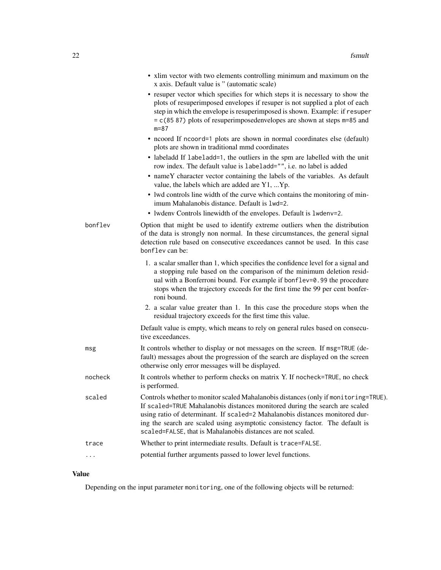|         | • xlim vector with two elements controlling minimum and maximum on the<br>x axis. Default value is " (automatic scale)                                                                                                                                                                                                                                                                             |
|---------|----------------------------------------------------------------------------------------------------------------------------------------------------------------------------------------------------------------------------------------------------------------------------------------------------------------------------------------------------------------------------------------------------|
|         | • resuper vector which specifies for which steps it is necessary to show the<br>plots of resuperimposed envelopes if resuper is not supplied a plot of each<br>step in which the envelope is resuperimposed is shown. Example: if resuper<br>$= c(85 87)$ plots of resuperimposedenvelopes are shown at steps $m=85$ and<br>$m = 87$                                                               |
|         | • neoord If neoord=1 plots are shown in normal coordinates else (default)<br>plots are shown in traditional mmd coordinates                                                                                                                                                                                                                                                                        |
|         | • labeladd If labeladd=1, the outliers in the spm are labelled with the unit<br>row index. The default value is labeladd="", i.e. no label is added                                                                                                                                                                                                                                                |
|         | • nameY character vector containing the labels of the variables. As default<br>value, the labels which are added are Y1,  Yp.                                                                                                                                                                                                                                                                      |
|         | • lwd controls line width of the curve which contains the monitoring of min-<br>imum Mahalanobis distance. Default is 1wd=2.                                                                                                                                                                                                                                                                       |
|         | • Iwdeny Controls linewidth of the envelopes. Default is 1wdeny=2.                                                                                                                                                                                                                                                                                                                                 |
| bonflev | Option that might be used to identify extreme outliers when the distribution<br>of the data is strongly non normal. In these circumstances, the general signal<br>detection rule based on consecutive exceedances cannot be used. In this case<br>bonflev can be:                                                                                                                                  |
|         | 1. a scalar smaller than 1, which specifies the confidence level for a signal and<br>a stopping rule based on the comparison of the minimum deletion resid-<br>ual with a Bonferroni bound. For example if bonflev=0.99 the procedure<br>stops when the trajectory exceeds for the first time the 99 per cent bonfer-<br>roni bound.                                                               |
|         | 2. a scalar value greater than 1. In this case the procedure stops when the<br>residual trajectory exceeds for the first time this value.                                                                                                                                                                                                                                                          |
|         | Default value is empty, which means to rely on general rules based on consecu-<br>tive exceedances.                                                                                                                                                                                                                                                                                                |
| msg     | It controls whether to display or not messages on the screen. If msg=TRUE (de-<br>fault) messages about the progression of the search are displayed on the screen<br>otherwise only error messages will be displayed.                                                                                                                                                                              |
| nocheck | It controls whether to perform checks on matrix Y. If nocheck=TRUE, no check<br>is performed.                                                                                                                                                                                                                                                                                                      |
| scaled  | Controls whether to monitor scaled Mahalanobis distances (only if monitoring=TRUE).<br>If scaled=TRUE Mahalanobis distances monitored during the search are scaled<br>using ratio of determinant. If scaled=2 Mahalanobis distances monitored dur-<br>ing the search are scaled using asymptotic consistency factor. The default is<br>scaled=FALSE, that is Mahalanobis distances are not scaled. |
| trace   | Whether to print intermediate results. Default is trace=FALSE.                                                                                                                                                                                                                                                                                                                                     |
| .       | potential further arguments passed to lower level functions.                                                                                                                                                                                                                                                                                                                                       |

# Value

Depending on the input parameter monitoring, one of the following objects will be returned: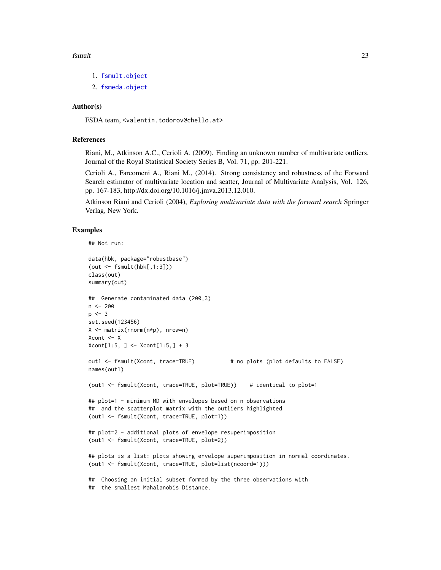#### fsmult that the contract of the contract of the contract of the contract of the contract of the contract of the contract of the contract of the contract of the contract of the contract of the contract of the contract of th

- 1. [fsmult.object](#page-23-1)
- 2. [fsmeda.object](#page-14-1)

#### Author(s)

FSDA team, <valentin.todorov@chello.at>

#### References

Riani, M., Atkinson A.C., Cerioli A. (2009). Finding an unknown number of multivariate outliers. Journal of the Royal Statistical Society Series B, Vol. 71, pp. 201-221.

Cerioli A., Farcomeni A., Riani M., (2014). Strong consistency and robustness of the Forward Search estimator of multivariate location and scatter, Journal of Multivariate Analysis, Vol. 126, pp. 167-183, http://dx.doi.org/10.1016/j.jmva.2013.12.010.

Atkinson Riani and Cerioli (2004), *Exploring multivariate data with the forward search* Springer Verlag, New York.

#### Examples

```
## Not run:
data(hbk, package="robustbase")
(out <- fsmult(hbk[,1:3]))
class(out)
summary(out)
## Generate contaminated data (200,3)
n <- 200
p \le -3set.seed(123456)
X <- matrix(rnorm(n*p), nrow=n)
Xcont <- X
Xcont[1:5, ] < -Xcont[1:5, ] + 3out1 <- fsmult(Xcont, trace=TRUE) # no plots (plot defaults to FALSE)
names(out1)
(out1 <- fsmult(Xcont, trace=TRUE, plot=TRUE)) # identical to plot=1
## plot=1 - minimum MD with envelopes based on n observations
## and the scatterplot matrix with the outliers highlighted
(out1 <- fsmult(Xcont, trace=TRUE, plot=1))
## plot=2 - additional plots of envelope resuperimposition
(out1 <- fsmult(Xcont, trace=TRUE, plot=2))
## plots is a list: plots showing envelope superimposition in normal coordinates.
(out1 <- fsmult(Xcont, trace=TRUE, plot=list(ncoord=1)))
## Choosing an initial subset formed by the three observations with
## the smallest Mahalanobis Distance.
```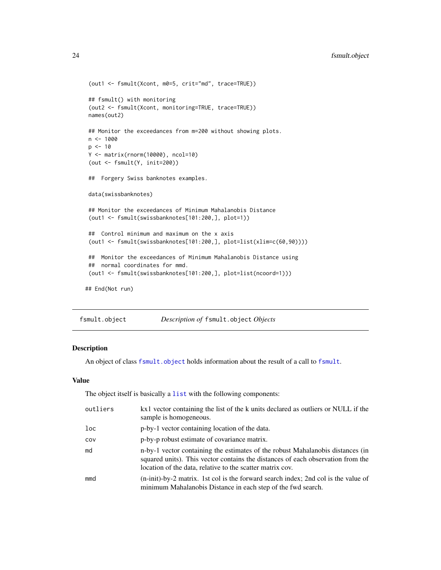```
(out1 <- fsmult(Xcont, m0=5, crit="md", trace=TRUE))
## fsmult() with monitoring
 (out2 <- fsmult(Xcont, monitoring=TRUE, trace=TRUE))
names(out2)
## Monitor the exceedances from m=200 without showing plots.
n < - 1000p \le -10Y <- matrix(rnorm(10000), ncol=10)
 (out <- fsmult(Y, init=200))
 ## Forgery Swiss banknotes examples.
data(swissbanknotes)
## Monitor the exceedances of Minimum Mahalanobis Distance
 (out1 <- fsmult(swissbanknotes[101:200,], plot=1))
 ## Control minimum and maximum on the x axis
 (out1 <- fsmult(swissbanknotes[101:200,], plot=list(xlim=c(60,90))))
## Monitor the exceedances of Minimum Mahalanobis Distance using
## normal coordinates for mmd.
 (out1 <- fsmult(swissbanknotes[101:200,], plot=list(ncoord=1)))
## End(Not run)
```
<span id="page-23-1"></span>fsmult.object *Description of* fsmult.object *Objects*

# Description

An object of class [fsmult.object](#page-23-1) holds information about the result of a call to [fsmult](#page-19-1).

# Value

The object itself is basically a [list](#page-0-0) with the following components:

| outliers | kx1 vector containing the list of the k units declared as outliers or NULL if the<br>sample is homogeneous.                                                                                                                    |
|----------|--------------------------------------------------------------------------------------------------------------------------------------------------------------------------------------------------------------------------------|
| loc      | p-by-1 vector containing location of the data.                                                                                                                                                                                 |
| COV      | p-by-p robust estimate of covariance matrix.                                                                                                                                                                                   |
| md       | n-by-1 vector containing the estimates of the robust Mahalanobis distances (in<br>squared units). This vector contains the distances of each observation from the<br>location of the data, relative to the scatter matrix cov. |
| mmd      | (n-init)-by-2 matrix. 1st col is the forward search index; 2nd col is the value of<br>minimum Mahalanobis Distance in each step of the fwd search.                                                                             |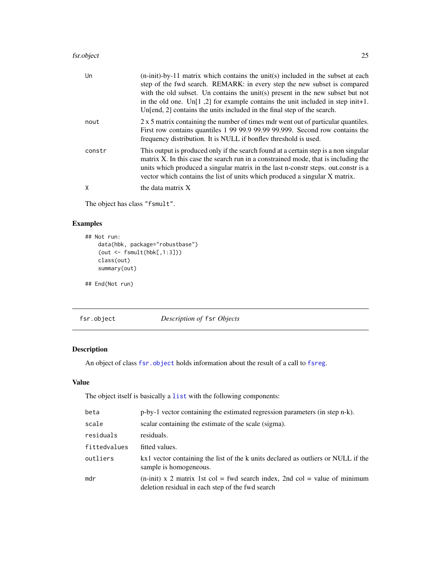#### <span id="page-24-0"></span>fsr.object 25

| Un     | $(n\text{-init})$ -by-11 matrix which contains the unit(s) included in the subset at each<br>step of the fwd search. REMARK: in every step the new subset is compared<br>with the old subset. Un contains the unit(s) present in the new subset but not<br>in the old one. Un[1,2] for example contains the unit included in step init+1.<br>Un[end, 2] contains the units included in the final step of the search. |
|--------|----------------------------------------------------------------------------------------------------------------------------------------------------------------------------------------------------------------------------------------------------------------------------------------------------------------------------------------------------------------------------------------------------------------------|
| nout   | 2 x 5 matrix containing the number of times mdr went out of particular quantiles.<br>First row contains quantiles 1 99 99.9 99.99 99.999. Second row contains the<br>frequency distribution. It is NULL if bonflev threshold is used.                                                                                                                                                                                |
| constr | This output is produced only if the search found at a certain step is a non singular<br>matrix X. In this case the search run in a constrained mode, that is including the<br>units which produced a singular matrix in the last n-construities. out construition<br>vector which contains the list of units which produced a singular X matrix.                                                                     |
| X      | the data matrix X                                                                                                                                                                                                                                                                                                                                                                                                    |

The object has class "fsmult".

# Examples

```
## Not run:
   data(hbk, package="robustbase")
    (out <- fsmult(hbk[,1:3]))
   class(out)
   summary(out)
```
## End(Not run)

<span id="page-24-1"></span>fsr.object *Description of* fsr *Objects*

# Description

An object of class [fsr.object](#page-24-1) holds information about the result of a call to [fsreg](#page-29-1).

# Value

The object itself is basically a [list](#page-0-0) with the following components:

| beta         | p-by-1 vector containing the estimated regression parameters (in step n-k).                                                             |
|--------------|-----------------------------------------------------------------------------------------------------------------------------------------|
| scale        | scalar containing the estimate of the scale (sigma).                                                                                    |
| residuals    | residuals.                                                                                                                              |
| fittedvalues | fitted values.                                                                                                                          |
| outliers     | kx1 vector containing the list of the k units declared as outliers or NULL if the<br>sample is homogeneous.                             |
| mdr          | $(n\text{-init})$ x 2 matrix 1st col = fwd search index, 2nd col = value of minimum<br>deletion residual in each step of the fwd search |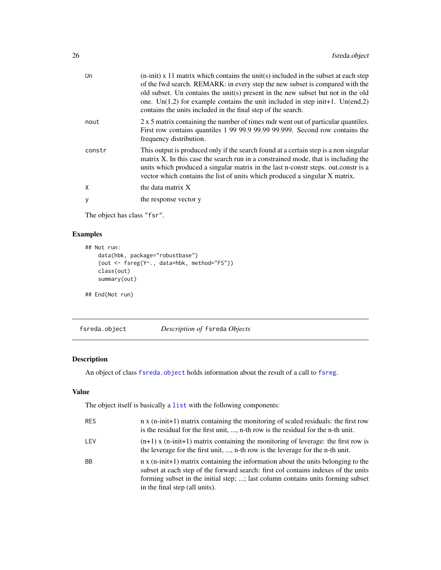<span id="page-25-0"></span>

| Un     | $(n\text{-init})$ x 11 matrix which contains the unit(s) included in the subset at each step<br>of the fwd search. REMARK: in every step the new subset is compared with the<br>old subset. Un contains the unit(s) present in the new subset but not in the old<br>one. Un(1,2) for example contains the unit included in step in it +1. Un(end,2)<br>contains the units included in the final step of the search. |
|--------|---------------------------------------------------------------------------------------------------------------------------------------------------------------------------------------------------------------------------------------------------------------------------------------------------------------------------------------------------------------------------------------------------------------------|
| nout   | 2 x 5 matrix containing the number of times mdr went out of particular quantiles.<br>First row contains quantiles 1 99 99.9 99.99 99.999. Second row contains the<br>frequency distribution.                                                                                                                                                                                                                        |
| constr | This output is produced only if the search found at a certain step is a non singular<br>matrix X. In this case the search run in a constrained mode, that is including the<br>units which produced a singular matrix in the last n-constr steps. out.constr is a<br>vector which contains the list of units which produced a singular X matrix.                                                                     |
| X      | the data matrix X                                                                                                                                                                                                                                                                                                                                                                                                   |
| У      | the response vector y                                                                                                                                                                                                                                                                                                                                                                                               |

The object has class "fsr".

# Examples

```
## Not run:
   data(hbk, package="robustbase")
    (out <- fsreg(Y~., data=hbk, method="FS"))
   class(out)
   summary(out)
## End(Not run)
```
<span id="page-25-1"></span>fsreda.object *Description of* fsreda *Objects*

# Description

An object of class [fsreda.object](#page-25-1) holds information about the result of a call to [fsreg](#page-29-1).

# Value

The object itself is basically a [list](#page-0-0) with the following components:

| <b>RES</b> | $n \times (n\text{-init+1})$ matrix containing the monitoring of scaled residuals: the first row<br>is the residual for the first unit, , n-th row is the residual for the n-th unit.                                                                                                        |
|------------|----------------------------------------------------------------------------------------------------------------------------------------------------------------------------------------------------------------------------------------------------------------------------------------------|
| LEV        | $(n+1)$ x $(n\text{-init}+1)$ matrix containing the monitoring of leverage: the first row is<br>the leverage for the first unit, , n-th row is the leverage for the n-th unit.                                                                                                               |
| <b>BB</b>  | n x (n-init+1) matrix containing the information about the units belonging to the<br>subset at each step of the forward search: first col contains indexes of the units<br>forming subset in the initial step; ; last column contains units forming subset<br>in the final step (all units). |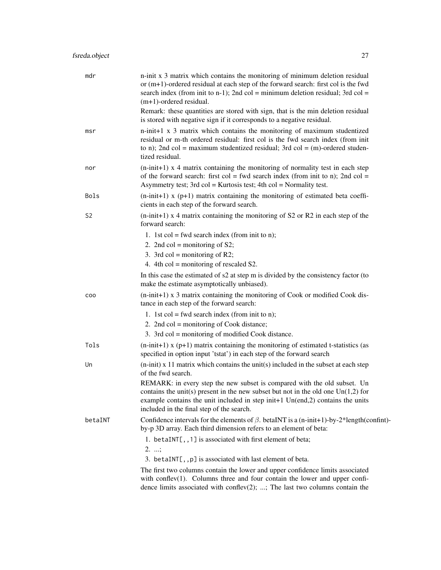| mdr            | n-init x 3 matrix which contains the monitoring of minimum deletion residual<br>or $(m+1)$ -ordered residual at each step of the forward search: first col is the fwd<br>search index (from init to n-1); 2nd col = minimum deletion residual; 3rd col =<br>$(m+1)$ -ordered residual.           |
|----------------|--------------------------------------------------------------------------------------------------------------------------------------------------------------------------------------------------------------------------------------------------------------------------------------------------|
|                | Remark: these quantities are stored with sign, that is the min deletion residual<br>is stored with negative sign if it corresponds to a negative residual.                                                                                                                                       |
| msr            | $n$ -init+1 x 3 matrix which contains the monitoring of maximum studentized<br>residual or m-th ordered residual: first col is the fwd search index (from init<br>to n); 2nd col = maximum studentized residual; 3rd col = $(m)$ -ordered studen-<br>tized residual.                             |
| nor            | $(n\text{-init+1})$ x 4 matrix containing the monitoring of normality test in each step<br>of the forward search: first col = fwd search index (from init to n); 2nd col =<br>Asymmetry test; $3rd$ col = Kurtosis test; $4th$ col = Normality test.                                             |
| Bols           | $(n\text{-init+1})$ x (p+1) matrix containing the monitoring of estimated beta coeffi-<br>cients in each step of the forward search.                                                                                                                                                             |
| S <sub>2</sub> | $(n\text{-init+1})$ x 4 matrix containing the monitoring of S2 or R2 in each step of the<br>forward search:                                                                                                                                                                                      |
|                | 1. 1st col = fwd search index (from init to n);                                                                                                                                                                                                                                                  |
|                | 2. 2nd col = monitoring of $S2$ ;                                                                                                                                                                                                                                                                |
|                | 3. 3rd col = monitoring of R2;                                                                                                                                                                                                                                                                   |
|                | 4. 4th col = monitoring of rescaled $S2$ .                                                                                                                                                                                                                                                       |
|                | In this case the estimated of s2 at step m is divided by the consistency factor (to<br>make the estimate asymptotically unbiased).                                                                                                                                                               |
| COO            | $(n\text{-init+1})$ x 3 matrix containing the monitoring of Cook or modified Cook dis-<br>tance in each step of the forward search:                                                                                                                                                              |
|                | 1. 1st col = fwd search index (from init to n);                                                                                                                                                                                                                                                  |
|                | 2. 2nd col = monitoring of Cook distance;                                                                                                                                                                                                                                                        |
|                | 3. 3rd col = monitoring of modified Cook distance.                                                                                                                                                                                                                                               |
| Tols           | $(n\text{-init+1})$ x (p+1) matrix containing the monitoring of estimated t-statistics (as<br>specified in option input 'tstat') in each step of the forward search                                                                                                                              |
| Un             | $(n\text{-init})$ x 11 matrix which contains the unit(s) included in the subset at each step<br>of the fwd search.                                                                                                                                                                               |
|                | REMARK: in every step the new subset is compared with the old subset. Un<br>contains the unit(s) present in the new subset but not in the old one $Un(1,2)$ for<br>example contains the unit included in step init+1 $Un(end,2)$ contains the units<br>included in the final step of the search. |
| betaINT        | Confidence intervals for the elements of $\beta$ . betaINT is a (n-init+1)-by-2*length(confint)-<br>by-p 3D array. Each third dimension refers to an element of beta:                                                                                                                            |
|                | 1. betaINT[,,1] is associated with first element of beta;<br>$2. \ldots;$<br>3. betaINT[,,p] is associated with last element of beta.                                                                                                                                                            |
|                | The first two columns contain the lower and upper confidence limits associated                                                                                                                                                                                                                   |
|                | with conflev $(1)$ . Columns three and four contain the lower and upper confi-<br>dence limits associated with conflev $(2)$ ; ; The last two columns contain the                                                                                                                                |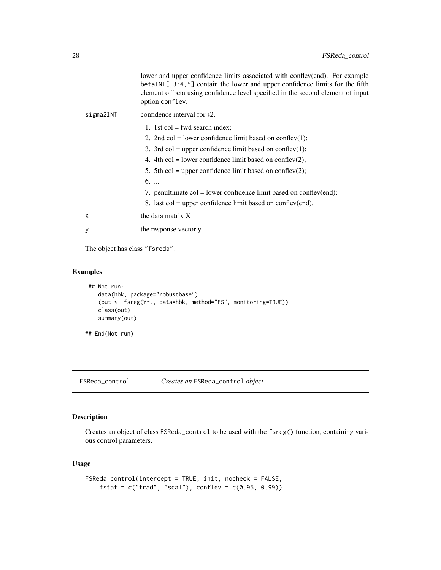<span id="page-27-0"></span>

|           | lower and upper confidence limits associated with conflev(end). For example<br>betaINT[,3:4,5] contain the lower and upper confidence limits for the fifth<br>element of beta using confidence level specified in the second element of input<br>option conflev. |
|-----------|------------------------------------------------------------------------------------------------------------------------------------------------------------------------------------------------------------------------------------------------------------------|
| sigma2INT | confidence interval for s2.                                                                                                                                                                                                                                      |
|           | 1. 1st col = fwd search index;                                                                                                                                                                                                                                   |
|           | 2. 2nd col = lower confidence limit based on conflev(1);                                                                                                                                                                                                         |
|           | 3. 3rd col = upper confidence limit based on conflev(1);                                                                                                                                                                                                         |
|           | 4. 4th col = lower confidence limit based on conflev(2);                                                                                                                                                                                                         |
|           | 5. 5th col = upper confidence limit based on conflev(2);                                                                                                                                                                                                         |
|           | $6. \ldots$                                                                                                                                                                                                                                                      |
|           | 7. penultimate $col = lower confidence$ limit based on conflev(end);                                                                                                                                                                                             |
|           | 8. last $col = upper confidence$ limit based on conflev(end).                                                                                                                                                                                                    |
| X         | the data matrix X                                                                                                                                                                                                                                                |
| у         | the response vector y                                                                                                                                                                                                                                            |
|           |                                                                                                                                                                                                                                                                  |

The object has class "fsreda".

# Examples

```
## Not run:
  data(hbk, package="robustbase")
   (out <- fsreg(Y~., data=hbk, method="FS", monitoring=TRUE))
  class(out)
   summary(out)
```
## End(Not run)

FSReda\_control *Creates an* FSReda\_control *object*

# Description

Creates an object of class FSReda\_control to be used with the fsreg() function, containing various control parameters.

# Usage

```
FSReda_control(intercept = TRUE, init, nocheck = FALSE,
    tstat = c("trad", "scal"), conflev = <math>c(0.95, 0.99)</math>)
```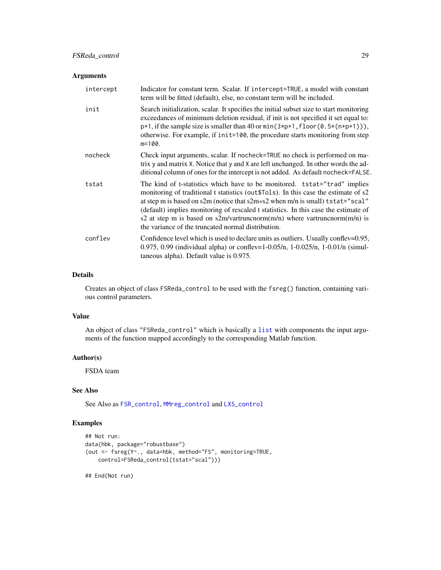# FSReda\_control 29

# Arguments

| intercept | Indicator for constant term. Scalar. If intercept=TRUE, a model with constant<br>term will be fitted (default), else, no constant term will be included.                                                                                                                                                                                                                                                                                                                                |
|-----------|-----------------------------------------------------------------------------------------------------------------------------------------------------------------------------------------------------------------------------------------------------------------------------------------------------------------------------------------------------------------------------------------------------------------------------------------------------------------------------------------|
| init      | Search initialization, scalar. It specifies the initial subset size to start monitoring<br>exceedances of minimum deletion residual, if init is not specified it set equal to:<br>$p+1$ , if the sample size is smaller than 40 or min( $3*p+1$ , floor( $0.5*(n+p+1)$ ),<br>otherwise. For example, if init=100, the procedure starts monitoring from step<br>$m=100$ .                                                                                                                |
| nocheck   | Check input arguments, scalar. If nocheck=TRUE no check is performed on ma-<br>trix y and matrix X. Notice that y and X are left unchanged. In other words the ad-<br>ditional column of ones for the intercept is not added. As default nocheck=FALSE.                                                                                                                                                                                                                                 |
| tstat     | The kind of t-statistics which have to be monitored. tstat="trad" implies<br>monitoring of traditional t statistics (out \$Tols). In this case the estimate of s2<br>at step m is based on s2m (notice that $s2m \ll 2$ when m/n is small) tstat="scal"<br>(default) implies monitoring of rescaled t statistics. In this case the estimate of<br>s2 at step m is based on s2m/vartruncnorm $(m/n)$ where vartruncnorm $(m/n)$ is<br>the variance of the truncated normal distribution. |
| conflev   | Confidence level which is used to declare units as outliers. Usually conflev=0.95,<br>0.975, 0.99 (individual alpha) or conflev=1-0.05/n, 1-0.025/n, 1-0.01/n (simul-<br>taneous alpha). Default value is 0.975.                                                                                                                                                                                                                                                                        |

### Details

Creates an object of class FSReda\_control to be used with the fsreg() function, containing various control parameters.

## Value

An object of class "FSReda\_control" which is basically a [list](#page-0-0) with components the input arguments of the function mapped accordingly to the corresponding Matlab function.

# Author(s)

FSDA team

# See Also

See Also as [FSR\\_control](#page-40-1), [MMreg\\_control](#page-77-1) and [LXS\\_control](#page-50-1)

# Examples

```
## Not run:
data(hbk, package="robustbase")
(out <- fsreg(Y~., data=hbk, method="FS", monitoring=TRUE,
   control=FSReda_control(tstat="scal")))
```
## End(Not run)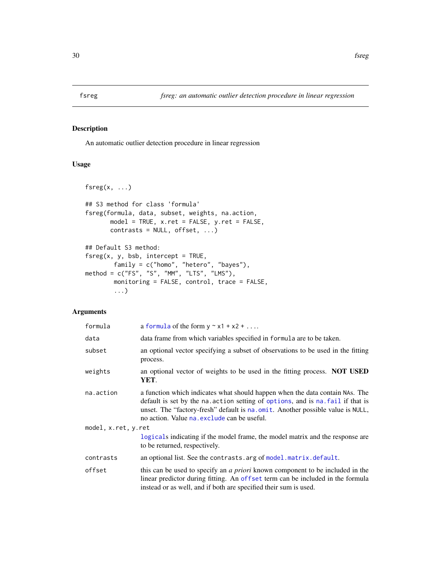<span id="page-29-1"></span><span id="page-29-0"></span>

An automatic outlier detection procedure in linear regression

# Usage

```
fsreg(x, ...)
## S3 method for class 'formula'
fsreg(formula, data, subset, weights, na.action,
      model = TRUE, x.ret = FALSE, y.ret = FALSE,
      contrast = NULL, offset, ...)## Default S3 method:
f sreg(x, y, bsb, intercept = TRUE,family = c("homo", "hetero", "bayes"),
method = c("FS", "S", "MM", "LTS", "LMS"),monitoring = FALSE, control, trace = FALSE,
        ...)
```
#### Arguments

| formula             | a formula of the form $y \sim x1 + x2 + $                                                                                                                                                                                                                                                        |  |
|---------------------|--------------------------------------------------------------------------------------------------------------------------------------------------------------------------------------------------------------------------------------------------------------------------------------------------|--|
| data                | data frame from which variables specified in formula are to be taken.                                                                                                                                                                                                                            |  |
| subset              | an optional vector specifying a subset of observations to be used in the fitting<br>process.                                                                                                                                                                                                     |  |
| weights             | an optional vector of weights to be used in the fitting process. <b>NOT USED</b><br>YET.                                                                                                                                                                                                         |  |
| na.action           | a function which indicates what should happen when the data contain NAs. The<br>default is set by the na. action setting of options, and is na. fail if that is<br>unset. The "factory-fresh" default is na. omit. Another possible value is NULL,<br>no action. Value na exclude can be useful. |  |
| model, x.ret, y.ret |                                                                                                                                                                                                                                                                                                  |  |
|                     | logicals indicating if the model frame, the model matrix and the response are<br>to be returned, respectively.                                                                                                                                                                                   |  |
| contrasts           | an optional list. See the contrasts. arg of model. matrix. default.                                                                                                                                                                                                                              |  |
| offset              | this can be used to specify an <i>a priori</i> known component to be included in the<br>linear predictor during fitting. An offset term can be included in the formula<br>instead or as well, and if both are specified their sum is used.                                                       |  |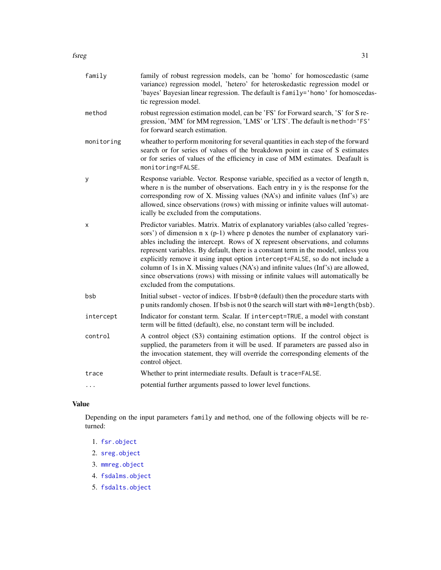#### fsreg 31

| family     | family of robust regression models, can be 'homo' for homoscedastic (same<br>variance) regression model, 'hetero' for heteroskedastic regression model or<br>'bayes' Bayesian linear regression. The default is family='homo' for homoscedas-<br>tic regression model.                                                                                                                                                                                                                                                                                                                                                                      |
|------------|---------------------------------------------------------------------------------------------------------------------------------------------------------------------------------------------------------------------------------------------------------------------------------------------------------------------------------------------------------------------------------------------------------------------------------------------------------------------------------------------------------------------------------------------------------------------------------------------------------------------------------------------|
| method     | robust regression estimation model, can be 'FS' for Forward search, 'S' for S re-<br>gression, 'MM' for MM regression, 'LMS' or 'LTS'. The default is method='FS'<br>for forward search estimation.                                                                                                                                                                                                                                                                                                                                                                                                                                         |
| monitoring | wheather to perform monitoring for several quantities in each step of the forward<br>search or for series of values of the breakdown point in case of S estimates<br>or for series of values of the efficiency in case of MM estimates. Deafault is<br>monitoring=FALSE.                                                                                                                                                                                                                                                                                                                                                                    |
| у          | Response variable. Vector. Response variable, specified as a vector of length n,<br>where n is the number of observations. Each entry in y is the response for the<br>corresponding row of X. Missing values (NA's) and infinite values (Inf's) are<br>allowed, since observations (rows) with missing or infinite values will automat-<br>ically be excluded from the computations.                                                                                                                                                                                                                                                        |
| X          | Predictor variables. Matrix. Matrix of explanatory variables (also called 'regres-<br>sors') of dimension $n \times (p-1)$ where p denotes the number of explanatory vari-<br>ables including the intercept. Rows of X represent observations, and columns<br>represent variables. By default, there is a constant term in the model, unless you<br>explicitly remove it using input option intercept=FALSE, so do not include a<br>column of 1s in X. Missing values (NA's) and infinite values (Inf's) are allowed,<br>since observations (rows) with missing or infinite values will automatically be<br>excluded from the computations. |
| bsb        | Initial subset - vector of indices. If bsb=0 (default) then the procedure starts with<br>p units randomly chosen. If bsb is not 0 the search will start with m0=length (bsb).                                                                                                                                                                                                                                                                                                                                                                                                                                                               |
| intercept  | Indicator for constant term. Scalar. If intercept=TRUE, a model with constant<br>term will be fitted (default), else, no constant term will be included.                                                                                                                                                                                                                                                                                                                                                                                                                                                                                    |
| control    | A control object (S3) containing estimation options. If the control object is<br>supplied, the parameters from it will be used. If parameters are passed also in<br>the invocation statement, they will override the corresponding elements of the<br>control object.                                                                                                                                                                                                                                                                                                                                                                       |
| trace      | Whether to print intermediate results. Default is trace=FALSE.                                                                                                                                                                                                                                                                                                                                                                                                                                                                                                                                                                              |
| $\cdots$   | potential further arguments passed to lower level functions.                                                                                                                                                                                                                                                                                                                                                                                                                                                                                                                                                                                |

# Value

Depending on the input parameters family and method, one of the following objects will be returned:

- 1. [fsr.object](#page-24-1)
- 2. [sreg.object](#page-100-1)
- 3. [mmreg.object](#page-73-1)
- 4. [fsdalms.object](#page-12-1)
- 5. [fsdalts.object](#page-13-1)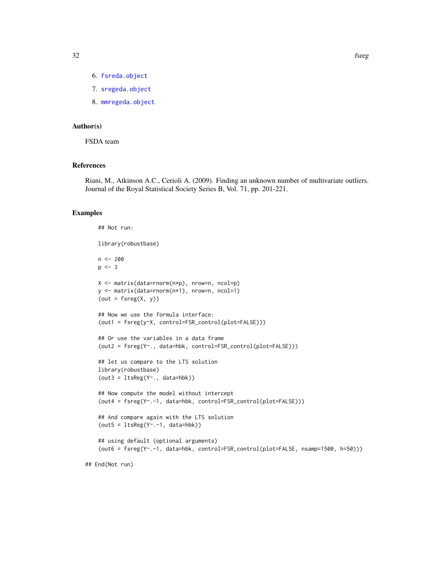- 6. [fsreda.object](#page-25-1)
- 7. [sregeda.object](#page-101-1)
- 8. [mmregeda.object](#page-74-1)

# Author(s)

FSDA team

# References

Riani, M., Atkinson A.C., Cerioli A. (2009). Finding an unknown number of multivariate outliers. Journal of the Royal Statistical Society Series B, Vol. 71, pp. 201-221.

# Examples

```
## Not run:
library(robustbase)
n < -200p \le -3X <- matrix(data=rnorm(n*p), nrow=n, ncol=p)
y <- matrix(data=rnorm(n*1), nrow=n, ncol=1)
(out = f sreg(X, y))## Now we use the formula interface:
(out1 = fsreg(y~X, control=FSR_control(plot=FALSE)))
## Or use the variables in a data frame
(out2 = fsreg(Y~., data=hbk, control=FSR_control(plot=FALSE)))
## let us compare to the LTS solution
library(robustbase)
(out3 = ltsReg(Y<sup>o</sup>, data = hbk))## Now compute the model without intercept
(out4 = fsreg(Y~.-1, data=hbk, control=FSR_control(plot=FALSE)))
## And compare again with the LTS solution
(out5 = ItsReg(Y<sup>~</sup> - 1, data = hbk))## using default (optional arguments)
(out6 = fsreg(Y~.-1, data=hbk, control=FSR_control(plot=FALSE, nsamp=1500, h=50)))
```
## End(Not run)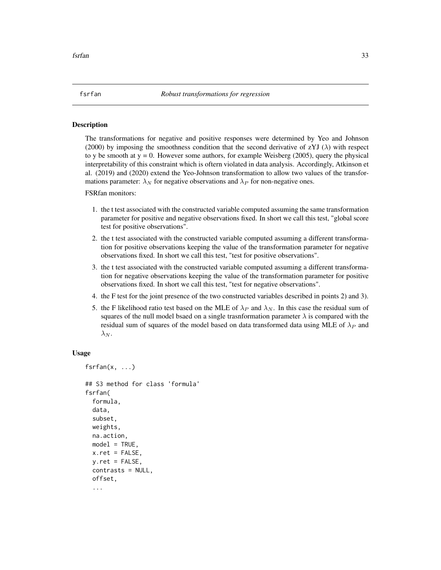<span id="page-32-0"></span>The transformations for negative and positive responses were determined by Yeo and Johnson (2000) by imposing the smoothness condition that the second derivative of zYJ ( $\lambda$ ) with respect to y be smooth at  $y = 0$ . However some authors, for example Weisberg (2005), query the physical interpretability of this constraint which is oftern violated in data analysis. Accordingly, Atkinson et al. (2019) and (2020) extend the Yeo-Johnson transformation to allow two values of the transformations parameter:  $\lambda_N$  for negative observations and  $\lambda_P$  for non-negative ones.

FSRfan monitors:

- 1. the t test associated with the constructed variable computed assuming the same transformation parameter for positive and negative observations fixed. In short we call this test, "global score test for positive observations".
- 2. the t test associated with the constructed variable computed assuming a different transformation for positive observations keeping the value of the transformation parameter for negative observations fixed. In short we call this test, "test for positive observations".
- 3. the t test associated with the constructed variable computed assuming a different transformation for negative observations keeping the value of the transformation parameter for positive observations fixed. In short we call this test, "test for negative observations".
- 4. the F test for the joint presence of the two constructed variables described in points 2) and 3).
- 5. the F likelihood ratio test based on the MLE of  $\lambda_P$  and  $\lambda_N$ . In this case the residual sum of squares of the null model bsaed on a single trasnformation parameter  $\lambda$  is compared with the residual sum of squares of the model based on data transformed data using MLE of  $\lambda_P$  and  $\lambda_N$ .

#### Usage

```
fsrfan(x, ...)
```

```
## S3 method for class 'formula'
fsrfan(
  formula,
  data,
  subset,
 weights,
 na.action,
 model = TRUE,
 x.ret = FALSE,v.ret = FALSE,
  contrasts = NULL,
  offset,
  ...
```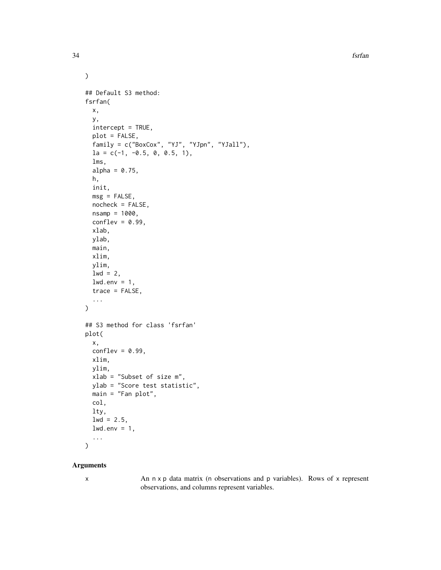34 fsrfan

```
\mathcal{L}## Default S3 method:
fsrfan(
 x,
 y,
  intercept = TRUE,
 plot = FALSE,
  family = c("BoxCox", "YJ", "YJpn", "YJall"),
  1a = c(-1, -0.5, 0, 0.5, 1),lms,
  alpha = 0.75,
 h,
  init,
 msg = FALSE,
  nocheck = FALSE,
 nsamp = 1000,
 conflex = 0.99,
 xlab,
 ylab,
 main,
 xlim,
 ylim,
  1wd = 2,
  lwd . env = 1,trace = FALSE,
  ...
\mathcal{E}## S3 method for class 'fsrfan'
plot(
 x,
 conflev = 0.99,
 xlim,
 ylim,
 xlab = "Subset of size m",
 ylab = "Score test statistic",
 main = "Fan plot",
  col,
  lty,
  1wd = 2.5,
 lwd . env = 1,...
\mathcal{L}
```
#### Arguments

x An n x p data matrix (n observations and p variables). Rows of x represent observations, and columns represent variables.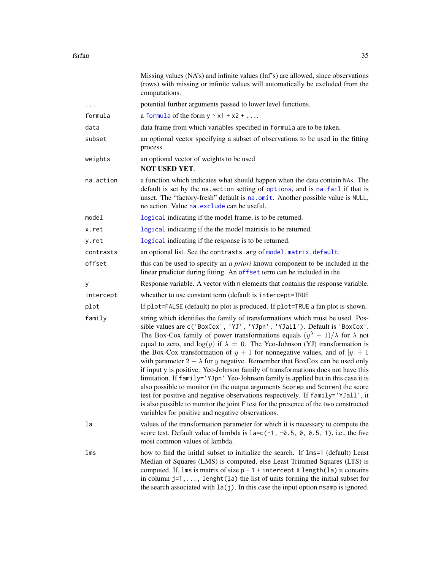|           | Missing values (NA's) and infinite values (Inf's) are allowed, since observations<br>(rows) with missing or infinite values will automatically be excluded from the<br>computations.                                                                                                                                                                                                                                                                                                                                                                                                                                                                                                                                                                                                                                                                                                                                                                                                                                        |
|-----------|-----------------------------------------------------------------------------------------------------------------------------------------------------------------------------------------------------------------------------------------------------------------------------------------------------------------------------------------------------------------------------------------------------------------------------------------------------------------------------------------------------------------------------------------------------------------------------------------------------------------------------------------------------------------------------------------------------------------------------------------------------------------------------------------------------------------------------------------------------------------------------------------------------------------------------------------------------------------------------------------------------------------------------|
| $\cdots$  | potential further arguments passed to lower level functions.                                                                                                                                                                                                                                                                                                                                                                                                                                                                                                                                                                                                                                                                                                                                                                                                                                                                                                                                                                |
| formula   | a formula of the form $y \sim x1 + x2 + $                                                                                                                                                                                                                                                                                                                                                                                                                                                                                                                                                                                                                                                                                                                                                                                                                                                                                                                                                                                   |
| data      | data frame from which variables specified in formula are to be taken.                                                                                                                                                                                                                                                                                                                                                                                                                                                                                                                                                                                                                                                                                                                                                                                                                                                                                                                                                       |
| subset    | an optional vector specifying a subset of observations to be used in the fitting<br>process.                                                                                                                                                                                                                                                                                                                                                                                                                                                                                                                                                                                                                                                                                                                                                                                                                                                                                                                                |
| weights   | an optional vector of weights to be used<br><b>NOT USED YET.</b>                                                                                                                                                                                                                                                                                                                                                                                                                                                                                                                                                                                                                                                                                                                                                                                                                                                                                                                                                            |
| na.action | a function which indicates what should happen when the data contain NAs. The<br>default is set by the na. action setting of options, and is na. fail if that is<br>unset. The "factory-fresh" default is na.omit. Another possible value is NULL,<br>no action. Value na. exclude can be useful.                                                                                                                                                                                                                                                                                                                                                                                                                                                                                                                                                                                                                                                                                                                            |
| model     | logical indicating if the model frame, is to be returned.                                                                                                                                                                                                                                                                                                                                                                                                                                                                                                                                                                                                                                                                                                                                                                                                                                                                                                                                                                   |
| x.ret     | logical indicating if the the model matrix is to be returned.                                                                                                                                                                                                                                                                                                                                                                                                                                                                                                                                                                                                                                                                                                                                                                                                                                                                                                                                                               |
| y.ret     | logical indicating if the response is to be returned.                                                                                                                                                                                                                                                                                                                                                                                                                                                                                                                                                                                                                                                                                                                                                                                                                                                                                                                                                                       |
| contrasts | an optional list. See the contrasts. arg of model. matrix. default.                                                                                                                                                                                                                                                                                                                                                                                                                                                                                                                                                                                                                                                                                                                                                                                                                                                                                                                                                         |
| offset    | this can be used to specify an <i>a priori</i> known component to be included in the<br>linear predictor during fitting. An offset term can be included in the                                                                                                                                                                                                                                                                                                                                                                                                                                                                                                                                                                                                                                                                                                                                                                                                                                                              |
| У         | Response variable. A vector with n elements that contains the response variable.                                                                                                                                                                                                                                                                                                                                                                                                                                                                                                                                                                                                                                                                                                                                                                                                                                                                                                                                            |
| intercept | wheather to use constant term (default is intercept=TRUE                                                                                                                                                                                                                                                                                                                                                                                                                                                                                                                                                                                                                                                                                                                                                                                                                                                                                                                                                                    |
| plot      | If plot=FALSE (default) no plot is produced. If plot=TRUE a fan plot is shown.                                                                                                                                                                                                                                                                                                                                                                                                                                                                                                                                                                                                                                                                                                                                                                                                                                                                                                                                              |
| family    | string which identifies the family of transformations which must be used. Pos-<br>sible values are c('BoxCox', 'YJ', 'YJpn', 'YJall'). Default is 'BoxCox'.<br>The Box-Cox family of power transformations equals $(y^{\lambda} - 1)/\lambda$ for $\lambda$ not<br>equal to zero, and $log(y)$ if $\lambda = 0$ . The Yeo-Johnson (YJ) transformation is<br>the Box-Cox transformation of $y + 1$ for nonnegative values, and of $ y  + 1$<br>with parameter $2 - \lambda$ for y negative. Remember that BoxCox can be used only<br>if input y is positive. Yeo-Johnson family of transformations does not have this<br>limitation. If family='YJpn' Yeo-Johnson family is applied but in this case it is<br>also possible to monitor (in the output arguments Scorep and Scoren) the score<br>test for positive and negative observations respectively. If family='YJall', it<br>is also possible to monitor the joint F test for the presence of the two constructed<br>variables for positive and negative observations. |
| la        | values of the transformation parameter for which it is necessary to compute the<br>score test. Default value of lambda is $1a=c(-1, -0.5, 0, 0.5, 1)$ , i.e., the five<br>most common values of lambda.                                                                                                                                                                                                                                                                                                                                                                                                                                                                                                                                                                                                                                                                                                                                                                                                                     |
| lms       | how to find the initial subset to initialize the search. If lms=1 (default) Least<br>Median of Squares (LMS) is computed, else Least Trimmed Squares (LTS) is<br>computed. If, $lms$ is matrix of size $p - 1 +$ intercept X length(la) it contains<br>in column $j=1, \ldots$ , lenght (la) the list of units forming the initial subset for<br>the search associated with $l_a(j)$ . In this case the input option nsamp is ignored.                                                                                                                                                                                                                                                                                                                                                                                                                                                                                                                                                                                      |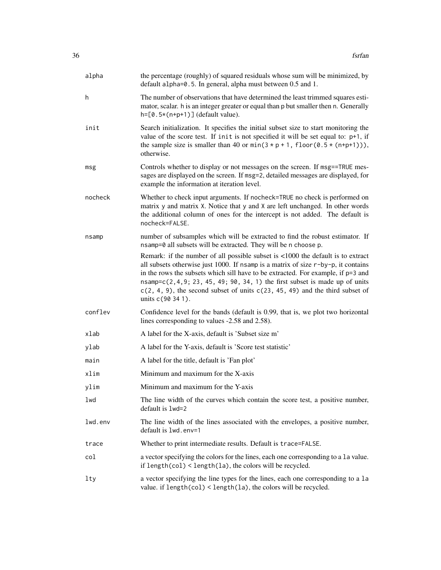| alpha   | the percentage (roughly) of squared residuals whose sum will be minimized, by<br>default alpha=0.5. In general, alpha must between 0.5 and 1.                                                                                                                                                                                                                                                                                                               |
|---------|-------------------------------------------------------------------------------------------------------------------------------------------------------------------------------------------------------------------------------------------------------------------------------------------------------------------------------------------------------------------------------------------------------------------------------------------------------------|
| h       | The number of observations that have determined the least trimmed squares esti-<br>mator, scalar. h is an integer greater or equal than p but smaller then n. Generally<br>$h = [0.5*(n+p+1)]$ (default value).                                                                                                                                                                                                                                             |
| init    | Search initialization. It specifies the initial subset size to start monitoring the<br>value of the score test. If init is not specified it will be set equal to: $p+1$ , if<br>the sample size is smaller than 40 or $min(3 \times p + 1,$ floor(0.5 $\star$ (n+p+1))),<br>otherwise.                                                                                                                                                                      |
| msg     | Controls whether to display or not messages on the screen. If msg==TRUE mes-<br>sages are displayed on the screen. If msg=2, detailed messages are displayed, for<br>example the information at iteration level.                                                                                                                                                                                                                                            |
| nocheck | Whether to check input arguments. If nocheck=TRUE no check is performed on<br>matrix y and matrix X. Notice that y and X are left unchanged. In other words<br>the additional column of ones for the intercept is not added. The default is<br>nocheck=FALSE.                                                                                                                                                                                               |
| nsamp   | number of subsamples which will be extracted to find the robust estimator. If<br>nsamp=0 all subsets will be extracted. They will be n choose p.                                                                                                                                                                                                                                                                                                            |
|         | Remark: if the number of all possible subset is <1000 the default is to extract<br>all subsets otherwise just 1000. If nsamp is a matrix of size $r$ -by-p, it contains<br>in the rows the subsets which sill have to be extracted. For example, if p=3 and<br>$n$ samp= $c(2, 4, 9; 23, 45, 49; 90, 34, 1)$ the first subset is made up of units<br>$c(2, 4, 9)$ , the second subset of units $c(23, 45, 49)$ and the third subset of<br>units c(90 34 1). |
| conflev | Confidence level for the bands (default is 0.99, that is, we plot two horizontal<br>lines corresponding to values -2.58 and 2.58).                                                                                                                                                                                                                                                                                                                          |
| xlab    | A label for the X-axis, default is 'Subset size m'                                                                                                                                                                                                                                                                                                                                                                                                          |
| ylab    | A label for the Y-axis, default is 'Score test statistic'                                                                                                                                                                                                                                                                                                                                                                                                   |
| main    | A label for the title, default is 'Fan plot'                                                                                                                                                                                                                                                                                                                                                                                                                |
| xlim    | Minimum and maximum for the X-axis                                                                                                                                                                                                                                                                                                                                                                                                                          |
| ylim    | Minimum and maximum for the Y-axis                                                                                                                                                                                                                                                                                                                                                                                                                          |
| lwd     | The line width of the curves which contain the score test, a positive number,<br>default is 1wd=2                                                                                                                                                                                                                                                                                                                                                           |
| lwd.env | The line width of the lines associated with the envelopes, a positive number,<br>default is $1wd$ env=1                                                                                                                                                                                                                                                                                                                                                     |
| trace   | Whether to print intermediate results. Default is trace=FALSE.                                                                                                                                                                                                                                                                                                                                                                                              |
| col     | a vector specifying the colors for the lines, each one corresponding to a la value.<br>if length(col) < length(la), the colors will be recycled.                                                                                                                                                                                                                                                                                                            |
| lty     | a vector specifying the line types for the lines, each one corresponding to a la<br>value. if length(col) < length(la), the colors will be recycled.                                                                                                                                                                                                                                                                                                        |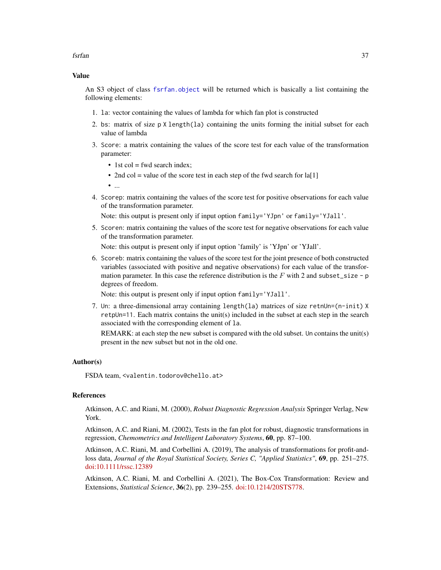fsrfan 37

## Value

An S3 object of class [fsrfan.object](#page-39-0) will be returned which is basically a list containing the following elements:

- 1. la: vector containing the values of lambda for which fan plot is constructed
- 2. bs: matrix of size  $p \times \text{length}(1a)$  containing the units forming the initial subset for each value of lambda
- 3. Score: a matrix containing the values of the score test for each value of the transformation parameter:
	- 1st col = fwd search index;
	- 2nd col = value of the score test in each step of the fwd search for  $\text{la}[1]$
	- ...
- 4. Scorep: matrix containing the values of the score test for positive observations for each value of the transformation parameter.

Note: this output is present only if input option family='YJpn' or family='YJall'.

5. Scoren: matrix containing the values of the score test for negative observations for each value of the transformation parameter.

Note: this output is present only if input option 'family' is 'YJpn' or 'YJall'.

6. Scoreb: matrix containing the values of the score test for the joint presence of both constructed variables (associated with positive and negative observations) for each value of the transformation parameter. In this case the reference distribution is the F with 2 and subset\_size - p degrees of freedom.

Note: this output is present only if input option family='YJall'.

7. Un: a three-dimensional array containing length(la) matrices of size retnUn=(n-init) X  $r$ etpUn=11. Each matrix contains the unit(s) included in the subset at each step in the search associated with the corresponding element of la.

REMARK: at each step the new subset is compared with the old subset. Un contains the unit(s) present in the new subset but not in the old one.

### Author(s)

FSDA team, <valentin.todorov@chello.at>

## References

Atkinson, A.C. and Riani, M. (2000), *Robust Diagnostic Regression Analysis* Springer Verlag, New York.

Atkinson, A.C. and Riani, M. (2002), Tests in the fan plot for robust, diagnostic transformations in regression, *Chemometrics and Intelligent Laboratory Systems*, 60, pp. 87–100.

Atkinson, A.C. Riani, M. and Corbellini A. (2019), The analysis of transformations for profit-andloss data, *Journal of the Royal Statistical Society, Series C, "Applied Statistics"*, 69, pp. 251–275. [doi:10.1111/rssc.12389](https://doi.org/10.1111/rssc.12389)

Atkinson, A.C. Riani, M. and Corbellini A. (2021), The Box-Cox Transformation: Review and Extensions, *Statistical Science*, 36(2), pp. 239–255. [doi:10.1214/20STS778.](https://doi.org/10.1214/20-STS778)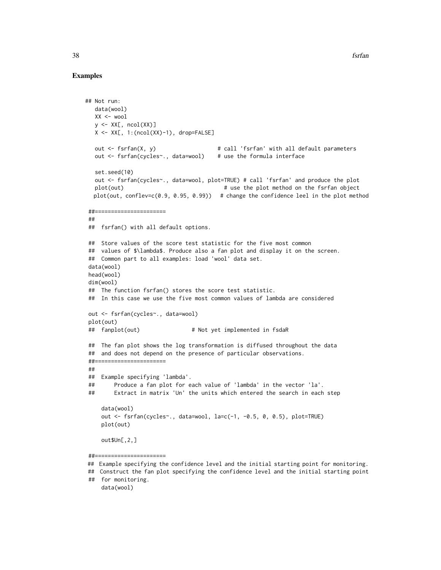## Examples

```
## Not run:
  data(wool)
  XX < - wool
  y <- XX[, ncol(XX)]
  X \leftarrow XX[, 1:(ncol(XX)-1), drop=FALSEout <- fsrfan(X, y) # call 'fsrfan' with all default parameters
  out <- fsrfan(cycles~., data=wool) # use the formula interface
  set.seed(10)
  out <- fsrfan(cycles~., data=wool, plot=TRUE) # call 'fsrfan' and produce the plot
  plot(out) \qquad # use the plot method on the fsrfan object
  plot(out, conflev=c(0.9, 0.95, 0.99) # change the confidence leel in the plot method
##======================
##
## fsrfan() with all default options.
## Store values of the score test statistic for the five most common
## values of $\lambda$. Produce also a fan plot and display it on the screen.
## Common part to all examples: load 'wool' data set.
data(wool)
head(wool)
dim(wool)
## The function fsrfan() stores the score test statistic.
## In this case we use the five most common values of lambda are considered
out <- fsrfan(cycles~., data=wool)
plot(out)
## fanplot(out) # Not yet implemented in fsdaR
## The fan plot shows the log transformation is diffused throughout the data
## and does not depend on the presence of particular observations.
##======================
##
## Example specifying 'lambda'.
## Produce a fan plot for each value of 'lambda' in the vector 'la'.
## Extract in matrix 'Un' the units which entered the search in each step
    data(wool)
    out <- fsrfan(cycles~., data=wool, la=c(-1, -0.5, 0, 0.5), plot=TRUE)
    plot(out)
    out$Un[,2,]
##======================
```
<sup>##</sup> Example specifying the confidence level and the initial starting point for monitoring.

<sup>##</sup> Construct the fan plot specifying the confidence level and the initial starting point ## for monitoring. data(wool)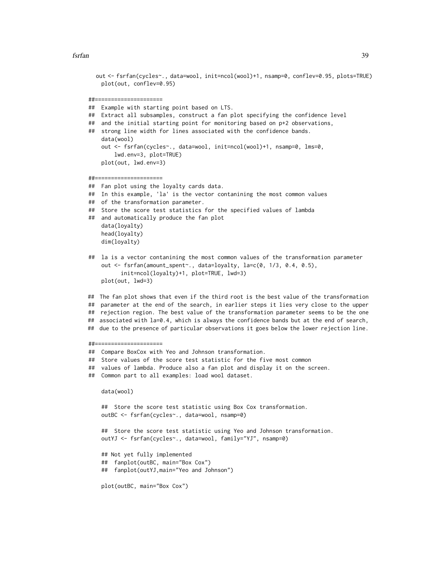fsrfan 39

```
out <- fsrfan(cycles~., data=wool, init=ncol(wool)+1, nsamp=0, conflev=0.95, plots=TRUE)
    plot(out, conflev=0.95)
##=====================
## Example with starting point based on LTS.
## Extract all subsamples, construct a fan plot specifying the confidence level
## and the initial starting point for monitoring based on p+2 observations,
## strong line width for lines associated with the confidence bands.
    data(wool)
    out <- fsrfan(cycles~., data=wool, init=ncol(wool)+1, nsamp=0, lms=0,
        lwd.env=3, plot=TRUE)
    plot(out, lwd.env=3)
##=====================
## Fan plot using the loyalty cards data.
## In this example, 'la' is the vector contanining the most common values
## of the transformation parameter.
## Store the score test statistics for the specified values of lambda
## and automatically produce the fan plot
    data(loyalty)
    head(loyalty)
    dim(loyalty)
## la is a vector contanining the most common values of the transformation parameter
    out <- fsrfan(amount_spent~., data=loyalty, la=c(0, 1/3, 0.4, 0.5),
          init=ncol(loyalty)+1, plot=TRUE, lwd=3)
    plot(out, lwd=3)
## The fan plot shows that even if the third root is the best value of the transformation
## parameter at the end of the search, in earlier steps it lies very close to the upper
## rejection region. The best value of the transformation parameter seems to be the one
## associated with la=0.4, which is always the confidence bands but at the end of search,
## due to the presence of particular observations it goes below the lower rejection line.
##=====================
## Compare BoxCox with Yeo and Johnson transformation.
## Store values of the score test statistic for the five most common
## values of lambda. Produce also a fan plot and display it on the screen.
## Common part to all examples: load wool dataset.
    data(wool)
    ## Store the score test statistic using Box Cox transformation.
    outBC <- fsrfan(cycles~., data=wool, nsamp=0)
    ## Store the score test statistic using Yeo and Johnson transformation.
    outYJ <- fsrfan(cycles~., data=wool, family="YJ", nsamp=0)
    ## Not yet fully implemented
    ## fanplot(outBC, main="Box Cox")
    ## fanplot(outYJ,main="Yeo and Johnson")
    plot(outBC, main="Box Cox")
```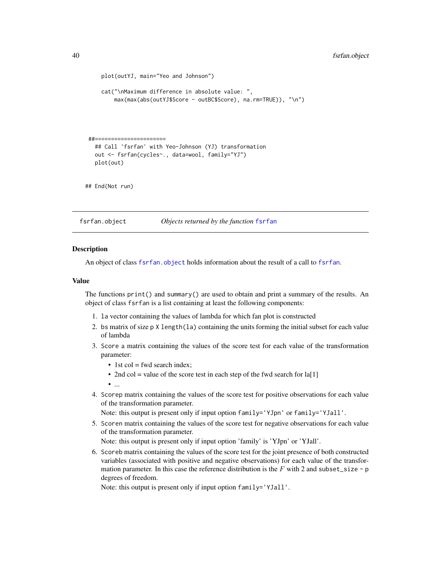```
plot(outYJ, main="Yeo and Johnson")
     cat("\nMaximum difference in absolute value: ",
        max(max(abs(outYJ$Score - outBC$Score), na.rm=TRUE)), "\n")
##======================
  ## Call 'fsrfan' with Yeo-Johnson (YJ) transformation
  out <- fsrfan(cycles~., data=wool, family="YJ")
  plot(out)
## End(Not run)
```
<span id="page-39-0"></span>fsrfan.object *Objects returned by the function* [fsrfan](#page-32-0)

### **Description**

An object of class [fsrfan](#page-32-0), object holds information about the result of a call to fsrfan.

#### Value

The functions print() and summary() are used to obtain and print a summary of the results. An object of class fsrfan is a list containing at least the following components:

- 1. la vector containing the values of lambda for which fan plot is constructed
- 2. bs matrix of size  $p \times \text{length}(l a)$  containing the units forming the initial subset for each value of lambda
- 3. Score a matrix containing the values of the score test for each value of the transformation parameter:
	- 1st col = fwd search index;
	- 2nd col = value of the score test in each step of the fwd search for  $\text{la}[1]$

• ...

4. Scorep matrix containing the values of the score test for positive observations for each value of the transformation parameter.

Note: this output is present only if input option family='YJpn' or family='YJall'.

5. Scoren matrix containing the values of the score test for negative observations for each value of the transformation parameter.

Note: this output is present only if input option 'family' is 'YJpn' or 'YJall'.

6. Scoreb matrix containing the values of the score test for the joint presence of both constructed variables (associated with positive and negative observations) for each value of the transformation parameter. In this case the reference distribution is the  $F$  with 2 and subset\_size - p degrees of freedom.

Note: this output is present only if input option family='YJall'.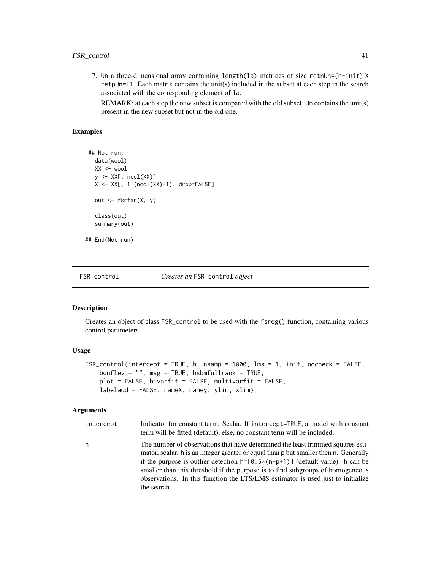7. Un a three-dimensional array containing length(la) matrices of size retnUn=(n-init) X retpUn=11. Each matrix contains the unit(s) included in the subset at each step in the search associated with the corresponding element of la.

REMARK: at each step the new subset is compared with the old subset. Un contains the unit(s) present in the new subset but not in the old one.

# Examples

```
## Not run:
   data(wool)
   XX <- wool
   y \leftarrow XX[, \text{ncol}(XX)]X <- XX[, 1:(ncol(XX)-1), drop=FALSE]
   out <- fsrfan(X, y)
   class(out)
   summary(out)
## End(Not run)
```
<span id="page-40-0"></span>

FSR\_control *Creates an* FSR\_control *object*

# Description

Creates an object of class FSR\_control to be used with the fsreg() function, containing various control parameters.

### Usage

```
FSR_control(intercept = TRUE, h, nsamp = 1000, lms = 1, init, nocheck = FALSE,
   bonflev = ", msg = TRUE, bsbmfullrank = TRUE,
   plot = FALSE, bivariate = FALSE, multivariate = FALSE,labeladd = FALSE, nameX, namey, ylim, xlim)
```
### Arguments

| intercept | Indicator for constant term. Scalar. If intercept=TRUE, a model with constant<br>term will be fitted (default), else, no constant term will be included.                                                                                                                                                                                                                                                                                 |
|-----------|------------------------------------------------------------------------------------------------------------------------------------------------------------------------------------------------------------------------------------------------------------------------------------------------------------------------------------------------------------------------------------------------------------------------------------------|
| h         | The number of observations that have determined the least trimmed squares esti-<br>mator, scalar. h is an integer greater or equal than p but smaller then n. Generally<br>if the purpose is outlier detection $h = [0.5 \times (n+p+1)]$ (default value). h can be<br>smaller than this threshold if the purpose is to find subgroups of homogeneous<br>observations. In this function the LTS/LMS estimator is used just to initialize |

the search.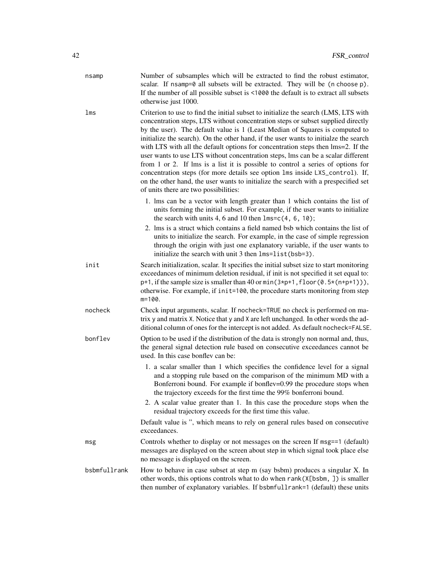| nsamp        | Number of subsamples which will be extracted to find the robust estimator,<br>scalar. If nsamp=0 all subsets will be extracted. They will be (n choose p).<br>If the number of all possible subset is <1000 the default is to extract all subsets<br>otherwise just 1000.                                                                                                                                                                                                                                                                                                                                                                                                                                                                                                                                                  |
|--------------|----------------------------------------------------------------------------------------------------------------------------------------------------------------------------------------------------------------------------------------------------------------------------------------------------------------------------------------------------------------------------------------------------------------------------------------------------------------------------------------------------------------------------------------------------------------------------------------------------------------------------------------------------------------------------------------------------------------------------------------------------------------------------------------------------------------------------|
| lms          | Criterion to use to find the initial subset to initialize the search (LMS, LTS with<br>concentration steps, LTS without concentration steps or subset supplied directly<br>by the user). The default value is 1 (Least Median of Squares is computed to<br>initialize the search). On the other hand, if the user wants to initialze the search<br>with LTS with all the default options for concentration steps then lms=2. If the<br>user wants to use LTS without concentration steps, lms can be a scalar different<br>from 1 or 2. If lms is a list it is possible to control a series of options for<br>concentration steps (for more details see option lms inside LXS_control). If,<br>on the other hand, the user wants to initialize the search with a prespecified set<br>of units there are two possibilities: |
|              | 1. Ims can be a vector with length greater than 1 which contains the list of<br>units forming the initial subset. For example, if the user wants to initialize<br>the search with units 4, 6 and 10 then $lms=c(4, 6, 10)$ ;                                                                                                                                                                                                                                                                                                                                                                                                                                                                                                                                                                                               |
|              | 2. Ims is a struct which contains a field named bsb which contains the list of<br>units to initialize the search. For example, in the case of simple regression<br>through the origin with just one explanatory variable, if the user wants to<br>initialize the search with unit 3 then lms=list(bsb=3).                                                                                                                                                                                                                                                                                                                                                                                                                                                                                                                  |
| init         | Search initialization, scalar. It specifies the initial subset size to start monitoring<br>exceedances of minimum deletion residual, if init is not specified it set equal to:<br>$p+1$ , if the sample size is smaller than 40 or min( $3*p+1$ , floor( $0.5*(n+p+1)$ )),<br>otherwise. For example, if init=100, the procedure starts monitoring from step<br>$m=100$ .                                                                                                                                                                                                                                                                                                                                                                                                                                                  |
| nocheck      | Check input arguments, scalar. If nocheck=TRUE no check is performed on ma-<br>trix y and matrix X. Notice that y and X are left unchanged. In other words the ad-<br>ditional column of ones for the intercept is not added. As default nocheck=FALSE.                                                                                                                                                                                                                                                                                                                                                                                                                                                                                                                                                                    |
| bonflev      | Option to be used if the distribution of the data is strongly non normal and, thus,<br>the general signal detection rule based on consecutive exceedances cannot be<br>used. In this case bonfley can be:                                                                                                                                                                                                                                                                                                                                                                                                                                                                                                                                                                                                                  |
|              | 1. a scalar smaller than 1 which specifies the confidence level for a signal<br>and a stopping rule based on the comparison of the minimum MD with a<br>Bonferroni bound. For example if bonflev=0.99 the procedure stops when<br>the trajectory exceeds for the first time the 99% bonferroni bound.<br>2. A scalar value greater than 1. In this case the procedure stops when the<br>residual trajectory exceeds for the first time this value.                                                                                                                                                                                                                                                                                                                                                                         |
|              | Default value is ", which means to rely on general rules based on consecutive<br>exceedances.                                                                                                                                                                                                                                                                                                                                                                                                                                                                                                                                                                                                                                                                                                                              |
| msg          | Controls whether to display or not messages on the screen If msg==1 (default)<br>messages are displayed on the screen about step in which signal took place else<br>no message is displayed on the screen.                                                                                                                                                                                                                                                                                                                                                                                                                                                                                                                                                                                                                 |
| bsbmfullrank | How to behave in case subset at step m (say bsbm) produces a singular X. In<br>other words, this options controls what to do when rank (X[bsbm, ]) is smaller<br>then number of explanatory variables. If bsbmfullrank=1 (default) these units                                                                                                                                                                                                                                                                                                                                                                                                                                                                                                                                                                             |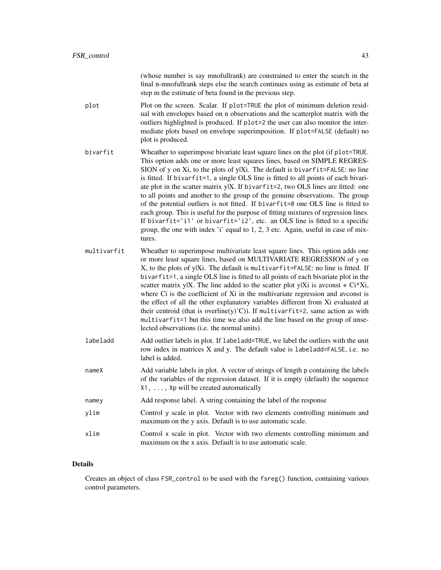(whose number is say mnofullrank) are constrained to enter the search in the final n-mnofullrank steps else the search continues using as estimate of beta at step m the estimate of beta found in the previous step.

- plot Plot on the screen. Scalar. If plot=TRUE the plot of minimum deletion residual with envelopes based on n observations and the scatterplot matrix with the outliers highlighted is produced. If plot=2 the user can also monitor the intermediate plots based on envelope superimposition. If plot=FALSE (default) no plot is produced.
- bivarfit Wheather to superimpose bivariate least square lines on the plot (if plot=TRUE. This option adds one or more least squares lines, based on SIMPLE REGRES-SION of y on Xi, to the plots of y|Xi. The default is bivarfit=FALSE: no line is fitted. If bivarfit=1, a single OLS line is fitted to all points of each bivariate plot in the scatter matrix y|X. If bivarfit=2, two OLS lines are fitted: one to all points and another to the group of the genuine observations. The group of the potential outliers is not fitted. If bivarfit=0 one OLS line is fitted to each group. This is useful for the purpose of fitting mixtures of regression lines. If bivarfit='i1' or bivarfit='i2', etc. an OLS line is fitted to a specific group, the one with index 'i' equal to 1, 2, 3 etc. Again, useful in case of mixtures.
- multivarfit Wheather to superimpose multivariate least square lines. This option adds one or more least square lines, based on MULTIVARIATE REGRESSION of y on X, to the plots of y|Xi. The default is multivarfit=FALSE: no line is fitted. If bivarfit=1, a single OLS line is fitted to all points of each bivariate plot in the scatter matrix y|X. The line added to the scatter plot y|Xi is avconst +  $Ci*Xi$ , where Ci is the coefficient of Xi in the multivariate regression and avconst is the effect of all the other explanatory variables different from Xi evaluated at their centroid (that is overline(y)'C)). If multivarfit=2, same action as with multivarfit=1 but this time we also add the line based on the group of unselected observations (i.e. the normal units).
- labeladd Add outlier labels in plot. If labeladd=TRUE, we label the outliers with the unit row index in matrices X and y. The default value is labeladd=FALSE, i.e. no label is added.
- nameX Add variable labels in plot. A vector of strings of length p containing the labels of the variables of the regression dataset. If it is empty (default) the sequence X1, ..., Xp will be created automatically
- namey Add response label. A string containing the label of the response
- ylim Control y scale in plot. Vector with two elements controlling minimum and maximum on the y axis. Default is to use automatic scale.
- xlim Control x scale in plot. Vector with two elements controlling minimum and maximum on the x axis. Default is to use automatic scale.

## Details

Creates an object of class FSR\_control to be used with the fsreg() function, containing various control parameters.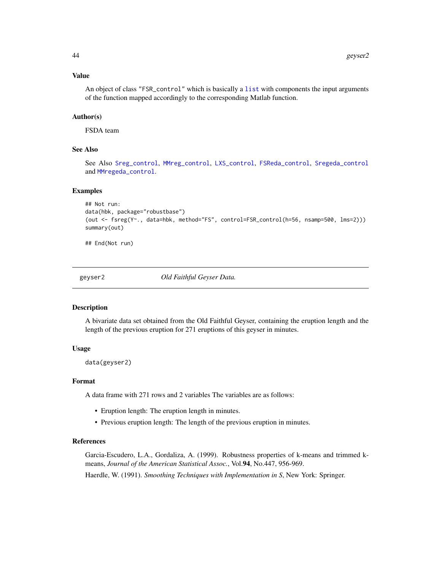## Value

An object of class "FSR\_control" which is basically a [list](#page-0-0) with components the input arguments of the function mapped accordingly to the corresponding Matlab function.

## Author(s)

FSDA team

## See Also

See Also [Sreg\\_control](#page-104-0), [MMreg\\_control](#page-77-0), [LXS\\_control](#page-50-0), [FSReda\\_control](#page-27-0), [Sregeda\\_control](#page-102-0) and [MMregeda\\_control](#page-75-0).

### Examples

```
## Not run:
data(hbk, package="robustbase")
(out <- fsreg(Y~., data=hbk, method="FS", control=FSR_control(h=56, nsamp=500, lms=2)))
summary(out)
```
## End(Not run)

geyser2 *Old Faithful Geyser Data.*

### Description

A bivariate data set obtained from the Old Faithful Geyser, containing the eruption length and the length of the previous eruption for 271 eruptions of this geyser in minutes.

## Usage

data(geyser2)

#### Format

A data frame with 271 rows and 2 variables The variables are as follows:

- Eruption length: The eruption length in minutes.
- Previous eruption length: The length of the previous eruption in minutes.

# References

Garcia-Escudero, L.A., Gordaliza, A. (1999). Robustness properties of k-means and trimmed kmeans, *Journal of the American Statistical Assoc.*, Vol.94, No.447, 956-969.

Haerdle, W. (1991). *Smoothing Techniques with Implementation in S*, New York: Springer.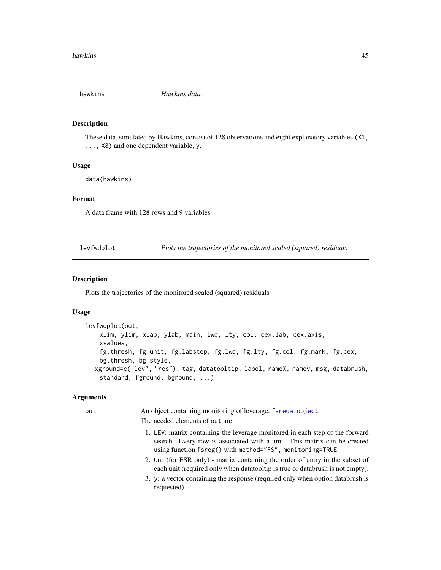### **Description**

These data, simulated by Hawkins, consist of 128 observations and eight explanatory variables (X1, ..., X8) and one dependent variable, y.

## Usage

data(hawkins)

### Format

A data frame with 128 rows and 9 variables

levfwdplot *Plots the trajectories of the monitored scaled (squared) residuals*

### Description

Plots the trajectories of the monitored scaled (squared) residuals

## Usage

```
levfwdplot(out,
    xlim, ylim, xlab, ylab, main, lwd, lty, col, cex.lab, cex.axis,
    xvalues,
    fg.thresh, fg.unit, fg.labstep, fg.lwd, fg.lty, fg.col, fg.mark, fg.cex,
    bg.thresh, bg.style,
  xground=c("lev", "res"), tag, datatooltip, label, nameX, namey, msg, databrush,
    standard, fground, bground, ...)
```
### **Arguments**

out An object containing monitoring of leverage, [fsreda.object](#page-25-0). The needed elements of out are

- 1. LEV: matrix containing the leverage monitored in each step of the forward search. Every row is associated with a unit. This matrix can be created using function fsreg() with method="FS", monitoring=TRUE.
- 2. Un: (for FSR only) matrix containing the order of entry in the subset of each unit (required only when datatooltip is true or databrush is not empty).
- 3. y: a vector containing the response (required only when option databrush is requested).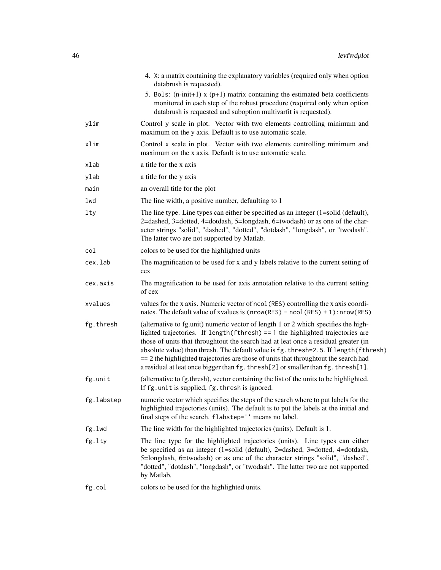|            | 4. X: a matrix containing the explanatory variables (required only when option<br>databrush is requested).                                                                                                                                                                                                                                                                                                                                                                                                                         |
|------------|------------------------------------------------------------------------------------------------------------------------------------------------------------------------------------------------------------------------------------------------------------------------------------------------------------------------------------------------------------------------------------------------------------------------------------------------------------------------------------------------------------------------------------|
|            | 5. Bols: $(n\text{-init+1})$ x $(p+1)$ matrix containing the estimated beta coefficients<br>monitored in each step of the robust procedure (required only when option<br>databrush is requested and suboption multivarfit is requested).                                                                                                                                                                                                                                                                                           |
| ylim       | Control y scale in plot. Vector with two elements controlling minimum and<br>maximum on the y axis. Default is to use automatic scale.                                                                                                                                                                                                                                                                                                                                                                                             |
| xlim       | Control x scale in plot. Vector with two elements controlling minimum and<br>maximum on the x axis. Default is to use automatic scale.                                                                                                                                                                                                                                                                                                                                                                                             |
| xlab       | a title for the x axis                                                                                                                                                                                                                                                                                                                                                                                                                                                                                                             |
| ylab       | a title for the y axis                                                                                                                                                                                                                                                                                                                                                                                                                                                                                                             |
| main       | an overall title for the plot                                                                                                                                                                                                                                                                                                                                                                                                                                                                                                      |
| lwd        | The line width, a positive number, defaulting to 1                                                                                                                                                                                                                                                                                                                                                                                                                                                                                 |
| lty        | The line type. Line types can either be specified as an integer $(1=solid (default))$ ,<br>2=dashed, 3=dotted, 4=dotdash, 5=longdash, 6=twodash) or as one of the char-<br>acter strings "solid", "dashed", "dotted", "dotdash", "longdash", or "twodash".<br>The latter two are not supported by Matlab.                                                                                                                                                                                                                          |
| col        | colors to be used for the highlighted units                                                                                                                                                                                                                                                                                                                                                                                                                                                                                        |
| cex.lab    | The magnification to be used for x and y labels relative to the current setting of<br>cex                                                                                                                                                                                                                                                                                                                                                                                                                                          |
| cex.axis   | The magnification to be used for axis annotation relative to the current setting<br>of cex                                                                                                                                                                                                                                                                                                                                                                                                                                         |
| xvalues    | values for the x axis. Numeric vector of ncol (RES) controlling the x axis coordi-<br>nates. The default value of xvalues is $(nrow(RES) - ncol(RES) + 1)$ : nrow $(RES)$                                                                                                                                                                                                                                                                                                                                                          |
| fg.thresh  | (alternative to fg.unit) numeric vector of length 1 or 2 which specifies the high-<br>lighted trajectories. If length $(fthresh) == 1$ the highlighted trajectories are<br>those of units that throughtout the search had at leat once a residual greater (in<br>absolute value) than thresh. The default value is fg. thresh=2.5. If length (fthresh)<br>== 2 the highlighted trajectories are those of units that throughtout the search had<br>a residual at leat once bigger than fg. thresh[2] or smaller than fg. thresh[1]. |
| fg.unit    | (alternative to fg.thresh), vector containing the list of the units to be highlighted.<br>If fg. unit is supplied, fg. thresh is ignored.                                                                                                                                                                                                                                                                                                                                                                                          |
| fg.labstep | numeric vector which specifies the steps of the search where to put labels for the<br>highlighted trajectories (units). The default is to put the labels at the initial and<br>final steps of the search. flabstep='' means no label.                                                                                                                                                                                                                                                                                              |
| fg.lwd     | The line width for the highlighted trajectories (units). Default is 1.                                                                                                                                                                                                                                                                                                                                                                                                                                                             |
| fg.lty     | The line type for the highlighted trajectories (units). Line types can either<br>be specified as an integer (1=solid (default), 2=dashed, 3=dotted, 4=dotdash,<br>5=longdash, 6=twodash) or as one of the character strings "solid", "dashed",<br>"dotted", "dotdash", "longdash", or "twodash". The latter two are not supported<br>by Matlab.                                                                                                                                                                                    |
| fg.col     | colors to be used for the highlighted units.                                                                                                                                                                                                                                                                                                                                                                                                                                                                                       |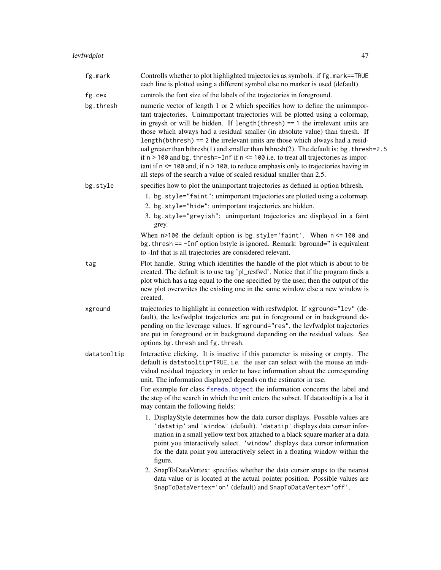| fg.mark     | Controlls whether to plot highlighted trajectories as symbols. if fg.mark==TRUE<br>each line is plotted using a different symbol else no marker is used (default).                                                                                                                                                                                                                                                                                                                                                                                                                                                                                                                                                                                                             |
|-------------|--------------------------------------------------------------------------------------------------------------------------------------------------------------------------------------------------------------------------------------------------------------------------------------------------------------------------------------------------------------------------------------------------------------------------------------------------------------------------------------------------------------------------------------------------------------------------------------------------------------------------------------------------------------------------------------------------------------------------------------------------------------------------------|
| fg.cex      | controls the font size of the labels of the trajectories in foreground.                                                                                                                                                                                                                                                                                                                                                                                                                                                                                                                                                                                                                                                                                                        |
| bg.thresh   | numeric vector of length 1 or 2 which specifies how to define the unimmpor-<br>tant trajectories. Unimmportant trajectories will be plotted using a colormap,<br>in greysh or will be hidden. If length $(thresh) == 1$ the irrelevant units are<br>those which always had a residual smaller (in absolute value) than thresh. If<br>length(bthresh) == 2 the irrelevant units are those which always had a resid-<br>ual greater than bthresh(1) and smaller than bthresh(2). The default is: bg. thresh=2.5<br>if $n > 100$ and bg. thresh=-Inf if $n \le 100$ i.e. to treat all trajectories as impor-<br>tant if $n \le 100$ and, if $n > 100$ , to reduce emphasis only to trajectories having in<br>all steps of the search a value of scaled residual smaller than 2.5. |
| bg.style    | specifies how to plot the unimportant trajectories as defined in option bthresh.                                                                                                                                                                                                                                                                                                                                                                                                                                                                                                                                                                                                                                                                                               |
|             | 1. bg.style="faint": unimportant trajectories are plotted using a colormap.<br>2. bg.style="hide": unimportant trajectories are hidden.<br>3. bg.style="greyish": unimportant trajectories are displayed in a faint<br>grey.                                                                                                                                                                                                                                                                                                                                                                                                                                                                                                                                                   |
|             | When $n>100$ the default option is bg.style='faint'. When $n \le 100$ and<br>bg. thresh == -Inf option bstyle is ignored. Remark: bground=" is equivalent<br>to -Inf that is all trajectories are considered relevant.                                                                                                                                                                                                                                                                                                                                                                                                                                                                                                                                                         |
| tag         | Plot handle. String which identifies the handle of the plot which is about to be<br>created. The default is to use tag 'pl_resfwd'. Notice that if the program finds a<br>plot which has a tag equal to the one specified by the user, then the output of the<br>new plot overwrites the existing one in the same window else a new window is<br>created.                                                                                                                                                                                                                                                                                                                                                                                                                      |
| xground     | trajectories to highlight in connection with resfwdplot. If xground="lev" (de-<br>fault), the levfwdplot trajectories are put in foreground or in background de-<br>pending on the leverage values. If xground="res", the levfwdplot trajectories<br>are put in foreground or in background depending on the residual values. See<br>options bg. thresh and fg. thresh.                                                                                                                                                                                                                                                                                                                                                                                                        |
| datatooltip | Interactive clicking. It is inactive if this parameter is missing or empty. The<br>default is datatooltip=TRUE, i.e. the user can select with the mouse an indi-<br>vidual residual trajectory in order to have information about the corresponding<br>unit. The information displayed depends on the estimator in use.<br>For example for class fsreda.object the information concerns the label and<br>the step of the search in which the unit enters the subset. If datatooltip is a list it<br>may contain the following fields:                                                                                                                                                                                                                                          |
|             | 1. DisplayStyle determines how the data cursor displays. Possible values are<br>'datatip' and 'window' (default). 'datatip' displays data cursor infor-<br>mation in a small yellow text box attached to a black square marker at a data<br>point you interactively select. 'window' displays data cursor information<br>for the data point you interactively select in a floating window within the<br>figure.<br>2. SnapToDataVertex: specifies whether the data cursor snaps to the nearest                                                                                                                                                                                                                                                                                 |
|             | data value or is located at the actual pointer position. Possible values are<br>SnapToDataVertex='on' (default) and SnapToDataVertex='off'.                                                                                                                                                                                                                                                                                                                                                                                                                                                                                                                                                                                                                                    |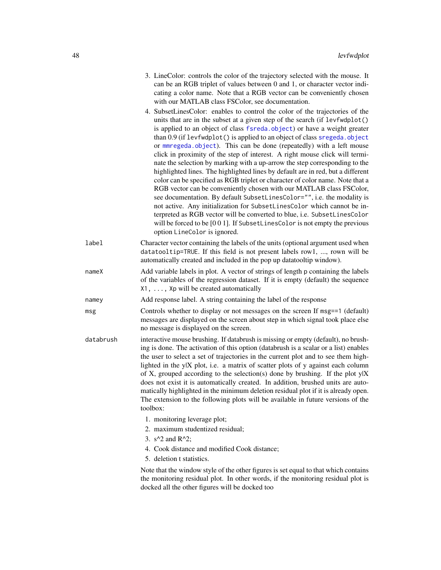| 3. LineColor: controls the color of the trajectory selected with the mouse. It |
|--------------------------------------------------------------------------------|
| can be an RGB triplet of values between 0 and 1, or character vector indi-     |
| cating a color name. Note that a RGB vector can be conveniently chosen         |
| with our MATLAB class FSColor, see documentation.                              |

- 4. SubsetLinesColor: enables to control the color of the trajectories of the units that are in the subset at a given step of the search (if levfwdplot() is applied to an object of class [fsreda.object](#page-25-0)) or have a weight greater than 0.9 (if levfwdplot() is applied to an object of class [sregeda.object](#page-101-0) or [mmregeda.object](#page-74-0)). This can be done (repeatedly) with a left mouse click in proximity of the step of interest. A right mouse click will terminate the selection by marking with a up-arrow the step corresponding to the highlighted lines. The highlighted lines by default are in red, but a different color can be specified as RGB triplet or character of color name. Note that a RGB vector can be conveniently chosen with our MATLAB class FSColor, see documentation. By default SubsetLinesColor="", i.e. the modality is not active. Any initialization for SubsetLinesColor which cannot be interpreted as RGB vector will be converted to blue, i.e. SubsetLinesColor will be forced to be [001]. If SubsetLinesColor is not empty the previous option LineColor is ignored.
- label Character vector containing the labels of the units (optional argument used when datatooltip=TRUE. If this field is not present labels row1, ..., rown will be automatically created and included in the pop up datatooltip window).
- nameX Add variable labels in plot. A vector of strings of length p containing the labels of the variables of the regression dataset. If it is empty (default) the sequence X1, ..., Xp will be created automatically
- namey Add response label. A string containing the label of the response
- msg Controls whether to display or not messages on the screen If msg==1 (default) messages are displayed on the screen about step in which signal took place else no message is displayed on the screen.
- databrush interactive mouse brushing. If databrush is missing or empty (default), no brushing is done. The activation of this option (databrush is a scalar or a list) enables the user to select a set of trajectories in the current plot and to see them highlighted in the y|X plot, i.e. a matrix of scatter plots of y against each column of X, grouped according to the selection(s) done by brushing. If the plot y|X does not exist it is automatically created. In addition, brushed units are automatically highlighted in the minimum deletion residual plot if it is already open. The extension to the following plots will be available in future versions of the toolbox:
	- 1. monitoring leverage plot;
	- 2. maximum studentized residual;
	- 3.  $s^2$  and R<sup>^2</sup>;
	- 4. Cook distance and modified Cook distance;
	- 5. deletion t statistics.

Note that the window style of the other figures is set equal to that which contains the monitoring residual plot. In other words, if the monitoring residual plot is docked all the other figures will be docked too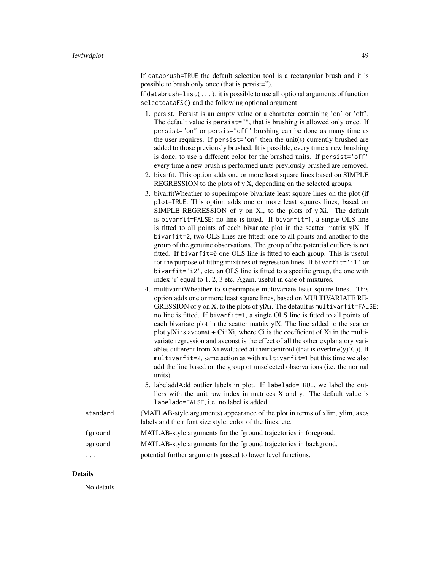If databrush=TRUE the default selection tool is a rectangular brush and it is possible to brush only once (that is persist=").

If databrush=list(...), it is possible to use all optional arguments of function selectdataFS() and the following optional argument:

- 1. persist. Persist is an empty value or a character containing 'on' or 'off'. The default value is persist="", that is brushing is allowed only once. If persist="on" or persis="off" brushing can be done as many time as the user requires. If persist='on' then the unit(s) currently brushed are added to those previously brushed. It is possible, every time a new brushing is done, to use a different color for the brushed units. If persist='off' every time a new brush is performed units previously brushed are removed.
- 2. bivarfit. This option adds one or more least square lines based on SIMPLE REGRESSION to the plots of y|X, depending on the selected groups.
- 3. bivarfitWheather to superimpose bivariate least square lines on the plot (if plot=TRUE. This option adds one or more least squares lines, based on SIMPLE REGRESSION of y on Xi, to the plots of y|Xi. The default is bivarfit=FALSE: no line is fitted. If bivarfit=1, a single OLS line is fitted to all points of each bivariate plot in the scatter matrix  $y|X$ . If bivarfit=2, two OLS lines are fitted: one to all points and another to the group of the genuine observations. The group of the potential outliers is not fitted. If bivarfit=0 one OLS line is fitted to each group. This is useful for the purpose of fitting mixtures of regression lines. If bivarfit='i1' or bivarfit='i2', etc. an OLS line is fitted to a specific group, the one with index 'i' equal to 1, 2, 3 etc. Again, useful in case of mixtures.
- 4. multivarfitWheather to superimpose multivariate least square lines. This option adds one or more least square lines, based on MULTIVARIATE RE-GRESSION of y on X, to the plots of y|Xi. The default is multivarfit=FALSE: no line is fitted. If bivarfit=1, a single OLS line is fitted to all points of each bivariate plot in the scatter matrix y|X. The line added to the scatter plot y|Xi is avconst  $+ Ci^*Xi$ , where Ci is the coefficient of Xi in the multivariate regression and avconst is the effect of all the other explanatory variables different from Xi evaluated at their centroid (that is overline(y)'C)). If multivarfit=2, same action as with multivarfit=1 but this time we also add the line based on the group of unselected observations (i.e. the normal units).
- 5. labeladdAdd outlier labels in plot. If labeladd=TRUE, we label the outliers with the unit row index in matrices X and y. The default value is labeladd=FALSE, i.e. no label is added.
- standard (MATLAB-style arguments) appearance of the plot in terms of xlim, ylim, axes labels and their font size style, color of the lines, etc.

### fground MATLAB-style arguments for the fground trajectories in foregroud.

- bground MATLAB-style arguments for the fground trajectories in backgroud.
- ... potential further arguments passed to lower level functions.

## Details

No details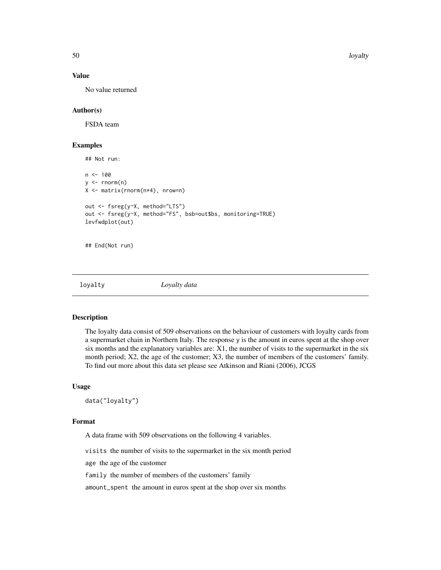50 loyalty

## Value

No value returned

# Author(s)

FSDA team

### Examples

```
## Not run:
n < - 100y \le - rnorm(n)
X <- matrix(rnorm(n*4), nrow=n)
out <- fsreg(y~X, method="LTS")
out <- fsreg(y~X, method="FS", bsb=out$bs, monitoring=TRUE)
levfwdplot(out)
## End(Not run)
```
loyalty *Loyalty data*

#### Description

The loyalty data consist of 509 observations on the behaviour of customers with loyalty cards from a supermarket chain in Northern Italy. The response y is the amount in euros spent at the shop over six months and the explanatory variables are: X1, the number of visits to the supermarket in the six month period; X2, the age of the customer; X3, the number of members of the customers' family. To find out more about this data set please see Atkinson and Riani (2006), JCGS

### Usage

data("loyalty")

### Format

A data frame with 509 observations on the following 4 variables.

visits the number of visits to the supermarket in the six month period

age the age of the customer

family the number of members of the customers' family

amount\_spent the amount in euros spent at the shop over six months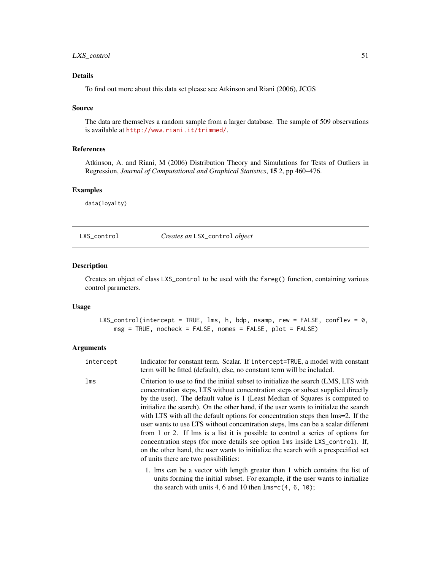# LXS\_control 51

## Details

To find out more about this data set please see Atkinson and Riani (2006), JCGS

### Source

The data are themselves a random sample from a larger database. The sample of 509 observations is available at <http://www.riani.it/trimmed/>.

### References

Atkinson, A. and Riani, M (2006) Distribution Theory and Simulations for Tests of Outliers in Regression, *Journal of Computational and Graphical Statistics*, 15 2, pp 460–476.

## Examples

data(loyalty)

<span id="page-50-0"></span>LXS\_control *Creates an* LSX\_control *object*

## Description

Creates an object of class LXS\_control to be used with the fsreg() function, containing various control parameters.

### Usage

LXS\_control(intercept = TRUE, lms, h, bdp, nsamp, rew = FALSE, conflev = 0, msg = TRUE, nocheck = FALSE, nomes = FALSE, plot = FALSE)

| intercept | Indicator for constant term. Scalar. If intercept=TRUE, a model with constant<br>term will be fitted (default), else, no constant term will be included.                                                                                                                                                                                                                                                                                                                                                                                                                                                                                                                                                                                                                                                                   |
|-----------|----------------------------------------------------------------------------------------------------------------------------------------------------------------------------------------------------------------------------------------------------------------------------------------------------------------------------------------------------------------------------------------------------------------------------------------------------------------------------------------------------------------------------------------------------------------------------------------------------------------------------------------------------------------------------------------------------------------------------------------------------------------------------------------------------------------------------|
| lms       | Criterion to use to find the initial subset to initialize the search (LMS, LTS with<br>concentration steps, LTS without concentration steps or subset supplied directly<br>by the user). The default value is 1 (Least Median of Squares is computed to<br>initialize the search). On the other hand, if the user wants to initialze the search<br>with LTS with all the default options for concentration steps then lms=2. If the<br>user wants to use LTS without concentration steps, lms can be a scalar different<br>from 1 or 2. If lms is a list it is possible to control a series of options for<br>concentration steps (for more details see option lms inside LXS_control). If,<br>on the other hand, the user wants to initialize the search with a prespecified set<br>of units there are two possibilities: |
|           | 1. Ims can be a vector with length greater than 1 which contains the list of<br>units forming the initial subset. For example, if the user wants to initialize                                                                                                                                                                                                                                                                                                                                                                                                                                                                                                                                                                                                                                                             |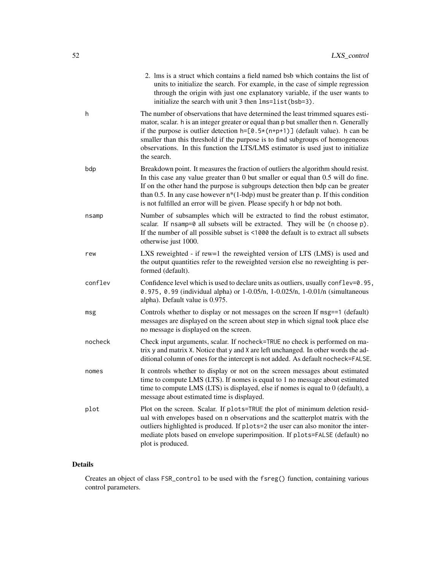|         | 2. Ims is a struct which contains a field named bsb which contains the list of<br>units to initialize the search. For example, in the case of simple regression<br>through the origin with just one explanatory variable, if the user wants to<br>initialize the search with unit 3 then lms=list(bsb=3).                                                                                                                                               |
|---------|---------------------------------------------------------------------------------------------------------------------------------------------------------------------------------------------------------------------------------------------------------------------------------------------------------------------------------------------------------------------------------------------------------------------------------------------------------|
| h       | The number of observations that have determined the least trimmed squares esti-<br>mator, scalar. h is an integer greater or equal than p but smaller then n. Generally<br>if the purpose is outlier detection $h = [0.5 \times (n+p+1)]$ (default value). h can be<br>smaller than this threshold if the purpose is to find subgroups of homogeneous<br>observations. In this function the LTS/LMS estimator is used just to initialize<br>the search. |
| bdp     | Breakdown point. It measures the fraction of outliers the algorithm should resist.<br>In this case any value greater than 0 but smaller or equal than 0.5 will do fine.<br>If on the other hand the purpose is subgroups detection then bdp can be greater<br>than 0.5. In any case however $n*(1-bdp)$ must be greater than p. If this condition<br>is not fulfilled an error will be given. Please specify h or bdp not both.                         |
| nsamp   | Number of subsamples which will be extracted to find the robust estimator,<br>scalar. If nsamp=0 all subsets will be extracted. They will be (n choose p).<br>If the number of all possible subset is <1000 the default is to extract all subsets<br>otherwise just 1000.                                                                                                                                                                               |
| rew     | LXS reweighted - if rew=1 the reweighted version of LTS (LMS) is used and<br>the output quantities refer to the reweighted version else no reweighting is per-<br>formed (default).                                                                                                                                                                                                                                                                     |
| conflev | Confidence level which is used to declare units as outliers, usually conflev=0.95,<br>0.975, 0.99 (individual alpha) or 1-0.05/n, 1-0.025/n, 1-0.01/n (simultaneous<br>alpha). Default value is 0.975.                                                                                                                                                                                                                                                  |
| msg     | Controls whether to display or not messages on the screen If msg==1 (default)<br>messages are displayed on the screen about step in which signal took place else<br>no message is displayed on the screen.                                                                                                                                                                                                                                              |
| nocheck | Check input arguments, scalar. If nocheck=TRUE no check is performed on ma-<br>trix y and matrix X. Notice that y and X are left unchanged. In other words the ad-<br>ditional column of ones for the intercept is not added. As default nocheck=FALSE.                                                                                                                                                                                                 |
| nomes   | It controls whether to display or not on the screen messages about estimated<br>time to compute LMS (LTS). If nomes is equal to 1 no message about estimated<br>time to compute LMS (LTS) is displayed, else if nomes is equal to $0$ (default), a<br>message about estimated time is displayed.                                                                                                                                                        |
| plot    | Plot on the screen. Scalar. If plots=TRUE the plot of minimum deletion resid-<br>ual with envelopes based on n observations and the scatterplot matrix with the<br>outliers highlighted is produced. If plots=2 the user can also monitor the inter-<br>mediate plots based on envelope superimposition. If plots=FALSE (default) no<br>plot is produced.                                                                                               |

# Details

Creates an object of class FSR\_control to be used with the fsreg() function, containing various control parameters.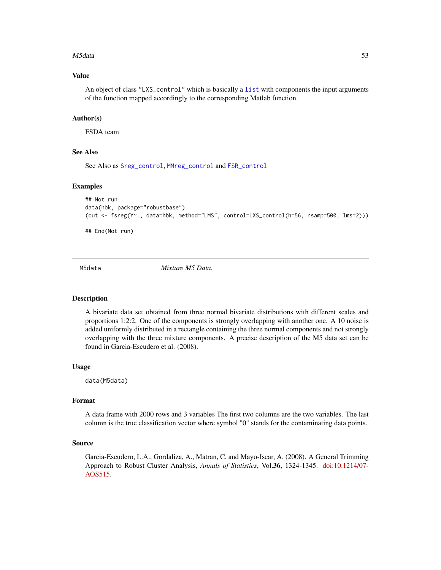### M5data 53

## Value

An object of class "LXS\_control" which is basically a [list](#page-0-0) with components the input arguments of the function mapped accordingly to the corresponding Matlab function.

## Author(s)

FSDA team

## See Also

See Also as [Sreg\\_control](#page-104-0), [MMreg\\_control](#page-77-0) and [FSR\\_control](#page-40-0)

### Examples

```
## Not run:
data(hbk, package="robustbase")
(out <- fsreg(Y~., data=hbk, method="LMS", control=LXS_control(h=56, nsamp=500, lms=2)))
```
## End(Not run)

M5data *Mixture M5 Data.*

#### **Description**

A bivariate data set obtained from three normal bivariate distributions with different scales and proportions 1:2:2. One of the components is strongly overlapping with another one. A 10 noise is added uniformly distributed in a rectangle containing the three normal components and not strongly overlapping with the three mixture components. A precise description of the M5 data set can be found in Garcia-Escudero et al. (2008).

### Usage

data(M5data)

### Format

A data frame with 2000 rows and 3 variables The first two columns are the two variables. The last column is the true classification vector where symbol "0" stands for the contaminating data points.

# Source

Garcia-Escudero, L.A., Gordaliza, A., Matran, C. and Mayo-Iscar, A. (2008). A General Trimming Approach to Robust Cluster Analysis, *Annals of Statistics*, Vol.36, 1324-1345. [doi:10.1214/07-](https://doi.org/10.1214/07-AOS515) [AOS515.](https://doi.org/10.1214/07-AOS515)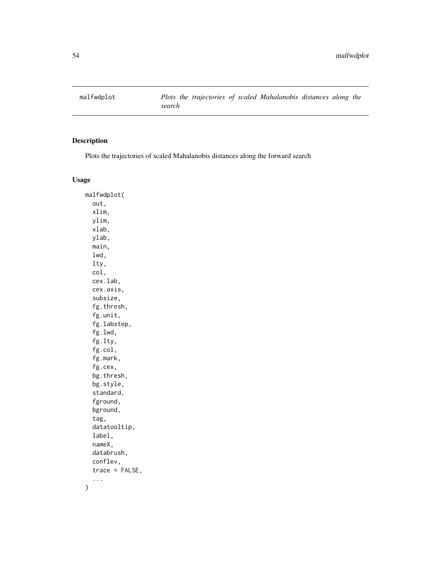# Description

Plots the trajectories of scaled Mahalanobis distances along the forward search

## Usage

malfwdplot( out, xlim, ylim, xlab, ylab, main, lwd, lty, col, cex.lab, cex.axis, subsize, fg.thresh, fg.unit, fg.labstep, fg.lwd, fg.lty, fg.col, fg.mark, fg.cex, bg.thresh, bg.style, standard, fground, bground, tag, datatooltip, label, nameX, databrush, conflev, trace = FALSE, ...  $\mathcal{L}$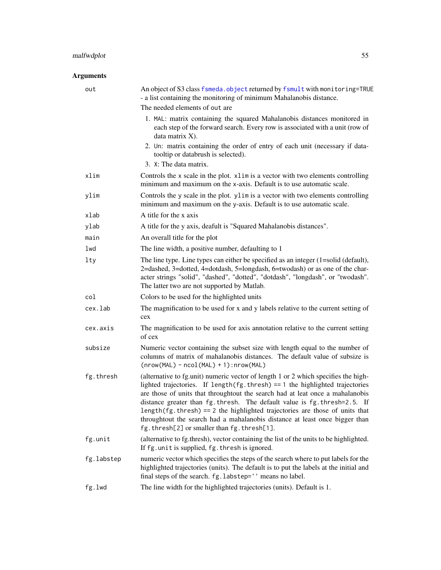# malfwdplot 55

| out        | An object of S3 class fsmeda. object returned by fsmult with monitoring=TRUE<br>- a list containing the monitoring of minimum Mahalanobis distance.                                                                                                                                                                                                                                                                                                                                                                                                |
|------------|----------------------------------------------------------------------------------------------------------------------------------------------------------------------------------------------------------------------------------------------------------------------------------------------------------------------------------------------------------------------------------------------------------------------------------------------------------------------------------------------------------------------------------------------------|
|            | The needed elements of out are                                                                                                                                                                                                                                                                                                                                                                                                                                                                                                                     |
|            | 1. MAL: matrix containing the squared Mahalanobis distances monitored in<br>each step of the forward search. Every row is associated with a unit (row of<br>data matrix X).                                                                                                                                                                                                                                                                                                                                                                        |
|            | 2. Un: matrix containing the order of entry of each unit (necessary if data-<br>tooltip or databrush is selected).<br>3. X: The data matrix.                                                                                                                                                                                                                                                                                                                                                                                                       |
| xlim       | Controls the x scale in the plot. x1im is a vector with two elements controlling<br>minimum and maximum on the x-axis. Default is to use automatic scale.                                                                                                                                                                                                                                                                                                                                                                                          |
| ylim       | Controls the y scale in the plot. ylim is a vector with two elements controlling<br>minimum and maximum on the y-axis. Default is to use automatic scale.                                                                                                                                                                                                                                                                                                                                                                                          |
| xlab       | A title for the x axis                                                                                                                                                                                                                                                                                                                                                                                                                                                                                                                             |
| ylab       | A title for the y axis, deafult is "Squared Mahalanobis distances".                                                                                                                                                                                                                                                                                                                                                                                                                                                                                |
| main       | An overall title for the plot                                                                                                                                                                                                                                                                                                                                                                                                                                                                                                                      |
| lwd        | The line width, a positive number, defaulting to 1                                                                                                                                                                                                                                                                                                                                                                                                                                                                                                 |
| lty        | The line type. Line types can either be specified as an integer $(1=solid (default))$ ,<br>2=dashed, 3=dotted, 4=dotdash, 5=longdash, 6=twodash) or as one of the char-<br>acter strings "solid", "dashed", "dotted", "dotdash", "longdash", or "twodash".<br>The latter two are not supported by Matlab.                                                                                                                                                                                                                                          |
| col        | Colors to be used for the highlighted units                                                                                                                                                                                                                                                                                                                                                                                                                                                                                                        |
| cex.lab    | The magnification to be used for x and y labels relative to the current setting of<br>cex                                                                                                                                                                                                                                                                                                                                                                                                                                                          |
| cex.axis   | The magnification to be used for axis annotation relative to the current setting<br>of cex                                                                                                                                                                                                                                                                                                                                                                                                                                                         |
| subsize    | Numeric vector containing the subset size with length equal to the number of<br>columns of matrix of mahalanobis distances. The default value of subsize is<br>$(nrow(MAL) - ncol(MAL) + 1): nrow(MAL)$                                                                                                                                                                                                                                                                                                                                            |
| fg.thresh  | (alternative to fg.unit) numeric vector of length 1 or 2 which specifies the high-<br>lighted trajectories. If length( $fg$ .thresh) == 1 the highlighted trajectories<br>are those of units that throughtout the search had at leat once a mahalanobis<br>distance greater than fg.thresh. The default value is fg.thresh=2.5. If<br>length( $fg.$ thresh) == 2 the highlighted trajectories are those of units that<br>throughtout the search had a mahalanobis distance at least once bigger than<br>fg.thresh[2] or smaller than fg.thresh[1]. |
| fg.unit    | (alternative to fg.thresh), vector containing the list of the units to be highlighted.<br>If fg. unit is supplied, fg. thresh is ignored.                                                                                                                                                                                                                                                                                                                                                                                                          |
| fg.labstep | numeric vector which specifies the steps of the search where to put labels for the<br>highlighted trajectories (units). The default is to put the labels at the initial and<br>final steps of the search. fg.labstep='' means no label.                                                                                                                                                                                                                                                                                                            |
| fg.lwd     | The line width for the highlighted trajectories (units). Default is 1.                                                                                                                                                                                                                                                                                                                                                                                                                                                                             |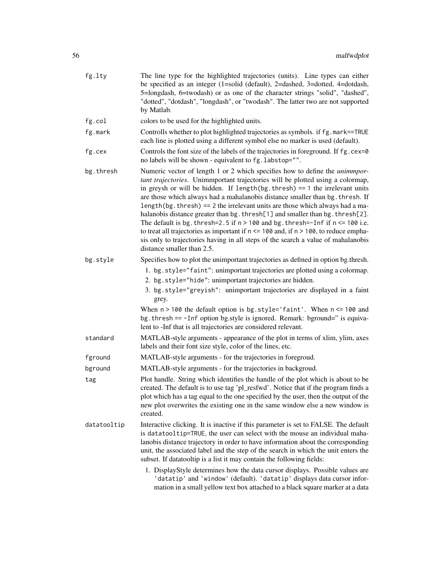| fg.lty      | The line type for the highlighted trajectories (units). Line types can either<br>be specified as an integer (1=solid (default), 2=dashed, 3=dotted, 4=dotdash,<br>5=longdash, 6=twodash) or as one of the character strings "solid", "dashed",<br>"dotted", "dotdash", "longdash", or "twodash". The latter two are not supported<br>by Matlab.                                                                                                                                                                                                                                                                                                                                                                                                                                                                  |
|-------------|------------------------------------------------------------------------------------------------------------------------------------------------------------------------------------------------------------------------------------------------------------------------------------------------------------------------------------------------------------------------------------------------------------------------------------------------------------------------------------------------------------------------------------------------------------------------------------------------------------------------------------------------------------------------------------------------------------------------------------------------------------------------------------------------------------------|
| fg.col      | colors to be used for the highlighted units.                                                                                                                                                                                                                                                                                                                                                                                                                                                                                                                                                                                                                                                                                                                                                                     |
| fg.mark     | Controlls whether to plot highlighted trajectories as symbols. if fg. mark==TRUE<br>each line is plotted using a different symbol else no marker is used (default).                                                                                                                                                                                                                                                                                                                                                                                                                                                                                                                                                                                                                                              |
| fg.cex      | Controls the font size of the labels of the trajectories in foreground. If fg. cex=0<br>no labels will be shown - equivalent to fg. labstop="".                                                                                                                                                                                                                                                                                                                                                                                                                                                                                                                                                                                                                                                                  |
| bg.thresh   | Numeric vector of length 1 or 2 which specifies how to define the <i>unimmpor</i> -<br>tant trajectories. Unimmportant trajectories will be plotted using a colormap,<br>in greysh or will be hidden. If $length(bg.$ thresh) == 1 the irrelevant units<br>are those which always had a mahalanobis distance smaller than bg. thresh. If<br>length(bg.thresh) == 2 the irrelevant units are those which always had a ma-<br>halanobis distance greater than bg. thresh[1] and smaller than bg. thresh[2].<br>The default is bg. thresh=2.5 if $n > 100$ and bg. thresh=-Inf if $n \le 100$ i.e.<br>to treat all trajectories as important if $n \le 100$ and, if $n > 100$ , to reduce empha-<br>sis only to trajectories having in all steps of the search a value of mahalanobis<br>distance smaller than 2.5. |
| bg.style    | Specifies how to plot the unimportant trajectories as defined in option bg.thresh.                                                                                                                                                                                                                                                                                                                                                                                                                                                                                                                                                                                                                                                                                                                               |
|             | 1. bg.style="faint": unimportant trajectories are plotted using a colormap.                                                                                                                                                                                                                                                                                                                                                                                                                                                                                                                                                                                                                                                                                                                                      |
|             | 2. bg.style="hide": unimportant trajectories are hidden.                                                                                                                                                                                                                                                                                                                                                                                                                                                                                                                                                                                                                                                                                                                                                         |
|             | 3. bg. style="greyish": unimportant trajectories are displayed in a faint<br>grey.                                                                                                                                                                                                                                                                                                                                                                                                                                                                                                                                                                                                                                                                                                                               |
|             | When $n > 100$ the default option is bg.style='faint'. When $n \le 100$ and<br>bg. thresh == -Inf option bg.style is ignored. Remark: bground=" is equiva-<br>lent to -Inf that is all trajectories are considered relevant.                                                                                                                                                                                                                                                                                                                                                                                                                                                                                                                                                                                     |
| standard    | MATLAB-style arguments - appearance of the plot in terms of xlim, ylim, axes<br>labels and their font size style, color of the lines, etc.                                                                                                                                                                                                                                                                                                                                                                                                                                                                                                                                                                                                                                                                       |
| fground     | MATLAB-style arguments - for the trajectories in foregroud.                                                                                                                                                                                                                                                                                                                                                                                                                                                                                                                                                                                                                                                                                                                                                      |
| bground     | MATLAB-style arguments - for the trajectories in backgroud.                                                                                                                                                                                                                                                                                                                                                                                                                                                                                                                                                                                                                                                                                                                                                      |
| tag         | Plot handle. String which identifies the handle of the plot which is about to be<br>created. The default is to use tag 'pl_resfwd'. Notice that if the program finds a<br>plot which has a tag equal to the one specified by the user, then the output of the<br>new plot overwrites the existing one in the same window else a new window is<br>created.                                                                                                                                                                                                                                                                                                                                                                                                                                                        |
| datatooltip | Interactive clicking. It is inactive if this parameter is set to FALSE. The default<br>is datatooltip=TRUE, the user can select with the mouse an individual maha-<br>lanobis distance trajectory in order to have information about the corresponding<br>unit, the associated label and the step of the search in which the unit enters the<br>subset. If datatooltip is a list it may contain the following fields:<br>1. DisplayStyle determines how the data cursor displays. Possible values are<br>'datatip' and 'window' (default). 'datatip' displays data cursor infor-                                                                                                                                                                                                                                 |
|             | mation in a small yellow text box attached to a black square marker at a data                                                                                                                                                                                                                                                                                                                                                                                                                                                                                                                                                                                                                                                                                                                                    |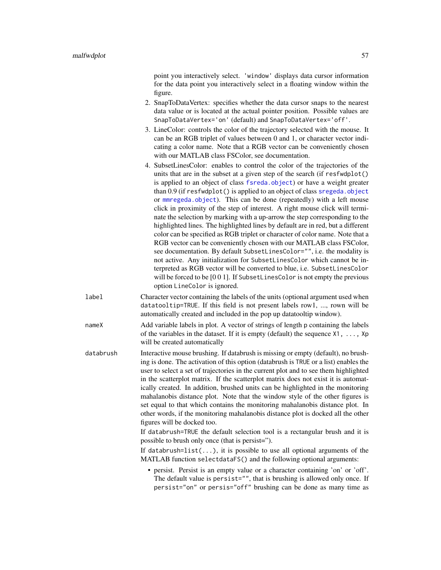point you interactively select. 'window' displays data cursor information for the data point you interactively select in a floating window within the figure. 2. SnapToDataVertex: specifies whether the data cursor snaps to the nearest data value or is located at the actual pointer position. Possible values are SnapToDataVertex='on' (default) and SnapToDataVertex='off'. 3. LineColor: controls the color of the trajectory selected with the mouse. It can be an RGB triplet of values between 0 and 1, or character vector indicating a color name. Note that a RGB vector can be conveniently chosen with our MATLAB class FSColor, see documentation. 4. SubsetLinesColor: enables to control the color of the trajectories of the

- units that are in the subset at a given step of the search (if resfwdplot() is applied to an object of class [fsreda.object](#page-25-0)) or have a weight greater than 0.9 (if resfwdplot() is applied to an object of class [sregeda.object](#page-101-0) or [mmregeda.object](#page-74-0)). This can be done (repeatedly) with a left mouse click in proximity of the step of interest. A right mouse click will terminate the selection by marking with a up-arrow the step corresponding to the highlighted lines. The highlighted lines by default are in red, but a different color can be specified as RGB triplet or character of color name. Note that a RGB vector can be conveniently chosen with our MATLAB class FSColor, see documentation. By default SubsetLinesColor="", i.e. the modality is not active. Any initialization for SubsetLinesColor which cannot be interpreted as RGB vector will be converted to blue, i.e. SubsetLinesColor will be forced to be [0 0 1]. If SubsetLinesColor is not empty the previous option LineColor is ignored.
- label Character vector containing the labels of the units (optional argument used when datatooltip=TRUE. If this field is not present labels row1, ..., rown will be automatically created and included in the pop up datatooltip window).

nameX Add variable labels in plot. A vector of strings of length p containing the labels of the variables in the dataset. If it is empty (default) the sequence  $X1, \ldots, Xp$ will be created automatically

databrush Interactive mouse brushing. If databrush is missing or empty (default), no brushing is done. The activation of this option (databrush is TRUE or a list) enables the user to select a set of trajectories in the current plot and to see them highlighted in the scatterplot matrix. If the scatterplot matrix does not exist it is automatically created. In addition, brushed units can be highlighted in the monitoring mahalanobis distance plot. Note that the window style of the other figures is set equal to that which contains the monitoring mahalanobis distance plot. In other words, if the monitoring mahalanobis distance plot is docked all the other figures will be docked too.

> If databrush=TRUE the default selection tool is a rectangular brush and it is possible to brush only once (that is persist=").

> If databrush=list( $\ldots$ ), it is possible to use all optional arguments of the MATLAB function selectdataFS() and the following optional arguments:

• persist. Persist is an empty value or a character containing 'on' or 'off'. The default value is persist="", that is brushing is allowed only once. If persist="on" or persis="off" brushing can be done as many time as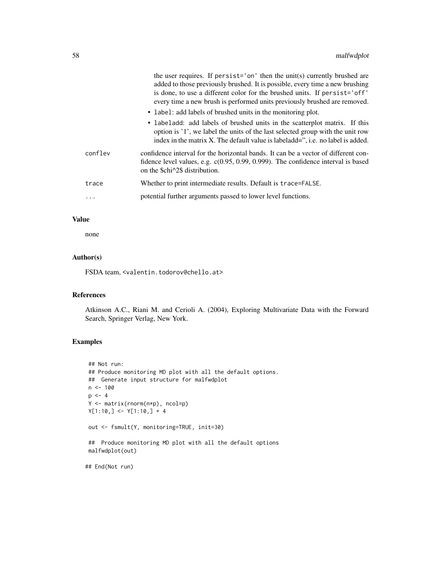|          | the user requires. If persist='on' then the unit(s) currently brushed are<br>added to those previously brushed. It is possible, every time a new brushing<br>is done, to use a different color for the brushed units. If persist='off'<br>every time a new brush is performed units previously brushed are removed.<br>• label: add labels of brushed units in the monitoring plot. |
|----------|-------------------------------------------------------------------------------------------------------------------------------------------------------------------------------------------------------------------------------------------------------------------------------------------------------------------------------------------------------------------------------------|
|          | • labeladd: add labels of brushed units in the scatterplot matrix. If this<br>option is '1', we label the units of the last selected group with the unit row<br>index in the matrix X. The default value is labeladd=", i.e. no label is added.                                                                                                                                     |
| conflev  | confidence interval for the horizontal bands. It can be a vector of different con-<br>fidence level values, e.g. $c(0.95, 0.99, 0.999)$ . The confidence interval is based<br>on the \$chi^2\$ distribution.                                                                                                                                                                        |
| trace    | Whether to print intermediate results. Default is trace=FALSE.                                                                                                                                                                                                                                                                                                                      |
| $\cdots$ | potential further arguments passed to lower level functions.                                                                                                                                                                                                                                                                                                                        |

## Value

none

# Author(s)

FSDA team, <valentin.todorov@chello.at>

## References

Atkinson A.C., Riani M. and Cerioli A. (2004), Exploring Multivariate Data with the Forward Search, Springer Verlag, New York.

# Examples

```
## Not run:
## Produce monitoring MD plot with all the default options.
## Generate input structure for malfwdplot
n < -100p \le -4Y <- matrix(rnorm(n*p), ncol=p)
Y[1:10,] <- Y[1:10,] + 4
out <- fsmult(Y, monitoring=TRUE, init=30)
## Produce monitoring MD plot with all the default options
malfwdplot(out)
```
## End(Not run)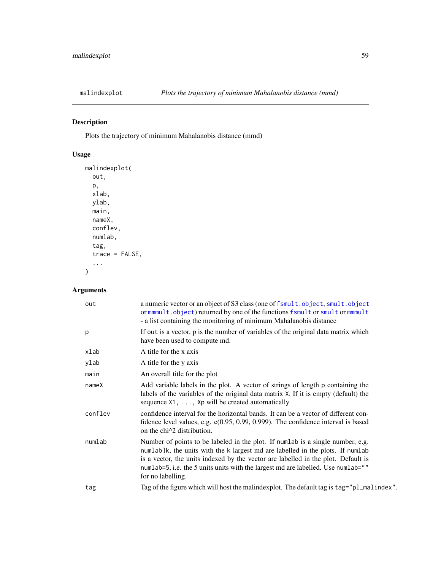# Description

Plots the trajectory of minimum Mahalanobis distance (mmd)

# Usage

```
malindexplot(
 out,
 p,
 xlab,
 ylab,
 main,
 nameX,
 conflev,
 numlab,
  tag,
  trace = FALSE,
  ...
)
```

| out     | a numeric vector or an object of S3 class (one of fsmult.object, smult.object<br>or mmmult.object) returned by one of the functions fsmult or smult or mmmult<br>- a list containing the monitoring of minimum Mahalanobis distance                                                                                                                            |
|---------|----------------------------------------------------------------------------------------------------------------------------------------------------------------------------------------------------------------------------------------------------------------------------------------------------------------------------------------------------------------|
| p       | If out is a vector, p is the number of variables of the original data matrix which<br>have been used to compute md.                                                                                                                                                                                                                                            |
| xlab    | A title for the x axis                                                                                                                                                                                                                                                                                                                                         |
| ylab    | A title for the y axis                                                                                                                                                                                                                                                                                                                                         |
| main    | An overall title for the plot                                                                                                                                                                                                                                                                                                                                  |
| nameX   | Add variable labels in the plot. A vector of strings of length p containing the<br>labels of the variables of the original data matrix X. If it is empty (default) the<br>sequence $X1, \ldots, Xp$ will be created automatically                                                                                                                              |
| conflev | confidence interval for the horizontal bands. It can be a vector of different con-<br>fidence level values, e.g. $c(0.95, 0.99, 0.999)$ . The confidence interval is based<br>on the chi <sup><math>\lambda</math></sup> 2 distribution.                                                                                                                       |
| numlab  | Number of points to be labeled in the plot. If numlab is a single number, e.g.<br>numlab]k, the units with the k largest md are labelled in the plots. If numlab<br>is a vector, the units indexed by the vector are labelled in the plot. Default is<br>numlab=5, i.e. the 5 units units with the largest md are labelled. Use numlab=""<br>for no labelling. |
| tag     | Tag of the figure which will host the malindexplot. The default tag is tag="pl_malindex".                                                                                                                                                                                                                                                                      |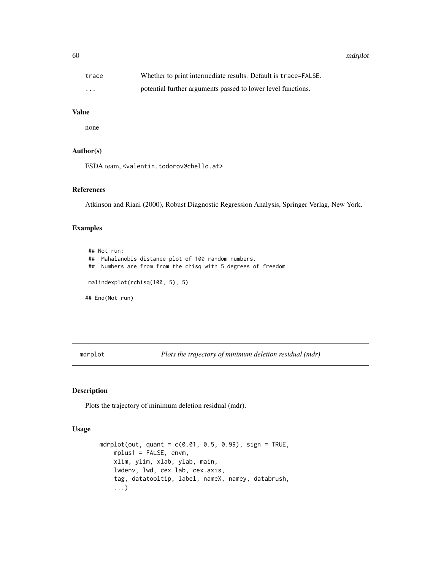60 mdrplot

| trace    | Whether to print intermediate results. Default is trace=FALSE. |
|----------|----------------------------------------------------------------|
| $\cdots$ | potential further arguments passed to lower level functions.   |

# Value

none

# Author(s)

FSDA team, <valentin.todorov@chello.at>

## References

Atkinson and Riani (2000), Robust Diagnostic Regression Analysis, Springer Verlag, New York.

### Examples

## Not run: ## Mahalanobis distance plot of 100 random numbers. ## Numbers are from from the chisq with 5 degrees of freedom malindexplot(rchisq(100, 5), 5) ## End(Not run)

mdrplot *Plots the trajectory of minimum deletion residual (mdr)*

## Description

Plots the trajectory of minimum deletion residual (mdr).

## Usage

```
mdrplot(out, quant = c(0.01, 0.5, 0.99), sign = TRUE,
    mplus1 = FALSE, envm,
    xlim, ylim, xlab, ylab, main,
    lwdenv, lwd, cex.lab, cex.axis,
    tag, datatooltip, label, nameX, namey, databrush,
    ...)
```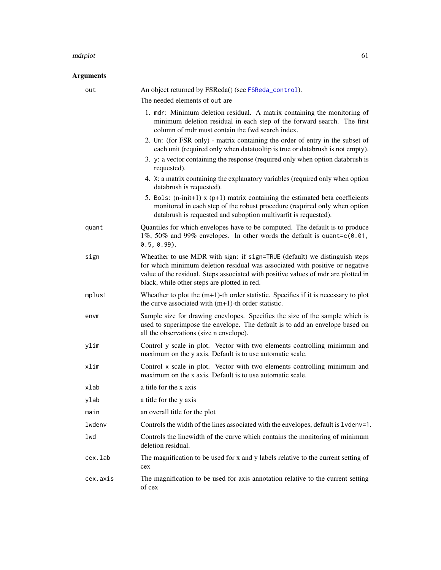### mdrplot 61

| out      | An object returned by FSReda() (see FSReda_control).                                                                                                                                                                                                                                             |
|----------|--------------------------------------------------------------------------------------------------------------------------------------------------------------------------------------------------------------------------------------------------------------------------------------------------|
|          | The needed elements of out are                                                                                                                                                                                                                                                                   |
|          | 1. mdr: Minimum deletion residual. A matrix containing the monitoring of<br>minimum deletion residual in each step of the forward search. The first<br>column of mdr must contain the fwd search index.                                                                                          |
|          | 2. Un: (for FSR only) - matrix containing the order of entry in the subset of<br>each unit (required only when datatooltip is true or databrush is not empty).                                                                                                                                   |
|          | 3. y: a vector containing the response (required only when option databrush is<br>requested).                                                                                                                                                                                                    |
|          | 4. X: a matrix containing the explanatory variables (required only when option<br>databrush is requested).                                                                                                                                                                                       |
|          | 5. Bols: $(n\text{-init+1})$ x $(p+1)$ matrix containing the estimated beta coefficients<br>monitored in each step of the robust procedure (required only when option<br>databrush is requested and suboption multivarfit is requested).                                                         |
| quant    | Quantiles for which envelopes have to be computed. The default is to produce<br>1%, 50% and 99% envelopes. In other words the default is quant=c(0.01,<br>$0.5, 0.99$ ).                                                                                                                         |
| sign     | Wheather to use MDR with sign: if sign=TRUE (default) we distinguish steps<br>for which minimum deletion residual was associated with positive or negative<br>value of the residual. Steps associated with positive values of mdr are plotted in<br>black, while other steps are plotted in red. |
| mplus1   | Wheather to plot the $(m+1)$ -th order statistic. Specifies if it is necessary to plot<br>the curve associated with $(m+1)$ -th order statistic.                                                                                                                                                 |
| envm     | Sample size for drawing enevlopes. Specifies the size of the sample which is<br>used to superimpose the envelope. The default is to add an envelope based on<br>all the observations (size n envelope).                                                                                          |
| ylim     | Control y scale in plot. Vector with two elements controlling minimum and<br>maximum on the y axis. Default is to use automatic scale.                                                                                                                                                           |
| xlim     | Control x scale in plot. Vector with two elements controlling minimum and<br>maximum on the x axis. Default is to use automatic scale.                                                                                                                                                           |
| xlab     | a title for the x axis                                                                                                                                                                                                                                                                           |
| ylab     | a title for the y axis                                                                                                                                                                                                                                                                           |
| main     | an overall title for the plot                                                                                                                                                                                                                                                                    |
| lwdenv   | Controls the width of the lines associated with the envelopes, default is 1vdenv=1.                                                                                                                                                                                                              |
| lwd      | Controls the linewidth of the curve which contains the monitoring of minimum<br>deletion residual.                                                                                                                                                                                               |
| cex.lab  | The magnification to be used for x and y labels relative to the current setting of<br>cex                                                                                                                                                                                                        |
| cex.axis | The magnification to be used for axis annotation relative to the current setting<br>of cex                                                                                                                                                                                                       |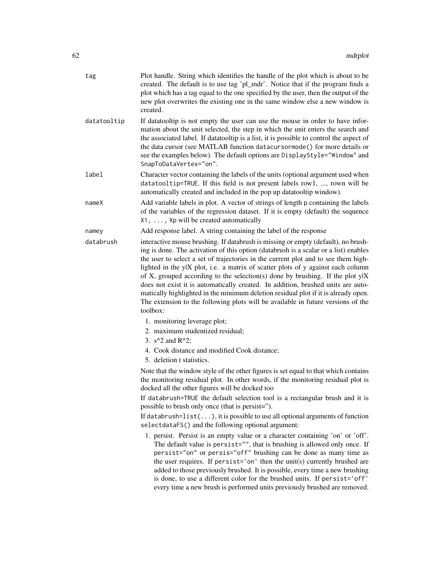| tag         | Plot handle. String which identifies the handle of the plot which is about to be<br>created. The default is to use tag 'pl_mdr'. Notice that if the program finds a<br>plot which has a tag equal to the one specified by the user, then the output of the<br>new plot overwrites the existing one in the same window else a new window is<br>created.                                                                                                                                                                                                                                                                                                                                                           |
|-------------|------------------------------------------------------------------------------------------------------------------------------------------------------------------------------------------------------------------------------------------------------------------------------------------------------------------------------------------------------------------------------------------------------------------------------------------------------------------------------------------------------------------------------------------------------------------------------------------------------------------------------------------------------------------------------------------------------------------|
| datatooltip | If datatooltip is not empty the user can use the mouse in order to have infor-<br>mation about the unit selected, the step in which the unit enters the search and<br>the associated label. If datatooltip is a list, it is possible to control the aspect of<br>the data cursor (see MATLAB function datacursormode () for more details or<br>see the examples below). The default options are DisplayStyle="Window" and<br>SnapToDataVertex="on".                                                                                                                                                                                                                                                              |
| label       | Character vector containing the labels of the units (optional argument used when<br>datatooltip=TRUE. If this field is not present labels row1, , rown will be<br>automatically created and included in the pop up datatooltip window).                                                                                                                                                                                                                                                                                                                                                                                                                                                                          |
| nameX       | Add variable labels in plot. A vector of strings of length p containing the labels<br>of the variables of the regression dataset. If it is empty (default) the sequence<br>X1, , Xp will be created automatically                                                                                                                                                                                                                                                                                                                                                                                                                                                                                                |
| namey       | Add response label. A string containing the label of the response                                                                                                                                                                                                                                                                                                                                                                                                                                                                                                                                                                                                                                                |
| databrush   | interactive mouse brushing. If databrush is missing or empty (default), no brush-<br>ing is done. The activation of this option (databrush is a scalar or a list) enables<br>the user to select a set of trajectories in the current plot and to see them high-<br>lighted in the ylX plot, i.e. a matrix of scatter plots of y against each column<br>of X, grouped according to the selection(s) done by brushing. If the plot $y X$<br>does not exist it is automatically created. In addition, brushed units are auto-<br>matically highlighted in the minimum deletion residual plot if it is already open.<br>The extension to the following plots will be available in future versions of the<br>toolbox: |
|             | 1. monitoring leverage plot;                                                                                                                                                                                                                                                                                                                                                                                                                                                                                                                                                                                                                                                                                     |
|             | 2. maximum studentized residual;                                                                                                                                                                                                                                                                                                                                                                                                                                                                                                                                                                                                                                                                                 |
|             | 3. $s^2$ and R <sup><math>2</math></sup> ;                                                                                                                                                                                                                                                                                                                                                                                                                                                                                                                                                                                                                                                                       |
|             | 4. Cook distance and modified Cook distance;<br>5. deletion t statistics.                                                                                                                                                                                                                                                                                                                                                                                                                                                                                                                                                                                                                                        |
|             | Note that the window style of the other figures is set equal to that which contains<br>the monitoring residual plot. In other words, if the monitoring residual plot is<br>docked all the other figures will be docked too                                                                                                                                                                                                                                                                                                                                                                                                                                                                                       |
|             | If databrush=TRUE the default selection tool is a rectangular brush and it is<br>possible to brush only once (that is persist=").                                                                                                                                                                                                                                                                                                                                                                                                                                                                                                                                                                                |
|             | If databrush= $list()$ , it is possible to use all optional arguments of function<br>selectdataFS() and the following optional argument:                                                                                                                                                                                                                                                                                                                                                                                                                                                                                                                                                                         |
|             | 1. persist. Persist is an empty value or a character containing 'on' or 'off'.<br>The default value is persist="", that is brushing is allowed only once. If<br>persist="on" or persis="off" brushing can be done as many time as<br>the user requires. If persist='on' then the unit(s) currently brushed are<br>added to those previously brushed. It is possible, every time a new brushing<br>is done, to use a different color for the brushed units. If persist='off'<br>every time a new brush is performed units previously brushed are removed.                                                                                                                                                         |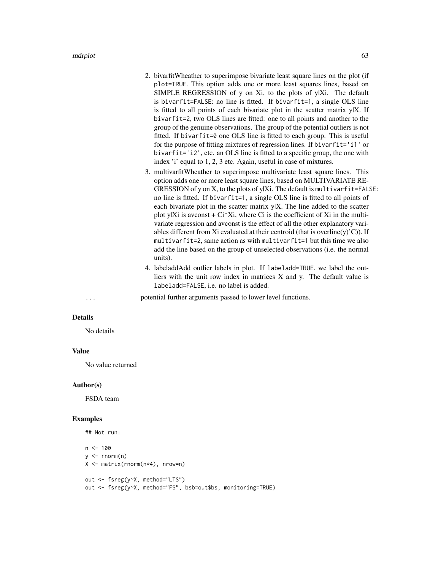mdrplot 63

- 2. bivarfitWheather to superimpose bivariate least square lines on the plot (if plot=TRUE. This option adds one or more least squares lines, based on SIMPLE REGRESSION of y on  $Xi$ , to the plots of y|Xi. The default is bivarfit=FALSE: no line is fitted. If bivarfit=1, a single OLS line is fitted to all points of each bivariate plot in the scatter matrix y|X. If bivarfit=2, two OLS lines are fitted: one to all points and another to the group of the genuine observations. The group of the potential outliers is not fitted. If bivarfit=0 one OLS line is fitted to each group. This is useful for the purpose of fitting mixtures of regression lines. If bivarfit='i1' or bivarfit='i2', etc. an OLS line is fitted to a specific group, the one with index 'i' equal to 1, 2, 3 etc. Again, useful in case of mixtures.
- 3. multivarfitWheather to superimpose multivariate least square lines. This option adds one or more least square lines, based on MULTIVARIATE RE-GRESSION of y on X, to the plots of y|Xi. The default is multivarfit=FALSE: no line is fitted. If bivarfit=1, a single OLS line is fitted to all points of each bivariate plot in the scatter matrix y|X. The line added to the scatter plot y|Xi is avconst  $+ Ci^*Xi$ , where Ci is the coefficient of Xi in the multivariate regression and avconst is the effect of all the other explanatory variables different from Xi evaluated at their centroid (that is overline(y)'C)). If multivarfit=2, same action as with multivarfit=1 but this time we also add the line based on the group of unselected observations (i.e. the normal units).
- 4. labeladdAdd outlier labels in plot. If labeladd=TRUE, we label the outliers with the unit row index in matrices X and y. The default value is labeladd=FALSE, i.e. no label is added.

## ... potential further arguments passed to lower level functions.

## Details

No details

### Value

No value returned

#### Author(s)

FSDA team

### Examples

```
## Not run:
n <- 100
y \le - rnorm(n)X <- matrix(rnorm(n*4), nrow=n)
out <- fsreg(y~X, method="LTS")
out <- fsreg(y~X, method="FS", bsb=out$bs, monitoring=TRUE)
```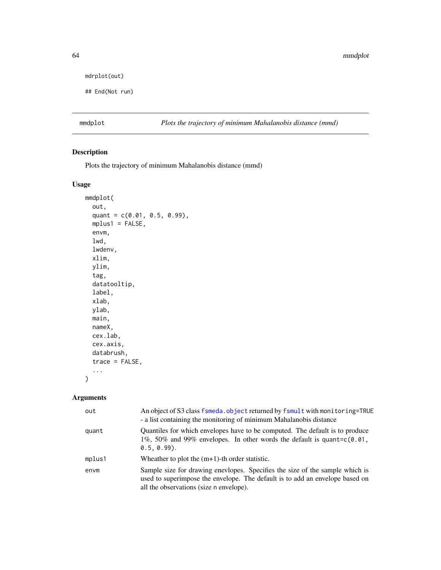```
mdrplot(out)
```

```
## End(Not run)
```
mmdplot *Plots the trajectory of minimum Mahalanobis distance (mmd)*

# Description

Plots the trajectory of minimum Mahalanobis distance (mmd)

# Usage

```
mmdplot(
  out,
  quant = c(0.01, 0.5, 0.99),
 mplus1 = FALSE,
  envm,
  lwd,
  lwdenv,
  xlim,
 ylim,
  tag,
  datatooltip,
  label,
  xlab,
 ylab,
 main,
 nameX,
 cex.lab,
  cex.axis,
  databrush,
  trace = FALSE,
  ...
)
```

| out    | An object of S3 class fsmeda. object returned by fsmult with monitoring=TRUE<br>- a list containing the monitoring of minimum Mahalanobis distance                                                      |
|--------|---------------------------------------------------------------------------------------------------------------------------------------------------------------------------------------------------------|
| quant  | Quantiles for which envelopes have to be computed. The default is to produce<br>1%, 50% and 99% envelopes. In other words the default is quant= $c(0.01)$ ,<br>$0.5.0.99$ .                             |
| mplus1 | Wheather to plot the $(m+1)$ -th order statistic.                                                                                                                                                       |
| envm   | Sample size for drawing enevlopes. Specifies the size of the sample which is<br>used to superimpose the envelope. The default is to add an envelope based on<br>all the observations (size n envelope). |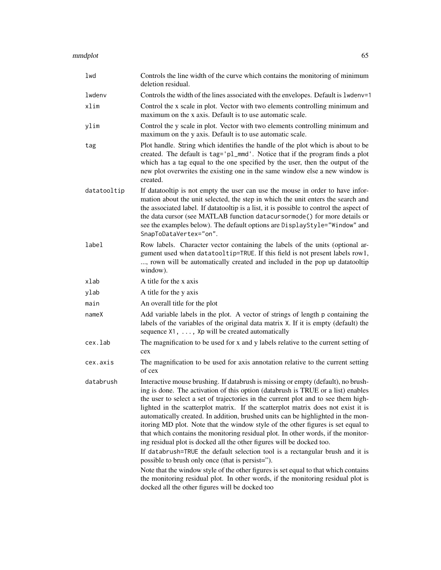| lwd         | Controls the line width of the curve which contains the monitoring of minimum<br>deletion residual.                                                                                                                                                                                                                                                                                                                                                                                                                                                                                                                                                                                                                                                                                                                                                                                                                                                                                                                                                       |
|-------------|-----------------------------------------------------------------------------------------------------------------------------------------------------------------------------------------------------------------------------------------------------------------------------------------------------------------------------------------------------------------------------------------------------------------------------------------------------------------------------------------------------------------------------------------------------------------------------------------------------------------------------------------------------------------------------------------------------------------------------------------------------------------------------------------------------------------------------------------------------------------------------------------------------------------------------------------------------------------------------------------------------------------------------------------------------------|
| lwdenv      | Controls the width of the lines associated with the envelopes. Default is 1wdenv=1                                                                                                                                                                                                                                                                                                                                                                                                                                                                                                                                                                                                                                                                                                                                                                                                                                                                                                                                                                        |
| xlim        | Control the x scale in plot. Vector with two elements controlling minimum and<br>maximum on the x axis. Default is to use automatic scale.                                                                                                                                                                                                                                                                                                                                                                                                                                                                                                                                                                                                                                                                                                                                                                                                                                                                                                                |
| ylim        | Control the y scale in plot. Vector with two elements controlling minimum and<br>maximum on the y axis. Default is to use automatic scale.                                                                                                                                                                                                                                                                                                                                                                                                                                                                                                                                                                                                                                                                                                                                                                                                                                                                                                                |
| tag         | Plot handle. String which identifies the handle of the plot which is about to be<br>created. The default is tag='pl_mmd'. Notice that if the program finds a plot<br>which has a tag equal to the one specified by the user, then the output of the<br>new plot overwrites the existing one in the same window else a new window is<br>created.                                                                                                                                                                                                                                                                                                                                                                                                                                                                                                                                                                                                                                                                                                           |
| datatooltip | If datatooltip is not empty the user can use the mouse in order to have infor-<br>mation about the unit selected, the step in which the unit enters the search and<br>the associated label. If datatooltip is a list, it is possible to control the aspect of<br>the data cursor (see MATLAB function datacursormode() for more details or<br>see the examples below). The default options are DisplayStyle="Window" and<br>SnapToDataVertex="on".                                                                                                                                                                                                                                                                                                                                                                                                                                                                                                                                                                                                        |
| label       | Row labels. Character vector containing the labels of the units (optional ar-<br>gument used when datatooltip=TRUE. If this field is not present labels row1,<br>, rown will be automatically created and included in the pop up datatooltip<br>window).                                                                                                                                                                                                                                                                                                                                                                                                                                                                                                                                                                                                                                                                                                                                                                                                  |
| xlab        | A title for the x axis                                                                                                                                                                                                                                                                                                                                                                                                                                                                                                                                                                                                                                                                                                                                                                                                                                                                                                                                                                                                                                    |
| ylab        | A title for the y axis                                                                                                                                                                                                                                                                                                                                                                                                                                                                                                                                                                                                                                                                                                                                                                                                                                                                                                                                                                                                                                    |
| main        | An overall title for the plot                                                                                                                                                                                                                                                                                                                                                                                                                                                                                                                                                                                                                                                                                                                                                                                                                                                                                                                                                                                                                             |
| nameX       | Add variable labels in the plot. A vector of strings of length p containing the<br>labels of the variables of the original data matrix X. If it is empty (default) the<br>sequence X1, , Xp will be created automatically                                                                                                                                                                                                                                                                                                                                                                                                                                                                                                                                                                                                                                                                                                                                                                                                                                 |
| cex.lab     | The magnification to be used for x and y labels relative to the current setting of<br>cex                                                                                                                                                                                                                                                                                                                                                                                                                                                                                                                                                                                                                                                                                                                                                                                                                                                                                                                                                                 |
| cex.axis    | The magnification to be used for axis annotation relative to the current setting<br>of cex                                                                                                                                                                                                                                                                                                                                                                                                                                                                                                                                                                                                                                                                                                                                                                                                                                                                                                                                                                |
| databrush   | Interactive mouse brushing. If databrush is missing or empty (default), no brush-<br>ing is done. The activation of this option (databrush is TRUE or a list) enables<br>the user to select a set of trajectories in the current plot and to see them high-<br>lighted in the scatterplot matrix. If the scatterplot matrix does not exist it is<br>automatically created. In addition, brushed units can be highlighted in the mon-<br>itoring MD plot. Note that the window style of the other figures is set equal to<br>that which contains the monitoring residual plot. In other words, if the monitor-<br>ing residual plot is docked all the other figures will be docked too.<br>If databrush=TRUE the default selection tool is a rectangular brush and it is<br>possible to brush only once (that is persist=").<br>Note that the window style of the other figures is set equal to that which contains<br>the monitoring residual plot. In other words, if the monitoring residual plot is<br>docked all the other figures will be docked too |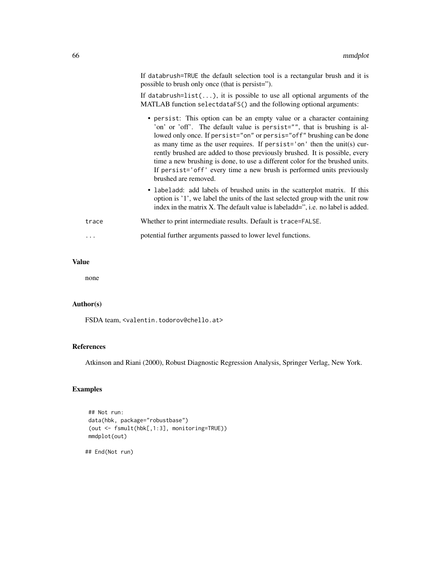|       | If databrush=TRUE the default selection tool is a rectangular brush and it is<br>possible to brush only once (that is persist=").                                                                                                                                                                                                                                                                                                                                                                                                                                      |
|-------|------------------------------------------------------------------------------------------------------------------------------------------------------------------------------------------------------------------------------------------------------------------------------------------------------------------------------------------------------------------------------------------------------------------------------------------------------------------------------------------------------------------------------------------------------------------------|
|       | If databrush= $list()$ , it is possible to use all optional arguments of the<br>MATLAB function selectdataFS() and the following optional arguments:                                                                                                                                                                                                                                                                                                                                                                                                                   |
|       | • persist: This option can be an empty value or a character containing<br>'on' or 'off'. The default value is persist="", that is brushing is al-<br>lowed only once. If persist="on" or persis="off" brushing can be done<br>as many time as the user requires. If persist='on' then the unit(s) cur-<br>rently brushed are added to those previously brushed. It is possible, every<br>time a new brushing is done, to use a different color for the brushed units.<br>If persist='off' every time a new brush is performed units previously<br>brushed are removed. |
|       | • labeladd: add labels of brushed units in the scatterplot matrix. If this<br>option is '1', we label the units of the last selected group with the unit row<br>index in the matrix X. The default value is labeladd=", i.e. no label is added.                                                                                                                                                                                                                                                                                                                        |
| trace | Whether to print intermediate results. Default is trace=FALSE.                                                                                                                                                                                                                                                                                                                                                                                                                                                                                                         |
| .     | potential further arguments passed to lower level functions.                                                                                                                                                                                                                                                                                                                                                                                                                                                                                                           |

# Value

none

# Author(s)

FSDA team, <valentin.todorov@chello.at>

# References

Atkinson and Riani (2000), Robust Diagnostic Regression Analysis, Springer Verlag, New York.

# Examples

```
## Not run:
data(hbk, package="robustbase")
(out <- fsmult(hbk[,1:3], monitoring=TRUE))
mmdplot(out)
```
## End(Not run)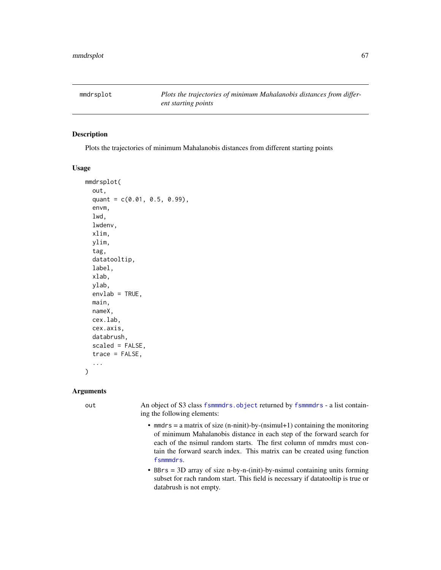# Description

Plots the trajectories of minimum Mahalanobis distances from different starting points

### Usage

```
mmdrsplot(
  out,
  quant = c(0.01, 0.5, 0.99),
  envm,
  lwd,
  lwdenv,
  xlim,
 ylim,
  tag,
  datatooltip,
  label,
  xlab,
 ylab,
  envlab = TRUE,main,
 nameX,
  cex.lab,
  cex.axis,
  databrush,
  scaled = FALSE,
  trace = FALSE,
  ...
)
```
### Arguments

out An object of S3 class [fsmmmdrs.object](#page-18-0) returned by [fsmmmdrs](#page-15-0) - a list containing the following elements:

- mmdrs = a matrix of size (n-ninit)-by-(nsimul+1) containing the monitoring of minimum Mahalanobis distance in each step of the forward search for each of the nsimul random starts. The first column of mmdrs must contain the forward search index. This matrix can be created using function [fsmmmdrs](#page-15-0).
- BBrs = 3D array of size n-by-n-(init)-by-nsimul containing units forming subset for rach random start. This field is necessary if datatooltip is true or databrush is not empty.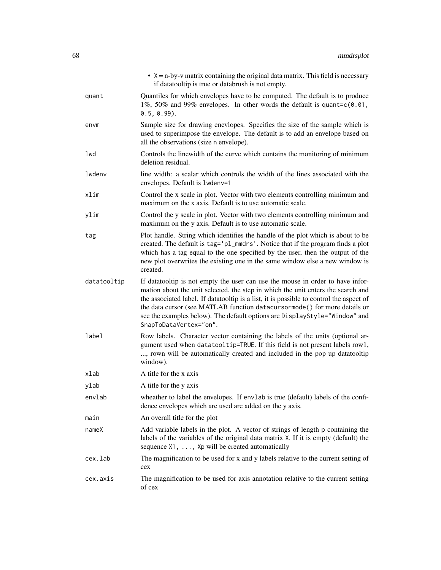|             | $\bullet$ X = n-by-v matrix containing the original data matrix. This field is necessary<br>if datatooltip is true or databrush is not empty.                                                                                                                                                                                                                                                                                                       |
|-------------|-----------------------------------------------------------------------------------------------------------------------------------------------------------------------------------------------------------------------------------------------------------------------------------------------------------------------------------------------------------------------------------------------------------------------------------------------------|
| quant       | Quantiles for which envelopes have to be computed. The default is to produce<br>1%, 50% and 99% envelopes. In other words the default is quant= $c(0.01, 1.00)$<br>$0.5, 0.99$ ).                                                                                                                                                                                                                                                                   |
| envm        | Sample size for drawing enevlopes. Specifies the size of the sample which is<br>used to superimpose the envelope. The default is to add an envelope based on<br>all the observations (size n envelope).                                                                                                                                                                                                                                             |
| lwd         | Controls the linewidth of the curve which contains the monitoring of minimum<br>deletion residual.                                                                                                                                                                                                                                                                                                                                                  |
| lwdenv      | line width: a scalar which controls the width of the lines associated with the<br>envelopes. Default is 1wdenv=1                                                                                                                                                                                                                                                                                                                                    |
| xlim        | Control the x scale in plot. Vector with two elements controlling minimum and<br>maximum on the x axis. Default is to use automatic scale.                                                                                                                                                                                                                                                                                                          |
| ylim        | Control the y scale in plot. Vector with two elements controlling minimum and<br>maximum on the y axis. Default is to use automatic scale.                                                                                                                                                                                                                                                                                                          |
| tag         | Plot handle. String which identifies the handle of the plot which is about to be<br>created. The default is tag='pl_mmdrs'. Notice that if the program finds a plot<br>which has a tag equal to the one specified by the user, then the output of the<br>new plot overwrites the existing one in the same window else a new window is<br>created.                                                                                                   |
| datatooltip | If datatooltip is not empty the user can use the mouse in order to have infor-<br>mation about the unit selected, the step in which the unit enters the search and<br>the associated label. If datatooltip is a list, it is possible to control the aspect of<br>the data cursor (see MATLAB function datacursormode () for more details or<br>see the examples below). The default options are DisplayStyle="Window" and<br>SnapToDataVertex="on". |
| label       | Row labels. Character vector containing the labels of the units (optional ar-<br>gument used when datatooltip=TRUE. If this field is not present labels row1,<br>, rown will be automatically created and included in the pop up datatooltip<br>window).                                                                                                                                                                                            |
| xlab        | A title for the x axis                                                                                                                                                                                                                                                                                                                                                                                                                              |
| ylab        | A title for the y axis                                                                                                                                                                                                                                                                                                                                                                                                                              |
| envlab      | wheather to label the envelopes. If envlab is true (default) labels of the confi-<br>dence envelopes which are used are added on the y axis.                                                                                                                                                                                                                                                                                                        |
| main        | An overall title for the plot                                                                                                                                                                                                                                                                                                                                                                                                                       |
| nameX       | Add variable labels in the plot. A vector of strings of length p containing the<br>labels of the variables of the original data matrix X. If it is empty (default) the<br>sequence X1, , Xp will be created automatically                                                                                                                                                                                                                           |
| cex.lab     | The magnification to be used for x and y labels relative to the current setting of<br>cex                                                                                                                                                                                                                                                                                                                                                           |
| cex.axis    | The magnification to be used for axis annotation relative to the current setting<br>of cex                                                                                                                                                                                                                                                                                                                                                          |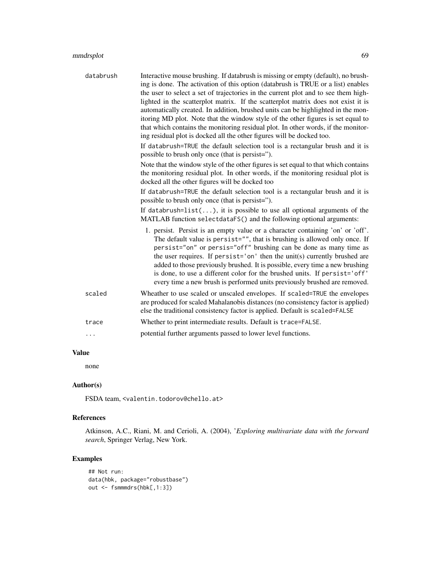| databrush | Interactive mouse brushing. If databrush is missing or empty (default), no brush-<br>ing is done. The activation of this option (databrush is TRUE or a list) enables<br>the user to select a set of trajectories in the current plot and to see them high-<br>lighted in the scatterplot matrix. If the scatterplot matrix does not exist it is<br>automatically created. In addition, brushed units can be highlighted in the mon-<br>itoring MD plot. Note that the window style of the other figures is set equal to<br>that which contains the monitoring residual plot. In other words, if the monitor-<br>ing residual plot is docked all the other figures will be docked too.<br>If databrush=TRUE the default selection tool is a rectangular brush and it is<br>possible to brush only once (that is persist=").<br>Note that the window style of the other figures is set equal to that which contains<br>the monitoring residual plot. In other words, if the monitoring residual plot is<br>docked all the other figures will be docked too |
|-----------|-----------------------------------------------------------------------------------------------------------------------------------------------------------------------------------------------------------------------------------------------------------------------------------------------------------------------------------------------------------------------------------------------------------------------------------------------------------------------------------------------------------------------------------------------------------------------------------------------------------------------------------------------------------------------------------------------------------------------------------------------------------------------------------------------------------------------------------------------------------------------------------------------------------------------------------------------------------------------------------------------------------------------------------------------------------|
|           | If databrush=TRUE the default selection tool is a rectangular brush and it is<br>possible to brush only once (that is persist=").                                                                                                                                                                                                                                                                                                                                                                                                                                                                                                                                                                                                                                                                                                                                                                                                                                                                                                                         |
|           | If databrush= $list()$ , it is possible to use all optional arguments of the<br>MATLAB function selectdataFS() and the following optional arguments:                                                                                                                                                                                                                                                                                                                                                                                                                                                                                                                                                                                                                                                                                                                                                                                                                                                                                                      |
|           | 1. persist. Persist is an empty value or a character containing 'on' or 'off'.<br>The default value is persist="", that is brushing is allowed only once. If<br>persist="on" or persis="off" brushing can be done as many time as<br>the user requires. If persist='on' then the unit(s) currently brushed are<br>added to those previously brushed. It is possible, every time a new brushing<br>is done, to use a different color for the brushed units. If persist='off'<br>every time a new brush is performed units previously brushed are removed.                                                                                                                                                                                                                                                                                                                                                                                                                                                                                                  |
| scaled    | Wheather to use scaled or unscaled envelopes. If scaled=TRUE the envelopes<br>are produced for scaled Mahalanobis distances (no consistency factor is applied)<br>else the traditional consistency factor is applied. Default is scaled=FALSE                                                                                                                                                                                                                                                                                                                                                                                                                                                                                                                                                                                                                                                                                                                                                                                                             |
| trace     | Whether to print intermediate results. Default is trace=FALSE.                                                                                                                                                                                                                                                                                                                                                                                                                                                                                                                                                                                                                                                                                                                                                                                                                                                                                                                                                                                            |
| .         | potential further arguments passed to lower level functions.                                                                                                                                                                                                                                                                                                                                                                                                                                                                                                                                                                                                                                                                                                                                                                                                                                                                                                                                                                                              |

# Value

none

# Author(s)

FSDA team, <valentin.todorov@chello.at>

# References

Atkinson, A.C., Riani, M. and Cerioli, A. (2004), '*Exploring multivariate data with the forward search*, Springer Verlag, New York.

# Examples

```
## Not run:
data(hbk, package="robustbase")
out <- fsmmmdrs(hbk[,1:3])
```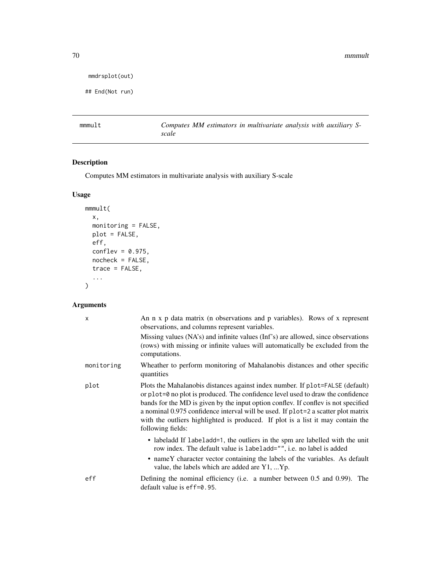70 mmmult

```
mmdrsplot(out)
```

```
## End(Not run)
```
<span id="page-69-0"></span>mmmult *Computes MM estimators in multivariate analysis with auxiliary Sscale*

# Description

Computes MM estimators in multivariate analysis with auxiliary S-scale

# Usage

```
mmmult(
 x,
 monitoring = FALSE,
 plot = FALSE,
 eff,
 conflev = 0.975,
 nocheck = FALSE,
  trace = FALSE,
  ...
)
```

| X          | An n x p data matrix (n observations and p variables). Rows of x represent<br>observations, and columns represent variables.                                                                                                                                                                                                                                                                                                                        |
|------------|-----------------------------------------------------------------------------------------------------------------------------------------------------------------------------------------------------------------------------------------------------------------------------------------------------------------------------------------------------------------------------------------------------------------------------------------------------|
|            | Missing values (NA's) and infinite values (Inf's) are allowed, since observations<br>(rows) with missing or infinite values will automatically be excluded from the<br>computations.                                                                                                                                                                                                                                                                |
| monitoring | Wheather to perform monitoring of Mahalanobis distances and other specific<br>quantities                                                                                                                                                                                                                                                                                                                                                            |
| plot       | Plots the Mahalanobis distances against index number. If plot=FALSE (default)<br>or plot=0 no plot is produced. The confidence level used to draw the confidence<br>bands for the MD is given by the input option conflev. If conflev is not specified<br>a nominal 0.975 confidence interval will be used. If plot=2 a scatter plot matrix<br>with the outliers highlighted is produced. If plot is a list it may contain the<br>following fields: |
|            | • labeladd If labeladd=1, the outliers in the spm are labelled with the unit<br>row index. The default value is labeladd="", i.e. no label is added<br>• name Y character vector containing the labels of the variables. As default<br>value, the labels which are added are Y1, Yp.                                                                                                                                                                |
| eff        | Defining the nominal efficiency (i.e. a number between 0.5 and 0.99). The<br>default value is $eff=0.95$ .                                                                                                                                                                                                                                                                                                                                          |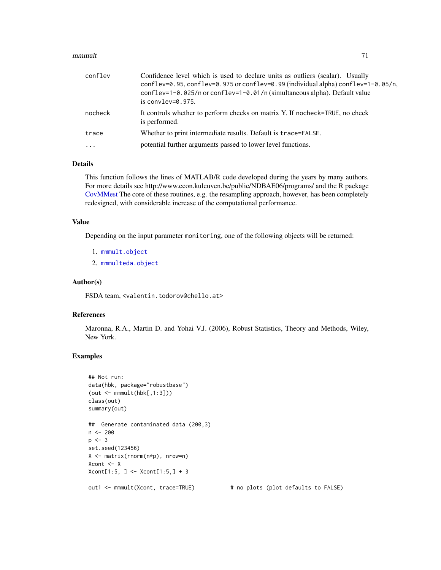### $mmmult$   $71$

| conflev   | Confidence level which is used to declare units as outliers (scalar). Usually<br>conflev=0.95, conflev=0.975 or conflev=0.99 (individual alpha) conflev=1-0.05/n,<br>conflev=1-0.025/n or conflev=1-0.01/n (simultaneous alpha). Default value<br>is convley= $0.975$ . |
|-----------|-------------------------------------------------------------------------------------------------------------------------------------------------------------------------------------------------------------------------------------------------------------------------|
| nocheck   | It controls whether to perform checks on matrix Y. If nocheck=TRUE, no check<br>is performed.                                                                                                                                                                           |
| trace     | Whether to print intermediate results. Default is trace=FALSE.                                                                                                                                                                                                          |
| $\ddotsc$ | potential further arguments passed to lower level functions.                                                                                                                                                                                                            |

# Details

This function follows the lines of MATLAB/R code developed during the years by many authors. For more details see http://www.econ.kuleuven.be/public/NDBAE06/programs/ and the R package [CovMMest](#page-0-0) The core of these routines, e.g. the resampling approach, however, has been completely redesigned, with considerable increase of the computational performance.

### Value

Depending on the input parameter monitoring, one of the following objects will be returned:

- 1. [mmmult.object](#page-71-0)
- 2. [mmmulteda.object](#page-72-0)

## Author(s)

FSDA team, <valentin.todorov@chello.at>

# References

Maronna, R.A., Martin D. and Yohai V.J. (2006), Robust Statistics, Theory and Methods, Wiley, New York.

# Examples

```
## Not run:
data(hbk, package="robustbase")
(out < - mmmult(hbk[, 1:3])class(out)
summary(out)
## Generate contaminated data (200,3)
n <- 200
p \le -3set.seed(123456)
X <- matrix(rnorm(n*p), nrow=n)
Xcont <- X
Xcont[1:5, ] <- Xcont[1:5,] + 3
out1 <- mmmult(Xcont, trace=TRUE) # no plots (plot defaults to FALSE)
```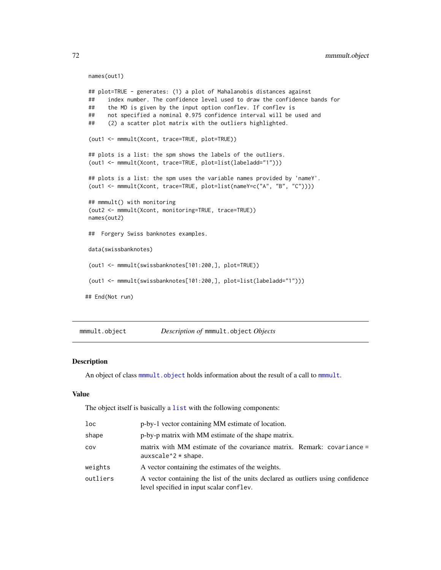```
names(out1)
## plot=TRUE - generates: (1) a plot of Mahalanobis distances against
## index number. The confidence level used to draw the confidence bands for
## the MD is given by the input option conflev. If conflev is
      not specified a nominal 0.975 confidence interval will be used and
## (2) a scatter plot matrix with the outliers highlighted.
(out1 <- mmmult(Xcont, trace=TRUE, plot=TRUE))
## plots is a list: the spm shows the labels of the outliers.
(out1 <- mmmult(Xcont, trace=TRUE, plot=list(labeladd="1")))
## plots is a list: the spm uses the variable names provided by 'nameY'.
(out1 <- mmmult(Xcont, trace=TRUE, plot=list(nameY=c("A", "B", "C"))))
## mmmult() with monitoring
(out2 <- mmmult(Xcont, monitoring=TRUE, trace=TRUE))
names(out2)
## Forgery Swiss banknotes examples.
data(swissbanknotes)
(out1 <- mmmult(swissbanknotes[101:200,], plot=TRUE))
(out1 <- mmmult(swissbanknotes[101:200,], plot=list(labeladd="1")))
## End(Not run)
```
<span id="page-71-0"></span>mmmult.object *Description of* mmmult.object *Objects*

### Description

An object of class [mmmult.object](#page-71-0) holds information about the result of a call to [mmmult](#page-69-0).

### Value

The object itself is basically a [list](#page-0-0) with the following components:

| loc      | p-by-1 vector containing MM estimate of location.                                                                           |
|----------|-----------------------------------------------------------------------------------------------------------------------------|
| shape    | p-by-p matrix with MM estimate of the shape matrix.                                                                         |
| cov      | matrix with MM estimate of the covariance matrix. Remark: covariance =<br>auxscale $2 *$ shape.                             |
| weights  | A vector containing the estimates of the weights.                                                                           |
| outliers | A vector containing the list of the units declared as outliers using confidence<br>level specified in input scalar conflev. |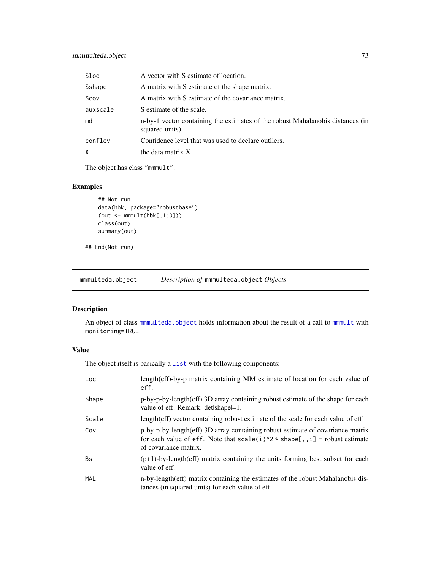| Sloc     | A vector with S estimate of location.                                                             |
|----------|---------------------------------------------------------------------------------------------------|
| Sshape   | A matrix with S estimate of the shape matrix.                                                     |
| Scov     | A matrix with S estimate of the covariance matrix.                                                |
| auxscale | S estimate of the scale.                                                                          |
| md       | n-by-1 vector containing the estimates of the robust Mahalanobis distances (in<br>squared units). |
| conflev  | Confidence level that was used to declare outliers.                                               |
| χ        | the data matrix X                                                                                 |

The object has class "mmmult".

## Examples

```
## Not run:
data(hbk, package="robustbase")
(out < - mmmult(hbk[, 1:3])class(out)
summary(out)
```

```
## End(Not run)
```
<span id="page-72-0"></span>mmmulteda.object *Description of* mmmulteda.object *Objects*

# Description

An object of class [mmmulteda.object](#page-72-0) holds information about the result of a call to [mmmult](#page-69-0) with monitoring=TRUE.

### Value

| Loc       | length(eff)-by-p matrix containing MM estimate of location for each value of<br>eff.                                                                                                    |
|-----------|-----------------------------------------------------------------------------------------------------------------------------------------------------------------------------------------|
| Shape     | p-by-p-by-length(eff) 3D array containing robust estimate of the shape for each<br>value of eff. Remark: det/shapel=1.                                                                  |
| Scale     | length(eff) vector containing robust estimate of the scale for each value of eff.                                                                                                       |
| Cov       | p-by-p-by-length(eff) 3D array containing robust estimate of covariance matrix<br>for each value of eff. Note that $scale(i)^2 * shape[, i] = robust estimate$<br>of covariance matrix. |
| <b>Bs</b> | $(p+1)$ -by-length(eff) matrix containing the units forming best subset for each<br>value of eff.                                                                                       |
| MAL       | n-by-length (eff) matrix containing the estimates of the robust Mahalanobis dis-<br>tances (in squared units) for each value of eff.                                                    |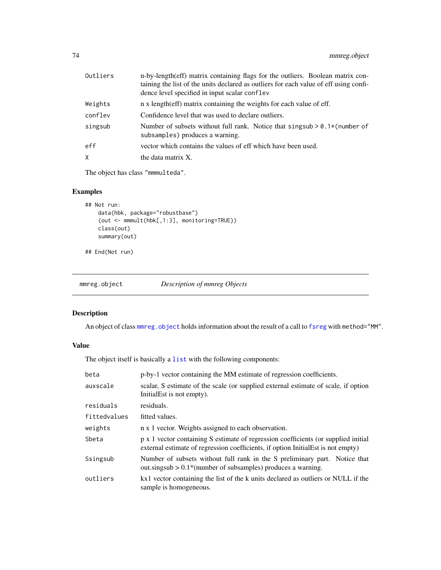| Outliers | n-by-length(eff) matrix containing flags for the outliers. Boolean matrix con-<br>taining the list of the units declared as outliers for each value of eff using confi-<br>dence level specified in input scalar conflev |
|----------|--------------------------------------------------------------------------------------------------------------------------------------------------------------------------------------------------------------------------|
| Weights  | n x length (eff) matrix containing the weights for each value of eff.                                                                                                                                                    |
| conflev  | Confidence level that was used to declare outliers.                                                                                                                                                                      |
| singsub  | Number of subsets without full rank. Notice that singsub $> 0.1$ * (number of<br>subsamples) produces a warning.                                                                                                         |
| eff      | vector which contains the values of eff which have been used.                                                                                                                                                            |
| X.       | the data matrix X.                                                                                                                                                                                                       |

The object has class "mmmulteda".

## Examples

```
## Not run:
   data(hbk, package="robustbase")
    (out <- mmmult(hbk[,1:3], monitoring=TRUE))
   class(out)
   summary(out)
```
## End(Not run)

<span id="page-73-0"></span>

| mmreg.object | Description of mmreg Objects |  |
|--------------|------------------------------|--|
|              |                              |  |

## Description

An object of class [mmreg.object](#page-73-0) holds information about the result of a call to [fsreg](#page-29-0) with method="MM".

### Value

| beta         | p-by-1 vector containing the MM estimate of regression coefficients.                                                                                                    |
|--------------|-------------------------------------------------------------------------------------------------------------------------------------------------------------------------|
| auxscale     | scalar, S estimate of the scale (or supplied external estimate of scale, if option<br>Initial Est is not empty).                                                        |
| residuals    | residuals.                                                                                                                                                              |
| fittedvalues | fitted values.                                                                                                                                                          |
| weights      | n x 1 vector. Weights assigned to each observation.                                                                                                                     |
| Sbeta        | p x 1 vector containing S estimate of regression coefficients (or supplied initial<br>external estimate of regression coefficients, if option Initial Est is not empty) |
| Ssingsub     | Number of subsets without full rank in the S preliminary part. Notice that<br>out.singsub $> 0.1$ *(number of subsamples) produces a warning.                           |
| outliers     | kx1 vector containing the list of the k units declared as outliers or NULL if the<br>sample is homogeneous.                                                             |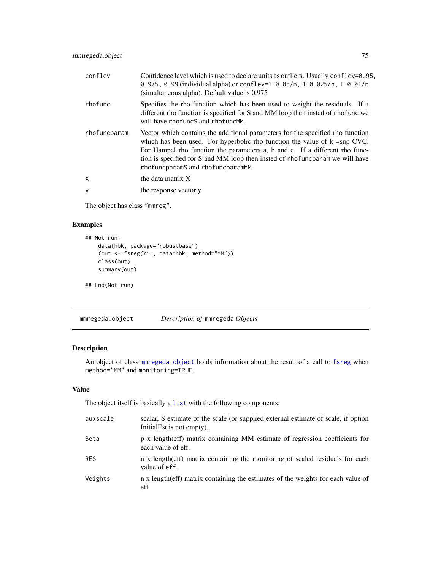| conflev      | Confidence level which is used to declare units as outliers. Usually conflev= $0.95$ ,<br>0.975, 0.99 (individual alpha) or conflev=1-0.05/n, 1-0.025/n, 1-0.01/n<br>(simultaneous alpha). Default value is 0.975                                                                                                                                                    |
|--------------|----------------------------------------------------------------------------------------------------------------------------------------------------------------------------------------------------------------------------------------------------------------------------------------------------------------------------------------------------------------------|
| rhofunc      | Specifies the rho function which has been used to weight the residuals. If a<br>different rho function is specified for S and MM loop then insted of rhofunc we<br>will have rhofuncS and rhofuncMM.                                                                                                                                                                 |
| rhofuncparam | Vector which contains the additional parameters for the specified rho function<br>which has been used. For hyperbolic rho function the value of $k = \sup CVC$ .<br>For Hampel rho function the parameters a, b and c. If a different rho func-<br>tion is specified for S and MM loop then insted of rhofuncparam we will have<br>rhofuncparamS and rhofuncparamMM. |
| X            | the data matrix X                                                                                                                                                                                                                                                                                                                                                    |
| y            | the response vector y                                                                                                                                                                                                                                                                                                                                                |

The object has class "mmreg".

## Examples

```
## Not run:
   data(hbk, package="robustbase")
   (out <- fsreg(Y~., data=hbk, method="MM"))
   class(out)
   summary(out)
## End(Not run)
```
<span id="page-74-0"></span>mmregeda.object *Description of* mmregeda *Objects*

# Description

An object of class [mmregeda.object](#page-74-0) holds information about the result of a call to [fsreg](#page-29-0) when method="MM" and monitoring=TRUE.

### Value

| auxscale   | scalar, S estimate of the scale (or supplied external estimate of scale, if option<br>Initial Est is not empty). |
|------------|------------------------------------------------------------------------------------------------------------------|
| Beta       | p x length (eff) matrix containing MM estimate of regression coefficients for<br>each value of eff.              |
| <b>RES</b> | n x length (eff) matrix containing the monitoring of scaled residuals for each<br>value of eff.                  |
| Weights    | n x length (eff) matrix containing the estimates of the weights for each value of<br>eff                         |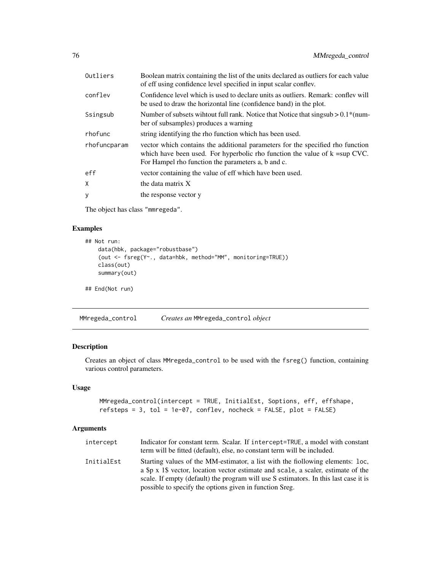| Outliers     | Boolean matrix containing the list of the units declared as outliers for each value<br>of eff using confidence level specified in input scalar conflev.                                                                 |
|--------------|-------------------------------------------------------------------------------------------------------------------------------------------------------------------------------------------------------------------------|
| conflev      | Confidence level which is used to declare units as outliers. Remark: conflev will<br>be used to draw the horizontal line (confidence band) in the plot.                                                                 |
| Ssingsub     | Number of subsets wihrout full rank. Notice that Notice that singsub $> 0.1$ <sup>*</sup> (num-<br>ber of subsamples) produces a warning                                                                                |
| rhofunc      | string identifying the rho function which has been used.                                                                                                                                                                |
| rhofuncparam | vector which contains the additional parameters for the specified rho function<br>which have been used. For hyperbolic rho function the value of $k = \sup CVC$ .<br>For Hampel rho function the parameters a, b and c. |
| eff          | vector containing the value of eff which have been used.                                                                                                                                                                |
| X            | the data matrix X                                                                                                                                                                                                       |
| y            | the response vector y                                                                                                                                                                                                   |

The object has class "mmregeda".

### Examples

```
## Not run:
   data(hbk, package="robustbase")
    (out <- fsreg(Y~., data=hbk, method="MM", monitoring=TRUE))
   class(out)
   summary(out)
## End(Not run)
```
<span id="page-75-0"></span>MMregeda\_control *Creates an* MMregeda\_control *object*

## Description

Creates an object of class MMregeda\_control to be used with the fsreg() function, containing various control parameters.

## Usage

```
MMregeda_control(intercept = TRUE, InitialEst, Soptions, eff, effshape,
refsteps = 3, tol = 1e-07, conflev, nocheck = FALSE, plot = FALSE)
```

| intercept  | Indicator for constant term. Scalar. If intercept=TRUE, a model with constant<br>term will be fitted (default), else, no constant term will be included.                                                                                                                                                               |
|------------|------------------------------------------------------------------------------------------------------------------------------------------------------------------------------------------------------------------------------------------------------------------------------------------------------------------------|
| InitialEst | Starting values of the MM-estimator, a list with the fiollowing elements: loc,<br>a \$p x 1\$ vector, location vector estimate and scale, a scaler, estimate of the<br>scale. If empty (default) the program will use S estimators. In this last case it is<br>possible to specify the options given in function Sreg. |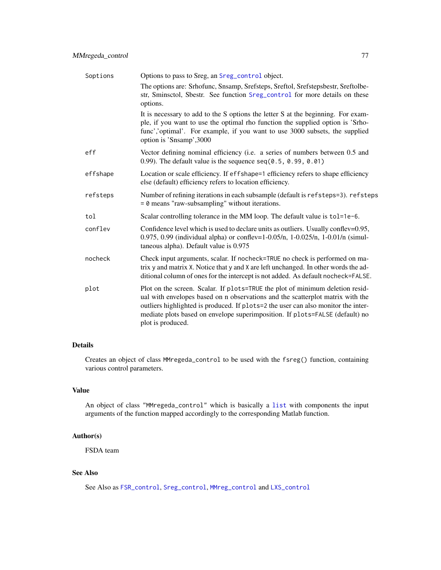| Soptions | Options to pass to Sreg, an Sreg_control object.                                                                                                                                                                                                                                                                                                          |
|----------|-----------------------------------------------------------------------------------------------------------------------------------------------------------------------------------------------------------------------------------------------------------------------------------------------------------------------------------------------------------|
|          | The options are: Srhofunc, Snsamp, Srefsteps, Sreftol, Srefstepsbestr, Sreftolbe-<br>str, Sminsctol, Sbestr. See function Sreg_control for more details on these<br>options.                                                                                                                                                                              |
|          | It is necessary to add to the S options the letter S at the beginning. For exam-<br>ple, if you want to use the optimal rho function the supplied option is 'Srho-<br>func','optimal'. For example, if you want to use 3000 subsets, the supplied<br>option is 'Snsamp', 3000                                                                             |
| eff      | Vector defining nominal efficiency (i.e. a series of numbers between 0.5 and<br>0.99). The default value is the sequence $seq(0.5, 0.99, 0.01)$                                                                                                                                                                                                           |
| effshape | Location or scale efficiency. If effshape=1 efficiency refers to shape efficiency<br>else (default) efficiency refers to location efficiency.                                                                                                                                                                                                             |
| refsteps | Number of refining iterations in each subsample (default is refsteps=3). refsteps<br>$= 0$ means "raw-subsampling" without iterations.                                                                                                                                                                                                                    |
| tol      | Scalar controlling tolerance in the MM loop. The default value is tol=1e-6.                                                                                                                                                                                                                                                                               |
| conflev  | Confidence level which is used to declare units as outliers. Usually conflev=0.95,<br>0.975, 0.99 (individual alpha) or conflev=1-0.05/n, 1-0.025/n, 1-0.01/n (simul-<br>taneous alpha). Default value is 0.975                                                                                                                                           |
| nocheck  | Check input arguments, scalar. If nocheck=TRUE no check is performed on ma-<br>trix y and matrix X. Notice that y and X are left unchanged. In other words the ad-<br>ditional column of ones for the intercept is not added. As default nocheck=FALSE.                                                                                                   |
| plot     | Plot on the screen. Scalar. If plots=TRUE the plot of minimum deletion resid-<br>ual with envelopes based on n observations and the scatterplot matrix with the<br>outliers highlighted is produced. If plots=2 the user can also monitor the inter-<br>mediate plots based on envelope superimposition. If plots=FALSE (default) no<br>plot is produced. |

Creates an object of class MMregeda\_control to be used with the fsreg() function, containing various control parameters.

### Value

An object of class "MMregeda\_control" which is basically a [list](#page-0-0) with components the input arguments of the function mapped accordingly to the corresponding Matlab function.

# Author(s)

FSDA team

# See Also

See Also as [FSR\\_control](#page-40-0), [Sreg\\_control](#page-104-0), [MMreg\\_control](#page-77-0) and [LXS\\_control](#page-50-0)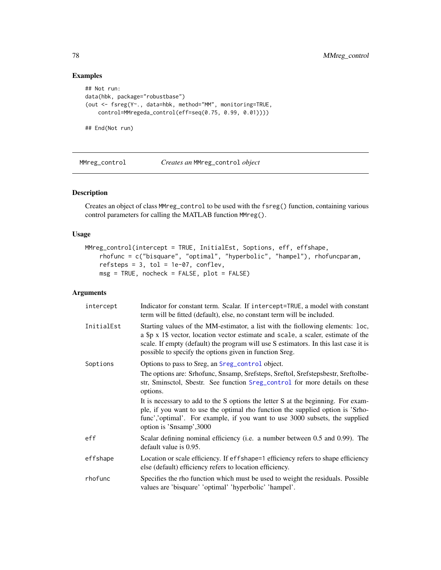## Examples

```
## Not run:
data(hbk, package="robustbase")
(out <- fsreg(Y~., data=hbk, method="MM", monitoring=TRUE,
   control=MMregeda_control(eff=seq(0.75, 0.99, 0.01))))
## End(Not run)
```
<span id="page-77-0"></span>MMreg\_control *Creates an* MMreg\_control *object*

## Description

Creates an object of class MMreg\_control to be used with the fsreg() function, containing various control parameters for calling the MATLAB function MMreg().

### Usage

```
MMreg_control(intercept = TRUE, InitialEst, Soptions, eff, effshape,
    rhofunc = c("bisquare", "optimal", "hyperbolic", "hampel"), rhofuncparam,
   refsteps = 3, tol = 1e-07, conflev,msg = TRUE, nocheck = FALSE, plot = FALSE)
```

| intercept  | Indicator for constant term. Scalar. If intercept=TRUE, a model with constant<br>term will be fitted (default), else, no constant term will be included.                                                                                                                                                               |
|------------|------------------------------------------------------------------------------------------------------------------------------------------------------------------------------------------------------------------------------------------------------------------------------------------------------------------------|
| InitialEst | Starting values of the MM-estimator, a list with the fiollowing elements: loc,<br>a \$p x 1\$ vector, location vector estimate and scale, a scaler, estimate of the<br>scale. If empty (default) the program will use S estimators. In this last case it is<br>possible to specify the options given in function Sreg. |
| Soptions   | Options to pass to Sreg, an Sreg_control object.                                                                                                                                                                                                                                                                       |
|            | The options are: Srhofunc, Snsamp, Srefsteps, Sreftol, Srefstepsbestr, Sreftolbe-<br>str, Sminsctol, Sbestr. See function Sreg_control for more details on these<br>options.                                                                                                                                           |
|            | It is necessary to add to the S options the letter S at the beginning. For exam-<br>ple, if you want to use the optimal rho function the supplied option is 'Srho-<br>func','optimal'. For example, if you want to use 3000 subsets, the supplied<br>option is 'Snsamp', 3000                                          |
| eff        | Scalar defining nominal efficiency (i.e. a number between 0.5 and 0.99). The<br>default value is 0.95.                                                                                                                                                                                                                 |
| effshape   | Location or scale efficiency. If effshape=1 efficiency refers to shape efficiency<br>else (default) efficiency refers to location efficiency.                                                                                                                                                                          |
| rhofunc    | Specifies the rho function which must be used to weight the residuals. Possible<br>values are 'bisquare' 'optimal' 'hyperbolic' 'hampel'.                                                                                                                                                                              |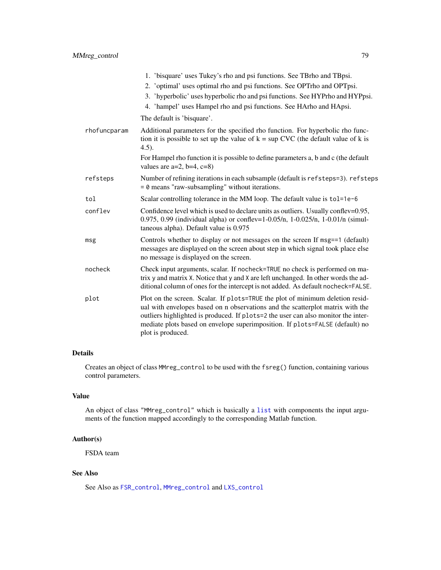|              | 1. 'bisquare' uses Tukey's rho and psi functions. See TBrho and TBpsi.<br>2. 'optimal' uses optimal rho and psi functions. See OPTrho and OPTpsi.                                                                                                                                                                                                         |
|--------------|-----------------------------------------------------------------------------------------------------------------------------------------------------------------------------------------------------------------------------------------------------------------------------------------------------------------------------------------------------------|
|              | 3. 'hyperbolic' uses hyperbolic rho and psi functions. See HYPrho and HYPpsi.                                                                                                                                                                                                                                                                             |
|              | 4. 'hampel' uses Hampel rho and psi functions. See HArho and HApsi.                                                                                                                                                                                                                                                                                       |
|              | The default is 'bisquare'.                                                                                                                                                                                                                                                                                                                                |
| rhofuncparam | Additional parameters for the specified rho function. For hyperbolic rho func-<br>tion it is possible to set up the value of $k = \sup CVC$ (the default value of k is<br>$4.5$ ).                                                                                                                                                                        |
|              | For Hampel rho function it is possible to define parameters a, b and c (the default<br>values are $a=2$ , $b=4$ , $c=8$ )                                                                                                                                                                                                                                 |
| refsteps     | Number of refining iterations in each subsample (default is refsteps=3). refsteps<br>$= 0$ means "raw-subsampling" without iterations.                                                                                                                                                                                                                    |
| tol          | Scalar controlling tolerance in the MM loop. The default value is tol=1e-6                                                                                                                                                                                                                                                                                |
| conflev      | Confidence level which is used to declare units as outliers. Usually conflev=0.95,<br>0.975, 0.99 (individual alpha) or conflev=1-0.05/n, 1-0.025/n, 1-0.01/n (simul-<br>taneous alpha). Default value is 0.975                                                                                                                                           |
| msg          | Controls whether to display or not messages on the screen If msg==1 (default)<br>messages are displayed on the screen about step in which signal took place else<br>no message is displayed on the screen.                                                                                                                                                |
| nocheck      | Check input arguments, scalar. If nocheck=TRUE no check is performed on ma-<br>trix y and matrix X. Notice that y and X are left unchanged. In other words the ad-<br>ditional column of ones for the intercept is not added. As default nocheck=FALSE.                                                                                                   |
| plot         | Plot on the screen. Scalar. If plots=TRUE the plot of minimum deletion resid-<br>ual with envelopes based on n observations and the scatterplot matrix with the<br>outliers highlighted is produced. If plots=2 the user can also monitor the inter-<br>mediate plots based on envelope superimposition. If plots=FALSE (default) no<br>plot is produced. |

Creates an object of class MMreg\_control to be used with the fsreg() function, containing various control parameters.

# Value

An object of class "MMreg\_control" which is basically a [list](#page-0-0) with components the input arguments of the function mapped accordingly to the corresponding Matlab function.

## Author(s)

FSDA team

# See Also

See Also as [FSR\\_control](#page-40-0), [MMreg\\_control](#page-77-0) and [LXS\\_control](#page-50-0)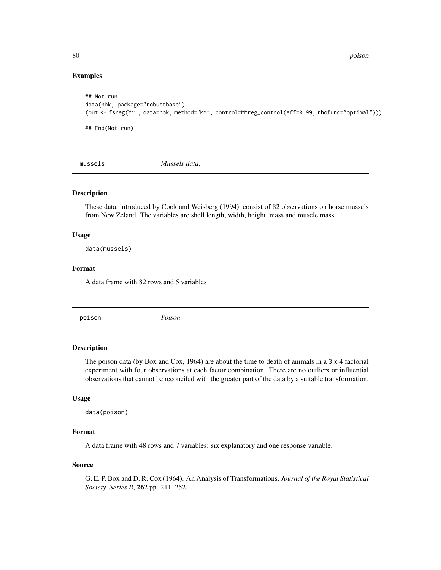80 poison

### Examples

```
## Not run:
data(hbk, package="robustbase")
(out <- fsreg(Y~., data=hbk, method="MM", control=MMreg_control(eff=0.99, rhofunc="optimal")))
## End(Not run)
```
mussels *Mussels data.*

#### Description

These data, introduced by Cook and Weisberg (1994), consist of 82 observations on horse mussels from New Zeland. The variables are shell length, width, height, mass and muscle mass

#### Usage

data(mussels)

#### Format

A data frame with 82 rows and 5 variables

poison *Poison*

## Description

The poison data (by Box and Cox, 1964) are about the time to death of animals in a 3 x 4 factorial experiment with four observations at each factor combination. There are no outliers or influential observations that cannot be reconciled with the greater part of the data by a suitable transformation.

#### Usage

```
data(poison)
```
# Format

A data frame with 48 rows and 7 variables: six explanatory and one response variable.

#### Source

G. E. P. Box and D. R. Cox (1964). An Analysis of Transformations, *Journal of the Royal Statistical Society. Series B*, 262 pp. 211–252.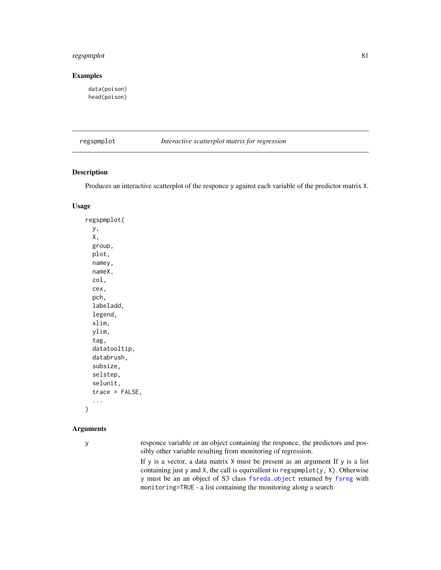# regspmplot 81

### Examples

data(poison) head(poison)

regspmplot *Interactive scatterplot matrix for regression*

### Description

Produces an interactive scatterplot of the responce y against each variable of the predictor matrix X.

### Usage

regspmplot( y, X, group, plot, namey, nameX, col, cex, pch, labeladd, legend, xlim, ylim, tag, datatooltip, databrush, subsize, selstep, selunit, trace = FALSE, ...

#### Arguments

 $\mathcal{E}$ 

y responce variable or an object containing the responce, the predictors and possibly other variable resulting from monitoring of regression.

> If y is a vector, a data matrix X must be present as an argument If y is a list containing just y and X, the call is equivallent to regspmplot(y, X). Otherwise y must be an an object of S3 class [fsreda.object](#page-25-0) returned by [fsreg](#page-29-0) with monitoring=TRUE - a list containing the monitoring along a search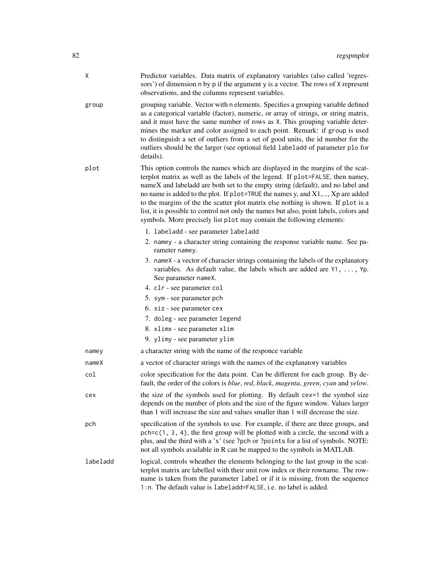| Χ        | Predictor variables. Data matrix of explanatory variables (also called 'regres-<br>sors') of dimension n by p if the argument y is a vector. The rows of X represent<br>observations, and the columns represent variables.                                                                                                                                                                                                                                                                                                                                                                  |
|----------|---------------------------------------------------------------------------------------------------------------------------------------------------------------------------------------------------------------------------------------------------------------------------------------------------------------------------------------------------------------------------------------------------------------------------------------------------------------------------------------------------------------------------------------------------------------------------------------------|
| group    | grouping variable. Vector with n elements. Specifies a grouping variable defined<br>as a categorical variable (factor), numeric, or array of strings, or string matrix,<br>and it must have the same number of rows as X. This grouping variable deter-<br>mines the marker and color assigned to each point. Remark: if group is used<br>to distinguish a set of outliers from a set of good units, the id number for the<br>outliers should be the larger (see optional field labeladd of parameter plo for<br>details).                                                                  |
| plot     | This option controls the names which are displayed in the margins of the scat-<br>terplot matrix as well as the labels of the legend. If plot=FALSE, then namey,<br>nameX and labeladd are both set to the empty string (default), and no label and<br>no name is added to the plot. If plot=TRUE the names y, and X1,, Xp are added<br>to the margins of the the scatter plot matrix else nothing is shown. If plot is a<br>list, it is possible to control not only the names but also, point labels, colors and<br>symbols. More precisely list plot may contain the following elements: |
|          | 1. labeladd - see parameter labeladd                                                                                                                                                                                                                                                                                                                                                                                                                                                                                                                                                        |
|          | 2. namey - a character string containing the response variable name. See pa-<br>rameter namey.                                                                                                                                                                                                                                                                                                                                                                                                                                                                                              |
|          | 3. nameX - a vector of character strings containing the labels of the explanatory<br>variables. As default value, the labels which are added are Y1, , Yp.<br>See parameter nameX.                                                                                                                                                                                                                                                                                                                                                                                                          |
|          | 4. clr - see parameter col                                                                                                                                                                                                                                                                                                                                                                                                                                                                                                                                                                  |
|          | 5. sym - see parameter pch                                                                                                                                                                                                                                                                                                                                                                                                                                                                                                                                                                  |
|          | 6. siz - see parameter cex                                                                                                                                                                                                                                                                                                                                                                                                                                                                                                                                                                  |
|          | 7. doleg - see parameter legend                                                                                                                                                                                                                                                                                                                                                                                                                                                                                                                                                             |
|          | 8. xlimx - see parameter xlim                                                                                                                                                                                                                                                                                                                                                                                                                                                                                                                                                               |
|          | 9. ylimy - see parameter ylim                                                                                                                                                                                                                                                                                                                                                                                                                                                                                                                                                               |
| namey    | a character string with the name of the responce variable                                                                                                                                                                                                                                                                                                                                                                                                                                                                                                                                   |
| nameX    | a vector of character strings with the names of the explanatory variables                                                                                                                                                                                                                                                                                                                                                                                                                                                                                                                   |
| col      | color specification for the data point. Can be different for each group. By de-<br>fault, the order of the colors is <i>blue</i> , red, <i>black</i> , <i>magenta</i> , <i>green</i> , <i>cyan</i> and <i>yelow</i> .                                                                                                                                                                                                                                                                                                                                                                       |
| cex      | the size of the symbols used for plotting. By default cex=1 the symbol size<br>depends on the number of plots and the size of the figure window. Values larger<br>than 1 will increase the size and values smaller than 1 will decrease the size.                                                                                                                                                                                                                                                                                                                                           |
| pch      | specification of the symbols to use. For example, if there are three groups, and<br>$pch = c(1, 3, 4)$ , the first group will be plotted with a circle, the second with a<br>plus, and the third with a 'x' (see ?pch or ?points for a list of symbols. NOTE:<br>not all symbols available in R can be mapped to the symbols in MATLAB.                                                                                                                                                                                                                                                     |
| labeladd | logical, controls wheather the elements belonging to the last group in the scat-<br>terplot matrix are labelled with their unit row index or their rowname. The row-<br>name is taken from the parameter label or if it is missing, from the sequence<br>1:n. The default value is labeladd=FALSE, i.e. no label is added.                                                                                                                                                                                                                                                                  |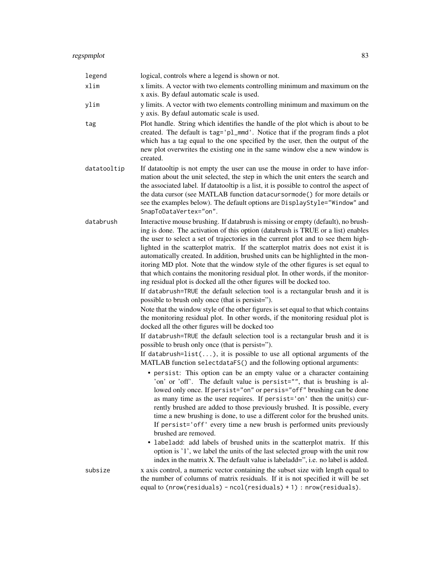| legend      | logical, controls where a legend is shown or not.                                                                                                                                                                                                                                                                                                                                                                                                                                                                                                                                                                                                                                                                                                                                                                                                                                                                                                                                                                                                                                                                                                                                                                                                                                                                                                                                                                                                                                                                                                                                                                                                                                                                                                                                                                                                                                                                                                                                                                                                                                                                                                                                   |
|-------------|-------------------------------------------------------------------------------------------------------------------------------------------------------------------------------------------------------------------------------------------------------------------------------------------------------------------------------------------------------------------------------------------------------------------------------------------------------------------------------------------------------------------------------------------------------------------------------------------------------------------------------------------------------------------------------------------------------------------------------------------------------------------------------------------------------------------------------------------------------------------------------------------------------------------------------------------------------------------------------------------------------------------------------------------------------------------------------------------------------------------------------------------------------------------------------------------------------------------------------------------------------------------------------------------------------------------------------------------------------------------------------------------------------------------------------------------------------------------------------------------------------------------------------------------------------------------------------------------------------------------------------------------------------------------------------------------------------------------------------------------------------------------------------------------------------------------------------------------------------------------------------------------------------------------------------------------------------------------------------------------------------------------------------------------------------------------------------------------------------------------------------------------------------------------------------------|
| xlim        | x limits. A vector with two elements controlling minimum and maximum on the<br>x axis. By defaul automatic scale is used.                                                                                                                                                                                                                                                                                                                                                                                                                                                                                                                                                                                                                                                                                                                                                                                                                                                                                                                                                                                                                                                                                                                                                                                                                                                                                                                                                                                                                                                                                                                                                                                                                                                                                                                                                                                                                                                                                                                                                                                                                                                           |
| ylim        | y limits. A vector with two elements controlling minimum and maximum on the<br>y axis. By defaul automatic scale is used.                                                                                                                                                                                                                                                                                                                                                                                                                                                                                                                                                                                                                                                                                                                                                                                                                                                                                                                                                                                                                                                                                                                                                                                                                                                                                                                                                                                                                                                                                                                                                                                                                                                                                                                                                                                                                                                                                                                                                                                                                                                           |
| tag         | Plot handle. String which identifies the handle of the plot which is about to be<br>created. The default is tag='pl_mmd'. Notice that if the program finds a plot<br>which has a tag equal to the one specified by the user, then the output of the<br>new plot overwrites the existing one in the same window else a new window is<br>created.                                                                                                                                                                                                                                                                                                                                                                                                                                                                                                                                                                                                                                                                                                                                                                                                                                                                                                                                                                                                                                                                                                                                                                                                                                                                                                                                                                                                                                                                                                                                                                                                                                                                                                                                                                                                                                     |
| datatooltip | If datatooltip is not empty the user can use the mouse in order to have infor-<br>mation about the unit selected, the step in which the unit enters the search and<br>the associated label. If datatooltip is a list, it is possible to control the aspect of<br>the data cursor (see MATLAB function datacursormode() for more details or<br>see the examples below). The default options are DisplayStyle="Window" and<br>SnapToDataVertex="on".                                                                                                                                                                                                                                                                                                                                                                                                                                                                                                                                                                                                                                                                                                                                                                                                                                                                                                                                                                                                                                                                                                                                                                                                                                                                                                                                                                                                                                                                                                                                                                                                                                                                                                                                  |
| databrush   | Interactive mouse brushing. If databrush is missing or empty (default), no brush-<br>ing is done. The activation of this option (databrush is TRUE or a list) enables<br>the user to select a set of trajectories in the current plot and to see them high-<br>lighted in the scatterplot matrix. If the scatterplot matrix does not exist it is<br>automatically created. In addition, brushed units can be highlighted in the mon-<br>itoring MD plot. Note that the window style of the other figures is set equal to<br>that which contains the monitoring residual plot. In other words, if the monitor-<br>ing residual plot is docked all the other figures will be docked too.<br>If databrush=TRUE the default selection tool is a rectangular brush and it is<br>possible to brush only once (that is persist=").<br>Note that the window style of the other figures is set equal to that which contains<br>the monitoring residual plot. In other words, if the monitoring residual plot is<br>docked all the other figures will be docked too<br>If databrush=TRUE the default selection tool is a rectangular brush and it is<br>possible to brush only once (that is persist=").<br>If databrush= $list()$ , it is possible to use all optional arguments of the<br>MATLAB function selectdataFS() and the following optional arguments:<br>· persist: This option can be an empty value or a character containing<br>'on' or 'off'. The default value is persist="", that is brushing is al-<br>lowed only once. If persist="on" or persis="off" brushing can be done<br>as many time as the user requires. If persist='on' then the unit(s) cur-<br>rently brushed are added to those previously brushed. It is possible, every<br>time a new brushing is done, to use a different color for the brushed units.<br>If persist='off' every time a new brush is performed units previously<br>brushed are removed.<br>• labeladd: add labels of brushed units in the scatterplot matrix. If this<br>option is '1', we label the units of the last selected group with the unit row<br>index in the matrix X. The default value is labeladd=", i.e. no label is added. |
| subsize     | x axis control, a numeric vector containing the subset size with length equal to<br>the number of columns of matrix residuals. If it is not specified it will be set<br>equal to ( $nrow(residuals)$ - $ncol(residuals) + 1$ ) : $nrow(residuals)$ .                                                                                                                                                                                                                                                                                                                                                                                                                                                                                                                                                                                                                                                                                                                                                                                                                                                                                                                                                                                                                                                                                                                                                                                                                                                                                                                                                                                                                                                                                                                                                                                                                                                                                                                                                                                                                                                                                                                                |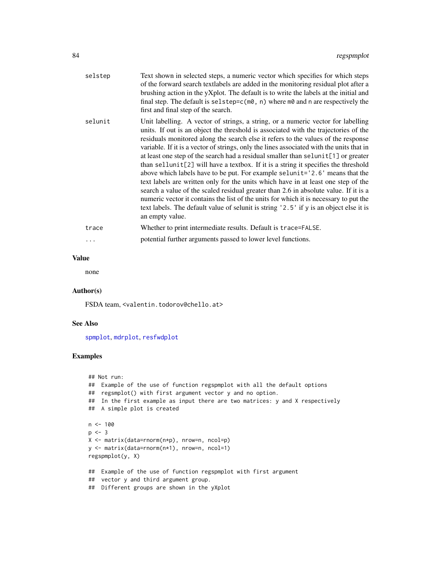| selstep | Text shown in selected steps, a numeric vector which specifies for which steps<br>of the forward search textlabels are added in the monitoring residual plot after a<br>brushing action in the yXplot. The default is to write the labels at the initial and<br>final step. The default is selstep= $c(m\theta, n)$ where $m\theta$ and n are respectively the<br>first and final step of the search.                                                                                                                                                                                                                                                                                                                                                                                                                                                                                                                                                                                                 |
|---------|-------------------------------------------------------------------------------------------------------------------------------------------------------------------------------------------------------------------------------------------------------------------------------------------------------------------------------------------------------------------------------------------------------------------------------------------------------------------------------------------------------------------------------------------------------------------------------------------------------------------------------------------------------------------------------------------------------------------------------------------------------------------------------------------------------------------------------------------------------------------------------------------------------------------------------------------------------------------------------------------------------|
| selunit | Unit labelling. A vector of strings, a string, or a numeric vector for labelling<br>units. If out is an object the threshold is associated with the trajectories of the<br>residuals monitored along the search else it refers to the values of the response<br>variable. If it is a vector of strings, only the lines associated with the units that in<br>at least one step of the search had a residual smaller than selunit[1] or greater<br>than sellunit[2] will have a textbox. If it is a string it specifies the threshold<br>above which labels have to be put. For example selunit='2.6' means that the<br>text labels are written only for the units which have in at least one step of the<br>search a value of the scaled residual greater than 2.6 in absolute value. If it is a<br>numeric vector it contains the list of the units for which it is necessary to put the<br>text labels. The default value of selunit is string '2.5' if y is an object else it is<br>an empty value. |
| trace   | Whether to print intermediate results. Default is trace=FALSE.                                                                                                                                                                                                                                                                                                                                                                                                                                                                                                                                                                                                                                                                                                                                                                                                                                                                                                                                        |
|         | potential further arguments passed to lower level functions.                                                                                                                                                                                                                                                                                                                                                                                                                                                                                                                                                                                                                                                                                                                                                                                                                                                                                                                                          |
|         |                                                                                                                                                                                                                                                                                                                                                                                                                                                                                                                                                                                                                                                                                                                                                                                                                                                                                                                                                                                                       |

### Value

none

#### Author(s)

FSDA team, <valentin.todorov@chello.at>

### See Also

[spmplot](#page-97-0), [mdrplot](#page-59-0), [resfwdplot](#page-84-0)

# Examples

```
## Not run:
## Example of the use of function regspmplot with all the default options
## regsmplot() with first argument vector y and no option.
## In the first example as input there are two matrices: y and X respectively
## A simple plot is created
n < - 100p \le -3X <- matrix(data=rnorm(n*p), nrow=n, ncol=p)
y <- matrix(data=rnorm(n*1), nrow=n, ncol=1)
regspmplot(y, X)
## Example of the use of function regspmplot with first argument
## vector y and third argument group.
## Different groups are shown in the yXplot
```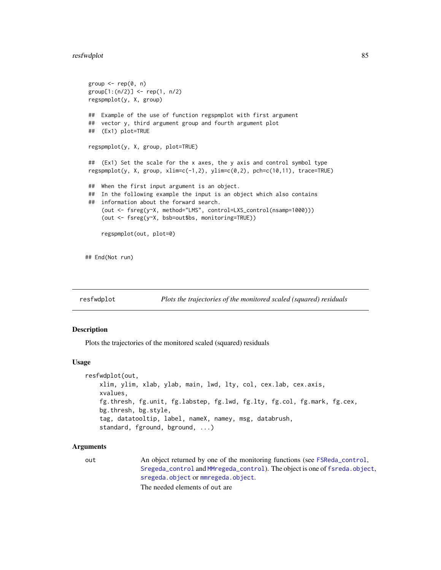#### resfwdplot 85

```
group \leq rep(0, n)
group[1:(n/2)] <- rep(1, n/2)
regspmplot(y, X, group)
## Example of the use of function regspmplot with first argument
## vector y, third argument group and fourth argument plot
## (Ex1) plot=TRUE
regspmplot(y, X, group, plot=TRUE)
## (Ex1) Set the scale for the x axes, the y axis and control symbol type
regspmplot(y, X, group, xlim=c(-1,2), ylim=c(0,2), pch=c(10,11), trace=TRUE)
## When the first input argument is an object.
## In the following example the input is an object which also contains
## information about the forward search.
    (out <- fsreg(y~X, method="LMS", control=LXS_control(nsamp=1000)))
    (out <- fsreg(y~X, bsb=out$bs, monitoring=TRUE))
    regspmplot(out, plot=0)
```
## End(Not run)

<span id="page-84-0"></span>

resfwdplot *Plots the trajectories of the monitored scaled (squared) residuals*

#### Description

Plots the trajectories of the monitored scaled (squared) residuals

#### Usage

```
resfwdplot(out,
   xlim, ylim, xlab, ylab, main, lwd, lty, col, cex.lab, cex.axis,
   xvalues,
   fg.thresh, fg.unit, fg.labstep, fg.lwd, fg.lty, fg.col, fg.mark, fg.cex,
   bg.thresh, bg.style,
   tag, datatooltip, label, nameX, namey, msg, databrush,
   standard, fground, bground, ...)
```
## Arguments

out An object returned by one of the monitoring functions (see [FSReda\\_control](#page-27-0), [Sregeda\\_control](#page-102-0) and [MMregeda\\_control](#page-75-0)). The object is one of [fsreda.object](#page-25-0), [sregeda.object](#page-101-0) or [mmregeda.object](#page-74-0).

The needed elements of out are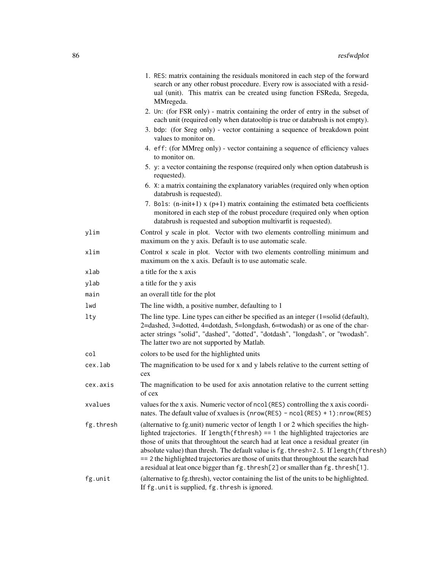|           | 1. RES: matrix containing the residuals monitored in each step of the forward<br>search or any other robust procedure. Every row is associated with a resid-<br>ual (unit). This matrix can be created using function FSReda, Sregeda,<br>MMregeda.                                                                                                                                                                                                                                                                                |
|-----------|------------------------------------------------------------------------------------------------------------------------------------------------------------------------------------------------------------------------------------------------------------------------------------------------------------------------------------------------------------------------------------------------------------------------------------------------------------------------------------------------------------------------------------|
|           | 2. Un: (for FSR only) - matrix containing the order of entry in the subset of<br>each unit (required only when datatooltip is true or databrush is not empty).                                                                                                                                                                                                                                                                                                                                                                     |
|           | 3. bdp: (for Sreg only) - vector containing a sequence of breakdown point<br>values to monitor on.                                                                                                                                                                                                                                                                                                                                                                                                                                 |
|           | 4. eff: (for MMreg only) - vector containing a sequence of efficiency values<br>to monitor on.                                                                                                                                                                                                                                                                                                                                                                                                                                     |
|           | 5. y: a vector containing the response (required only when option databrush is<br>requested).                                                                                                                                                                                                                                                                                                                                                                                                                                      |
|           | 6. X: a matrix containing the explanatory variables (required only when option<br>databrush is requested).                                                                                                                                                                                                                                                                                                                                                                                                                         |
|           | 7. Bols: $(n\text{-init+1})$ x $(p+1)$ matrix containing the estimated beta coefficients<br>monitored in each step of the robust procedure (required only when option<br>databrush is requested and suboption multivarfit is requested).                                                                                                                                                                                                                                                                                           |
| ylim      | Control y scale in plot. Vector with two elements controlling minimum and<br>maximum on the y axis. Default is to use automatic scale.                                                                                                                                                                                                                                                                                                                                                                                             |
| xlim      | Control x scale in plot. Vector with two elements controlling minimum and<br>maximum on the x axis. Default is to use automatic scale.                                                                                                                                                                                                                                                                                                                                                                                             |
| xlab      | a title for the x axis                                                                                                                                                                                                                                                                                                                                                                                                                                                                                                             |
| ylab      | a title for the y axis                                                                                                                                                                                                                                                                                                                                                                                                                                                                                                             |
| main      | an overall title for the plot                                                                                                                                                                                                                                                                                                                                                                                                                                                                                                      |
| lwd       | The line width, a positive number, defaulting to 1                                                                                                                                                                                                                                                                                                                                                                                                                                                                                 |
| lty       | The line type. Line types can either be specified as an integer $(1=solid (default))$ ,<br>2=dashed, 3=dotted, 4=dotdash, 5=longdash, 6=twodash) or as one of the char-<br>acter strings "solid", "dashed", "dotted", "dotdash", "longdash", or "twodash".<br>The latter two are not supported by Matlab.                                                                                                                                                                                                                          |
| col       | colors to be used for the highlighted units                                                                                                                                                                                                                                                                                                                                                                                                                                                                                        |
| cex.lab   | The magnification to be used for x and y labels relative to the current setting of<br>cex                                                                                                                                                                                                                                                                                                                                                                                                                                          |
| cex.axis  | The magnification to be used for axis annotation relative to the current setting<br>of cex                                                                                                                                                                                                                                                                                                                                                                                                                                         |
| xvalues   | values for the x axis. Numeric vector of ncol (RES) controlling the x axis coordi-<br>nates. The default value of xvalues is (nrow(RES) - ncol(RES) + 1): nrow(RES)                                                                                                                                                                                                                                                                                                                                                                |
| fg.thresh | (alternative to fg.unit) numeric vector of length 1 or 2 which specifies the high-<br>lighted trajectories. If length $(fthresh) == 1$ the highlighted trajectories are<br>those of units that throughtout the search had at leat once a residual greater (in<br>absolute value) than thresh. The default value is fg. thresh=2.5. If length (fthresh)<br>== 2 the highlighted trajectories are those of units that throughtout the search had<br>a residual at leat once bigger than fg. thresh[2] or smaller than fg. thresh[1]. |
| fg.unit   | (alternative to fg.thresh), vector containing the list of the units to be highlighted.<br>If fg. unit is supplied, fg. thresh is ignored.                                                                                                                                                                                                                                                                                                                                                                                          |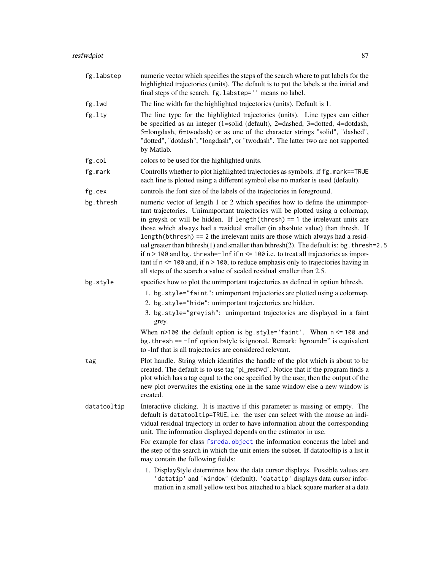| fg.labstep  | numeric vector which specifies the steps of the search where to put labels for the<br>highlighted trajectories (units). The default is to put the labels at the initial and<br>final steps of the search. fg.labstep='' means no label.                                                                                                                                                                                                                                                                                                                                                                                                                                                                                                                                           |
|-------------|-----------------------------------------------------------------------------------------------------------------------------------------------------------------------------------------------------------------------------------------------------------------------------------------------------------------------------------------------------------------------------------------------------------------------------------------------------------------------------------------------------------------------------------------------------------------------------------------------------------------------------------------------------------------------------------------------------------------------------------------------------------------------------------|
| fg.lwd      | The line width for the highlighted trajectories (units). Default is 1.                                                                                                                                                                                                                                                                                                                                                                                                                                                                                                                                                                                                                                                                                                            |
| fg.lty      | The line type for the highlighted trajectories (units). Line types can either<br>be specified as an integer (1=solid (default), 2=dashed, 3=dotted, 4=dotdash,<br>5=longdash, 6=twodash) or as one of the character strings "solid", "dashed",<br>"dotted", "dotdash", "longdash", or "twodash". The latter two are not supported<br>by Matlab.                                                                                                                                                                                                                                                                                                                                                                                                                                   |
| fg.col      | colors to be used for the highlighted units.                                                                                                                                                                                                                                                                                                                                                                                                                                                                                                                                                                                                                                                                                                                                      |
| fg.mark     | Controlls whether to plot highlighted trajectories as symbols. if fg. mark==TRUE<br>each line is plotted using a different symbol else no marker is used (default).                                                                                                                                                                                                                                                                                                                                                                                                                                                                                                                                                                                                               |
| fg.cex      | controls the font size of the labels of the trajectories in foreground.                                                                                                                                                                                                                                                                                                                                                                                                                                                                                                                                                                                                                                                                                                           |
| bg.thresh   | numeric vector of length 1 or 2 which specifies how to define the unimmpor-<br>tant trajectories. Unimmportant trajectories will be plotted using a colormap,<br>in greysh or will be hidden. If length $(thresh) = 1$ the irrelevant units are<br>those which always had a residual smaller (in absolute value) than thresh. If<br>length (bthresh) = $=$ 2 the irrelevant units are those which always had a resid-<br>ual greater than bthresh(1) and smaller than bthresh(2). The default is: bg. thresh=2.5<br>if $n > 100$ and bg. thresh=-Inf if $n \le 100$ i.e. to treat all trajectories as impor-<br>tant if $n \le 100$ and, if $n > 100$ , to reduce emphasis only to trajectories having in<br>all steps of the search a value of scaled residual smaller than 2.5. |
| bg.style    | specifies how to plot the unimportant trajectories as defined in option bthresh.                                                                                                                                                                                                                                                                                                                                                                                                                                                                                                                                                                                                                                                                                                  |
|             | 1. bg.style="faint": unimportant trajectories are plotted using a colormap.<br>2. bg.style="hide": unimportant trajectories are hidden.<br>3. bg.style="greyish": unimportant trajectories are displayed in a faint<br>grey.                                                                                                                                                                                                                                                                                                                                                                                                                                                                                                                                                      |
|             | When $n>100$ the default option is bg.style='faint'. When $n \le 100$ and<br>bg. thresh == -Inf option bstyle is ignored. Remark: bground=" is equivalent<br>to -Inf that is all trajectories are considered relevant.                                                                                                                                                                                                                                                                                                                                                                                                                                                                                                                                                            |
| tag         | Plot handle. String which identifies the handle of the plot which is about to be<br>created. The default is to use tag 'pl_resfwd'. Notice that if the program finds a<br>plot which has a tag equal to the one specified by the user, then the output of the<br>new plot overwrites the existing one in the same window else a new window is<br>created.                                                                                                                                                                                                                                                                                                                                                                                                                         |
| datatooltip | Interactive clicking. It is inactive if this parameter is missing or empty. The<br>default is datatooltip=TRUE, i.e. the user can select with the mouse an indi-<br>vidual residual trajectory in order to have information about the corresponding<br>unit. The information displayed depends on the estimator in use.                                                                                                                                                                                                                                                                                                                                                                                                                                                           |
|             | For example for class fsreda.object the information concerns the label and<br>the step of the search in which the unit enters the subset. If datatooltip is a list it<br>may contain the following fields:                                                                                                                                                                                                                                                                                                                                                                                                                                                                                                                                                                        |
|             | 1. DisplayStyle determines how the data cursor displays. Possible values are<br>'datatip' and 'window' (default). 'datatip' displays data cursor infor-<br>mation in a small yellow text box attached to a black square marker at a data                                                                                                                                                                                                                                                                                                                                                                                                                                                                                                                                          |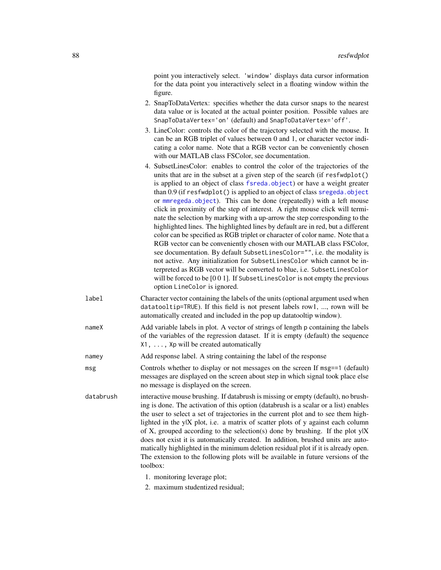point you interactively select. 'window' displays data cursor information for the data point you interactively select in a floating window within the figure.

- 2. SnapToDataVertex: specifies whether the data cursor snaps to the nearest data value or is located at the actual pointer position. Possible values are SnapToDataVertex='on' (default) and SnapToDataVertex='off'.
- 3. LineColor: controls the color of the trajectory selected with the mouse. It can be an RGB triplet of values between 0 and 1, or character vector indicating a color name. Note that a RGB vector can be conveniently chosen with our MATLAB class FSColor, see documentation.
- 4. SubsetLinesColor: enables to control the color of the trajectories of the units that are in the subset at a given step of the search (if resfwdplot() is applied to an object of class [fsreda.object](#page-25-0)) or have a weight greater than 0.9 (if resfwdplot() is applied to an object of class [sregeda.object](#page-101-0) or [mmregeda.object](#page-74-0)). This can be done (repeatedly) with a left mouse click in proximity of the step of interest. A right mouse click will terminate the selection by marking with a up-arrow the step corresponding to the highlighted lines. The highlighted lines by default are in red, but a different color can be specified as RGB triplet or character of color name. Note that a RGB vector can be conveniently chosen with our MATLAB class FSColor, see documentation. By default SubsetLinesColor="", i.e. the modality is not active. Any initialization for SubsetLinesColor which cannot be interpreted as RGB vector will be converted to blue, i.e. SubsetLinesColor will be forced to be [0 0 1]. If SubsetLinesColor is not empty the previous option LineColor is ignored.
- label Character vector containing the labels of the units (optional argument used when datatooltip=TRUE). If this field is not present labels row1, ..., rown will be automatically created and included in the pop up datatooltip window).
- nameX Add variable labels in plot. A vector of strings of length p containing the labels of the variables of the regression dataset. If it is empty (default) the sequence X1, ..., Xp will be created automatically
- namey Add response label. A string containing the label of the response
- msg Controls whether to display or not messages on the screen If msg==1 (default) messages are displayed on the screen about step in which signal took place else no message is displayed on the screen.
- databrush interactive mouse brushing. If databrush is missing or empty (default), no brushing is done. The activation of this option (databrush is a scalar or a list) enables the user to select a set of trajectories in the current plot and to see them highlighted in the y|X plot, i.e. a matrix of scatter plots of y against each column of X, grouped according to the selection(s) done by brushing. If the plot  $y|X$ does not exist it is automatically created. In addition, brushed units are automatically highlighted in the minimum deletion residual plot if it is already open. The extension to the following plots will be available in future versions of the toolbox:
	- 1. monitoring leverage plot;
	- 2. maximum studentized residual;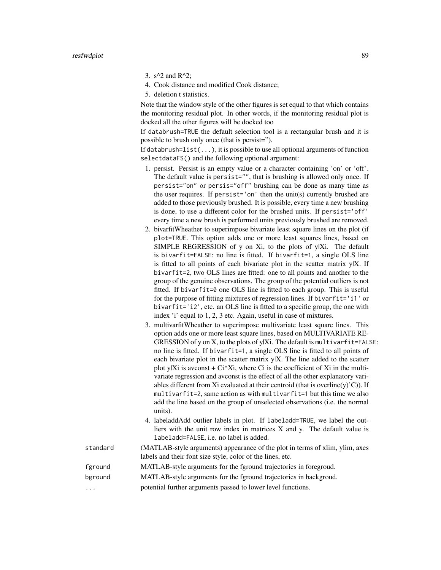- 3.  $s^2$  and R<sup>^2</sup>;
- 4. Cook distance and modified Cook distance;
- 5. deletion t statistics.

Note that the window style of the other figures is set equal to that which contains the monitoring residual plot. In other words, if the monitoring residual plot is docked all the other figures will be docked too

If databrush=TRUE the default selection tool is a rectangular brush and it is possible to brush only once (that is persist=").

If databrush= $list(...)$ , it is possible to use all optional arguments of function selectdataFS() and the following optional argument:

- 1. persist. Persist is an empty value or a character containing 'on' or 'off'. The default value is persist="", that is brushing is allowed only once. If persist="on" or persis="off" brushing can be done as many time as the user requires. If persist='on' then the unit(s) currently brushed are added to those previously brushed. It is possible, every time a new brushing is done, to use a different color for the brushed units. If persist='off' every time a new brush is performed units previously brushed are removed.
- 2. bivarfitWheather to superimpose bivariate least square lines on the plot (if plot=TRUE. This option adds one or more least squares lines, based on SIMPLE REGRESSION of y on Xi, to the plots of y|Xi. The default is bivarfit=FALSE: no line is fitted. If bivarfit=1, a single OLS line is fitted to all points of each bivariate plot in the scatter matrix  $y|X$ . If bivarfit=2, two OLS lines are fitted: one to all points and another to the group of the genuine observations. The group of the potential outliers is not fitted. If bivarfit=0 one OLS line is fitted to each group. This is useful for the purpose of fitting mixtures of regression lines. If bivarfit='i1' or bivarfit='i2', etc. an OLS line is fitted to a specific group, the one with index 'i' equal to 1, 2, 3 etc. Again, useful in case of mixtures.
- 3. multivarfitWheather to superimpose multivariate least square lines. This option adds one or more least square lines, based on MULTIVARIATE RE-GRESSION of y on X, to the plots of y|Xi. The default is multivarfit=FALSE: no line is fitted. If bivarfit=1, a single OLS line is fitted to all points of each bivariate plot in the scatter matrix y|X. The line added to the scatter plot y|Xi is avconst  $+ C<sup>i</sup> Xi$ , where Ci is the coefficient of Xi in the multivariate regression and avconst is the effect of all the other explanatory variables different from Xi evaluated at their centroid (that is overline(y)'C)). If multivarfit=2, same action as with multivarfit=1 but this time we also add the line based on the group of unselected observations (i.e. the normal units).
- 4. labeladdAdd outlier labels in plot. If labeladd=TRUE, we label the outliers with the unit row index in matrices X and y. The default value is labeladd=FALSE, i.e. no label is added.

standard (MATLAB-style arguments) appearance of the plot in terms of xlim, ylim, axes labels and their font size style, color of the lines, etc. fground MATLAB-style arguments for the fground trajectories in foregroud.

- bground MATLAB-style arguments for the fground trajectories in backgroud.
- ... potential further arguments passed to lower level functions.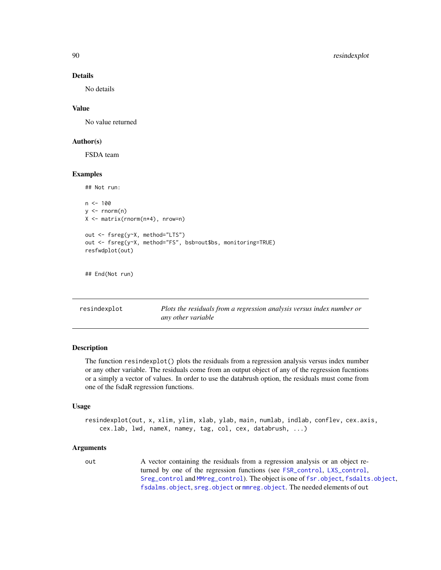No details

#### Value

No value returned

#### Author(s)

FSDA team

#### Examples

```
## Not run:
n < -100y \le - rnorm(n)X <- matrix(rnorm(n*4), nrow=n)
out <- fsreg(y~X, method="LTS")
out <- fsreg(y~X, method="FS", bsb=out$bs, monitoring=TRUE)
resfwdplot(out)
## End(Not run)
```
resindexplot *Plots the residuals from a regression analysis versus index number or any other variable*

### Description

The function resindexplot() plots the residuals from a regression analysis versus index number or any other variable. The residuals come from an output object of any of the regression fucntions or a simply a vector of values. In order to use the databrush option, the residuals must come from one of the fsdaR regression functions.

#### Usage

```
resindexplot(out, x, xlim, ylim, xlab, ylab, main, numlab, indlab, conflev, cex.axis,
    cex.lab, lwd, nameX, namey, tag, col, cex, databrush, ...)
```
#### Arguments

out A vector containing the residuals from a regression analysis or an object returned by one of the regression functions (see [FSR\\_control](#page-40-0), [LXS\\_control](#page-50-0), [Sreg\\_control](#page-104-0) and [MMreg\\_control](#page-77-0)). The object is one of [fsr.object](#page-24-0), [fsdalts.object](#page-13-0), [fsdalms.object](#page-12-0), [sreg.object](#page-100-0) or [mmreg.object](#page-73-0). The needed elements of out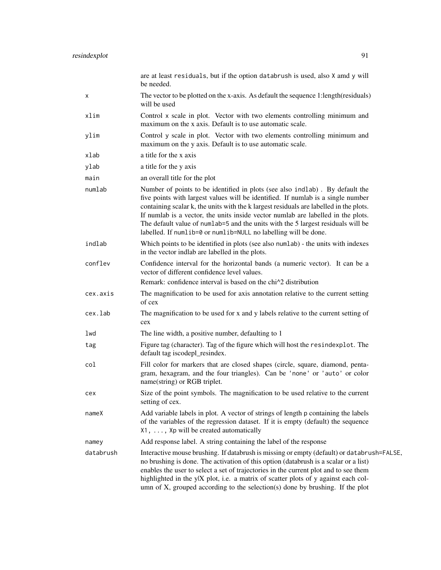|           | are at least residuals, but if the option databrush is used, also X amd y will<br>be needed.                                                                                                                                                                                                                                                                                                                                                                                                          |
|-----------|-------------------------------------------------------------------------------------------------------------------------------------------------------------------------------------------------------------------------------------------------------------------------------------------------------------------------------------------------------------------------------------------------------------------------------------------------------------------------------------------------------|
| x         | The vector to be plotted on the x-axis. As default the sequence 1:length(residuals)<br>will be used                                                                                                                                                                                                                                                                                                                                                                                                   |
| xlim      | Control x scale in plot. Vector with two elements controlling minimum and<br>maximum on the x axis. Default is to use automatic scale.                                                                                                                                                                                                                                                                                                                                                                |
| ylim      | Control y scale in plot. Vector with two elements controlling minimum and<br>maximum on the y axis. Default is to use automatic scale.                                                                                                                                                                                                                                                                                                                                                                |
| xlab      | a title for the x axis                                                                                                                                                                                                                                                                                                                                                                                                                                                                                |
| ylab      | a title for the y axis                                                                                                                                                                                                                                                                                                                                                                                                                                                                                |
| main      | an overall title for the plot                                                                                                                                                                                                                                                                                                                                                                                                                                                                         |
| numlab    | Number of points to be identified in plots (see also indlab). By default the<br>five points with largest values will be identified. If numlab is a single number<br>containing scalar k, the units with the k largest residuals are labelled in the plots.<br>If numlab is a vector, the units inside vector numlab are labelled in the plots.<br>The default value of numlab=5 and the units with the 5 largest residuals will be<br>labelled. If numlib=0 or numlib=NULL no labelling will be done. |
| indlab    | Which points to be identified in plots (see also numlab) - the units with indexes<br>in the vector indlab are labelled in the plots.                                                                                                                                                                                                                                                                                                                                                                  |
| conflev   | Confidence interval for the horizontal bands (a numeric vector). It can be a<br>vector of different confidence level values.<br>Remark: confidence interval is based on the chi <sup><math>\wedge</math>2</sup> distribution                                                                                                                                                                                                                                                                          |
| cex.axis  | The magnification to be used for axis annotation relative to the current setting<br>of cex                                                                                                                                                                                                                                                                                                                                                                                                            |
| cex.lab   | The magnification to be used for x and y labels relative to the current setting of<br>cex                                                                                                                                                                                                                                                                                                                                                                                                             |
| lwd       | The line width, a positive number, defaulting to 1                                                                                                                                                                                                                                                                                                                                                                                                                                                    |
| tag       | Figure tag (character). Tag of the figure which will host the resindexplot. The<br>default tag iscodepl_resindex.                                                                                                                                                                                                                                                                                                                                                                                     |
| col       | Fill color for markers that are closed shapes (circle, square, diamond, penta-<br>gram, hexagram, and the four triangles). Can be 'none' or 'auto' or color<br>name(string) or RGB triplet.                                                                                                                                                                                                                                                                                                           |
| cex       | Size of the point symbols. The magnification to be used relative to the current<br>setting of cex.                                                                                                                                                                                                                                                                                                                                                                                                    |
| nameX     | Add variable labels in plot. A vector of strings of length p containing the labels<br>of the variables of the regression dataset. If it is empty (default) the sequence<br>X1, , Xp will be created automatically                                                                                                                                                                                                                                                                                     |
| namey     | Add response label. A string containing the label of the response                                                                                                                                                                                                                                                                                                                                                                                                                                     |
| databrush | Interactive mouse brushing. If databrush is missing or empty (default) or databrush=FALSE,<br>no brushing is done. The activation of this option (databrush is a scalar or a list)<br>enables the user to select a set of trajectories in the current plot and to see them<br>highlighted in the ylX plot, i.e. a matrix of scatter plots of y against each col-<br>umn of X, grouped according to the selection(s) done by brushing. If the plot                                                     |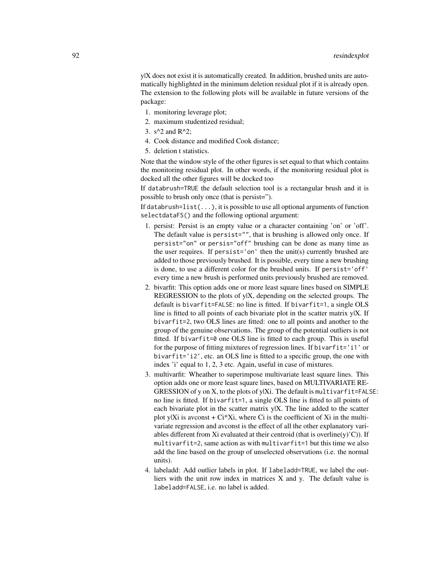y|X does not exist it is automatically created. In addition, brushed units are automatically highlighted in the minimum deletion residual plot if it is already open. The extension to the following plots will be available in future versions of the package:

- 1. monitoring leverage plot;
- 2. maximum studentized residual;
- 3.  $s^2$  and R<sup>^2</sup>;
- 4. Cook distance and modified Cook distance;
- 5. deletion t statistics.

Note that the window style of the other figures is set equal to that which contains the monitoring residual plot. In other words, if the monitoring residual plot is docked all the other figures will be docked too

If databrush=TRUE the default selection tool is a rectangular brush and it is possible to brush only once (that is persist=").

If databrush=list( $\dots$ ), it is possible to use all optional arguments of function selectdataFS() and the following optional argument:

- 1. persist: Persist is an empty value or a character containing 'on' or 'off'. The default value is persist="", that is brushing is allowed only once. If persist="on" or persis="off" brushing can be done as many time as the user requires. If persist='on' then the unit(s) currently brushed are added to those previously brushed. It is possible, every time a new brushing is done, to use a different color for the brushed units. If persist='off' every time a new brush is performed units previously brushed are removed.
- 2. bivarfit: This option adds one or more least square lines based on SIMPLE REGRESSION to the plots of y|X, depending on the selected groups. The default is bivarfit=FALSE: no line is fitted. If bivarfit=1, a single OLS line is fitted to all points of each bivariate plot in the scatter matrix y|X. If bivarfit=2, two OLS lines are fitted: one to all points and another to the group of the genuine observations. The group of the potential outliers is not fitted. If bivarfit=0 one OLS line is fitted to each group. This is useful for the purpose of fitting mixtures of regression lines. If bivarfit='i1' or bivarfit='i2', etc. an OLS line is fitted to a specific group, the one with index 'i' equal to 1, 2, 3 etc. Again, useful in case of mixtures.
- 3. multivarfit: Wheather to superimpose multivariate least square lines. This option adds one or more least square lines, based on MULTIVARIATE RE-GRESSION of y on X, to the plots of y|Xi. The default is multivarfit=FALSE: no line is fitted. If bivarfit=1, a single OLS line is fitted to all points of each bivariate plot in the scatter matrix y|X. The line added to the scatter plot y|Xi is avconst  $+ Ci^*Xi$ , where Ci is the coefficient of Xi in the multivariate regression and avconst is the effect of all the other explanatory variables different from Xi evaluated at their centroid (that is overline(y)'C)). If multivarfit=2, same action as with multivarfit=1 but this time we also add the line based on the group of unselected observations (i.e. the normal units).
- 4. labeladd: Add outlier labels in plot. If labeladd=TRUE, we label the outliers with the unit row index in matrices X and y. The default value is labeladd=FALSE, i.e. no label is added.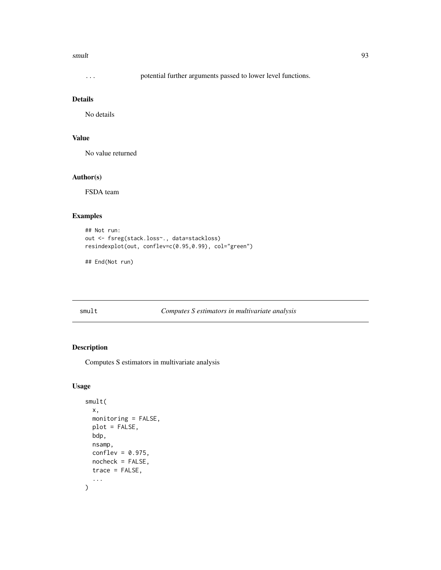#### smult 93

... potential further arguments passed to lower level functions.

## Details

No details

## Value

No value returned

### Author(s)

FSDA team

## Examples

```
## Not run:
out <- fsreg(stack.loss~., data=stackloss)
resindexplot(out, conflev=c(0.95,0.99), col="green")
```
## End(Not run)

<span id="page-92-0"></span>smult *Computes S estimators in multivariate analysis*

## Description

Computes S estimators in multivariate analysis

## Usage

```
smult(
  x,
  monitoring = FALSE,
  plot = FALSE,
  bdp,
  nsamp,
  conflev = 0.975,
  nocheck = FALSE,
  trace = FALSE,
  ...
\mathcal{E}
```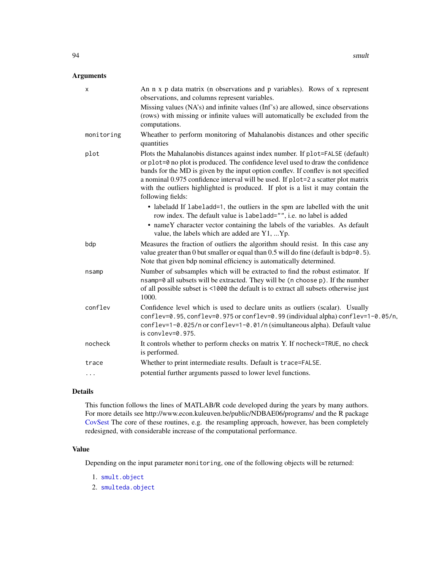## Arguments

| X          | An n x p data matrix (n observations and p variables). Rows of x represent<br>observations, and columns represent variables.                                                                                                                                                                                                                                                                                                                        |
|------------|-----------------------------------------------------------------------------------------------------------------------------------------------------------------------------------------------------------------------------------------------------------------------------------------------------------------------------------------------------------------------------------------------------------------------------------------------------|
|            | Missing values (NA's) and infinite values (Inf's) are allowed, since observations<br>(rows) with missing or infinite values will automatically be excluded from the<br>computations.                                                                                                                                                                                                                                                                |
| monitoring | Wheather to perform monitoring of Mahalanobis distances and other specific<br>quantities                                                                                                                                                                                                                                                                                                                                                            |
| plot       | Plots the Mahalanobis distances against index number. If plot=FALSE (default)<br>or plot=0 no plot is produced. The confidence level used to draw the confidence<br>bands for the MD is given by the input option conflev. If conflev is not specified<br>a nominal 0.975 confidence interval will be used. If plot=2 a scatter plot matrix<br>with the outliers highlighted is produced. If plot is a list it may contain the<br>following fields: |
|            | • labeladd If labeladd=1, the outliers in the spm are labelled with the unit<br>row index. The default value is labeladd="", i.e. no label is added<br>• nameY character vector containing the labels of the variables. As default<br>value, the labels which are added are Y1, Yp.                                                                                                                                                                 |
| bdp        | Measures the fraction of outliers the algorithm should resist. In this case any<br>value greater than 0 but smaller or equal than $0.5$ will do fine (default is bdp= $0.5$ ).<br>Note that given bdp nominal efficiency is automatically determined.                                                                                                                                                                                               |
| nsamp      | Number of subsamples which will be extracted to find the robust estimator. If<br>nsamp=0 all subsets will be extracted. They will be (n choose p). If the number<br>of all possible subset is <1000 the default is to extract all subsets otherwise just<br>1000.                                                                                                                                                                                   |
| conflev    | Confidence level which is used to declare units as outliers (scalar). Usually<br>conflev=0.95, conflev=0.975 or conflev=0.99 (individual alpha) conflev=1-0.05/n,<br>conflev=1-0.025/n or conflev=1-0.01/n (simultaneous alpha). Default value<br>is convlev= $0.975$ .                                                                                                                                                                             |
| nocheck    | It controls whether to perform checks on matrix Y. If nocheck=TRUE, no check<br>is performed.                                                                                                                                                                                                                                                                                                                                                       |
| trace      | Whether to print intermediate results. Default is trace=FALSE.                                                                                                                                                                                                                                                                                                                                                                                      |
| $\cdots$   | potential further arguments passed to lower level functions.                                                                                                                                                                                                                                                                                                                                                                                        |

### Details

This function follows the lines of MATLAB/R code developed during the years by many authors. For more details see http://www.econ.kuleuven.be/public/NDBAE06/programs/ and the R package [CovSest](#page-0-0) The core of these routines, e.g. the resampling approach, however, has been completely redesigned, with considerable increase of the computational performance.

### Value

Depending on the input parameter monitoring, one of the following objects will be returned:

- 1. [smult.object](#page-95-0)
- 2. [smulteda.object](#page-96-0)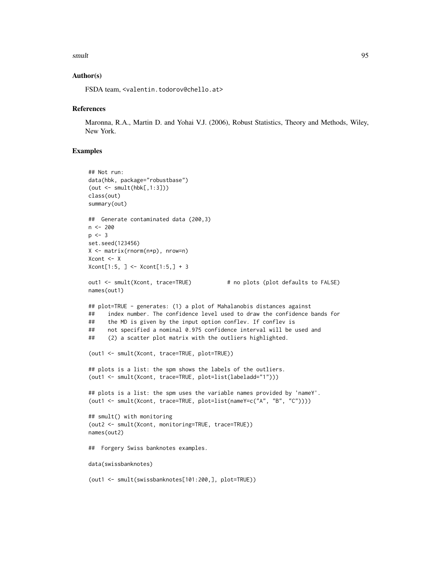#### smult 95

### Author(s)

FSDA team, <valentin.todorov@chello.at>

#### **References**

Maronna, R.A., Martin D. and Yohai V.J. (2006), Robust Statistics, Theory and Methods, Wiley, New York.

# Examples

```
## Not run:
data(hbk, package="robustbase")
(out < -smult(hbk[, 1:3]))class(out)
summary(out)
## Generate contaminated data (200,3)
n <- 200
p \le -3set.seed(123456)
X <- matrix(rnorm(n*p), nrow=n)
Xcont <- X
Xcont[1:5, ] <- Xcont[1:5,] + 3
out1 <- smult(Xcont, trace=TRUE) # no plots (plot defaults to FALSE)
names(out1)
## plot=TRUE - generates: (1) a plot of Mahalanobis distances against
## index number. The confidence level used to draw the confidence bands for
## the MD is given by the input option conflev. If conflev is
## not specified a nominal 0.975 confidence interval will be used and
## (2) a scatter plot matrix with the outliers highlighted.
(out1 <- smult(Xcont, trace=TRUE, plot=TRUE))
## plots is a list: the spm shows the labels of the outliers.
(out1 <- smult(Xcont, trace=TRUE, plot=list(labeladd="1")))
## plots is a list: the spm uses the variable names provided by 'nameY'.
(out1 <- smult(Xcont, trace=TRUE, plot=list(nameY=c("A", "B", "C"))))
## smult() with monitoring
(out2 <- smult(Xcont, monitoring=TRUE, trace=TRUE))
names(out2)
## Forgery Swiss banknotes examples.
data(swissbanknotes)
(out1 <- smult(swissbanknotes[101:200,], plot=TRUE))
```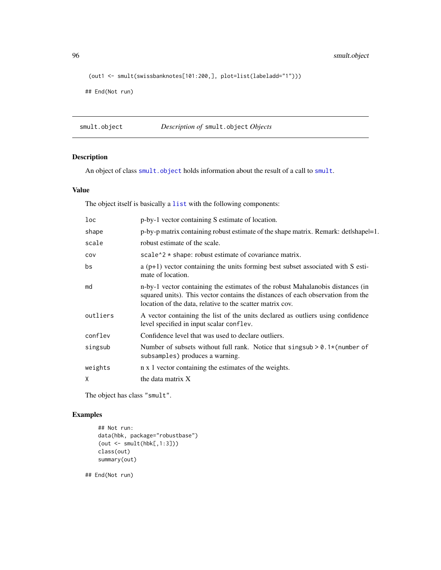96 smult.object

```
(out1 <- smult(swissbanknotes[101:200,], plot=list(labeladd="1")))
```
## End(Not run)

<span id="page-95-0"></span>smult.object *Description of* smult.object *Objects*

## Description

An object of class [smult.object](#page-95-0) holds information about the result of a call to [smult](#page-92-0).

## Value

The object itself is basically a [list](#page-0-0) with the following components:

| loc      | p-by-1 vector containing S estimate of location.                                                                                                                                                                               |
|----------|--------------------------------------------------------------------------------------------------------------------------------------------------------------------------------------------------------------------------------|
| shape    | p-by-p matrix containing robust estimate of the shape matrix. Remark: det/shape=1.                                                                                                                                             |
| scale    | robust estimate of the scale.                                                                                                                                                                                                  |
| COV      | scale <sup><math>\lambda</math></sup> $\star$ shape: robust estimate of covariance matrix.                                                                                                                                     |
| bs       | $a(p+1)$ vector containing the units forming best subset associated with S esti-<br>mate of location.                                                                                                                          |
| md       | n-by-1 vector containing the estimates of the robust Mahalanobis distances (in<br>squared units). This vector contains the distances of each observation from the<br>location of the data, relative to the scatter matrix cov. |
| outliers | A vector containing the list of the units declared as outliers using confidence<br>level specified in input scalar conflev.                                                                                                    |
| conflev  | Confidence level that was used to declare outliers.                                                                                                                                                                            |
| singsub  | Number of subsets without full rank. Notice that singsub $> 0.1$ * (number of<br>subsamples) produces a warning.                                                                                                               |
| weights  | n x 1 vector containing the estimates of the weights.                                                                                                                                                                          |
| X        | the data matrix X                                                                                                                                                                                                              |

The object has class "smult".

## Examples

```
## Not run:
data(hbk, package="robustbase")
(out <- smult(hbk[,1:3]))
class(out)
summary(out)
```
## End(Not run)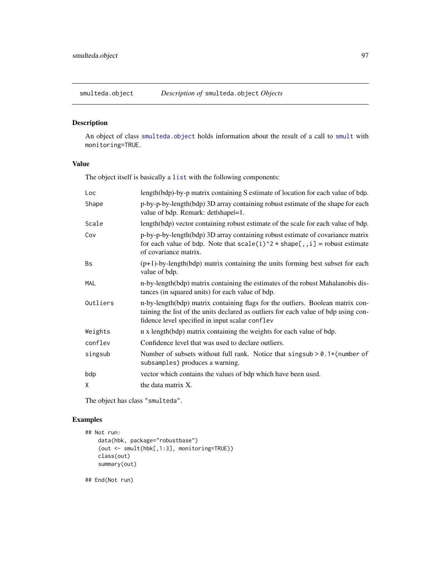<span id="page-96-0"></span>

# Description

An object of class [smulteda.object](#page-96-0) holds information about the result of a call to [smult](#page-92-0) with monitoring=TRUE.

#### Value

The object itself is basically a [list](#page-0-0) with the following components:

| Loc        | length(bdp)-by-p matrix containing S estimate of location for each value of bdp.                                                                                                                                         |
|------------|--------------------------------------------------------------------------------------------------------------------------------------------------------------------------------------------------------------------------|
| Shape      | p-by-p-by-length(bdp) 3D array containing robust estimate of the shape for each<br>value of bdp. Remark: detlshapel=1.                                                                                                   |
| Scale      | length(bdp) vector containing robust estimate of the scale for each value of bdp.                                                                                                                                        |
| Cov        | p-by-p-by-length(bdp) 3D array containing robust estimate of covariance matrix<br>for each value of bdp. Note that $scale(i)^2 * shape[, i] = robust estimate$<br>of covariance matrix.                                  |
| Bs         | $(p+1)$ -by-length(bdp) matrix containing the units forming best subset for each<br>value of bdp.                                                                                                                        |
| <b>MAL</b> | n-by-length (bdp) matrix containing the estimates of the robust Mahalanobis dis-<br>tances (in squared units) for each value of bdp.                                                                                     |
| Outliers   | n-by-length(bdp) matrix containing flags for the outliers. Boolean matrix con-<br>taining the list of the units declared as outliers for each value of bdp using con-<br>fidence level specified in input scalar conflev |
| Weights    | n x length(bdp) matrix containing the weights for each value of bdp.                                                                                                                                                     |
| conflev    | Confidence level that was used to declare outliers.                                                                                                                                                                      |
| singsub    | Number of subsets without full rank. Notice that singsub $> 0.1$ * (number of<br>subsamples) produces a warning.                                                                                                         |
| bdp        | vector which contains the values of bdp which have been used.                                                                                                                                                            |
| X          | the data matrix X.                                                                                                                                                                                                       |

The object has class "smulteda".

### Examples

```
## Not run:
   data(hbk, package="robustbase")
    (out <- smult(hbk[,1:3], monitoring=TRUE))
   class(out)
   summary(out)
```
## End(Not run)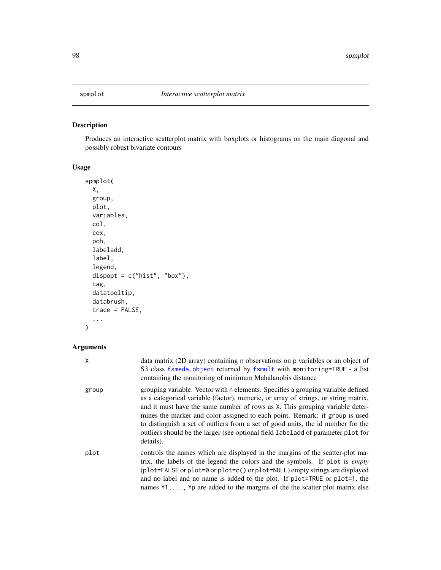<span id="page-97-0"></span>

## Description

Produces an interactive scatterplot matrix with boxplots or histograms on the main diagonal and possibly robust bivariate contours

# Usage

```
spmplot(
 X,
 group,
 plot,
 variables,
  col,
  cex,
 pch,
  labeladd,
  label,
  legend,
  dispopt = c("hist", "box"),
  tag,
  datatooltip,
  databrush,
  trace = FALSE,
  ...
)
```

| Χ     | data matrix (2D array) containing n observations on p variables or an object of<br>S3 class fsmeda.object returned by fsmult with monitoring=TRUE - a list<br>containing the monitoring of minimum Mahalanobis distance                                                                                                                                                                                                                                                                                                     |
|-------|-----------------------------------------------------------------------------------------------------------------------------------------------------------------------------------------------------------------------------------------------------------------------------------------------------------------------------------------------------------------------------------------------------------------------------------------------------------------------------------------------------------------------------|
| group | grouping variable. Vector with n elements. Specifies a grouping variable defined<br>as a categorical variable (factor), numeric, or array of strings, or string matrix,<br>and it must have the same number of rows as X. This grouping variable deter-<br>mines the marker and color assigned to each point. Remark: if group is used<br>to distinguish a set of outliers from a set of good units, the id number for the<br>outliers should be the larger (see optional field labeladd of parameter plot for<br>details). |
| plot  | controls the names which are displayed in the margins of the scatter-plot ma-<br>trix, the labels of the legend the colors and the symbols. If plot is <i>empty</i><br>$(plot = FALSE or plot = 0 or plot = c() or plot = NULL)$ empty strings are displayed<br>and no label and no name is added to the plot. If plot=TRUE or plot=1, the<br>names $Y_1, \ldots, Y_p$ are added to the margins of the the scatter plot matrix else                                                                                         |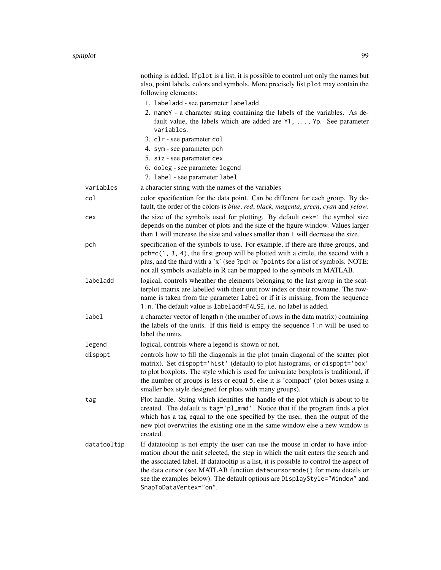|             | nothing is added. If plot is a list, it is possible to control not only the names but<br>also, point labels, colors and symbols. More precisely list plot may contain the<br>following elements:                                                                                                                                                                                                                                                   |
|-------------|----------------------------------------------------------------------------------------------------------------------------------------------------------------------------------------------------------------------------------------------------------------------------------------------------------------------------------------------------------------------------------------------------------------------------------------------------|
|             | 1. labeladd - see parameter labeladd                                                                                                                                                                                                                                                                                                                                                                                                               |
|             | 2. nameY - a character string containing the labels of the variables. As de-<br>fault value, the labels which are added are $Y1, \ldots, Yp$ . See parameter<br>variables.                                                                                                                                                                                                                                                                         |
|             | 3. clr - see parameter col                                                                                                                                                                                                                                                                                                                                                                                                                         |
|             | 4. sym - see parameter pch                                                                                                                                                                                                                                                                                                                                                                                                                         |
|             | 5. siz - see parameter cex                                                                                                                                                                                                                                                                                                                                                                                                                         |
|             | 6. doleg - see parameter legend                                                                                                                                                                                                                                                                                                                                                                                                                    |
|             | 7. label - see parameter label                                                                                                                                                                                                                                                                                                                                                                                                                     |
| variables   | a character string with the names of the variables                                                                                                                                                                                                                                                                                                                                                                                                 |
| col         | color specification for the data point. Can be different for each group. By de-<br>fault, the order of the colors is <i>blue</i> , <i>red</i> , <i>black</i> , <i>magenta</i> , <i>green</i> , <i>cyan</i> and <i>yelow</i> .                                                                                                                                                                                                                      |
| cex         | the size of the symbols used for plotting. By default cex=1 the symbol size<br>depends on the number of plots and the size of the figure window. Values larger<br>than 1 will increase the size and values smaller than 1 will decrease the size.                                                                                                                                                                                                  |
| pch         | specification of the symbols to use. For example, if there are three groups, and<br>$pch = c(1, 3, 4)$ , the first group will be plotted with a circle, the second with a<br>plus, and the third with a 'x' (see ?pch or ?points for a list of symbols. NOTE:<br>not all symbols available in R can be mapped to the symbols in MATLAB.                                                                                                            |
| labeladd    | logical, controls wheather the elements belonging to the last group in the scat-<br>terplot matrix are labelled with their unit row index or their rowname. The row-<br>name is taken from the parameter label or if it is missing, from the sequence<br>1: n. The default value is labeladd=FALSE, i.e. no label is added.                                                                                                                        |
| label       | a character vector of length n (the number of rows in the data matrix) containing<br>the labels of the units. If this field is empty the sequence 1:n will be used to<br>label the units.                                                                                                                                                                                                                                                          |
| legend      | logical, controls where a legend is shown or not.                                                                                                                                                                                                                                                                                                                                                                                                  |
| dispopt     | controls how to fill the diagonals in the plot (main diagonal of the scatter plot<br>matrix). Set dispopt='hist' (default) to plot histograms, or dispopt='box'<br>to plot boxplots. The style which is used for univariate boxplots is traditional, if<br>the number of groups is less or equal 5, else it is 'compact' (plot boxes using a<br>smaller box style designed for plots with many groups).                                            |
| tag         | Plot handle. String which identifies the handle of the plot which is about to be<br>created. The default is tag='pl_mmd'. Notice that if the program finds a plot<br>which has a tag equal to the one specified by the user, then the output of the<br>new plot overwrites the existing one in the same window else a new window is<br>created.                                                                                                    |
| datatooltip | If datatooltip is not empty the user can use the mouse in order to have infor-<br>mation about the unit selected, the step in which the unit enters the search and<br>the associated label. If datatooltip is a list, it is possible to control the aspect of<br>the data cursor (see MATLAB function datacursormode() for more details or<br>see the examples below). The default options are DisplayStyle="Window" and<br>SnapToDataVertex="on". |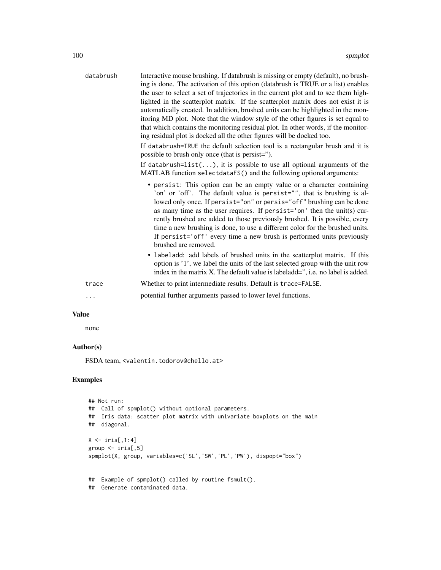| databrush | Interactive mouse brushing. If databrush is missing or empty (default), no brush-<br>ing is done. The activation of this option (databrush is TRUE or a list) enables<br>the user to select a set of trajectories in the current plot and to see them high-<br>lighted in the scatterplot matrix. If the scatterplot matrix does not exist it is<br>automatically created. In addition, brushed units can be highlighted in the mon-<br>itoring MD plot. Note that the window style of the other figures is set equal to<br>that which contains the monitoring residual plot. In other words, if the monitor-<br>ing residual plot is docked all the other figures will be docked too.<br>If databrush=TRUE the default selection tool is a rectangular brush and it is<br>possible to brush only once (that is persist=").<br>If databrush= $list()$ , it is possible to use all optional arguments of the<br>MATLAB function selectdataFS() and the following optional arguments: |
|-----------|-------------------------------------------------------------------------------------------------------------------------------------------------------------------------------------------------------------------------------------------------------------------------------------------------------------------------------------------------------------------------------------------------------------------------------------------------------------------------------------------------------------------------------------------------------------------------------------------------------------------------------------------------------------------------------------------------------------------------------------------------------------------------------------------------------------------------------------------------------------------------------------------------------------------------------------------------------------------------------------|
|           | • persist: This option can be an empty value or a character containing<br>'on' or 'off'. The default value is persist="", that is brushing is al-<br>lowed only once. If persist="on" or persis="off" brushing can be done<br>as many time as the user requires. If persist='on' then the unit(s) cur-<br>rently brushed are added to those previously brushed. It is possible, every<br>time a new brushing is done, to use a different color for the brushed units.<br>If persist='off' every time a new brush is performed units previously<br>brushed are removed.<br>• labeladd: add labels of brushed units in the scatterplot matrix. If this<br>option is '1', we label the units of the last selected group with the unit row<br>index in the matrix X. The default value is labeladd=", i.e. no label is added.                                                                                                                                                           |
| trace     | Whether to print intermediate results. Default is trace=FALSE.                                                                                                                                                                                                                                                                                                                                                                                                                                                                                                                                                                                                                                                                                                                                                                                                                                                                                                                      |
|           | potential further arguments passed to lower level functions.                                                                                                                                                                                                                                                                                                                                                                                                                                                                                                                                                                                                                                                                                                                                                                                                                                                                                                                        |
|           |                                                                                                                                                                                                                                                                                                                                                                                                                                                                                                                                                                                                                                                                                                                                                                                                                                                                                                                                                                                     |

# Value

none

# Author(s)

FSDA team, <valentin.todorov@chello.at>

# Examples

```
## Not run:
## Call of spmplot() without optional parameters.
## Iris data: scatter plot matrix with univariate boxplots on the main
## diagonal.
X \leftarrow \text{iris}[, 1:4]group \le iris[,5]
spmplot(X, group, variables=c('SL','SW','PL','PW'), dispopt="box")
## Example of spmplot() called by routine fsmult().
## Generate contaminated data.
```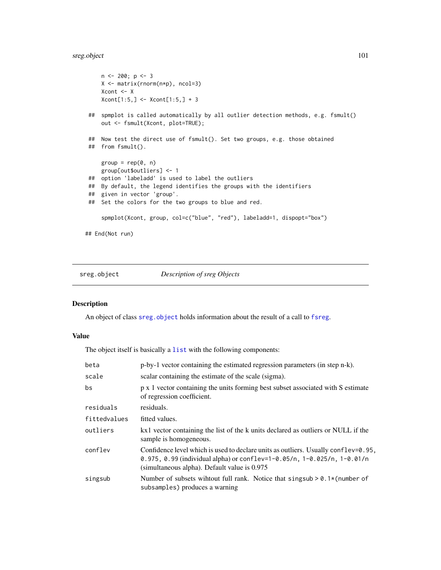## sreg.object 101

```
n \le 200; p \le 3X <- matrix(rnorm(n*p), ncol=3)
    Xcont <- X
    Xcont[1:5, ] \leq Xcont[1:5, ] + 3## spmplot is called automatically by all outlier detection methods, e.g. fsmult()
    out <- fsmult(Xcont, plot=TRUE);
## Now test the direct use of fsmult(). Set two groups, e.g. those obtained
## from fsmult().
    group = rep(0, n)group[out$outliers] <- 1
 ## option 'labeladd' is used to label the outliers
## By default, the legend identifies the groups with the identifiers
## given in vector 'group'.
## Set the colors for the two groups to blue and red.
     spmplot(Xcont, group, col=c("blue", "red"), labeladd=1, dispopt="box")
## End(Not run)
```
<span id="page-100-0"></span>sreg.object *Description of sreg Objects*

#### Description

An object of class [sreg.object](#page-100-0) holds information about the result of a call to [fsreg](#page-29-0).

## Value

The object itself is basically a [list](#page-0-0) with the following components:

| beta         | p-by-1 vector containing the estimated regression parameters (in step n-k).                                                                                                                                                |
|--------------|----------------------------------------------------------------------------------------------------------------------------------------------------------------------------------------------------------------------------|
| scale        | scalar containing the estimate of the scale (sigma).                                                                                                                                                                       |
| bs           | p x 1 vector containing the units forming best subset associated with S estimate<br>of regression coefficient.                                                                                                             |
| residuals    | residuals.                                                                                                                                                                                                                 |
| fittedvalues | fitted values.                                                                                                                                                                                                             |
| outliers     | kx1 vector containing the list of the k units declared as outliers or NULL if the<br>sample is homogeneous.                                                                                                                |
| conflev      | Confidence level which is used to declare units as outliers. Usually conflev= $0.95$ ,<br>0.975, 0.99 (individual alpha) or conflev= $1-0.05/n$ , $1-0.025/n$ , $1-0.01/n$<br>(simultaneous alpha). Default value is 0.975 |
| singsub      | Number of subsets without full rank. Notice that singsub $> 0.1$ * (number of<br>subsamples) produces a warning                                                                                                            |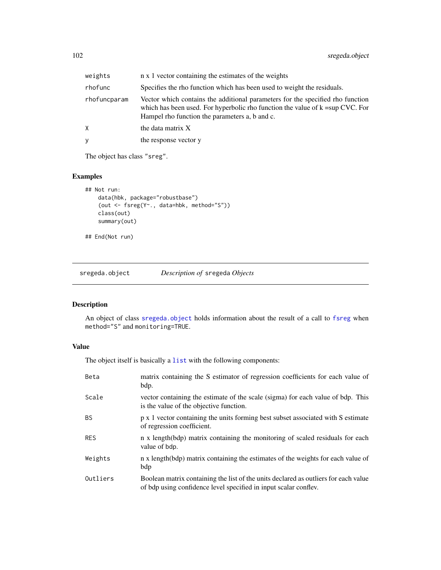| weights      | n x 1 vector containing the estimates of the weights                                                                                                                                                                   |
|--------------|------------------------------------------------------------------------------------------------------------------------------------------------------------------------------------------------------------------------|
| rhofunc      | Specifies the rho function which has been used to weight the residuals.                                                                                                                                                |
| rhofuncparam | Vector which contains the additional parameters for the specified rho function<br>which has been used. For hyperbolic rho function the value of $k = \sup CVC$ . For<br>Hampel rho function the parameters a, b and c. |
| X.           | the data matrix X                                                                                                                                                                                                      |
| y            | the response vector y                                                                                                                                                                                                  |
|              |                                                                                                                                                                                                                        |

The object has class "sreg".

## Examples

```
## Not run:
   data(hbk, package="robustbase")
    (out <- fsreg(Y~., data=hbk, method="S"))
   class(out)
   summary(out)
## End(Not run)
```
<span id="page-101-0"></span>sregeda.object *Description of* sregeda *Objects*

## Description

An object of class [sregeda.object](#page-101-0) holds information about the result of a call to [fsreg](#page-29-0) when method="S" and monitoring=TRUE.

### Value

| Beta       | matrix containing the S estimator of regression coefficients for each value of<br>bdp.                                                                  |
|------------|---------------------------------------------------------------------------------------------------------------------------------------------------------|
| Scale      | vector containing the estimate of the scale (sigma) for each value of bdp. This<br>is the value of the objective function.                              |
| <b>BS</b>  | p x 1 vector containing the units forming best subset associated with S estimate<br>of regression coefficient.                                          |
| <b>RES</b> | n x length(bdp) matrix containing the monitoring of scaled residuals for each<br>value of bdp.                                                          |
| Weights    | n x length(bdp) matrix containing the estimates of the weights for each value of<br>bdp                                                                 |
| Outliers   | Boolean matrix containing the list of the units declared as outliers for each value<br>of bdp using confidence level specified in input scalar conflev. |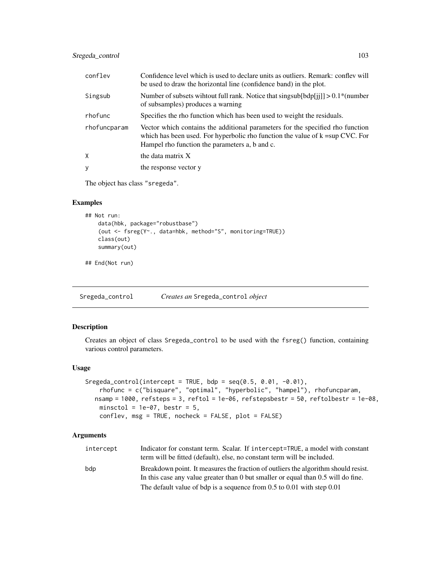## Sregeda\_control 103

| conflev      | Confidence level which is used to declare units as outliers. Remark: confley will<br>be used to draw the horizontal line (confidence band) in the plot.                                                                |
|--------------|------------------------------------------------------------------------------------------------------------------------------------------------------------------------------------------------------------------------|
| Singsub      | Number of subsets wihrout full rank. Notice that singsub[bdp[j]] $> 0.1$ <sup>*</sup> (number<br>of subsamples) produces a warning                                                                                     |
| rhofunc      | Specifies the rho function which has been used to weight the residuals.                                                                                                                                                |
| rhofuncparam | Vector which contains the additional parameters for the specified rho function<br>which has been used. For hyperbolic rho function the value of $k = \sup CVC$ . For<br>Hampel rho function the parameters a, b and c. |
| X            | the data matrix X                                                                                                                                                                                                      |
| y            | the response vector y                                                                                                                                                                                                  |

The object has class "sregeda".

## Examples

```
## Not run:
   data(hbk, package="robustbase")
    (out <- fsreg(Y~., data=hbk, method="S", monitoring=TRUE))
   class(out)
   summary(out)
```
## End(Not run)

<span id="page-102-0"></span>Sregeda\_control *Creates an* Sregeda\_control *object*

#### Description

Creates an object of class Sregeda\_control to be used with the fsreg() function, containing various control parameters.

## Usage

```
Sregeda_control(intercept = TRUE, bdp = seq(0.5, 0.01, -0.01),
    rhofunc = c("bisquare", "optimal", "hyperbolic", "hampel"), rhofuncparam,
  nsamp = 1000, refsteps = 3, reftol = 1e-06, refstepsbestr = 50, reftolbestr = 1e-08,
   minsctol = 1e-07, bestr = 5,
    conflev, msg = TRUE, nocheck = FALSE, plot = FALSE)
```

| intercept | Indicator for constant term. Scalar. If intercept=TRUE, a model with constant<br>term will be fitted (default), else, no constant term will be included.                |
|-----------|-------------------------------------------------------------------------------------------------------------------------------------------------------------------------|
| bdp       | Breakdown point. It measures the fraction of outliers the algorithm should resist.<br>In this case any value greater than 0 but smaller or equal than 0.5 will do fine. |
|           | The default value of bdp is a sequence from $0.5$ to $0.01$ with step $0.01$                                                                                            |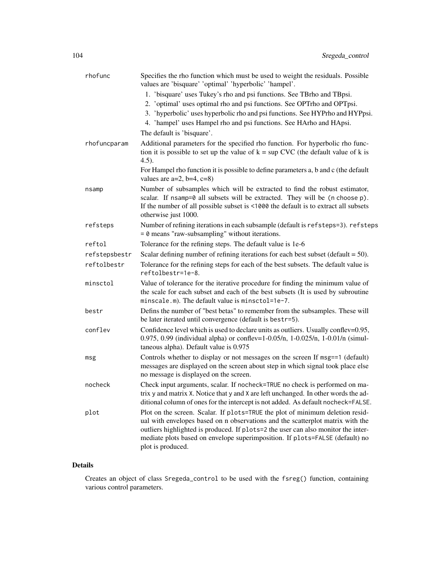| rhofunc       | Specifies the rho function which must be used to weight the residuals. Possible<br>values are 'bisquare' 'optimal' 'hyperbolic' 'hampel'.                                                                                                                                                                                                                 |
|---------------|-----------------------------------------------------------------------------------------------------------------------------------------------------------------------------------------------------------------------------------------------------------------------------------------------------------------------------------------------------------|
|               | 1. 'bisquare' uses Tukey's rho and psi functions. See TBrho and TBpsi.<br>2. 'optimal' uses optimal rho and psi functions. See OPTrho and OPTpsi.<br>3. 'hyperbolic' uses hyperbolic rho and psi functions. See HYPrho and HYPpsi.<br>4. 'hampel' uses Hampel rho and psi functions. See HArho and HApsi.                                                 |
|               | The default is 'bisquare'.                                                                                                                                                                                                                                                                                                                                |
| rhofuncparam  | Additional parameters for the specified rho function. For hyperbolic rho func-<br>tion it is possible to set up the value of $k = \sup CVC$ (the default value of k is<br>$(4.5)$ .                                                                                                                                                                       |
|               | For Hampel rho function it is possible to define parameters a, b and c (the default<br>values are $a=2$ , $b=4$ , $c=8$ )                                                                                                                                                                                                                                 |
| nsamp         | Number of subsamples which will be extracted to find the robust estimator,<br>scalar. If nsamp=0 all subsets will be extracted. They will be (n choose p).<br>If the number of all possible subset is <1000 the default is to extract all subsets<br>otherwise just 1000.                                                                                 |
| refsteps      | Number of refining iterations in each subsample (default is refsteps=3). refsteps<br>$= 0$ means "raw-subsampling" without iterations.                                                                                                                                                                                                                    |
| reftol        | Tolerance for the refining steps. The default value is 1e-6                                                                                                                                                                                                                                                                                               |
| refstepsbestr | Scalar defining number of refining iterations for each best subset (default $= 50$ ).                                                                                                                                                                                                                                                                     |
| reftolbestr   | Tolerance for the refining steps for each of the best subsets. The default value is<br>reftolbestr=1e-8.                                                                                                                                                                                                                                                  |
| minsctol      | Value of tolerance for the iterative procedure for finding the minimum value of<br>the scale for each subset and each of the best subsets (It is used by subroutine<br>minscale.m). The default value is minsctol=1e-7.                                                                                                                                   |
| bestr         | Defins the number of "best betas" to remember from the subsamples. These will<br>be later iterated until convergence (default is bestr=5).                                                                                                                                                                                                                |
| conflev       | Confidence level which is used to declare units as outliers. Usually conflev=0.95,<br>0.975, 0.99 (individual alpha) or conflev=1-0.05/n, 1-0.025/n, 1-0.01/n (simul-<br>taneous alpha). Default value is 0.975                                                                                                                                           |
| msg           | Controls whether to display or not messages on the screen If msg==1 (default)<br>messages are displayed on the screen about step in which signal took place else<br>no message is displayed on the screen.                                                                                                                                                |
| nocheck       | Check input arguments, scalar. If nocheck=TRUE no check is performed on ma-<br>trix y and matrix X. Notice that y and X are left unchanged. In other words the ad-<br>ditional column of ones for the intercept is not added. As default nocheck=FALSE.                                                                                                   |
| plot          | Plot on the screen. Scalar. If plots=TRUE the plot of minimum deletion resid-<br>ual with envelopes based on n observations and the scatterplot matrix with the<br>outliers highlighted is produced. If plots=2 the user can also monitor the inter-<br>mediate plots based on envelope superimposition. If plots=FALSE (default) no<br>plot is produced. |

Creates an object of class Sregeda\_control to be used with the fsreg() function, containing various control parameters.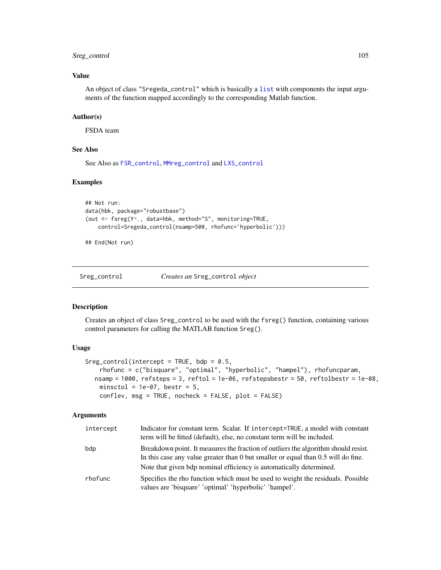## Sreg\_control 105

### Value

An object of class "Sregeda\_control" which is basically a [list](#page-0-0) with components the input arguments of the function mapped accordingly to the corresponding Matlab function.

### Author(s)

FSDA team

#### See Also

See Also as [FSR\\_control](#page-40-0), [MMreg\\_control](#page-77-0) and [LXS\\_control](#page-50-0)

#### Examples

```
## Not run:
data(hbk, package="robustbase")
(out <- fsreg(Y~., data=hbk, method="S", monitoring=TRUE,
   control=Sregeda_control(nsamp=500, rhofunc='hyperbolic')))
```
## End(Not run)

<span id="page-104-0"></span>

Sreg\_control *Creates an* Sreg\_control *object*

#### Description

Creates an object of class Sreg\_control to be used with the fsreg() function, containing various control parameters for calling the MATLAB function Sreg().

## Usage

```
Sreg\_control(intexcept = TRUE, bdp = 0.5,rhofunc = c("bisquare", "optimal", "hyperbolic", "hampel"), rhofuncparam,
  nsamp = 1000, refsteps = 3, reftol = 1e-06, refstepsbestr = 50, reftolbestr = 1e-08,
    minsctol = 1e-07, bestr = 5,
    conflev, msg = TRUE, nocheck = FALSE, plot = FALSE)
```

| intercept | Indicator for constant term. Scalar. If intercept=TRUE, a model with constant<br>term will be fitted (default), else, no constant term will be included.                |
|-----------|-------------------------------------------------------------------------------------------------------------------------------------------------------------------------|
| bdp       | Breakdown point. It measures the fraction of outliers the algorithm should resist.<br>In this case any value greater than 0 but smaller or equal than 0.5 will do fine. |
|           | Note that given bdp nominal efficiency is automatically determined.                                                                                                     |
| rhofunc   | Specifies the rho function which must be used to weight the residuals. Possible<br>values are 'bisquare' 'optimal' 'hyperbolic' 'hampel'.                               |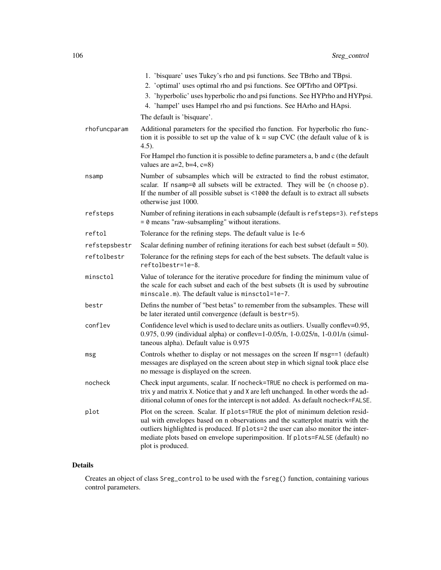|               | 1. 'bisquare' uses Tukey's rho and psi functions. See TBrho and TBpsi.<br>2. 'optimal' uses optimal rho and psi functions. See OPTrho and OPTpsi.<br>3. 'hyperbolic' uses hyperbolic rho and psi functions. See HYPrho and HYPpsi.<br>4. 'hampel' uses Hampel rho and psi functions. See HArho and HApsi.                                                 |
|---------------|-----------------------------------------------------------------------------------------------------------------------------------------------------------------------------------------------------------------------------------------------------------------------------------------------------------------------------------------------------------|
|               | The default is 'bisquare'.                                                                                                                                                                                                                                                                                                                                |
| rhofuncparam  | Additional parameters for the specified rho function. For hyperbolic rho func-<br>tion it is possible to set up the value of $k = \sup CVC$ (the default value of k is<br>$(4.5)$ .                                                                                                                                                                       |
|               | For Hampel rho function it is possible to define parameters a, b and c (the default<br>values are $a=2$ , $b=4$ , $c=8$ )                                                                                                                                                                                                                                 |
| nsamp         | Number of subsamples which will be extracted to find the robust estimator,<br>scalar. If nsamp=0 all subsets will be extracted. They will be (n choose p).<br>If the number of all possible subset is <1000 the default is to extract all subsets<br>otherwise just 1000.                                                                                 |
| refsteps      | Number of refining iterations in each subsample (default is refsteps=3). refsteps<br>$= 0$ means "raw-subsampling" without iterations.                                                                                                                                                                                                                    |
| reftol        | Tolerance for the refining steps. The default value is 1e-6                                                                                                                                                                                                                                                                                               |
| refstepsbestr | Scalar defining number of refining iterations for each best subset (default $= 50$ ).                                                                                                                                                                                                                                                                     |
| reftolbestr   | Tolerance for the refining steps for each of the best subsets. The default value is<br>reftolbestr=1e-8.                                                                                                                                                                                                                                                  |
| minsctol      | Value of tolerance for the iterative procedure for finding the minimum value of<br>the scale for each subset and each of the best subsets (It is used by subroutine<br>minscale.m). The default value is minsctol=1e-7.                                                                                                                                   |
| bestr         | Defins the number of "best betas" to remember from the subsamples. These will<br>be later iterated until convergence (default is bestr=5).                                                                                                                                                                                                                |
| conflev       | Confidence level which is used to declare units as outliers. Usually conflev=0.95,<br>0.975, 0.99 (individual alpha) or conflev=1-0.05/n, 1-0.025/n, 1-0.01/n (simul-<br>taneous alpha). Default value is 0.975                                                                                                                                           |
| msg           | Controls whether to display or not messages on the screen If msg==1 (default)<br>messages are displayed on the screen about step in which signal took place else<br>no message is displayed on the screen.                                                                                                                                                |
| nocheck       | Check input arguments, scalar. If nocheck=TRUE no check is performed on ma-<br>trix y and matrix X. Notice that y and X are left unchanged. In other words the ad-<br>ditional column of ones for the intercept is not added. As default nocheck=FALSE.                                                                                                   |
| plot          | Plot on the screen. Scalar. If plots=TRUE the plot of minimum deletion resid-<br>ual with envelopes based on n observations and the scatterplot matrix with the<br>outliers highlighted is produced. If plots=2 the user can also monitor the inter-<br>mediate plots based on envelope superimposition. If plots=FALSE (default) no<br>plot is produced. |

Creates an object of class Sreg\_control to be used with the fsreg() function, containing various control parameters.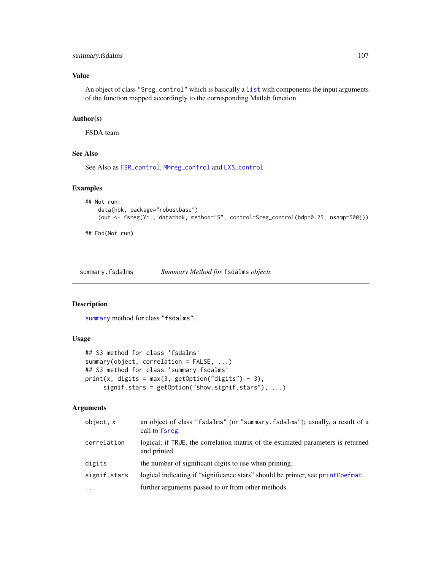### Value

An object of class "Sreg\_control" which is basically a [list](#page-0-0) with components the input arguments of the function mapped accordingly to the corresponding Matlab function.

### Author(s)

FSDA team

### See Also

See Also as [FSR\\_control](#page-40-0), [MMreg\\_control](#page-77-0) and [LXS\\_control](#page-50-0)

### Examples

```
## Not run:
   data(hbk, package="robustbase")
    (out <- fsreg(Y~., data=hbk, method="S", control=Sreg_control(bdp=0.25, nsamp=500)))
```

```
## End(Not run)
```
<span id="page-106-0"></span>summary.fsdalms *Summary Method for* fsdalms *objects*

## Description

[summary](#page-0-0) method for class "fsdalms".

### Usage

```
## S3 method for class 'fsdalms'
summary(object, correlation = FALSE, ...)
## S3 method for class 'summary.fsdalms'
print(x, digits = max(3, getOption("digits") - 3),signif.stars = getOption("show.signif.stars"), ...)
```

| object, x    | an object of class "fsdalms" (or "summary.fsdalms"); usually, a result of a<br>call to fsreg.    |
|--------------|--------------------------------------------------------------------------------------------------|
| correlation  | logical; if TRUE, the correlation matrix of the estimated parameters is returned<br>and printed. |
| digits       | the number of significant digits to use when printing.                                           |
| signif.stars | logical indicating if "significance stars" should be printer, see printCoefmat.                  |
| $\cdots$     | further arguments passed to or from other methods.                                               |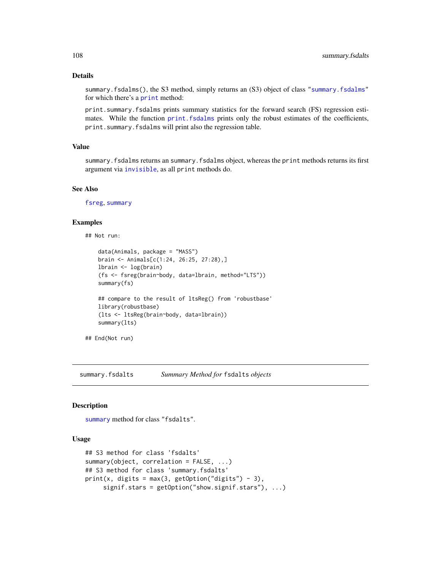summary.fsdalms(), the S3 method, simply returns an (S3) object of class ["summary.fsdalms"](#page-106-0) for which there's a [print](#page-0-0) method:

print.summary.fsdalms prints summary statistics for the forward search (FS) regression estimates. While the function [print.fsdalms](#page-29-1) prints only the robust estimates of the coefficients, print.summary.fsdalms will print also the regression table.

### Value

summary.fsdalms returns an summary.fsdalms object, whereas the print methods returns its first argument via [invisible](#page-0-0), as all print methods do.

## See Also

[fsreg](#page-29-0), [summary](#page-0-0)

#### Examples

## Not run:

```
data(Animals, package = "MASS")
brain <- Animals[c(1:24, 26:25, 27:28),]
lbrain <- log(brain)
(fs <- fsreg(brain~body, data=lbrain, method="LTS"))
summary(fs)
## compare to the result of ltsReg() from 'robustbase'
library(robustbase)
(lts <- ltsReg(brain~body, data=lbrain))
summary(lts)
```

```
## End(Not run)
```
summary.fsdalts *Summary Method for* fsdalts *objects*

#### Description

[summary](#page-0-0) method for class "fsdalts".

#### Usage

```
## S3 method for class 'fsdalts'
summary(object, correlation = FALSE, ...)
## S3 method for class 'summary.fsdalts'
print(x, digits = max(3, getOption("digits") - 3),signif.stars = getOption("show.signif.stars"), ...)
```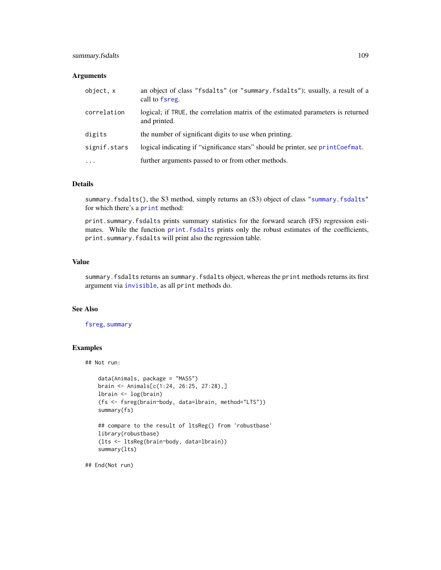## summary.fsdalts 109

#### Arguments

| object, x    | an object of class "fsdalts" (or "summary.fsdalts"); usually, a result of a<br>call to fsreg.    |
|--------------|--------------------------------------------------------------------------------------------------|
| correlation  | logical; if TRUE, the correlation matrix of the estimated parameters is returned<br>and printed. |
| digits       | the number of significant digits to use when printing.                                           |
| signif.stars | logical indicating if "significance stars" should be printer, see printCoefmat.                  |
| $\cdots$     | further arguments passed to or from other methods.                                               |

#### Details

summary.fsdalts(), the S3 method, simply returns an (S3) object of class ["summary.fsdalts"](#page-107-0) for which there's a [print](#page-0-0) method:

print.summary.fsdalts prints summary statistics for the forward search (FS) regression estimates. While the function print. fsdalts prints only the robust estimates of the coefficients, print.summary.fsdalts will print also the regression table.

## Value

summary.fsdalts returns an summary.fsdalts object, whereas the print methods returns its first argument via [invisible](#page-0-0), as all print methods do.

## See Also

[fsreg](#page-29-0), [summary](#page-0-0)

## Examples

```
## Not run:
```

```
data(Animals, package = "MASS")
brain <- Animals[c(1:24, 26:25, 27:28),]
lbrain <- log(brain)
(fs <- fsreg(brain~body, data=lbrain, method="LTS"))
summary(fs)
## compare to the result of ltsReg() from 'robustbase'
library(robustbase)
(lts <- ltsReg(brain~body, data=lbrain))
summary(lts)
```
## End(Not run)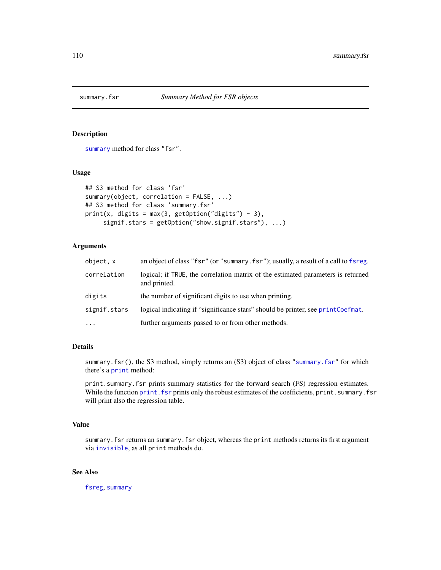<span id="page-109-0"></span>

## Description

[summary](#page-0-0) method for class "fsr".

#### Usage

```
## S3 method for class 'fsr'
summary(object, correlation = FALSE, ...)
## S3 method for class 'summary.fsr'
print(x, digits = max(3, getOption("digits") - 3),signif.stars = getOption("show.signif.stars"), ...)
```
## Arguments

| object, x    | an object of class "fsr" (or "summary.fsr"); usually, a result of a call to fsreg.               |
|--------------|--------------------------------------------------------------------------------------------------|
| correlation  | logical; if TRUE, the correlation matrix of the estimated parameters is returned<br>and printed. |
| digits       | the number of significant digits to use when printing.                                           |
| signif.stars | logical indicating if "significance stars" should be printer, see printCoefmat.                  |
| $\cdots$     | further arguments passed to or from other methods.                                               |

## Details

summary.fsr(), the S3 method, simply returns an (S3) object of class ["summary.fsr"](#page-109-0) for which there's a [print](#page-0-0) method:

print.summary.fsr prints summary statistics for the forward search (FS) regression estimates. While the function print. fsr prints only the robust estimates of the coefficients, print. summary. fsr will print also the regression table.

## Value

summary.fsr returns an summary.fsr object, whereas the print methods returns its first argument via [invisible](#page-0-0), as all print methods do.

## See Also

[fsreg](#page-29-0), [summary](#page-0-0)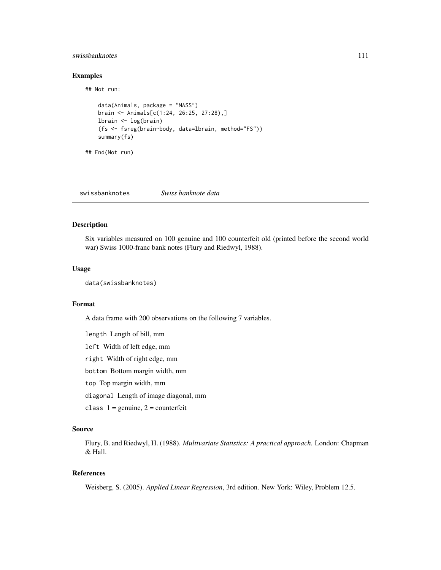## swissbanknotes 111

#### Examples

## Not run:

```
data(Animals, package = "MASS")
brain <- Animals[c(1:24, 26:25, 27:28),]
lbrain <- log(brain)
(fs <- fsreg(brain~body, data=lbrain, method="FS"))
summary(fs)
```
## End(Not run)

swissbanknotes *Swiss banknote data*

## Description

Six variables measured on 100 genuine and 100 counterfeit old (printed before the second world war) Swiss 1000-franc bank notes (Flury and Riedwyl, 1988).

## Usage

data(swissbanknotes)

## Format

A data frame with 200 observations on the following 7 variables.

length Length of bill, mm left Width of left edge, mm right Width of right edge, mm bottom Bottom margin width, mm top Top margin width, mm diagonal Length of image diagonal, mm class  $1 =$  genuine,  $2 =$  counterfeit

## Source

Flury, B. and Riedwyl, H. (1988). *Multivariate Statistics: A practical approach.* London: Chapman & Hall.

## References

Weisberg, S. (2005). *Applied Linear Regression*, 3rd edition. New York: Wiley, Problem 12.5.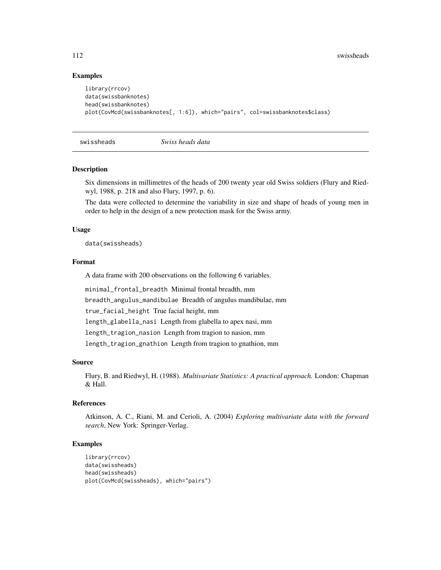## Examples

```
library(rrcov)
data(swissbanknotes)
head(swissbanknotes)
plot(CovMcd(swissbanknotes[, 1:6]), which="pairs", col=swissbanknotes$class)
```
swissheads *Swiss heads data*

## Description

Six dimensions in millimetres of the heads of 200 twenty year old Swiss soldiers (Flury and Riedwyl, 1988, p. 218 and also Flury, 1997, p. 6).

The data were collected to determine the variability in size and shape of heads of young men in order to help in the design of a new protection mask for the Swiss army.

#### Usage

data(swissheads)

#### Format

A data frame with 200 observations on the following 6 variables.

minimal\_frontal\_breadth Minimal frontal breadth, mm breadth\_angulus\_mandibulae Breadth of angulus mandibulae, mm true\_facial\_height True facial height, mm length\_glabella\_nasi Length from glabella to apex nasi, mm length\_tragion\_nasion Length from tragion to nasion, mm length\_tragion\_gnathion Length from tragion to gnathion, mm

#### Source

Flury, B. and Riedwyl, H. (1988). *Multivariate Statistics: A practical approach.* London: Chapman & Hall.

## References

Atkinson, A. C., Riani, M. and Cerioli, A. (2004) *Exploring multivariate data with the forward search*, New York: Springer-Verlag.

## Examples

```
library(rrcov)
data(swissheads)
head(swissheads)
plot(CovMcd(swissheads), which="pairs")
```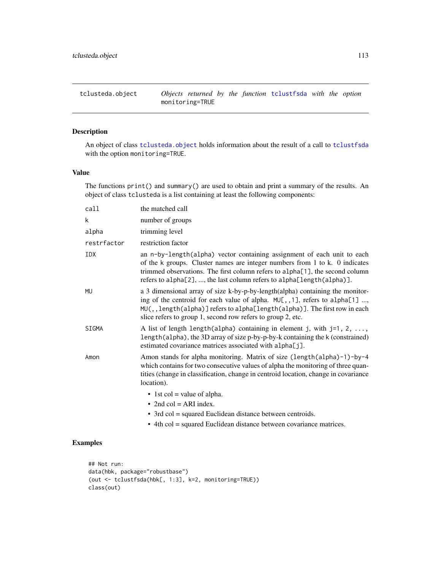<span id="page-112-0"></span>

## Description

An object of class [tclusteda.object](#page-112-0) holds information about the result of a call to [tclustfsda](#page-113-0) with the option monitoring=TRUE.

#### Value

The functions print() and summary() are used to obtain and print a summary of the results. An object of class tclusteda is a list containing at least the following components:

| call        | the matched call                                                                                                                                                                                                                                                                                                |
|-------------|-----------------------------------------------------------------------------------------------------------------------------------------------------------------------------------------------------------------------------------------------------------------------------------------------------------------|
| k           | number of groups                                                                                                                                                                                                                                                                                                |
| alpha       | trimming level                                                                                                                                                                                                                                                                                                  |
| restrfactor | restriction factor                                                                                                                                                                                                                                                                                              |
| IDX         | an n-by-length(alpha) vector containing assignment of each unit to each<br>of the k groups. Cluster names are integer numbers from 1 to k. 0 indicates<br>trimmed observations. The first column refers to alpha[1], the second column<br>refers to alpha[2], , the last column refers to alpha[length(alpha)]. |
| <b>MU</b>   | a 3 dimensional array of size k-by-p-by-length(alpha) containing the monitor-<br>ing of the centroid for each value of alpha. MU[,,1], refers to alpha[1] ,<br>MU(,, length(alpha)] refers to alpha[length(alpha)]. The first row in each<br>slice refers to group 1, second row refers to group 2, etc.        |
| SIGMA       | A list of length length (alpha) containing in element j, with $j=1, 2, \ldots$ ,<br>length(alpha), the 3D array of size p-by-p-by-k containing the k (constrained)<br>estimated covariance matrices associated with alpha[j].                                                                                   |
| Amon        | Amon stands for alpha monitoring. Matrix of size (length(alpha)-1)-by-4<br>which contains for two consecutive values of alpha the monitoring of three quan-<br>tities (change in classification, change in centroid location, change in covariance<br>location).                                                |
|             | $\bullet$ 1st col = value of alpha.<br>• 2nd col = ARI index.<br>• 3rd col = squared Euclidean distance between centroids.<br>• 4th col = squared Euclidean distance between covariance matrices.                                                                                                               |

## Examples

```
## Not run:
data(hbk, package="robustbase")
(out <- tclustfsda(hbk[, 1:3], k=2, monitoring=TRUE))
class(out)
```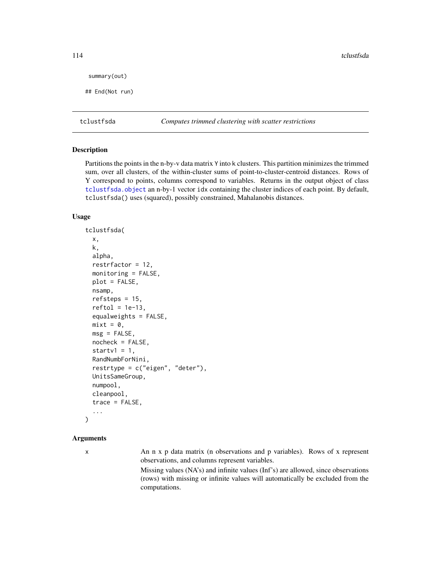```
summary(out)
```
## End(Not run)

<span id="page-113-0"></span>tclustfsda *Computes trimmed clustering with scatter restrictions*

#### Description

Partitions the points in the n-by-v data matrix Y into k clusters. This partition minimizes the trimmed sum, over all clusters, of the within-cluster sums of point-to-cluster-centroid distances. Rows of Y correspond to points, columns correspond to variables. Returns in the output object of class [tclustfsda.object](#page-121-0) an n-by-1 vector idx containing the cluster indices of each point. By default, tclustfsda() uses (squared), possibly constrained, Mahalanobis distances.

#### Usage

```
tclustfsda(
  x,
 k,
  alpha,
  restrfactor = 12,
 monitoring = FALSE,
 plot = FALSE,
  nsamp,
  refsteps = 15,
  reftol = 1e-13,
  equalweights = FALSE,
  mixt = 0,
 msg = FALSE,nocheck = FALSE,
  startv1 = 1,
  RandNumbForNini,
  restrtype = c("eigen", "deter"),
 UnitsSameGroup,
  numpool,
  cleanpool,
  trace = FALSE,...
)
```
#### Arguments

x An n x p data matrix (n observations and p variables). Rows of x represent observations, and columns represent variables.

> Missing values (NA's) and infinite values (Inf's) are allowed, since observations (rows) with missing or infinite values will automatically be excluded from the computations.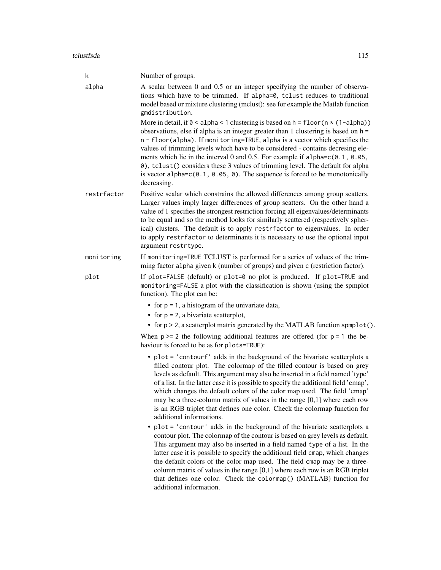#### tclustfsda 115

| k           | Number of groups.                                                                                                                                                                                                                                                                                                                                                                                                                                                                                                                                                                                                                 |
|-------------|-----------------------------------------------------------------------------------------------------------------------------------------------------------------------------------------------------------------------------------------------------------------------------------------------------------------------------------------------------------------------------------------------------------------------------------------------------------------------------------------------------------------------------------------------------------------------------------------------------------------------------------|
| alpha       | A scalar between 0 and 0.5 or an integer specifying the number of observa-<br>tions which have to be trimmed. If alpha=0, tclust reduces to traditional<br>model based or mixture clustering (mclust): see for example the Matlab function<br>gmdistribution.                                                                                                                                                                                                                                                                                                                                                                     |
|             | More in detail, if $0 <$ alpha < 1 clustering is based on h = floor ( $n \times (1 - \alpha)$ )<br>observations, else if alpha is an integer greater than 1 clustering is based on $h =$<br>n - floor(alpha). If monitoring=TRUE, alpha is a vector which specifies the<br>values of trimming levels which have to be considered - contains decresing ele-<br>ments which lie in the interval 0 and 0.5. For example if alpha= $c(0.1, 0.05,$<br>0), tclust() considers these 3 values of trimming level. The default for alpha<br>is vector alpha= $c(0.1, 0.05, 0)$ . The sequence is forced to be monotonically<br>decreasing. |
| restrfactor | Positive scalar which constrains the allowed differences among group scatters.<br>Larger values imply larger differences of group scatters. On the other hand a<br>value of 1 specifies the strongest restriction forcing all eigenvalues/determinants<br>to be equal and so the method looks for similarly scattered (respectively spher-<br>ical) clusters. The default is to apply restrfactor to eigenvalues. In order<br>to apply restrfactor to determinants it is necessary to use the optional input<br>argument restrtype.                                                                                               |
| monitoring  | If monitoring=TRUE TCLUST is performed for a series of values of the trim-<br>ming factor alpha given k (number of groups) and given c (restriction factor).                                                                                                                                                                                                                                                                                                                                                                                                                                                                      |
| plot        | If plot=FALSE (default) or plot=0 no plot is produced. If plot=TRUE and<br>monitoring=FALSE a plot with the classification is shown (using the spmplot<br>function). The plot can be:                                                                                                                                                                                                                                                                                                                                                                                                                                             |
|             | • for $p = 1$ , a histogram of the univariate data,                                                                                                                                                                                                                                                                                                                                                                                                                                                                                                                                                                               |
|             | • for $p = 2$ , a bivariate scatterplot,                                                                                                                                                                                                                                                                                                                                                                                                                                                                                                                                                                                          |
|             | • for $p > 2$ , a scatterplot matrix generated by the MATLAB function spmplot().                                                                                                                                                                                                                                                                                                                                                                                                                                                                                                                                                  |
|             | When $p \ge 2$ the following additional features are offered (for $p = 1$ the be-<br>haviour is forced to be as for plots=TRUE):                                                                                                                                                                                                                                                                                                                                                                                                                                                                                                  |
|             | • plot = 'contourf' adds in the background of the bivariate scatterplots a<br>filled contour plot. The colormap of the filled contour is based on grey<br>levels as default. This argument may also be inserted in a field named 'type'<br>of a list. In the latter case it is possible to specify the additional field 'cmap',<br>which changes the default colors of the color map used. The field 'cmap'<br>may be a three-column matrix of values in the range $[0,1]$ where each row<br>is an RGB triplet that defines one color. Check the colormap function for<br>additional informations.                                |
|             | plot = 'contour' adds in the background of the bivariate scatterplots a<br>٠<br>contour plot. The colormap of the contour is based on grey levels as default.<br>This argument may also be inserted in a field named type of a list. In the<br>latter case it is possible to specify the additional field cmap, which changes<br>the default colors of the color map used. The field cmap may be a three-<br>column matrix of values in the range $[0,1]$ where each row is an RGB triplet<br>that defines one color. Check the colormap() (MATLAB) function for<br>additional information.                                       |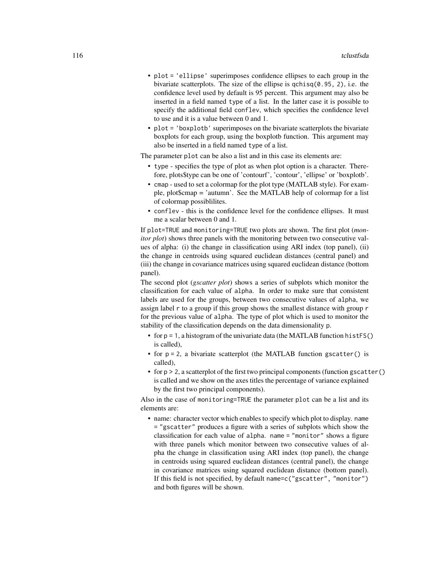- plot = 'ellipse' superimposes confidence ellipses to each group in the bivariate scatterplots. The size of the ellipse is  $\text{qchisq}(0.95, 2)$ , i.e. the confidence level used by default is 95 percent. This argument may also be inserted in a field named type of a list. In the latter case it is possible to specify the additional field conflev, which specifies the confidence level to use and it is a value between 0 and 1.
- plot = 'boxplotb' superimposes on the bivariate scatterplots the bivariate boxplots for each group, using the boxplotb function. This argument may also be inserted in a field named type of a list.

The parameter plot can be also a list and in this case its elements are:

- type specifies the type of plot as when plot option is a character. Therefore, plots\$type can be one of 'contourf', 'contour', 'ellipse' or 'boxplotb'.
- cmap used to set a colormap for the plot type (MATLAB style). For example, plot\$cmap = 'autumn'. See the MATLAB help of colormap for a list of colormap possiblilites.
- conflev this is the confidence level for the confidence ellipses. It must me a scalar between 0 and 1.

If plot=TRUE and monitoring=TRUE two plots are shown. The first plot (*monitor plot*) shows three panels with the monitoring between two consecutive values of alpha: (i) the change in classification using ARI index (top panel), (ii) the change in centroids using squared euclidean distances (central panel) and (iii) the change in covariance matrices using squared euclidean distance (bottom panel).

The second plot (*gscatter plot*) shows a series of subplots which monitor the classification for each value of alpha. In order to make sure that consistent labels are used for the groups, between two consecutive values of alpha, we assign label r to a group if this group shows the smallest distance with group r for the previous value of alpha. The type of plot which is used to monitor the stability of the classification depends on the data dimensionality p.

- for  $p = 1$ , a histogram of the univariate data (the MATLAB function histFS() is called),
- for p = 2, a bivariate scatterplot (the MATLAB function gscatter() is called),
- for  $p > 2$ , a scatterplot of the first two principal components (function gscatter() is called and we show on the axes titles the percentage of variance explained by the first two principal components).

Also in the case of monitoring=TRUE the parameter plot can be a list and its elements are:

• name: character vector which enables to specify which plot to display. name = "gscatter" produces a figure with a series of subplots which show the classification for each value of alpha. name = "monitor" shows a figure with three panels which monitor between two consecutive values of alpha the change in classification using ARI index (top panel), the change in centroids using squared euclidean distances (central panel), the change in covariance matrices using squared euclidean distance (bottom panel). If this field is not specified, by default name=c("gscatter", "monitor") and both figures will be shown.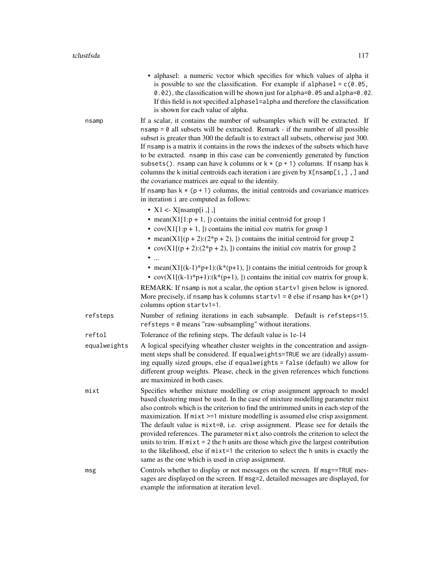• alphasel: a numeric vector which specifies for which values of alpha it is possible to see the classification. For example if alphasel =  $c(0.05$ , 0.02), the classification will be shown just for alpha=0.05 and alpha=0.02. If this field is not specified alphasel=alpha and therefore the classification is shown for each value of alpha. nsamp If a scalar, it contains the number of subsamples which will be extracted. If

 $nsamp = 0$  all subsets will be extracted. Remark - if the number of all possible subset is greater than 300 the default is to extract all subsets, otherwise just 300. If nsamp is a matrix it contains in the rows the indexes of the subsets which have to be extracted. nsamp in this case can be conveniently generated by function subsets(). nsamp can have k columns or  $k * (p + 1)$  columns. If nsamp has k columns the k initial centroids each iteration i are given by  $X[$ nsamp $[i, ]]$ , and the covariance matrices are equal to the identity.

If nsamp has  $k \times (p + 1)$  columns, the initial centroids and covariance matrices in iteration i are computed as follows:

- $X1 \leq X[nsamp[i],]$
- mean( $X1[1:p + 1, ]$ ) contains the initial centroid for group 1
- $cov(X1[1:p + 1,])$  contains the initial cov matrix for group 1
- mean(X1[(p + 2):( $2*p + 2$ ), ]) contains the initial centroid for group 2
- cov(X1[(p + 2):( $2*p + 2$ ), ]) contains the initial cov matrix for group 2
- ...
- mean(X1[(k-1)\*p+1):(k\*(p+1), ]) contains the initial centroids for group k
- cov(X1[(k-1)\*p+1):(k\*(p+1), ]) contains the initial cov matrix for group k.

REMARK: If nsamp is not a scalar, the option startv1 given below is ignored. More precisely, if nsamp has k columns startv1 =  $\theta$  else if nsamp has k\*(p+1) columns option startv1=1.

refsteps Number of refining iterations in each subsample. Default is refsteps=15. refsteps = 0 means "raw-subsampling" without iterations.

reftol Tolerance of the refining steps. The default value is 1e-14

- equalweights A logical specifying wheather cluster weights in the concentration and assignment steps shall be considered. If equalweights=TRUE we are (ideally) assuming equally sized groups, else if equalweights = false (default) we allow for different group weights. Please, check in the given references which functions are maximized in both cases.
- mixt Specifies whether mixture modelling or crisp assignment approach to model based clustering must be used. In the case of mixture modelling parameter mixt also controls which is the criterion to find the untrimmed units in each step of the maximization. If mixt  $>=1$  mixture modelling is assumed else crisp assignment. The default value is  $mixt=0$ , i.e. crisp assignment. Please see for details the provided references. The parameter mixt also controls the criterion to select the units to trim. If  $mixt = 2$  the h units are those which give the largest contribution to the likelihood, else if mixt=1 the criterion to select the h units is exactly the same as the one which is used in crisp assignment.
- msg Controls whether to display or not messages on the screen. If msg==TRUE messages are displayed on the screen. If msg=2, detailed messages are displayed, for example the information at iteration level.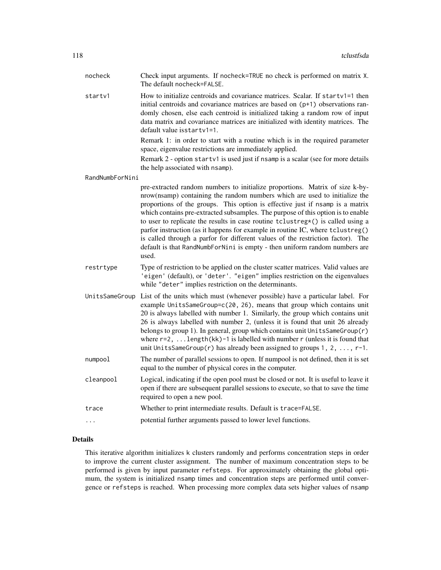| nocheck         | Check input arguments. If nocheck=TRUE no check is performed on matrix X.<br>The default nocheck=FALSE.                                                                                                                                                                                                                                                                                                                                                                                                                                                                                                                                                                        |
|-----------------|--------------------------------------------------------------------------------------------------------------------------------------------------------------------------------------------------------------------------------------------------------------------------------------------------------------------------------------------------------------------------------------------------------------------------------------------------------------------------------------------------------------------------------------------------------------------------------------------------------------------------------------------------------------------------------|
| startv1         | How to initialize centroids and covariance matrices. Scalar. If startv1=1 then<br>initial centroids and covariance matrices are based on (p+1) observations ran-<br>domly chosen, else each centroid is initialized taking a random row of input<br>data matrix and covariance matrices are initialized with identity matrices. The<br>default value isstartv1=1.                                                                                                                                                                                                                                                                                                              |
|                 | Remark 1: in order to start with a routine which is in the required parameter<br>space, eigenvalue restrictions are immediately applied.                                                                                                                                                                                                                                                                                                                                                                                                                                                                                                                                       |
|                 | Remark 2 - option startv1 is used just if nsamp is a scalar (see for more details<br>the help associated with nsamp).                                                                                                                                                                                                                                                                                                                                                                                                                                                                                                                                                          |
| RandNumbForNini |                                                                                                                                                                                                                                                                                                                                                                                                                                                                                                                                                                                                                                                                                |
|                 | pre-extracted random numbers to initialize proportions. Matrix of size k-by-<br>nrow(nsamp) containing the random numbers which are used to initialize the<br>proportions of the groups. This option is effective just if nsamp is a matrix<br>which contains pre-extracted subsamples. The purpose of this option is to enable<br>to user to replicate the results in case routine tclustreg*() is called using a<br>parfor instruction (as it happens for example in routine IC, where tclustreg()<br>is called through a parfor for different values of the restriction factor). The<br>default is that RandNumbForNini is empty - then uniform random numbers are<br>used. |
| restrtype       | Type of restriction to be applied on the cluster scatter matrices. Valid values are<br>'eigen' (default), or 'deter'. "eigen" implies restriction on the eigenvalues<br>while "deter" implies restriction on the determinants.                                                                                                                                                                                                                                                                                                                                                                                                                                                 |
| UnitsSameGroup  | List of the units which must (whenever possible) have a particular label. For<br>example UnitsSameGroup=c(20, 26), means that group which contains unit<br>20 is always labelled with number 1. Similarly, the group which contains unit<br>26 is always labelled with number 2, (unless it is found that unit 26 already<br>belongs to group 1). In general, group which contains unit UnitsSameGroup(r)<br>where $r=2$ ,  length(kk)-1 is labelled with number $r$ (unless it is found that<br>unit UnitsSameGroup(r) has already been assigned to groups 1, 2, , r-1.                                                                                                       |
| numpool         | The number of parallel sessions to open. If numpool is not defined, then it is set<br>equal to the number of physical cores in the computer.                                                                                                                                                                                                                                                                                                                                                                                                                                                                                                                                   |
| cleanpool       | Logical, indicating if the open pool must be closed or not. It is useful to leave it<br>open if there are subsequent parallel sessions to execute, so that to save the time<br>required to open a new pool.                                                                                                                                                                                                                                                                                                                                                                                                                                                                    |
| trace           | Whether to print intermediate results. Default is trace=FALSE.                                                                                                                                                                                                                                                                                                                                                                                                                                                                                                                                                                                                                 |
| .               | potential further arguments passed to lower level functions.                                                                                                                                                                                                                                                                                                                                                                                                                                                                                                                                                                                                                   |

## Details

This iterative algorithm initializes k clusters randomly and performs concentration steps in order to improve the current cluster assignment. The number of maximum concentration steps to be performed is given by input parameter refsteps. For approximately obtaining the global optimum, the system is initialized nsamp times and concentration steps are performed until convergence or refsteps is reached. When processing more complex data sets higher values of nsamp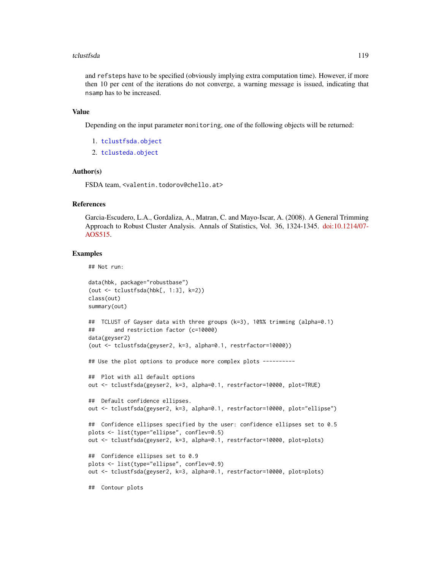#### tclustfsda 119

and refsteps have to be specified (obviously implying extra computation time). However, if more then 10 per cent of the iterations do not converge, a warning message is issued, indicating that nsamp has to be increased.

#### Value

Depending on the input parameter monitoring, one of the following objects will be returned:

- 1. [tclustfsda.object](#page-121-0)
- 2. [tclusteda.object](#page-112-0)

#### Author(s)

FSDA team, <valentin.todorov@chello.at>

## References

Garcia-Escudero, L.A., Gordaliza, A., Matran, C. and Mayo-Iscar, A. (2008). A General Trimming Approach to Robust Cluster Analysis. Annals of Statistics, Vol. 36, 1324-1345. [doi:10.1214/07-](https://doi.org/10.1214/07-AOS515) [AOS515.](https://doi.org/10.1214/07-AOS515)

## Examples

```
## Not run:
data(hbk, package="robustbase")
(out <- tclustfsda(hbk[, 1:3], k=2))
class(out)
summary(out)
## TCLUST of Gayser data with three groups (k=3), 10%% trimming (alpha=0.1)
## and restriction factor (c=10000)
data(geyser2)
(out <- tclustfsda(geyser2, k=3, alpha=0.1, restrfactor=10000))
## Use the plot options to produce more complex plots ----------
## Plot with all default options
out <- tclustfsda(geyser2, k=3, alpha=0.1, restrfactor=10000, plot=TRUE)
## Default confidence ellipses.
out <- tclustfsda(geyser2, k=3, alpha=0.1, restrfactor=10000, plot="ellipse")
## Confidence ellipses specified by the user: confidence ellipses set to 0.5
plots <- list(type="ellipse", conflev=0.5)
out <- tclustfsda(geyser2, k=3, alpha=0.1, restrfactor=10000, plot=plots)
## Confidence ellipses set to 0.9
plots <- list(type="ellipse", conflev=0.9)
out <- tclustfsda(geyser2, k=3, alpha=0.1, restrfactor=10000, plot=plots)
## Contour plots
```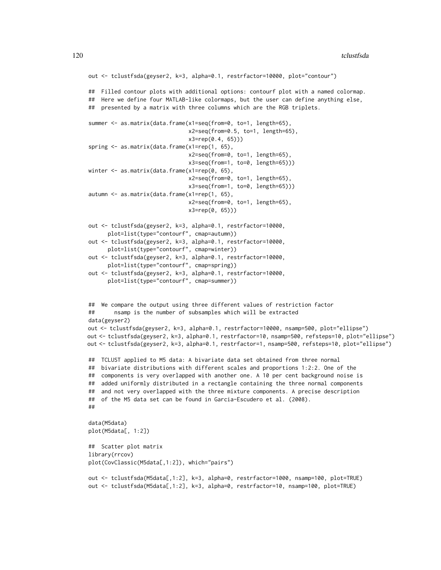```
out <- tclustfsda(geyser2, k=3, alpha=0.1, restrfactor=10000, plot="contour")
## Filled contour plots with additional options: contourf plot with a named colormap.
## Here we define four MATLAB-like colormaps, but the user can define anything else,
## presented by a matrix with three columns which are the RGB triplets.
summer <- as.matrix(data.frame(x1=seq(from=0, to=1, length=65),
                               x2=seq(from=0.5, to=1, length=65),
                               x3=rep(0.4, 65)))
spring <- as.matrix(data.frame(x1=rep(1, 65),
                               x2=seq(from=0, to=1, length=65),
                               x3=seq(from=1, to=0, length=65)))
winter <- as.matrix(data.frame(x1=rep(0, 65),
                               x2=seq(from=0, to=1, length=65),
                               x3=seq(from=1, to=0, length=65)))
autumn <- as.matrix(data.frame(x1=rep(1, 65),
                               x2=seq(from=0, to=1, length=65),
                               x3=rep(0, 65)))
out <- tclustfsda(geyser2, k=3, alpha=0.1, restrfactor=10000,
      plot=list(type="contourf", cmap=autumn))
out <- tclustfsda(geyser2, k=3, alpha=0.1, restrfactor=10000,
      plot=list(type="contourf", cmap=winter))
out <- tclustfsda(geyser2, k=3, alpha=0.1, restrfactor=10000,
      plot=list(type="contourf", cmap=spring))
out <- tclustfsda(geyser2, k=3, alpha=0.1, restrfactor=10000,
      plot=list(type="contourf", cmap=summer))
## We compare the output using three different values of restriction factor
## nsamp is the number of subsamples which will be extracted
data(geyser2)
out <- tclustfsda(geyser2, k=3, alpha=0.1, restrfactor=10000, nsamp=500, plot="ellipse")
out <- tclustfsda(geyser2, k=3, alpha=0.1, restrfactor=10, nsamp=500, refsteps=10, plot="ellipse")
out <- tclustfsda(geyser2, k=3, alpha=0.1, restrfactor=1, nsamp=500, refsteps=10, plot="ellipse")
## TCLUST applied to M5 data: A bivariate data set obtained from three normal
## bivariate distributions with different scales and proportions 1:2:2. One of the
## components is very overlapped with another one. A 10 per cent background noise is
## added uniformly distributed in a rectangle containing the three normal components
## and not very overlapped with the three mixture components. A precise description
## of the M5 data set can be found in Garcia-Escudero et al. (2008).
##
data(M5data)
plot(M5data[, 1:2])
## Scatter plot matrix
library(rrcov)
plot(CovClassic(M5data[,1:2]), which="pairs")
out <- tclustfsda(M5data[,1:2], k=3, alpha=0, restrfactor=1000, nsamp=100, plot=TRUE)
out <- tclustfsda(M5data[,1:2], k=3, alpha=0, restrfactor=10, nsamp=100, plot=TRUE)
```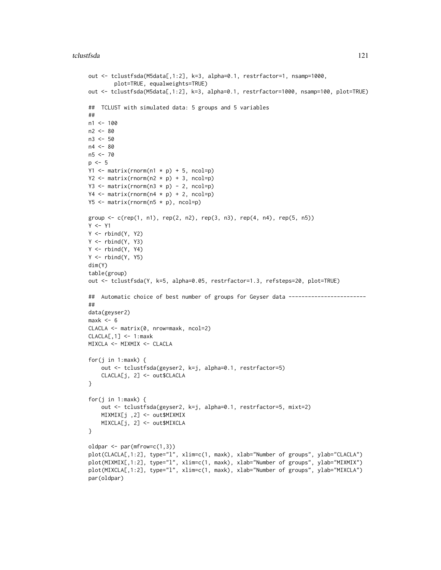#### tclustfsda 121

```
out <- tclustfsda(M5data[,1:2], k=3, alpha=0.1, restrfactor=1, nsamp=1000,
        plot=TRUE, equalweights=TRUE)
out <- tclustfsda(M5data[,1:2], k=3, alpha=0.1, restrfactor=1000, nsamp=100, plot=TRUE)
## TCLUST with simulated data: 5 groups and 5 variables
##
n1 < -100n2 <- 80
n3 < -50n4 < -80n5 <- 70
p \le -5Y1 \leftarrow matrix(rnorm(n1 * p) + 5, ncol=p)Y2 \le - matrix(rnorm(n2 * p) + 3, ncol=p)
Y3 \leq matrix(rnorm(n3 * p) - 2, ncol=p)
Y4 \leftarrow matrix(rnorm(n4 * p) + 2, ncol=p)Y5 \le matrix(rnorm(n5 * p), ncol=p)
group <- c(rep(1, n1), rep(2, n2), rep(3, n3), rep(4, n4), rep(5, n5))
Y < - Y1Y \leftarrow \text{rbind}(Y, Y2)Y \leftarrow \text{rbind}(Y, Y3)Y \leftarrow \text{rbind}(Y, Y4)Y \leftarrow \text{rbind}(Y, Y5)dim(Y)
table(group)
out <- tclustfsda(Y, k=5, alpha=0.05, restrfactor=1.3, refsteps=20, plot=TRUE)
## Automatic choice of best number of groups for Geyser data -----------------------
##
data(geyser2)
max< - 6CLACLA <- matrix(0, nrow=maxk, ncol=2)
CLACLE, 1] <- 1:maxk
MIXCLA <- MIXMIX <- CLACLA
for(j in 1:maxk) \{out <- tclustfsda(geyser2, k=j, alpha=0.1, restrfactor=5)
    CLACLA[j, 2] <- out$CLACLA
}
for(j in 1:maxk) {
    out <- tclustfsda(geyser2, k=j, alpha=0.1, restrfactor=5, mixt=2)
    MIXMIX[j ,2] <- out$MIXMIX
    MIXCLA[j, 2] <- out$MIXCLA
}
oldpar \leq par(mfrow=c(1,3))
plot(CLACLA[,1:2], type="l", xlim=c(1, maxk), xlab="Number of groups", ylab="CLACLA")
plot(MIXMIX[,1:2], type="l", xlim=c(1, maxk), xlab="Number of groups", ylab="MIXMIX")
plot(MIXCLA[,1:2], type="l", xlim=c(1, maxk), xlab="Number of groups", ylab="MIXCLA")
par(oldpar)
```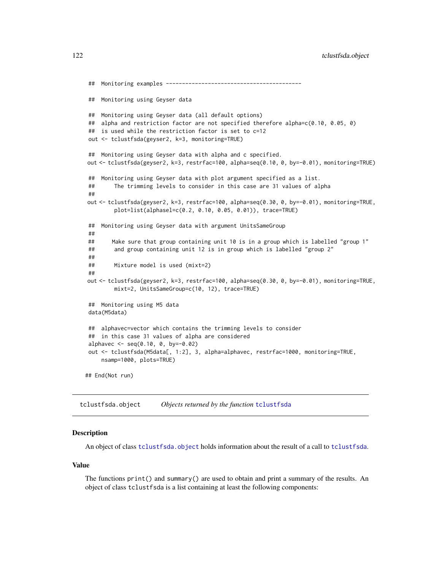```
## Monitoring examples ------------------------------------------
## Monitoring using Geyser data
## Monitoring using Geyser data (all default options)
## alpha and restriction factor are not specified therefore alpha=c(0.10, 0.05, 0)
## is used while the restriction factor is set to c=12
out <- tclustfsda(geyser2, k=3, monitoring=TRUE)
## Monitoring using Geyser data with alpha and c specified.
out <- tclustfsda(geyser2, k=3, restrfac=100, alpha=seq(0.10, 0, by=-0.01), monitoring=TRUE)
## Monitoring using Geyser data with plot argument specified as a list.
## The trimming levels to consider in this case are 31 values of alpha
##
out <- tclustfsda(geyser2, k=3, restrfac=100, alpha=seq(0.30, 0, by=-0.01), monitoring=TRUE,
        plot=list(alphasel=c(0.2, 0.10, 0.05, 0.01)), trace=TRUE)
## Monitoring using Geyser data with argument UnitsSameGroup
##
## Make sure that group containing unit 10 is in a group which is labelled "group 1"
## and group containing unit 12 is in group which is labelled "group 2"
##
## Mixture model is used (mixt=2)
##
out <- tclustfsda(geyser2, k=3, restrfac=100, alpha=seq(0.30, 0, by=-0.01), monitoring=TRUE,
        mixt=2, UnitsSameGroup=c(10, 12), trace=TRUE)
## Monitoring using M5 data
data(M5data)
## alphavec=vector which contains the trimming levels to consider
## in this case 31 values of alpha are considered
alphavec \leq seq(0.10, 0, by=-0.02)
out <- tclustfsda(M5data[, 1:2], 3, alpha=alphavec, restrfac=1000, monitoring=TRUE,
    nsamp=1000, plots=TRUE)
## End(Not run)
```
<span id="page-121-0"></span>tclustfsda.object *Objects returned by the function* [tclustfsda](#page-113-0)

#### Description

An object of class [tclustfsda.object](#page-121-0) holds information about the result of a call to [tclustfsda](#page-113-0).

#### Value

The functions print() and summary() are used to obtain and print a summary of the results. An object of class tclustfsda is a list containing at least the following components: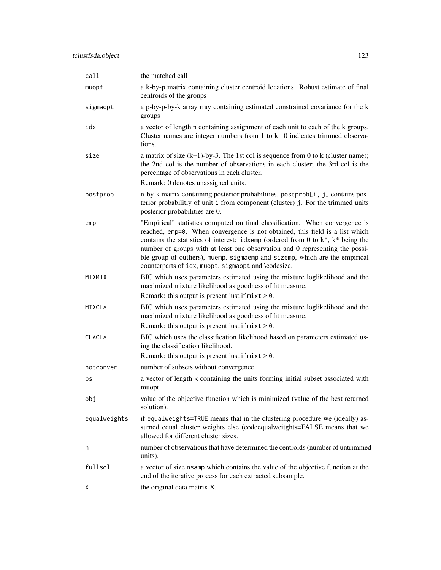| call          | the matched call                                                                                                                                                                                                                                                                                                                                                                                                                                                             |
|---------------|------------------------------------------------------------------------------------------------------------------------------------------------------------------------------------------------------------------------------------------------------------------------------------------------------------------------------------------------------------------------------------------------------------------------------------------------------------------------------|
| muopt         | a k-by-p matrix containing cluster centroid locations. Robust estimate of final<br>centroids of the groups                                                                                                                                                                                                                                                                                                                                                                   |
| sigmaopt      | a p-by-p-by-k array rray containing estimated constrained covariance for the k<br>groups                                                                                                                                                                                                                                                                                                                                                                                     |
| idx           | a vector of length n containing assignment of each unit to each of the k groups.<br>Cluster names are integer numbers from 1 to k. 0 indicates trimmed observa-<br>tions.                                                                                                                                                                                                                                                                                                    |
| size          | a matrix of size $(k+1)$ -by-3. The 1st col is sequence from 0 to k (cluster name);<br>the 2nd col is the number of observations in each cluster; the 3rd col is the<br>percentage of observations in each cluster.                                                                                                                                                                                                                                                          |
|               | Remark: 0 denotes unassigned units.                                                                                                                                                                                                                                                                                                                                                                                                                                          |
| postprob      | n-by-k matrix containing posterior probabilities. postprob[i, j] contains pos-<br>terior probabilitiy of unit i from component (cluster) j. For the trimmed units<br>posterior probabilities are 0.                                                                                                                                                                                                                                                                          |
| emp           | "Empirical" statistics computed on final classification. When convergence is<br>reached, emp=0. When convergence is not obtained, this field is a list which<br>contains the statistics of interest: idxemp (ordered from 0 to $k^*$ , $k^*$ being the<br>number of groups with at least one observation and 0 representing the possi-<br>ble group of outliers), muemp, sigmaemp and sizemp, which are the empirical<br>counterparts of idx, muopt, sigmaopt and \codesize. |
| MIXMIX        | BIC which uses parameters estimated using the mixture loglikelihood and the<br>maximized mixture likelihood as goodness of fit measure.                                                                                                                                                                                                                                                                                                                                      |
|               | Remark: this output is present just if $mixt > 0$ .                                                                                                                                                                                                                                                                                                                                                                                                                          |
| MIXCLA        | BIC which uses parameters estimated using the mixture loglikelihood and the<br>maximized mixture likelihood as goodness of fit measure.<br>Remark: this output is present just if $mixt > 0$ .                                                                                                                                                                                                                                                                               |
| <b>CLACLA</b> | BIC which uses the classification likelihood based on parameters estimated us-<br>ing the classification likelihood.                                                                                                                                                                                                                                                                                                                                                         |
|               | Remark: this output is present just if $mixt > 0$ .                                                                                                                                                                                                                                                                                                                                                                                                                          |
| notconver     | number of subsets without convergence                                                                                                                                                                                                                                                                                                                                                                                                                                        |
| bs            | a vector of length k containing the units forming initial subset associated with<br>muopt.                                                                                                                                                                                                                                                                                                                                                                                   |
| obj           | value of the objective function which is minimized (value of the best returned<br>solution).                                                                                                                                                                                                                                                                                                                                                                                 |
| equalweights  | if equalweights=TRUE means that in the clustering procedure we (ideally) as-<br>sumed equal cluster weights else (codeequalweitghts=FALSE means that we<br>allowed for different cluster sizes.                                                                                                                                                                                                                                                                              |
| h             | number of observations that have determined the centroids (number of untrimmed<br>units).                                                                                                                                                                                                                                                                                                                                                                                    |
| fullsol       | a vector of size nsamp which contains the value of the objective function at the<br>end of the iterative process for each extracted subsample.                                                                                                                                                                                                                                                                                                                               |
| X             | the original data matrix X.                                                                                                                                                                                                                                                                                                                                                                                                                                                  |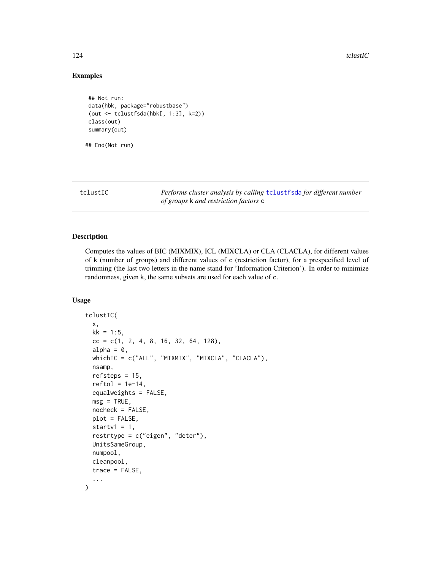124 tclustIC

## Examples

```
## Not run:
data(hbk, package="robustbase")
(out <- tclustfsda(hbk[, 1:3], k=2))
class(out)
summary(out)
```
## End(Not run)

<span id="page-123-0"></span>tclustIC *Performs cluster analysis by calling* [tclustfsda](#page-113-0) *for different number of groups* k *and restriction factors* c

## Description

Computes the values of BIC (MIXMIX), ICL (MIXCLA) or CLA (CLACLA), for different values of k (number of groups) and different values of c (restriction factor), for a prespecified level of trimming (the last two letters in the name stand for 'Information Criterion'). In order to minimize randomness, given k, the same subsets are used for each value of c.

## Usage

```
tclustIC(
 x,
 kk = 1:5,
 cc = c(1, 2, 4, 8, 16, 32, 64, 128),alpha = 0,
 whichIC = c("ALL", "MIXMIX", "MIXCLA", "CLACLA"),
 nsamp,
  refsteps = 15,
  reftol = 1e-14,equalweights = FALSE,
 msg = TRUE,nocheck = FALSE,plot = FALSE,
  startv1 = 1,
  restrtype = c("eigen", "deter"),
 UnitsSameGroup,
 numpool,
  cleanpool,
  trace = FALSE,
  ...
)
```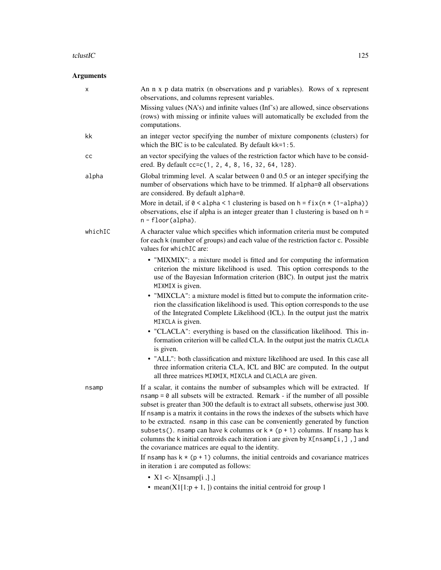#### tclustIC  $\qquad \qquad$  125

# Arguments

| X       | An n x p data matrix (n observations and p variables). Rows of x represent<br>observations, and columns represent variables.                                                                                                                                                                                                                                                                                                                                                                                                                                                                                                                                              |
|---------|---------------------------------------------------------------------------------------------------------------------------------------------------------------------------------------------------------------------------------------------------------------------------------------------------------------------------------------------------------------------------------------------------------------------------------------------------------------------------------------------------------------------------------------------------------------------------------------------------------------------------------------------------------------------------|
|         | Missing values (NA's) and infinite values (Inf's) are allowed, since observations<br>(rows) with missing or infinite values will automatically be excluded from the<br>computations.                                                                                                                                                                                                                                                                                                                                                                                                                                                                                      |
| kk      | an integer vector specifying the number of mixture components (clusters) for<br>which the BIC is to be calculated. By default kk=1:5.                                                                                                                                                                                                                                                                                                                                                                                                                                                                                                                                     |
| cс      | an vector specifying the values of the restriction factor which have to be consid-<br>ered. By default cc=c(1, 2, 4, 8, 16, 32, 64, 128).                                                                                                                                                                                                                                                                                                                                                                                                                                                                                                                                 |
| alpha   | Global trimming level. A scalar between $0$ and $0.5$ or an integer specifying the<br>number of observations which have to be trimmed. If alpha=0 all observations<br>are considered. By default alpha=0.                                                                                                                                                                                                                                                                                                                                                                                                                                                                 |
|         | More in detail, if $0 <$ alpha < 1 clustering is based on $h = fix(n * (1 - alpha))$<br>observations, else if alpha is an integer greater than 1 clustering is based on $h =$<br>n - floor(alpha).                                                                                                                                                                                                                                                                                                                                                                                                                                                                        |
| whichIC | A character value which specifies which information criteria must be computed<br>for each k (number of groups) and each value of the restriction factor c. Possible<br>values for which IC are:                                                                                                                                                                                                                                                                                                                                                                                                                                                                           |
|         | • "MIXMIX": a mixture model is fitted and for computing the information<br>criterion the mixture likelihood is used. This option corresponds to the<br>use of the Bayesian Information criterion (BIC). In output just the matrix<br>MIXMIX is given.                                                                                                                                                                                                                                                                                                                                                                                                                     |
|         | • "MIXCLA": a mixture model is fitted but to compute the information crite-<br>rion the classification likelihood is used. This option corresponds to the use<br>of the Integrated Complete Likelihood (ICL). In the output just the matrix<br>MIXCLA is given.                                                                                                                                                                                                                                                                                                                                                                                                           |
|         | • "CLACLA": everything is based on the classification likelihood. This in-<br>formation criterion will be called CLA. In the output just the matrix CLACLA<br>is given.                                                                                                                                                                                                                                                                                                                                                                                                                                                                                                   |
|         | • "ALL": both classification and mixture likelihood are used. In this case all<br>three information criteria CLA, ICL and BIC are computed. In the output<br>all three matrices MIXMIX, MIXCLA and CLACLA are given.                                                                                                                                                                                                                                                                                                                                                                                                                                                      |
| nsamp   | If a scalar, it contains the number of subsamples which will be extracted. If<br>$n \cdot$ nsamp = 0 all subsets will be extracted. Remark - if the number of all possible<br>subset is greater than 300 the default is to extract all subsets, otherwise just 300.<br>If nsamp is a matrix it contains in the rows the indexes of the subsets which have<br>to be extracted. nsamp in this case can be conveniently generated by function<br>subsets(). nsamp can have k columns or $k * (p + 1)$ columns. If nsamp has k<br>columns the k initial centroids each iteration i are given by $X[nsamp[i, ]]$ , ] and<br>the covariance matrices are equal to the identity. |
|         | If nsamp has $k \times (p + 1)$ columns, the initial centroids and covariance matrices<br>in iteration i are computed as follows:                                                                                                                                                                                                                                                                                                                                                                                                                                                                                                                                         |
|         | • $X1 \leq X[nsamp[i],],$                                                                                                                                                                                                                                                                                                                                                                                                                                                                                                                                                                                                                                                 |

• mean(X1[1:p + 1, ]) contains the initial centroid for group 1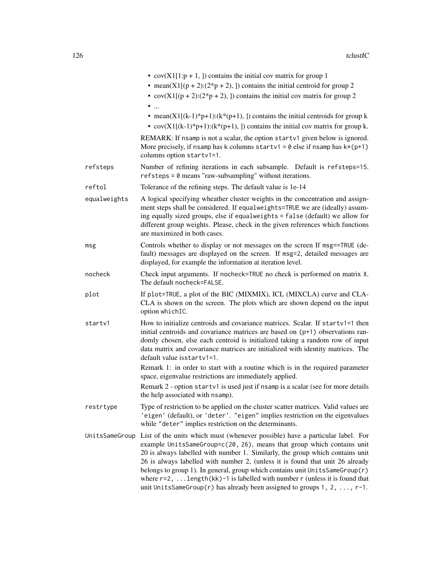|                | • $cov(X1[1:p + 1,])$ contains the initial cov matrix for group 1<br>• mean(X1[( $p + 2$ ):( $2 \ast p + 2$ ), ]) contains the initial centroid for group 2<br>• cov(X1[(p + 2):(2*p + 2), ]) contains the initial cov matrix for group 2<br>$\bullet$                                                                                                                                                                                                                                                                                                                 |
|----------------|------------------------------------------------------------------------------------------------------------------------------------------------------------------------------------------------------------------------------------------------------------------------------------------------------------------------------------------------------------------------------------------------------------------------------------------------------------------------------------------------------------------------------------------------------------------------|
|                | • mean(X1[(k-1)*p+1):(k*(p+1), ]) contains the initial centroids for group k<br>• $cov(X1[(k-1)*p+1):(k*(p+1),])$ contains the initial cov matrix for group k.                                                                                                                                                                                                                                                                                                                                                                                                         |
|                | REMARK: If nsamp is not a scalar, the option startv1 given below is ignored.<br>More precisely, if nsamp has k columns startv1 = $0$ else if nsamp has $k*(p+1)$<br>columns option startv1=1.                                                                                                                                                                                                                                                                                                                                                                          |
| refsteps       | Number of refining iterations in each subsample. Default is refsteps=15.<br>refsteps = 0 means "raw-subsampling" without iterations.                                                                                                                                                                                                                                                                                                                                                                                                                                   |
| reftol         | Tolerance of the refining steps. The default value is 1e-14                                                                                                                                                                                                                                                                                                                                                                                                                                                                                                            |
| equalweights   | A logical specifying wheather cluster weights in the concentration and assign-<br>ment steps shall be considered. If equalweights=TRUE we are (ideally) assum-<br>ing equally sized groups, else if equalweights = false (default) we allow for<br>different group weights. Please, check in the given references which functions<br>are maximized in both cases.                                                                                                                                                                                                      |
| msg            | Controls whether to display or not messages on the screen If msg==TRUE (de-<br>fault) messages are displayed on the screen. If msg=2, detailed messages are<br>displayed, for example the information at iteration level.                                                                                                                                                                                                                                                                                                                                              |
| nocheck        | Check input arguments. If nocheck=TRUE no check is performed on matrix X.<br>The default nocheck=FALSE.                                                                                                                                                                                                                                                                                                                                                                                                                                                                |
| plot           | If plot=TRUE, a plot of the BIC (MIXMIX), ICL (MIXCLA) curve and CLA-<br>CLA is shown on the screen. The plots which are shown depend on the input<br>option whichIC.                                                                                                                                                                                                                                                                                                                                                                                                  |
| startv1        | How to initialize centroids and covariance matrices. Scalar. If startv1=1 then<br>initial centroids and covariance matrices are based on (p+1) observations ran-<br>domly chosen, else each centroid is initialized taking a random row of input<br>data matrix and covariance matrices are initialized with identity matrices. The<br>default value isstartv1=1.                                                                                                                                                                                                      |
|                | Remark 1: in order to start with a routine which is in the required parameter<br>space, eigenvalue restrictions are immediately applied.                                                                                                                                                                                                                                                                                                                                                                                                                               |
|                | Remark 2 - option startv1 is used just if nsamp is a scalar (see for more details<br>the help associated with nsamp).                                                                                                                                                                                                                                                                                                                                                                                                                                                  |
| restrtype      | Type of restriction to be applied on the cluster scatter matrices. Valid values are<br>'eigen' (default), or 'deter'. "eigen" implies restriction on the eigenvalues<br>while "deter" implies restriction on the determinants.                                                                                                                                                                                                                                                                                                                                         |
| UnitsSameGroup | List of the units which must (whenever possible) have a particular label. For<br>example UnitsSameGroup=c(20, 26), means that group which contains unit<br>20 is always labelled with number 1. Similarly, the group which contains unit<br>26 is always labelled with number 2, (unless it is found that unit 26 already<br>belongs to group 1). In general, group which contains unit UnitsSameGroup(r)<br>where $r=2$ ,  length(kk)-1 is labelled with number r (unless it is found that<br>unit UnitsSameGroup(r) has already been assigned to groups 1, 2, , r-1. |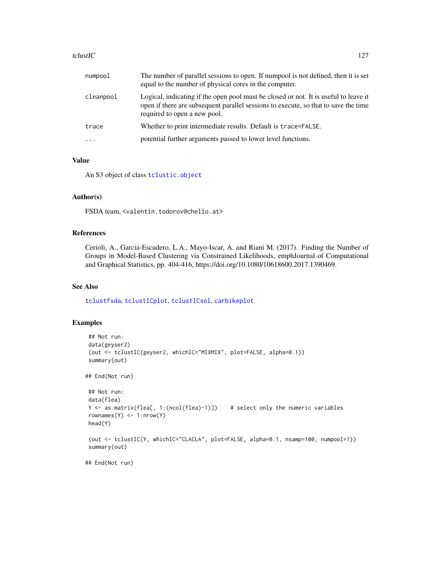#### tclustIC  $\qquad \qquad$  127

| cleanpool<br>required to open a new pool.<br>Whether to print intermediate results. Default is trace=FALSE.<br>trace<br>potential further arguments passed to lower level functions. | numpool | The number of parallel sessions to open. If numpool is not defined, then it is set<br>equal to the number of physical cores in the computer.                                |
|--------------------------------------------------------------------------------------------------------------------------------------------------------------------------------------|---------|-----------------------------------------------------------------------------------------------------------------------------------------------------------------------------|
|                                                                                                                                                                                      |         | Logical, indicating if the open pool must be closed or not. It is useful to leave it<br>open if there are subsequent parallel sessions to execute, so that to save the time |
|                                                                                                                                                                                      |         |                                                                                                                                                                             |
|                                                                                                                                                                                      |         |                                                                                                                                                                             |

## Value

An S3 object of class [tclustic.object](#page-127-0)

## Author(s)

FSDA team, <valentin.todorov@chello.at>

## References

Cerioli, A., Garcia-Escudero, L.A., Mayo-Iscar, A. and Riani M. (2017). Finding the Number of Groups in Model-Based Clustering via Constrained Likelihoods, emphJournal of Computational and Graphical Statistics, pp. 404-416, https://doi.org/10.1080/10618600.2017.1390469.

## See Also

[tclustfsda](#page-113-0), [tclustICplot](#page-128-0), [tclustICsol](#page-130-0), [carbikeplot](#page-2-0)

#### Examples

```
## Not run:
data(geyser2)
 (out <- tclustIC(geyser2, whichIC="MIXMIX", plot=FALSE, alpha=0.1))
summary(out)
## End(Not run)
## Not run:
data(flea)
Y <- as.matrix(flea[, 1:(ncol(flea)-1)]) # select only the numeric variables
rownames(Y) \leq 1:nrow(Y)
head(Y)
(out <- tclustIC(Y, whichIC="CLACLA", plot=FALSE, alpha=0.1, nsamp=100, numpool=1))
summary(out)
```
## End(Not run)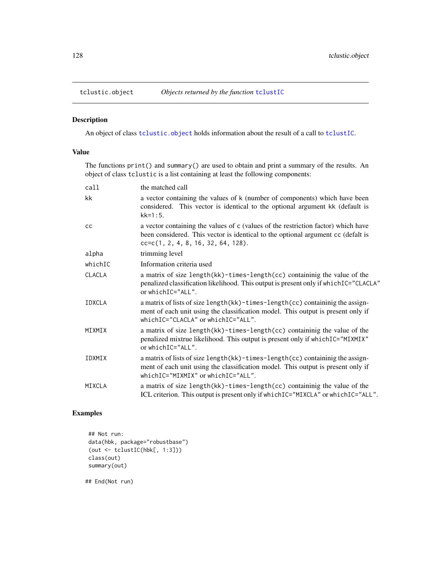<span id="page-127-0"></span>

## Description

An object of class [tclustic.object](#page-127-0) holds information about the result of a call to [tclustIC](#page-123-0).

## Value

The functions print() and summary() are used to obtain and print a summary of the results. An object of class tclustic is a list containing at least the following components:

| call          | the matched call                                                                                                                                                                                                |
|---------------|-----------------------------------------------------------------------------------------------------------------------------------------------------------------------------------------------------------------|
| kk            | a vector containing the values of k (number of components) which have been<br>considered. This vector is identical to the optional argument kk (default is<br>$kk = 1:5$ .                                      |
| cc            | a vector containing the values of c (values of the restriction factor) which have<br>been considered. This vector is identical to the optional argument cc (defalt is<br>$cc = c(1, 2, 4, 8, 16, 32, 64, 128).$ |
| alpha         | trimming level                                                                                                                                                                                                  |
| whichIC       | Information criteria used                                                                                                                                                                                       |
| <b>CLACLA</b> | a matrix of size length(kk)-times-length(cc) containinig the value of the<br>penalized classification likelihood. This output is present only if which IC="CLACLA"<br>or which $IC="ALL"$ .                     |
| <b>IDXCLA</b> | a matrix of lists of size length(kk)-times-length(cc) containinig the assign-<br>ment of each unit using the classification model. This output is present only if<br>whichIC="CLACLA" or whichIC="ALL".         |
| MIXMIX        | a matrix of size length(kk)-times-length(cc) containinig the value of the<br>penalized mixtrue likelihood. This output is present only if whichIC="MIXMIX"<br>or which IC="ALL".                                |
| IDXMIX        | a matrix of lists of size length(kk)-times-length(cc) containinig the assign-<br>ment of each unit using the classification model. This output is present only if<br>whichIC="MIXMIX" or whichIC="ALL".         |
| MIXCLA        | a matrix of size length(kk)-times-length(cc) containinig the value of the<br>ICL criterion. This output is present only if which IC="MIXCLA" or which IC="ALL".                                                 |

## Examples

## Not run: data(hbk, package="robustbase") (out <- tclustIC(hbk[, 1:3])) class(out) summary(out)

## End(Not run)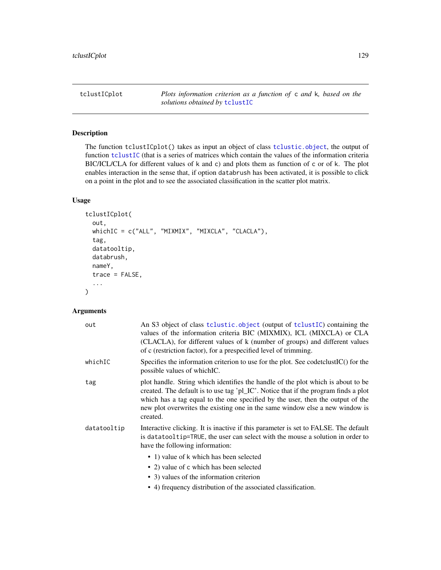<span id="page-128-0"></span>tclustICplot *Plots information criterion as a function of* c *and* k*, based on the solutions obtained by* [tclustIC](#page-123-0)

# Description

The function tclustICplot() takes as input an object of class [tclustic.object](#page-127-0), the output of function [tclustIC](#page-123-0) (that is a series of matrices which contain the values of the information criteria BIC/ICL/CLA for different values of k and c) and plots them as function of c or of k. The plot enables interaction in the sense that, if option databrush has been activated, it is possible to click on a point in the plot and to see the associated classification in the scatter plot matrix.

## Usage

```
tclustICplot(
  out,
  whichIC = c("ALL", "MIXMIX", "MIXCLA", "CLACLA"),
  tag,
  datatooltip,
  databrush,
  nameY,
  trace = FALSE,
  ...
\mathcal{L}
```
## Arguments

| out         | An S3 object of class to lustic object (output of to lust IC) containing the<br>values of the information criteria BIC (MIXMIX), ICL (MIXCLA) or CLA<br>(CLACLA), for different values of k (number of groups) and different values<br>of c (restriction factor), for a prespecified level of trimming.                                               |
|-------------|-------------------------------------------------------------------------------------------------------------------------------------------------------------------------------------------------------------------------------------------------------------------------------------------------------------------------------------------------------|
| whichIC     | Specifies the information criterion to use for the plot. See codetclust $IC()$ for the<br>possible values of which IC.                                                                                                                                                                                                                                |
| tag         | plot handle. String which identifies the handle of the plot which is about to be<br>created. The default is to use tag 'pl_IC'. Notice that if the program finds a plot<br>which has a tag equal to the one specified by the user, then the output of the<br>new plot overwrites the existing one in the same window else a new window is<br>created. |
| datatooltip | Interactive clicking. It is inactive if this parameter is set to FALSE. The default<br>is datatool tip=TRUE, the user can select with the mouse a solution in order to<br>have the following information:                                                                                                                                             |
|             | • 1) value of k which has been selected                                                                                                                                                                                                                                                                                                               |
|             | • 2) value of c which has been selected                                                                                                                                                                                                                                                                                                               |
|             | • 3) values of the information criterion                                                                                                                                                                                                                                                                                                              |
|             | • 4) frequency distribution of the associated classification.                                                                                                                                                                                                                                                                                         |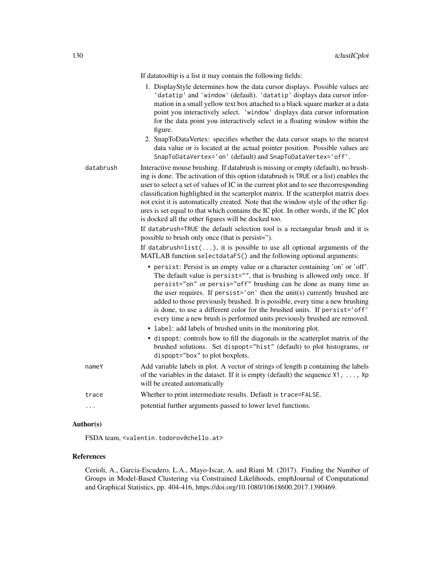If datatooltip is a list it may contain the following fields:

- 1. DisplayStyle determines how the data cursor displays. Possible values are 'datatip' and 'window' (default). 'datatip' displays data cursor information in a small yellow text box attached to a black square marker at a data point you interactively select. 'window' displays data cursor information for the data point you interactively select in a floating window within the figure.
- 2. SnapToDataVertex: specifies whether the data cursor snaps to the nearest data value or is located at the actual pointer position. Possible values are SnapToDataVertex='on' (default) and SnapToDataVertex='off'.
- databrush Interactive mouse brushing. If databrush is missing or empty (default), no brushing is done. The activation of this option (databrush is TRUE or a list) enables the user to select a set of values of IC in the current plot and to see thecorresponding classification highlighted in the scatterplot matrix. If the scatterplot matrix does not exist it is automatically created. Note that the window style of the other figures is set equal to that which contains the IC plot. In other words, if the IC plot is docked all the other figures will be docked too.

If databrush=TRUE the default selection tool is a rectangular brush and it is possible to brush only once (that is persist=").

If databrush= $list(...)$ , it is possible to use all optional arguments of the MATLAB function selectdataFS() and the following optional arguments:

- persist: Persist is an empty value or a character containing 'on' or 'off'. The default value is persist="", that is brushing is allowed only once. If persist="on" or persis="off" brushing can be done as many time as the user requires. If persist='on' then the unit(s) currently brushed are added to those previously brushed. It is possible, every time a new brushing is done, to use a different color for the brushed units. If persist='off' every time a new brush is performed units previously brushed are removed.
- label: add labels of brushed units in the monitoring plot.
- dispopt: controls how to fill the diagonals in the scatterplot matrix of the brushed solutions. Set dispopt="hist" (default) to plot histograms, or dispopt="box" to plot boxplots.
- nameY Add variable labels in plot. A vector of strings of length p containing the labels of the variables in the dataset. If it is empty (default) the sequence X1, ..., Xp will be created automatically trace Whether to print intermediate results. Default is trace=FALSE.
- ... potential further arguments passed to lower level functions.

#### Author(s)

FSDA team, <valentin.todorov@chello.at>

#### References

Cerioli, A., Garcia-Escudero, L.A., Mayo-Iscar, A. and Riani M. (2017). Finding the Number of Groups in Model-Based Clustering via Constrained Likelihoods, emphJournal of Computational and Graphical Statistics, pp. 404-416, https://doi.org/10.1080/10618600.2017.1390469.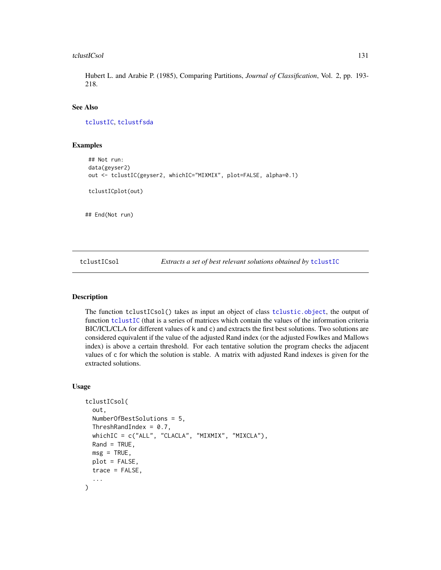#### tclustICsol 131

Hubert L. and Arabie P. (1985), Comparing Partitions, *Journal of Classification*, Vol. 2, pp. 193- 218.

## See Also

[tclustIC](#page-123-0), [tclustfsda](#page-113-0)

#### Examples

```
## Not run:
data(geyser2)
out <- tclustIC(geyser2, whichIC="MIXMIX", plot=FALSE, alpha=0.1)
tclustICplot(out)
## End(Not run)
```
<span id="page-130-0"></span>tclustICsol *Extracts a set of best relevant solutions obtained by* [tclustIC](#page-123-0)

## Description

The function tclustICsol() takes as input an object of class [tclustic.object](#page-127-0), the output of function [tclustIC](#page-123-0) (that is a series of matrices which contain the values of the information criteria BIC/ICL/CLA for different values of k and c) and extracts the first best solutions. Two solutions are considered equivalent if the value of the adjusted Rand index (or the adjusted Fowlkes and Mallows index) is above a certain threshold. For each tentative solution the program checks the adjacent values of c for which the solution is stable. A matrix with adjusted Rand indexes is given for the extracted solutions.

#### Usage

```
tclustICsol(
  out,
  NumberOfBestSolutions = 5,
  ThreshRandIndex = 0.7,
  whichIC = c("ALL", "CLACLA", "MIXMIX", "MIXCLA"),
  Rand = TRUE,
 msg = TRUE,plot = FALSE,
  trace = FALSE,...
)
```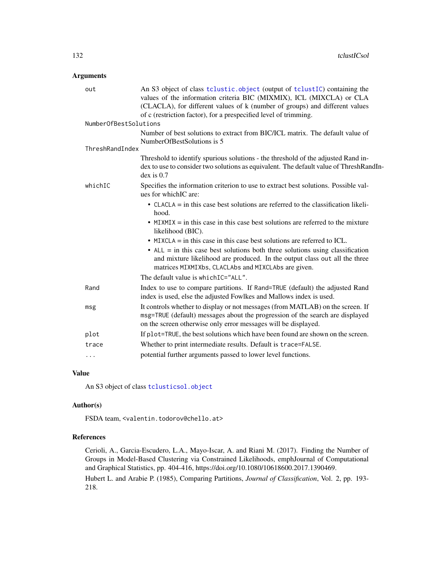## Arguments

| An S3 object of class tclustic.object (output of tclustIC) containing the<br>values of the information criteria BIC (MIXMIX), ICL (MIXCLA) or CLA<br>(CLACLA), for different values of k (number of groups) and different values  |
|-----------------------------------------------------------------------------------------------------------------------------------------------------------------------------------------------------------------------------------|
| of c (restriction factor), for a prespecified level of trimming.                                                                                                                                                                  |
| NumberOfBestSolutions                                                                                                                                                                                                             |
| Number of best solutions to extract from BIC/ICL matrix. The default value of<br>NumberOfBestSolutions is 5                                                                                                                       |
| ThreshRandIndex                                                                                                                                                                                                                   |
| Threshold to identify spurious solutions - the threshold of the adjusted Rand in-<br>dex to use to consider two solutions as equivalent. The default value of ThreshRandIn-<br>$dex$ is $0.7$                                     |
| Specifies the information criterion to use to extract best solutions. Possible val-<br>ues for which IC are:                                                                                                                      |
| • CLACLA $=$ in this case best solutions are referred to the classification likeli-<br>hood.                                                                                                                                      |
| • MIXMIX $=$ in this case in this case best solutions are referred to the mixture<br>likelihood (BIC).                                                                                                                            |
| $\bullet$ MIXCLA = in this case in this case best solutions are referred to ICL.                                                                                                                                                  |
| $\bullet$ ALL = in this case best solutions both three solutions using classification<br>and mixture likelihood are produced. In the output class out all the three<br>matrices MIXMIXbs, CLACLAbs and MIXCLAbs are given.        |
| The default value is which IC="ALL".                                                                                                                                                                                              |
| Index to use to compare partitions. If Rand=TRUE (default) the adjusted Rand<br>index is used, else the adjusted Fowlkes and Mallows index is used.                                                                               |
| It controls whether to display or not messages (from MATLAB) on the screen. If<br>msg=TRUE (default) messages about the progression of the search are displayed<br>on the screen otherwise only error messages will be displayed. |
| If plot=TRUE, the best solutions which have been found are shown on the screen.                                                                                                                                                   |
| Whether to print intermediate results. Default is trace=FALSE.                                                                                                                                                                    |
| potential further arguments passed to lower level functions.                                                                                                                                                                      |
|                                                                                                                                                                                                                                   |

## Value

An S3 object of class [tclusticsol.object](#page-132-0)

#### Author(s)

FSDA team, <valentin.todorov@chello.at>

## References

Cerioli, A., Garcia-Escudero, L.A., Mayo-Iscar, A. and Riani M. (2017). Finding the Number of Groups in Model-Based Clustering via Constrained Likelihoods, emphJournal of Computational and Graphical Statistics, pp. 404-416, https://doi.org/10.1080/10618600.2017.1390469.

Hubert L. and Arabie P. (1985), Comparing Partitions, *Journal of Classification*, Vol. 2, pp. 193- 218.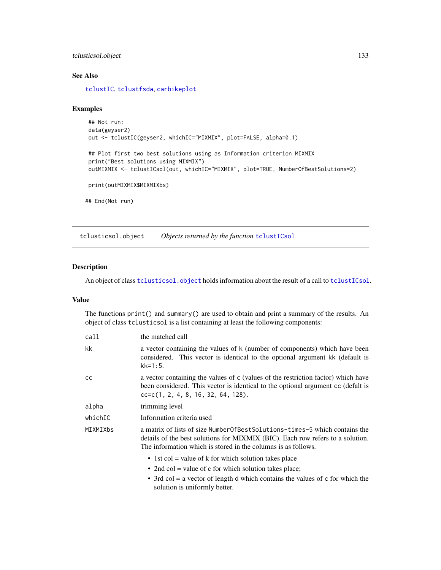## tclusticsol.object 133

## See Also

[tclustIC](#page-123-0), [tclustfsda](#page-113-0), [carbikeplot](#page-2-0)

## Examples

```
## Not run:
data(geyser2)
out <- tclustIC(geyser2, whichIC="MIXMIX", plot=FALSE, alpha=0.1)
## Plot first two best solutions using as Information criterion MIXMIX
print("Best solutions using MIXMIX")
outMIXMIX <- tclustICsol(out, whichIC="MIXMIX", plot=TRUE, NumberOfBestSolutions=2)
print(outMIXMIX$MIXMIXbs)
## End(Not run)
```
<span id="page-132-0"></span>tclusticsol.object *Objects returned by the function* [tclustICsol](#page-130-0)

## Description

An object of class [tclusticsol.object](#page-132-0) holds information about the result of a call to [tclustICsol](#page-130-0).

#### Value

The functions print() and summary() are used to obtain and print a summary of the results. An object of class tclusticsol is a list containing at least the following components:

| call     | the matched call                                                                                                                                                                                                                 |
|----------|----------------------------------------------------------------------------------------------------------------------------------------------------------------------------------------------------------------------------------|
| kk       | a vector containing the values of k (number of components) which have been<br>considered. This vector is identical to the optional argument kk (default is<br>$kk = 1:5.$                                                        |
| CC       | a vector containing the values of c (values of the restriction factor) which have<br>been considered. This vector is identical to the optional argument cc (defalt is<br>$cc = c(1, 2, 4, 8, 16, 32, 64, 128).$                  |
| alpha    | trimming level                                                                                                                                                                                                                   |
| whichIC  | Information criteria used                                                                                                                                                                                                        |
| MIXMIXbs | a matrix of lists of size Number Of Best Solutions-times-5 which contains the<br>details of the best solutions for MIXMIX (BIC). Each row refers to a solution.<br>The information which is stored in the columns is as follows. |
|          | • 1st col = value of k for which solution takes place                                                                                                                                                                            |
|          | • 2nd col = value of c for which solution takes place;                                                                                                                                                                           |
|          | • 3rd col = a vector of length d which contains the values of $\tilde{c}$ for which the<br>solution is uniformly better.                                                                                                         |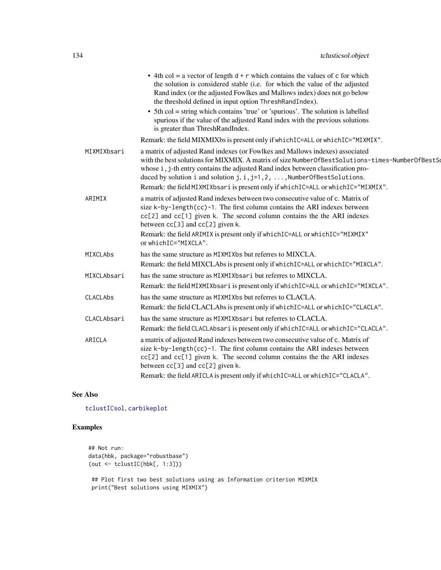|                 | • 4th col = a vector of length $d + r$ which contains the values of c for which<br>the solution is considered stable (i.e. for which the value of the adjusted<br>Rand index (or the adjusted Fowlkes and Mallows index) does not go below<br>the threshold defined in input option ThreshRandIndex).                                                                                                                                                            |
|-----------------|------------------------------------------------------------------------------------------------------------------------------------------------------------------------------------------------------------------------------------------------------------------------------------------------------------------------------------------------------------------------------------------------------------------------------------------------------------------|
|                 | • 5th col = string which contains 'true' or 'spurious'. The solution is labelled<br>spurious if the value of the adjusted Rand index with the previous solutions<br>is greater than ThreshRandIndex.                                                                                                                                                                                                                                                             |
|                 | Remark: the field MIXMIXbs is present only if which IC=ALL or which IC="MIXMIX".                                                                                                                                                                                                                                                                                                                                                                                 |
| MIXMIXbsari     | a matrix of adjusted Rand indexes (or Fowlkes and Mallows indexes) associated<br>with the best solutions for MIXMIX. A matrix of size Number Of Best Solutions-times-Number Of Best Solutions<br>whose i, j-th entry contains the adjusted Rand index between classification pro-<br>duced by solution i and solution $j$ , $i$ , $j=1, 2, \ldots$ , NumberOfBestSolutions.<br>Remark: the field MIXMIXbsari is present only if whichIC=ALL or whichIC="MIXMIX". |
| ARIMIX          | a matrix of adjusted Rand indexes between two consecutive value of c. Matrix of<br>size k-by-length(cc)-1. The first column contains the ARI indexes between<br>cc[2] and cc[1] given k. The second column contains the the ARI indexes<br>between cc[3] and cc[2] given k.                                                                                                                                                                                      |
|                 | Remark: the field ARIMIX is present only if whichIC=ALL or whichIC="MIXMIX"<br>or whichIC="MIXCLA".                                                                                                                                                                                                                                                                                                                                                              |
| <b>MIXCLAbs</b> | has the same structure as MIXMIXbs but referres to MIXCLA.                                                                                                                                                                                                                                                                                                                                                                                                       |
|                 | Remark: the field MIXCLAbs is present only if which IC=ALL or which IC="MIXCLA".                                                                                                                                                                                                                                                                                                                                                                                 |
| MIXCLAbsari     | has the same structure as MIXMIXbs ari but referres to MIXCLA.<br>Remark: the field MIXMIXbsari is present only if which IC=ALL or which IC="MIXCLA".                                                                                                                                                                                                                                                                                                            |
| CLACLAbs        | has the same structure as MIXMIXbs but referres to CLACLA.<br>Remark: the field CLACLAbs is present only if which IC=ALL or which IC="CLACLA".                                                                                                                                                                                                                                                                                                                   |
| CLACLAbsari     | has the same structure as MIXMIXbs ari but referres to CLACLA.<br>Remark: the field CLACLAbsari is present only if which IC=ALL or which IC="CLACLA".                                                                                                                                                                                                                                                                                                            |
| ARICLA          | a matrix of adjusted Rand indexes between two consecutive value of c. Matrix of<br>size k-by-length(cc)-1. The first column contains the ARI indexes between<br>cc[2] and cc[1] given k. The second column contains the the ARI indexes<br>between cc[3] and cc[2] given k.                                                                                                                                                                                      |
|                 | Remark: the field ARICLA is present only if which IC=ALL or which IC="CLACLA".                                                                                                                                                                                                                                                                                                                                                                                   |

## See Also

[tclustICsol](#page-130-0), [carbikeplot](#page-2-0)

# Examples

```
## Not run:
data(hbk, package="robustbase")
(out <- tclustIC(hbk[, 1:3]))
 ## Plot first two best solutions using as Information criterion MIXMIX
 print("Best solutions using MIXMIX")
```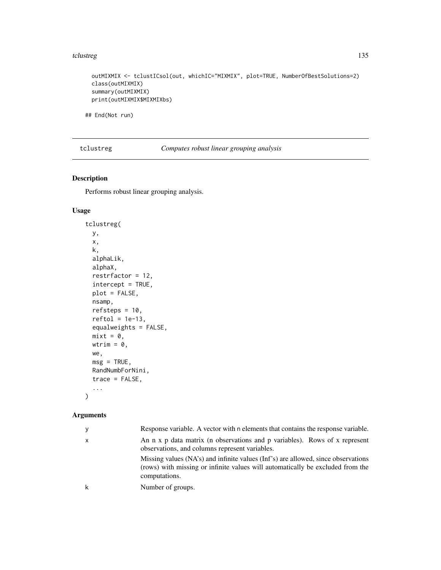#### tclustreg and the state of the state of the state of the state of the state of the state of the state of the state of the state of the state of the state of the state of the state of the state of the state of the state of

outMIXMIX <- tclustICsol(out, whichIC="MIXMIX", plot=TRUE, NumberOfBestSolutions=2) class(outMIXMIX) summary(outMIXMIX) print(outMIXMIX\$MIXMIXbs)

## End(Not run)

<span id="page-134-0"></span>tclustreg *Computes robust linear grouping analysis*

# Description

Performs robust linear grouping analysis.

## Usage

```
tclustreg(
 y,
 x,
 k,
  alphaLik,
 alphaX,
 restrfactor = 12,
  intercept = TRUE,
 plot = FALSE,
 nsamp,
 refsteps = 10,
  reftol = 1e-13,equalweights = FALSE,
 mixt = 0,
 wtrim = \theta,
 we,
 msg = TRUE,RandNumbForNini,
 trace = FALSE,
  ...
```
# Arguments

 $\mathcal{L}$ 

| y | Response variable. A vector with n elements that contains the response variable.                                                                                                     |
|---|--------------------------------------------------------------------------------------------------------------------------------------------------------------------------------------|
| X | An n x p data matrix (n observations and p variables). Rows of x represent<br>observations, and columns represent variables.                                                         |
|   | Missing values (NA's) and infinite values (Inf's) are allowed, since observations<br>(rows) with missing or infinite values will automatically be excluded from the<br>computations. |
| k | Number of groups.                                                                                                                                                                    |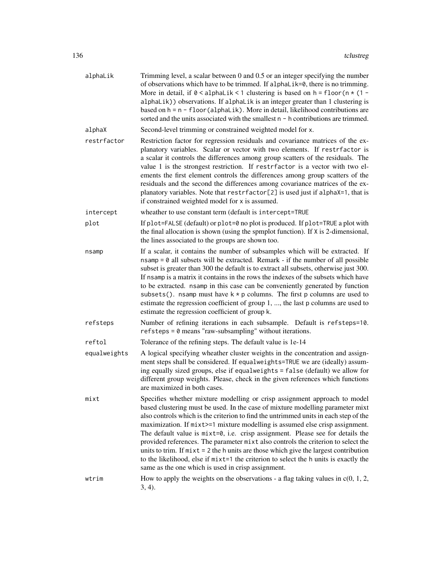| alphaLik     | Trimming level, a scalar between 0 and 0.5 or an integer specifying the number<br>of observations which have to be trimmed. If alphalik=0, there is no trimming.<br>More in detail, if $0 <$ alphaLik < 1 clustering is based on h = floor (n $*$ (1 -<br>alphaLik)) observations. If alphaLik is an integer greater than 1 clustering is<br>based on h = n - floor (alphaLik). More in detail, likelihood contributions are<br>sorted and the units associated with the smallest $n - h$ contributions are trimmed.                                                                                                                                                                                                                                    |
|--------------|---------------------------------------------------------------------------------------------------------------------------------------------------------------------------------------------------------------------------------------------------------------------------------------------------------------------------------------------------------------------------------------------------------------------------------------------------------------------------------------------------------------------------------------------------------------------------------------------------------------------------------------------------------------------------------------------------------------------------------------------------------|
| alphaX       | Second-level trimming or constrained weighted model for x.                                                                                                                                                                                                                                                                                                                                                                                                                                                                                                                                                                                                                                                                                              |
| restrfactor  | Restriction factor for regression residuals and covariance matrices of the ex-<br>planatory variables. Scalar or vector with two elements. If restrfactor is<br>a scalar it controls the differences among group scatters of the residuals. The<br>value 1 is the strongest restriction. If restrfactor is a vector with two el-<br>ements the first element controls the differences among group scatters of the<br>residuals and the second the differences among covariance matrices of the ex-<br>planatory variables. Note that restrfactor[2] is used just if alphaX=1, that is<br>if constrained weighted model for x is assumed.                                                                                                                |
| intercept    | wheather to use constant term (default is intercept=TRUE                                                                                                                                                                                                                                                                                                                                                                                                                                                                                                                                                                                                                                                                                                |
| plot         | If plot=FALSE (default) or plot=0 no plot is produced. If plot=TRUE a plot with<br>the final allocation is shown (using the spmplot function). If X is 2-dimensional,<br>the lines associated to the groups are shown too.                                                                                                                                                                                                                                                                                                                                                                                                                                                                                                                              |
| nsamp        | If a scalar, it contains the number of subsamples which will be extracted. If<br>$n \sinh \theta = 0$ all subsets will be extracted. Remark - if the number of all possible<br>subset is greater than 300 the default is to extract all subsets, otherwise just 300.<br>If nsamp is a matrix it contains in the rows the indexes of the subsets which have<br>to be extracted. nsamp in this case can be conveniently generated by function<br>subsets(). nsamp must have $k * p$ columns. The first p columns are used to<br>estimate the regression coefficient of group 1, , the last p columns are used to<br>estimate the regression coefficient of group k.                                                                                       |
| refsteps     | Number of refining iterations in each subsample. Default is refsteps=10.<br>refsteps = 0 means "raw-subsampling" without iterations.                                                                                                                                                                                                                                                                                                                                                                                                                                                                                                                                                                                                                    |
| reftol       | Tolerance of the refining steps. The default value is 1e-14                                                                                                                                                                                                                                                                                                                                                                                                                                                                                                                                                                                                                                                                                             |
| equalweights | A logical specifying wheather cluster weights in the concentration and assign-<br>ment steps shall be considered. If equalweights=TRUE we are (ideally) assum-<br>ing equally sized groups, else if equalweights = false (default) we allow for<br>different group weights. Please, check in the given references which functions<br>are maximized in both cases.                                                                                                                                                                                                                                                                                                                                                                                       |
| mixt         | Specifies whether mixture modelling or crisp assignment approach to model<br>based clustering must be used. In the case of mixture modelling parameter mixt<br>also controls which is the criterion to find the untrimmed units in each step of the<br>maximization. If $mixt>=1$ mixture modelling is assumed else crisp assignment.<br>The default value is $mixt=0$ , i.e. crisp assignment. Please see for details the<br>provided references. The parameter mixt also controls the criterion to select the<br>units to trim. If $mixt = 2$ the h units are those which give the largest contribution<br>to the likelihood, else if mixt=1 the criterion to select the h units is exactly the<br>same as the one which is used in crisp assignment. |
| wtrim        | How to apply the weights on the observations - a flag taking values in $c(0, 1, 2, 1)$                                                                                                                                                                                                                                                                                                                                                                                                                                                                                                                                                                                                                                                                  |
|              | $(3, 4)$ .                                                                                                                                                                                                                                                                                                                                                                                                                                                                                                                                                                                                                                                                                                                                              |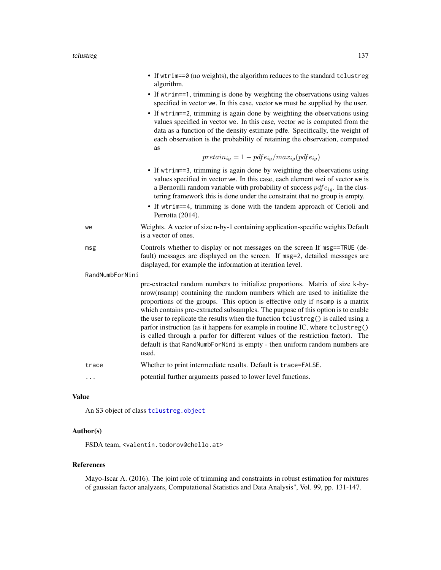- If wtrim==0 (no weights), the algorithm reduces to the standard tclustreg algorithm.
- If wtrim==1, trimming is done by weighting the observations using values specified in vector we. In this case, vector we must be supplied by the user.
- If wtrim==2, trimming is again done by weighting the observations using values specified in vector we. In this case, vector we is computed from the data as a function of the density estimate pdfe. Specifically, the weight of each observation is the probability of retaining the observation, computed as

$$
pretain_{ig} = 1 - pdfe_{ig}/max_{ig}(pdfe_{ig})
$$

- If wtrim==3, trimming is again done by weighting the observations using values specified in vector we. In this case, each element wei of vector we is a Bernoulli random variable with probability of success  $pdfe_{io}$ . In the clustering framework this is done under the constraint that no group is empty.
- If wtrim==4, trimming is done with the tandem approach of Cerioli and Perrotta (2014).
- we Weights. A vector of size n-by-1 containing application-specific weights Default is a vector of ones.
- msg Controls whether to display or not messages on the screen If msg==TRUE (default) messages are displayed on the screen. If msg=2, detailed messages are displayed, for example the information at iteration level.

RandNumbForNini

pre-extracted random numbers to initialize proportions. Matrix of size k-bynrow(nsamp) containing the random numbers which are used to initialize the proportions of the groups. This option is effective only if nsamp is a matrix which contains pre-extracted subsamples. The purpose of this option is to enable the user to replicate the results when the function tclustreg() is called using a parfor instruction (as it happens for example in routine IC, where tclustreg() is called through a parfor for different values of the restriction factor). The default is that RandNumbForNini is empty - then uniform random numbers are used.

- trace Whether to print intermediate results. Default is trace=FALSE.
- ... potential further arguments passed to lower level functions.

#### Value

An S3 object of class [tclustreg.object](#page-139-0)

## Author(s)

FSDA team, <valentin.todorov@chello.at>

#### References

Mayo-Iscar A. (2016). The joint role of trimming and constraints in robust estimation for mixtures of gaussian factor analyzers, Computational Statistics and Data Analysis", Vol. 99, pp. 131-147.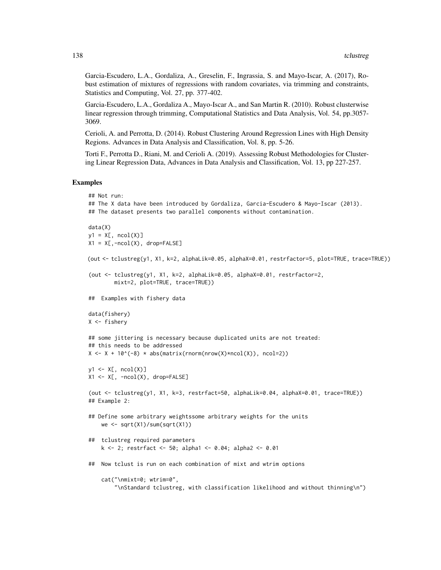Garcia-Escudero, L.A., Gordaliza, A., Greselin, F., Ingrassia, S. and Mayo-Iscar, A. (2017), Robust estimation of mixtures of regressions with random covariates, via trimming and constraints, Statistics and Computing, Vol. 27, pp. 377-402.

Garcia-Escudero, L.A., Gordaliza A., Mayo-Iscar A., and San Martin R. (2010). Robust clusterwise linear regression through trimming, Computational Statistics and Data Analysis, Vol. 54, pp.3057- 3069.

Cerioli, A. and Perrotta, D. (2014). Robust Clustering Around Regression Lines with High Density Regions. Advances in Data Analysis and Classification, Vol. 8, pp. 5-26.

Torti F., Perrotta D., Riani, M. and Cerioli A. (2019). Assessing Robust Methodologies for Clustering Linear Regression Data, Advances in Data Analysis and Classification, Vol. 13, pp 227-257.

#### Examples

```
## Not run:
## The X data have been introduced by Gordaliza, Garcia-Escudero & Mayo-Iscar (2013).
## The dataset presents two parallel components without contamination.
data(X)
y1 = X[, \text{ncol}(X)]X1 = X[, -ncol(X), drop=FALSE](out <- tclustreg(y1, X1, k=2, alphaLik=0.05, alphaX=0.01, restrfactor=5, plot=TRUE, trace=TRUE))
(out <- tclustreg(y1, X1, k=2, alphaLik=0.05, alphaX=0.01, restrfactor=2,
        mixt=2, plot=TRUE, trace=TRUE))
## Examples with fishery data
data(fishery)
X \leftarrow fishery
## some jittering is necessary because duplicated units are not treated:
## this needs to be addressed
X \leftarrow X + 10^{(0)} - 8 \right) * abs(maxrix(rnorm(nrow(X)*ncol(X)), ncol=2))y1 \leftarrow X[, \text{ncol}(X)]X1 \leftarrow X[, -ncol(X), drop=FALSE](out <- tclustreg(y1, X1, k=3, restrfact=50, alphaLik=0.04, alphaX=0.01, trace=TRUE))
## Example 2:
## Define some arbitrary weightssome arbitrary weights for the units
    we \leq sqrt(X1)/sum(sqrt(X1))
## tclustreg required parameters
    k \le -2; restrfact \le -50; alpha1 \le -0.04; alpha2 \le -0.01## Now tclust is run on each combination of mixt and wtrim options
    cat("\nmixt=0; wtrim=0",
        "\nStandard tclustreg, with classification likelihood and without thinning\n")
```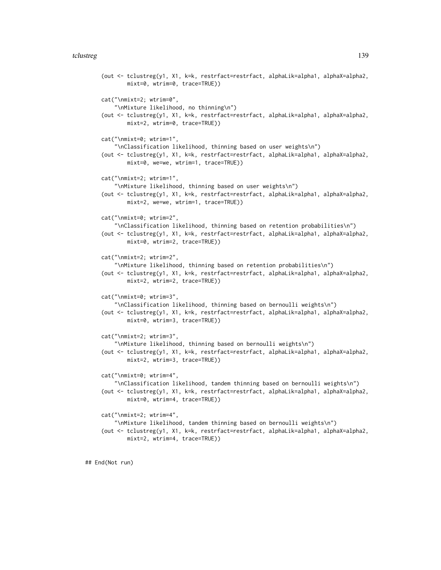#### tclustreg that the contract of the contract of the contract of the contract of the contract of the contract of the contract of the contract of the contract of the contract of the contract of the contract of the contract of

```
(out <- tclustreg(y1, X1, k=k, restrfact=restrfact, alphaLik=alpha1, alphaX=alpha2,
       mixt=0, wtrim=0, trace=TRUE))
cat("\nmixt=2; wtrim=0",
    "\nMixture likelihood, no thinning\n")
(out <- tclustreg(y1, X1, k=k, restrfact=restrfact, alphaLik=alpha1, alphaX=alpha2,
       mixt=2, wtrim=0, trace=TRUE))
cat("\nmixt=0; wtrim=1",
    "\nClassification likelihood, thinning based on user weights\n")
(out <- tclustreg(y1, X1, k=k, restrfact=restrfact, alphaLik=alpha1, alphaX=alpha2,
       mixt=0, we=we, wtrim=1, trace=TRUE))
cat("\nmixt=2; wtrim=1",
    "\nMixture likelihood, thinning based on user weights\n")
(out <- tclustreg(y1, X1, k=k, restrfact=restrfact, alphaLik=alpha1, alphaX=alpha2,
       mixt=2, we=we, wtrim=1, trace=TRUE))
cat("\nmixt=0; wtrim=2",
    "\nClassification likelihood, thinning based on retention probabilities\n")
(out <- tclustreg(y1, X1, k=k, restrfact=restrfact, alphaLik=alpha1, alphaX=alpha2,
       mixt=0, wtrim=2, trace=TRUE))
cat("\nmixt=2; wtrim=2",
    "\nMixture likelihood, thinning based on retention probabilities\n")
(out <- tclustreg(y1, X1, k=k, restrfact=restrfact, alphaLik=alpha1, alphaX=alpha2,
       mixt=2, wtrim=2, trace=TRUE))
cat("\nmixt=0; wtrim=3",
    "\nClassification likelihood, thinning based on bernoulli weights\n")
(out <- tclustreg(y1, X1, k=k, restrfact=restrfact, alphaLik=alpha1, alphaX=alpha2,
       mixt=0, wtrim=3, trace=TRUE))
cat("\nmixt=2; wtrim=3",
    "\nMixture likelihood, thinning based on bernoulli weights\n")
(out <- tclustreg(y1, X1, k=k, restrfact=restrfact, alphaLik=alpha1, alphaX=alpha2,
       mixt=2, wtrim=3, trace=TRUE))
cat("\nmixt=0; wtrim=4",
    "\nClassification likelihood, tandem thinning based on bernoulli weights\n")
(out <- tclustreg(y1, X1, k=k, restrfact=restrfact, alphaLik=alpha1, alphaX=alpha2,
       mixt=0, wtrim=4, trace=TRUE))
cat("\nmixt=2; wtrim=4",
    "\nMixture likelihood, tandem thinning based on bernoulli weights\n")
(out <- tclustreg(y1, X1, k=k, restrfact=restrfact, alphaLik=alpha1, alphaX=alpha2,
       mixt=2, wtrim=4, trace=TRUE))
```
## End(Not run)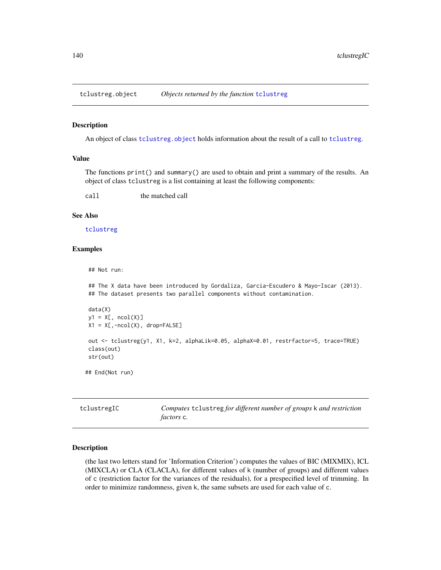<span id="page-139-0"></span>

#### Description

An object of class [tclustreg](#page-134-0). object holds information about the result of a call to tclustreg.

## Value

The functions print() and summary() are used to obtain and print a summary of the results. An object of class tclustreg is a list containing at least the following components:

call the matched call

#### See Also

[tclustreg](#page-134-0)

### Examples

## Not run:

## The X data have been introduced by Gordaliza, Garcia-Escudero & Mayo-Iscar (2013). ## The dataset presents two parallel components without contamination.

```
data(X)
y1 = X[, \text{ncol}(X)]X1 = X[, -ncol(X), drop=FALSE]out <- tclustreg(y1, X1, k=2, alphaLik=0.05, alphaX=0.01, restrfactor=5, trace=TRUE)
class(out)
str(out)
```
## End(Not run)

tclustregIC *Computes* tclustreg *for different number of groups* k *and restriction factors* c*.*

#### Description

(the last two letters stand for 'Information Criterion') computes the values of BIC (MIXMIX), ICL (MIXCLA) or CLA (CLACLA), for different values of k (number of groups) and different values of c (restriction factor for the variances of the residuals), for a prespecified level of trimming. In order to minimize randomness, given k, the same subsets are used for each value of c.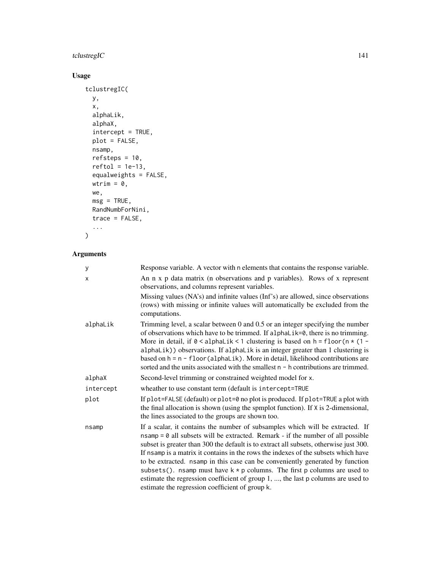# tclustregIC 141

# Usage

```
tclustregIC(
 y,
  x,
 alphaLik,
 alphaX,
  intercept = TRUE,
 plot = FALSE,
 nsamp,
 refsteps = 10,
  reftol = 1e-13,equalweights = FALSE,
 wtrim = \theta,
 we,
 msg = TRUE,RandNumbForNini,
 trace = FALSE,
  ...
\mathcal{L}
```
# Arguments

| y         | Response variable. A vector with n elements that contains the response variable.                                                                                                                                                                                                                                                                                                                                                                                                                                                                                                                                                                         |
|-----------|----------------------------------------------------------------------------------------------------------------------------------------------------------------------------------------------------------------------------------------------------------------------------------------------------------------------------------------------------------------------------------------------------------------------------------------------------------------------------------------------------------------------------------------------------------------------------------------------------------------------------------------------------------|
| X         | An n x p data matrix (n observations and p variables). Rows of x represent<br>observations, and columns represent variables.                                                                                                                                                                                                                                                                                                                                                                                                                                                                                                                             |
|           | Missing values (NA's) and infinite values (Inf's) are allowed, since observations<br>(rows) with missing or infinite values will automatically be excluded from the<br>computations.                                                                                                                                                                                                                                                                                                                                                                                                                                                                     |
| alphaLik  | Trimming level, a scalar between $0$ and $0.5$ or an integer specifying the number<br>of observations which have to be trimmed. If alphalik=0, there is no trimming.<br>More in detail, if $0 <$ alphaLik < 1 clustering is based on h = floor (n $*$ (1 -<br>alphaLik)) observations. If alphaLik is an integer greater than 1 clustering is<br>based on $h = n - \text{floor}(\text{alpha} \pm \text{i} k)$ . More in detail, likelihood contributions are<br>sorted and the units associated with the smallest $n - h$ contributions are trimmed.                                                                                                     |
| alphaX    | Second-level trimming or constrained weighted model for x.                                                                                                                                                                                                                                                                                                                                                                                                                                                                                                                                                                                               |
| intercept | wheather to use constant term (default is intercept=TRUE                                                                                                                                                                                                                                                                                                                                                                                                                                                                                                                                                                                                 |
| plot      | If plot=FALSE (default) or plot=0 no plot is produced. If plot=TRUE a plot with<br>the final allocation is shown (using the spmplot function). If X is 2-dimensional,<br>the lines associated to the groups are shown too.                                                                                                                                                                                                                                                                                                                                                                                                                               |
| nsamp     | If a scalar, it contains the number of subsamples which will be extracted. If<br>$nsamp = 0$ all subsets will be extracted. Remark - if the number of all possible<br>subset is greater than 300 the default is to extract all subsets, otherwise just 300.<br>If nsamp is a matrix it contains in the rows the indexes of the subsets which have<br>to be extracted. nsamp in this case can be conveniently generated by function<br>subsets(). nsamp must have $k * p$ columns. The first p columns are used to<br>estimate the regression coefficient of group 1, , the last p columns are used to<br>estimate the regression coefficient of group k. |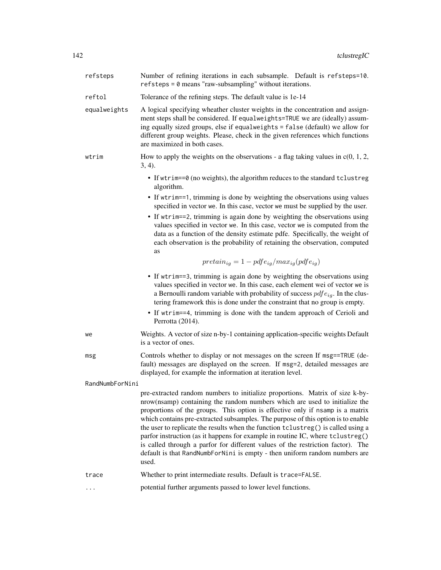| refsteps        | Number of refining iterations in each subsample. Default is refsteps=10.<br>$refsteps = 0$ means "raw-subsampling" without iterations.                                                                                                                                                                                                                                                                                                                                                                                                                                                                                                                                           |
|-----------------|----------------------------------------------------------------------------------------------------------------------------------------------------------------------------------------------------------------------------------------------------------------------------------------------------------------------------------------------------------------------------------------------------------------------------------------------------------------------------------------------------------------------------------------------------------------------------------------------------------------------------------------------------------------------------------|
| reftol          | Tolerance of the refining steps. The default value is 1e-14                                                                                                                                                                                                                                                                                                                                                                                                                                                                                                                                                                                                                      |
| equalweights    | A logical specifying wheather cluster weights in the concentration and assign-<br>ment steps shall be considered. If equalweights=TRUE we are (ideally) assum-<br>ing equally sized groups, else if equalweights = false (default) we allow for<br>different group weights. Please, check in the given references which functions<br>are maximized in both cases.                                                                                                                                                                                                                                                                                                                |
| wtrim           | How to apply the weights on the observations - a flag taking values in $c(0, 1, 2, 1)$<br>$3, 4$ ).                                                                                                                                                                                                                                                                                                                                                                                                                                                                                                                                                                              |
|                 | • If wtrim==0 (no weights), the algorithm reduces to the standard tclustreg<br>algorithm.                                                                                                                                                                                                                                                                                                                                                                                                                                                                                                                                                                                        |
|                 | • If wtrim==1, trimming is done by weighting the observations using values<br>specified in vector we. In this case, vector we must be supplied by the user.                                                                                                                                                                                                                                                                                                                                                                                                                                                                                                                      |
|                 | • If wtrim==2, trimming is again done by weighting the observations using<br>values specified in vector we. In this case, vector we is computed from the<br>data as a function of the density estimate pdfe. Specifically, the weight of<br>each observation is the probability of retaining the observation, computed<br>as                                                                                                                                                                                                                                                                                                                                                     |
|                 | $pretain_{iq} = 1 - pdfe_{iq}/max_{iq}(pdfe_{iq})$                                                                                                                                                                                                                                                                                                                                                                                                                                                                                                                                                                                                                               |
|                 | • If wtrim==3, trimming is again done by weighting the observations using<br>values specified in vector we. In this case, each element wei of vector we is<br>a Bernoulli random variable with probability of success $pdfe_{ig}$ . In the clus-<br>tering framework this is done under the constraint that no group is empty.<br>• If wtrim==4, trimming is done with the tandem approach of Cerioli and                                                                                                                                                                                                                                                                        |
|                 | Perrotta (2014).                                                                                                                                                                                                                                                                                                                                                                                                                                                                                                                                                                                                                                                                 |
| we              | Weights. A vector of size n-by-1 containing application-specific weights Default<br>is a vector of ones.                                                                                                                                                                                                                                                                                                                                                                                                                                                                                                                                                                         |
| msg             | Controls whether to display or not messages on the screen If msg==TRUE (de-<br>fault) messages are displayed on the screen. If msg=2, detailed messages are<br>displayed, for example the information at iteration level.                                                                                                                                                                                                                                                                                                                                                                                                                                                        |
| RandNumbForNini |                                                                                                                                                                                                                                                                                                                                                                                                                                                                                                                                                                                                                                                                                  |
|                 | pre-extracted random numbers to initialize proportions. Matrix of size k-by-<br>nrow(nsamp) containing the random numbers which are used to initialize the<br>proportions of the groups. This option is effective only if nsamp is a matrix<br>which contains pre-extracted subsamples. The purpose of this option is to enable<br>the user to replicate the results when the function tclustreg() is called using a<br>parfor instruction (as it happens for example in routine IC, where tclustreg()<br>is called through a parfor for different values of the restriction factor). The<br>default is that RandNumbForNini is empty - then uniform random numbers are<br>used. |
| trace           | Whether to print intermediate results. Default is trace=FALSE.                                                                                                                                                                                                                                                                                                                                                                                                                                                                                                                                                                                                                   |
|                 | potential further arguments passed to lower level functions.                                                                                                                                                                                                                                                                                                                                                                                                                                                                                                                                                                                                                     |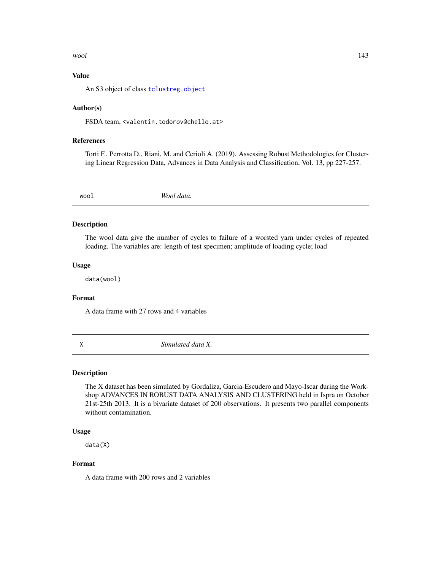#### wool and the set of the set of the set of the set of the set of the set of the set of the set of the set of the set of the set of the set of the set of the set of the set of the set of the set of the set of the set of the

## Value

An S3 object of class [tclustreg.object](#page-139-0)

## Author(s)

FSDA team, <valentin.todorov@chello.at>

#### References

Torti F., Perrotta D., Riani, M. and Cerioli A. (2019). Assessing Robust Methodologies for Clustering Linear Regression Data, Advances in Data Analysis and Classification, Vol. 13, pp 227-257.

wool *Wool data.*

## Description

The wool data give the number of cycles to failure of a worsted yarn under cycles of repeated loading. The variables are: length of test specimen; amplitude of loading cycle; load

## Usage

data(wool)

## Format

A data frame with 27 rows and 4 variables

X *Simulated data X.*

## Description

The X dataset has been simulated by Gordaliza, Garcia-Escudero and Mayo-Iscar during the Workshop ADVANCES IN ROBUST DATA ANALYSIS AND CLUSTERING held in Ispra on October 21st-25th 2013. It is a bivariate dataset of 200 observations. It presents two parallel components without contamination.

## Usage

data(X)

## Format

A data frame with 200 rows and 2 variables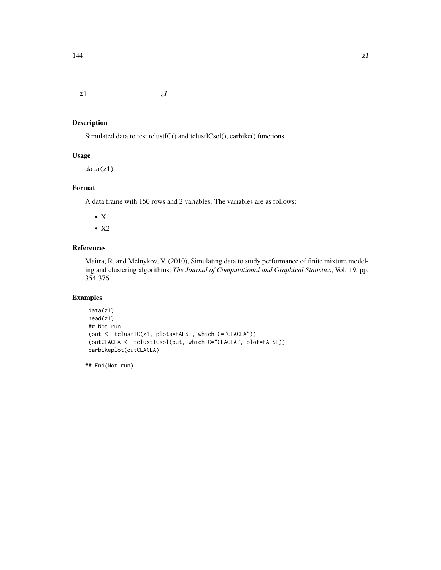z1 *z1*

## Description

Simulated data to test tclustIC() and tclustICsol(), carbike() functions

## Usage

data(z1)

## Format

A data frame with 150 rows and 2 variables. The variables are as follows:

- X1
- X2

## References

Maitra, R. and Melnykov, V. (2010), Simulating data to study performance of finite mixture modeling and clustering algorithms, *The Journal of Computational and Graphical Statistics*, Vol. 19, pp. 354-376.

# Examples

```
data(z1)
head(z1)
## Not run:
(out <- tclustIC(z1, plots=FALSE, whichIC="CLACLA"))
(outCLACLA <- tclustICsol(out, whichIC="CLACLA", plot=FALSE))
carbikeplot(outCLACLA)
```
## End(Not run)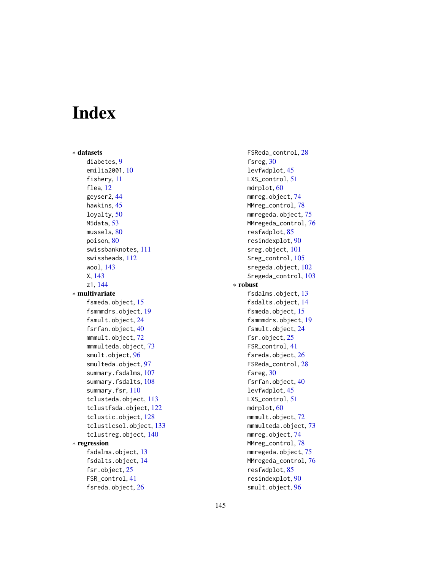## Index

∗ datasets diabetes, [9](#page-8-0) emilia2001, [10](#page-9-0) fishery, [11](#page-10-0) flea, [12](#page-11-0) geyser2, [44](#page-43-0) hawkins, [45](#page-44-0) loyalty, [50](#page-49-0) M5data, [53](#page-52-0) mussels, [80](#page-79-0) poison, [80](#page-79-0) swissbanknotes, [111](#page-110-0) swissheads, [112](#page-111-0) wool, [143](#page-142-0) X, [143](#page-142-0) z1, [144](#page-143-0) ∗ multivariate fsmeda.object, [15](#page-14-0) fsmmmdrs.object, [19](#page-18-0) fsmult.object, [24](#page-23-0) fsrfan.object, [40](#page-39-0) mmmult.object, [72](#page-71-0) mmmulteda.object, [73](#page-72-0) smult.object, [96](#page-95-0) smulteda.object, [97](#page-96-0) summary.fsdalms, [107](#page-106-0) summary.fsdalts, [108](#page-107-0) summary.fsr, [110](#page-109-0) tclusteda.object, [113](#page-112-0) tclustfsda.object, [122](#page-121-0) tclustic.object, [128](#page-127-0) tclusticsol.object, [133](#page-132-0) tclustreg.object, [140](#page-139-0) ∗ regression fsdalms.object, [13](#page-12-0) fsdalts.object, [14](#page-13-0) fsr.object, [25](#page-24-0) FSR\_control, [41](#page-40-0) fsreda.object, [26](#page-25-0)

FSReda\_control, [28](#page-27-0) fsreg, [30](#page-29-0) levfwdplot, [45](#page-44-0) LXS\_control, [51](#page-50-0) mdrplot, [60](#page-59-0) mmreg.object, [74](#page-73-0) MMreg\_control, [78](#page-77-0) mmregeda.object, [75](#page-74-0) MMregeda\_control, [76](#page-75-0) resfwdplot, [85](#page-84-0) resindexplot, [90](#page-89-0) sreg.object, [101](#page-100-0) Sreg\_control, [105](#page-104-0) sregeda.object, [102](#page-101-0) Sregeda\_control, [103](#page-102-0) ∗ robust fsdalms.object, [13](#page-12-0) fsdalts.object, [14](#page-13-0) fsmeda.object, [15](#page-14-0) fsmmmdrs.object, [19](#page-18-0) fsmult.object, [24](#page-23-0) fsr.object, [25](#page-24-0) FSR\_control, [41](#page-40-0) fsreda.object, [26](#page-25-0) FSReda\_control, [28](#page-27-0) fsreg, [30](#page-29-0) fsrfan.object, [40](#page-39-0) levfwdplot, [45](#page-44-0) LXS\_control, [51](#page-50-0) mdrplot, [60](#page-59-0) mmmult.object, [72](#page-71-0) mmmulteda.object, [73](#page-72-0) mmreg.object, [74](#page-73-0) MMreg\_control, [78](#page-77-0) mmregeda.object, [75](#page-74-0) MMregeda\_control, [76](#page-75-0) resfwdplot, [85](#page-84-0) resindexplot, [90](#page-89-0) smult.object, [96](#page-95-0)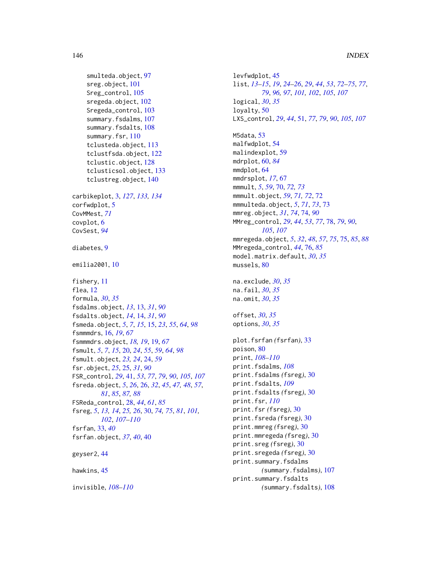```
smulteda.object, 97
    sreg.object, 101
    Sreg_control, 105
    sregeda.object, 102
    Sregeda_control, 103
    summary.fsdalms, 107
    summary.fsdalts, 108
    summary.fsr, 110
    tclusteda.object, 113
    tclustfsda.object, 122
    tclustic.object, 128
    tclusticsol.object, 133
    tclustreg.object, 140
carbikeplot, 3, 127, 133, 134
corfwdplot, 5
CovMMest, 71
covplot, 6
CovSest, 94
diabetes, 9
emilia2001, 10
fishery, 11
flea, 12
formula, 30, 35
fsdalms.object, 13, 13, 31, 90
fsdalts.object, 14, 14, 31, 90
fsmeda.object, 5, 7, 15, 15, 23, 55, 64, 98
fsmmmdrs, 16, 19, 67
fsmmmdrs.object, 18, 19, 19, 67
fsmult, 5, 7, 15, 20, 24, 55, 59, 64, 98
fsmult.object, 23, 24, 24, 59
fsr.object, 25, 25, 31, 90
FSR_control, 29, 41, 53, 77, 79, 90, 105, 107
fsreda.object, 5, 26, 26, 32, 45, 47, 48, 57,
         81, 85, 87, 88
FSReda_control, 28, 44, 61, 85
fsreg, 5, 13, 14, 25, 26, 30, 74, 75, 81, 101,
         102, 107–110
fsrfan, 33, 40
fsrfan.object, 37, 40, 40
geyser2, 44
hawkins, 45
```
invisible, *[108](#page-107-0)[–110](#page-109-0)*

```
levfwdplot, 45
list, 13–15, 19, 24–26, 29, 44, 53, 72–75, 77,
         79, 96, 97, 101, 102, 105, 107
logical, 30, 35
loyalty, 50
LXS_control, 29, 44, 51, 77, 79, 90, 105, 107
M5data, 53
malfwdplot, 54
malindexplot, 59
mdrplot, 60, 84
mmdplot, 64
mmdrsplot, 17, 67
mmmult, 5, 59, 70, 72, 73
mmmult.object, 59, 71, 72, 72
mmmulteda.object, 5, 71, 73, 73
mmreg.object, 31, 74, 74, 90
MMreg_control, 29, 44, 53, 77, 78, 79, 90,
         105, 107
mmregeda.object, 5, 32, 48, 57, 75, 75, 85, 88
MMregeda_control, 44, 76, 85
model.matrix.default, 30, 35
mussels, 80
na.exclude, 30, 35
na.fail, 30, 35
na.omit, 30, 35
offset, 30, 35
options, 30, 35
plot.fsrfan (fsrfan), 33
poison, 80
print, 108–110
print.fsdalms, 108
print.fsdalms (fsreg), 30
print.fsdalts, 109
print.fsdalts (fsreg), 30
print.fsr, 110
print.fsr (fsreg), 30
print.fsreda (fsreg), 30
print.mmreg (fsreg), 30
print.mmregeda (fsreg), 30
print.sreg (fsreg), 30
print.sregeda (fsreg), 30
print.summary.fsdalms
         (summary.fsdalms), 107
print.summary.fsdalts
         (summary.fsdalts), 108
```